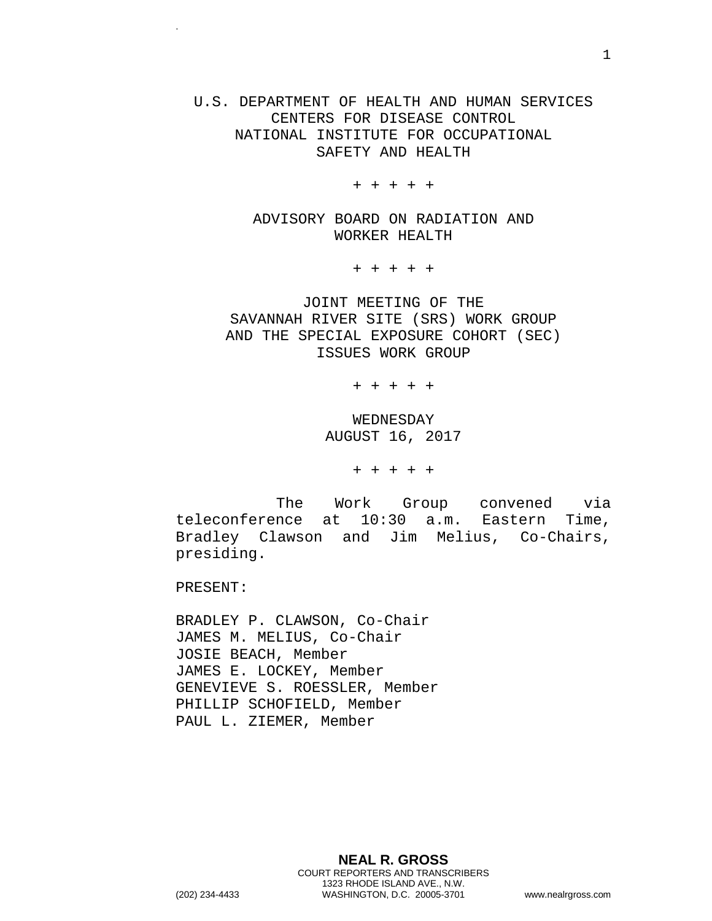U.S. DEPARTMENT OF HEALTH AND HUMAN SERVICES CENTERS FOR DISEASE CONTROL NATIONAL INSTITUTE FOR OCCUPATIONAL SAFETY AND HEALTH

+ + + + +

ADVISORY BOARD ON RADIATION AND WORKER HEALTH

+ + + + +

JOINT MEETING OF THE SAVANNAH RIVER SITE (SRS) WORK GROUP AND THE SPECIAL EXPOSURE COHORT (SEC) ISSUES WORK GROUP

+ + + + +

WEDNESDAY AUGUST 16, 2017

+ + + + +

The Work Group convened via teleconference at 10:30 a.m. Eastern Time, Bradley Clawson and Jim Melius, Co-Chairs, presiding.

PRESENT:

.

BRADLEY P. CLAWSON, Co-Chair JAMES M. MELIUS, Co-Chair JOSIE BEACH, Member JAMES E. LOCKEY, Member GENEVIEVE S. ROESSLER, Member PHILLIP SCHOFIELD, Member PAUL L. ZIEMER, Member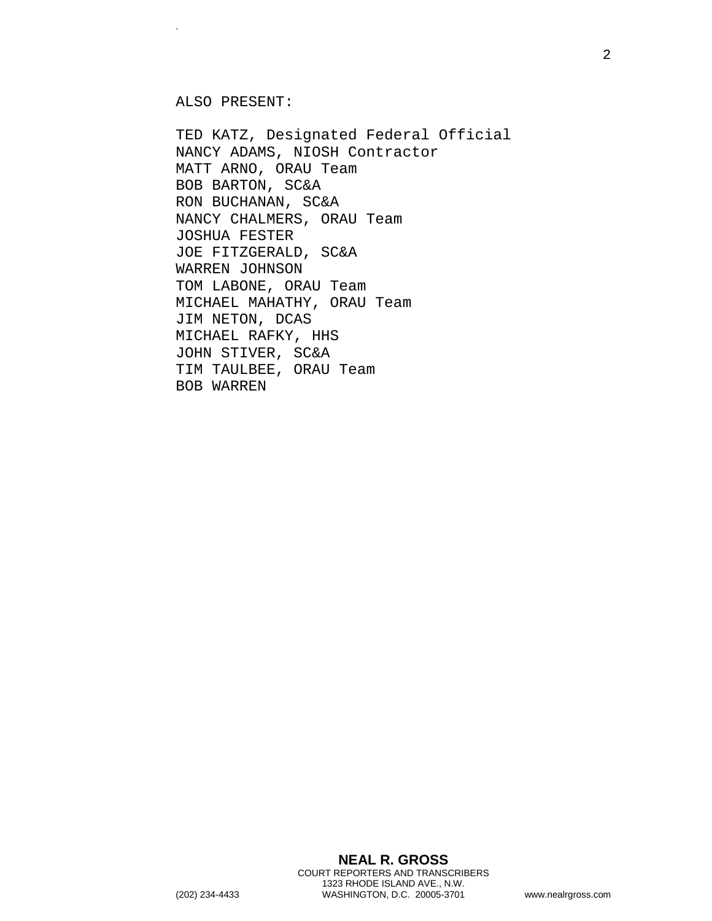ALSO PRESENT:

.

TED KATZ, Designated Federal Official NANCY ADAMS, NIOSH Contractor MATT ARNO, ORAU Team BOB BARTON, SC&A RON BUCHANAN, SC&A NANCY CHALMERS, ORAU Team JOSHUA FESTER JOE FITZGERALD, SC&A WARREN JOHNSON TOM LABONE, ORAU Team MICHAEL MAHATHY, ORAU Team JIM NETON, DCAS MICHAEL RAFKY, HHS JOHN STIVER, SC&A TIM TAULBEE, ORAU Team BOB WARREN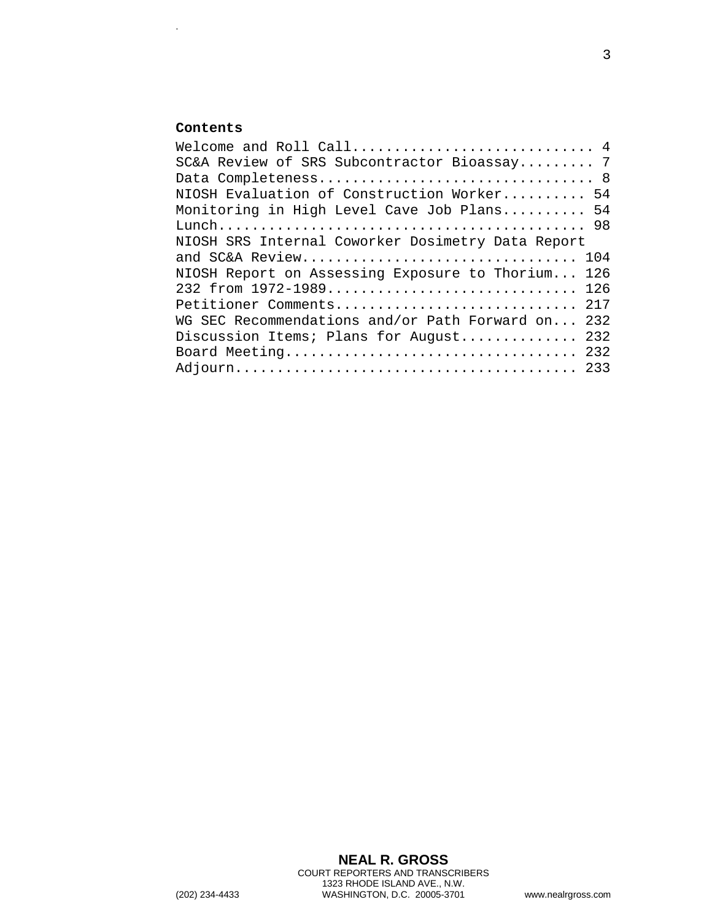## **Contents**

.

| Welcome and Roll Call 4                           |  |
|---------------------------------------------------|--|
| SC&A Review of SRS Subcontractor Bioassay 7       |  |
|                                                   |  |
| NIOSH Evaluation of Construction Worker 54        |  |
| Monitoring in High Level Cave Job Plans 54        |  |
|                                                   |  |
| NIOSH SRS Internal Coworker Dosimetry Data Report |  |
| and SC&A Review 104                               |  |
| NIOSH Report on Assessing Exposure to Thorium 126 |  |
| 232 from 1972-1989 126                            |  |
| Petitioner Comments 217                           |  |
| WG SEC Recommendations and/or Path Forward on 232 |  |
| Discussion Items; Plans for August 232            |  |
| Board Meeting 232                                 |  |
|                                                   |  |
|                                                   |  |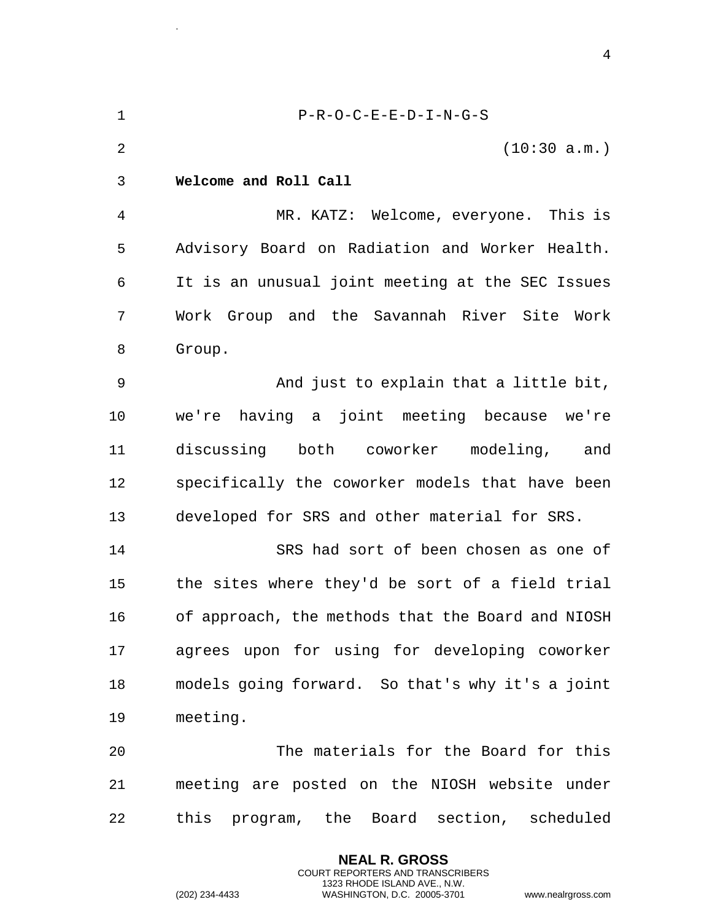<span id="page-3-0"></span>1 P-R-O-C-E-E-D-I-N-G-S 2 (10:30 a.m.) 3 **Welcome and Roll Call**  4 MR. KATZ: Welcome, everyone. This is 5 Advisory Board on Radiation and Worker Health. 6 It is an unusual joint meeting at the SEC Issues 7 Work Group and the Savannah River Site Work 8 Group. 9 And just to explain that a little bit, 10 we're having a joint meeting because we're 11 discussing both coworker modeling, and 12 specifically the coworker models that have been 13 developed for SRS and other material for SRS. 14 SRS had sort of been chosen as one of 15 the sites where they'd be sort of a field trial 16 of approach, the methods that the Board and NIOSH 17 agrees upon for using for developing coworker 18 models going forward. So that's why it's a joint 19 meeting. 20 The materials for the Board for this 21 meeting are posted on the NIOSH website under 22 this program, the Board section, scheduled

> **NEAL R. GROSS** COURT REPORTERS AND TRANSCRIBERS 1323 RHODE ISLAND AVE., N.W.

.

(202) 234-4433 WASHINGTON, D.C. 20005-3701 www.nealrgross.com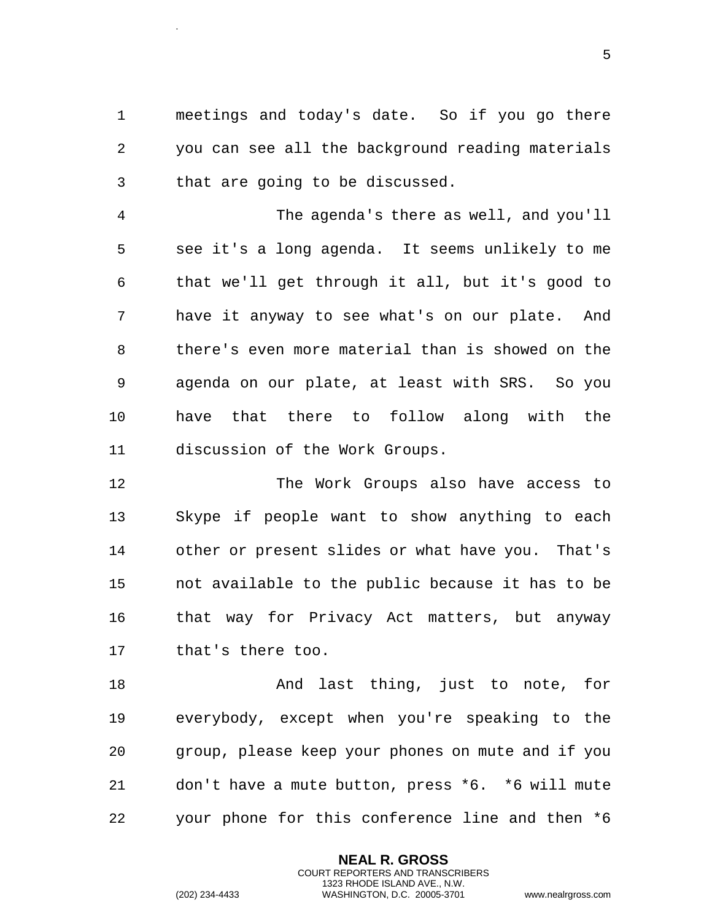1 meetings and today's date. So if you go there 2 you can see all the background reading materials 3 that are going to be discussed.

4 The agenda's there as well, and you'll 5 see it's a long agenda. It seems unlikely to me 6 that we'll get through it all, but it's good to 7 have it anyway to see what's on our plate. And 8 there's even more material than is showed on the 9 agenda on our plate, at least with SRS. So you 10 have that there to follow along with the 11 discussion of the Work Groups.

12 The Work Groups also have access to 13 Skype if people want to show anything to each 14 other or present slides or what have you. That's 15 not available to the public because it has to be 16 that way for Privacy Act matters, but anyway 17 that's there too.

18 And last thing, just to note, for 19 everybody, except when you're speaking to the 20 group, please keep your phones on mute and if you 21 don't have a mute button, press \*6. \*6 will mute 22 your phone for this conference line and then \*6

> **NEAL R. GROSS** COURT REPORTERS AND TRANSCRIBERS 1323 RHODE ISLAND AVE., N.W.

.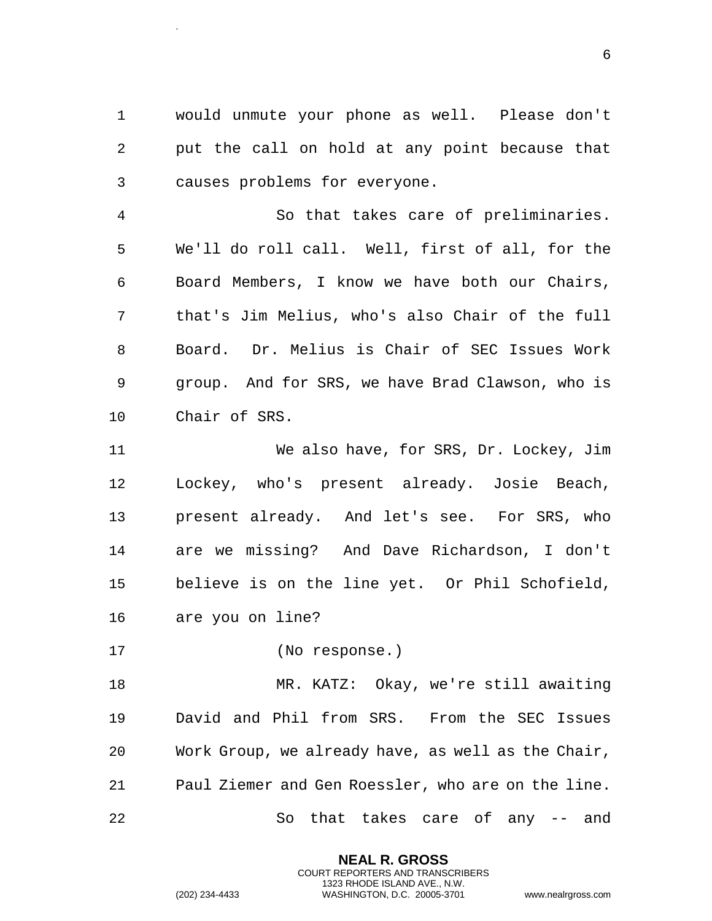1 would unmute your phone as well. Please don't 2 put the call on hold at any point because that 3 causes problems for everyone.

4 So that takes care of preliminaries. 5 We'll do roll call. Well, first of all, for the 6 Board Members, I know we have both our Chairs, 7 that's Jim Melius, who's also Chair of the full 8 Board. Dr. Melius is Chair of SEC Issues Work 9 group. And for SRS, we have Brad Clawson, who is 10 Chair of SRS.

11 We also have, for SRS, Dr. Lockey, Jim 12 Lockey, who's present already. Josie Beach, 13 present already. And let's see. For SRS, who 14 are we missing? And Dave Richardson, I don't 15 believe is on the line yet. Or Phil Schofield, 16 are you on line?

17 (No response.)

.

18 MR. KATZ: Okay, we're still awaiting 19 David and Phil from SRS. From the SEC Issues 20 Work Group, we already have, as well as the Chair, 21 Paul Ziemer and Gen Roessler, who are on the line. 22 So that takes care of any -- and

> **NEAL R. GROSS** COURT REPORTERS AND TRANSCRIBERS 1323 RHODE ISLAND AVE., N.W.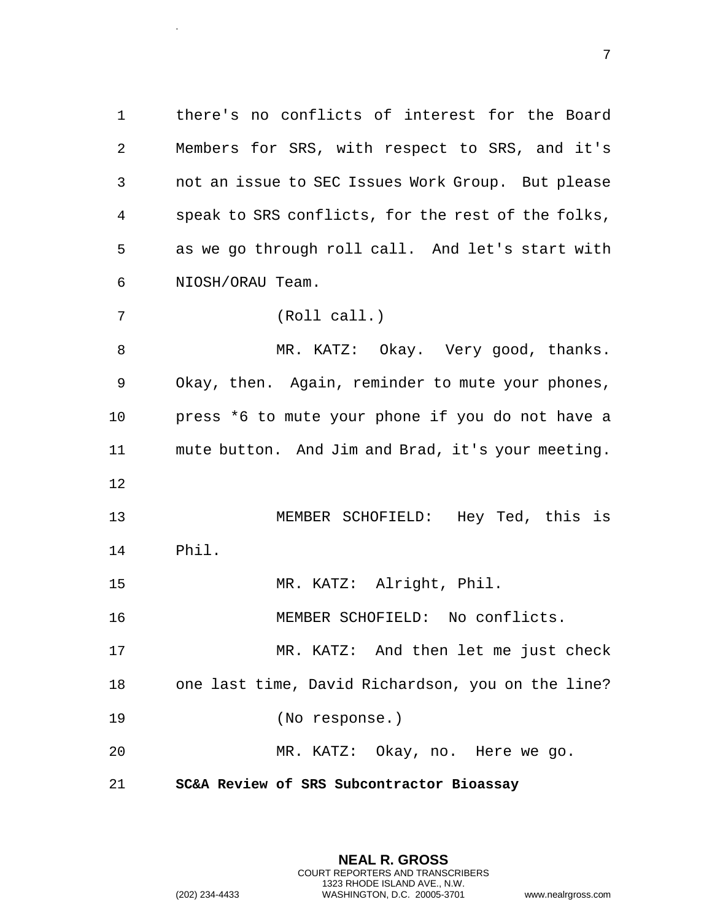1 there's no conflicts of interest for the Board 2 Members for SRS, with respect to SRS, and it's 3 not an issue to SEC Issues Work Group. But please 4 speak to SRS conflicts, for the rest of the folks, 5 as we go through roll call. And let's start with 6 NIOSH/ORAU Team.

7 (Roll call.)

.

8 MR. KATZ: Okay. Very good, thanks. 9 Okay, then. Again, reminder to mute your phones, 10 press \*6 to mute your phone if you do not have a 11 mute button. And Jim and Brad, it's your meeting. 12

13 MEMBER SCHOFIELD: Hey Ted, this is 14 Phil.

15 MR. KATZ: Alright, Phil.

16 MEMBER SCHOFIELD: No conflicts.

17 MR. KATZ: And then let me just check 18 one last time, David Richardson, you on the line? 19 (No response.)

20 MR. KATZ: Okay, no. Here we go.

<span id="page-6-0"></span>21 **SC&A Review of SRS Subcontractor Bioassay** 

**NEAL R. GROSS** COURT REPORTERS AND TRANSCRIBERS 1323 RHODE ISLAND AVE., N.W. (202) 234-4433 WASHINGTON, D.C. 20005-3701 www.nealrgross.com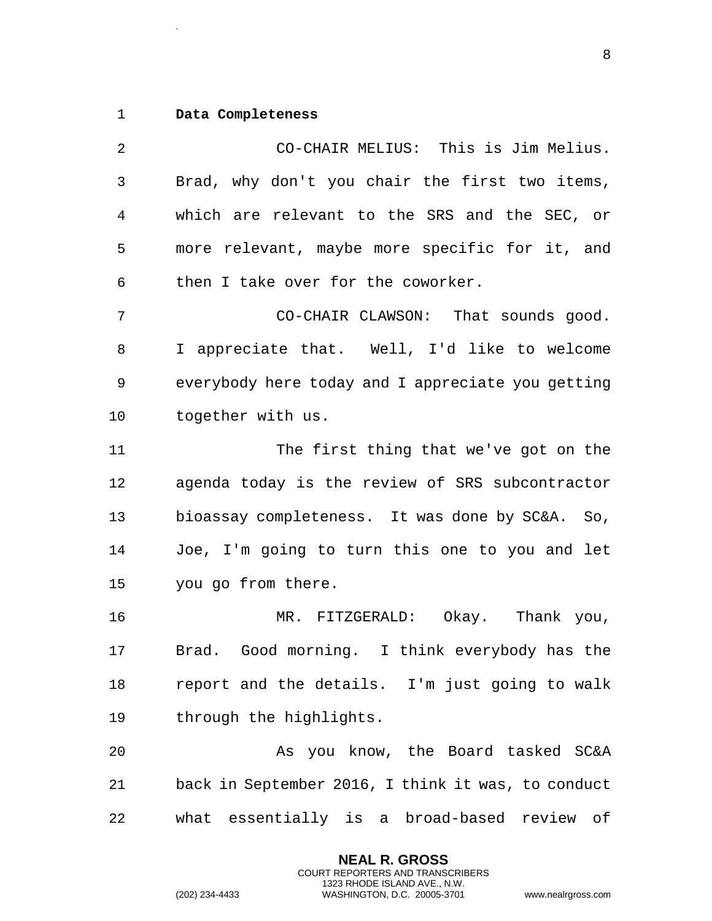## <span id="page-7-0"></span>1 **Data Completeness**

.

2 CO-CHAIR MELIUS: This is Jim Melius. 3 Brad, why don't you chair the first two items, 4 which are relevant to the SRS and the SEC, or 5 more relevant, maybe more specific for it, and 6 then I take over for the coworker. 7 CO-CHAIR CLAWSON: That sounds good. 8 I appreciate that. Well, I'd like to welcome 9 everybody here today and I appreciate you getting 10 together with us. 11 The first thing that we've got on the 12 agenda today is the review of SRS subcontractor 13 bioassay completeness. It was done by SC&A. So, 14 Joe, I'm going to turn this one to you and let 15 you go from there. 16 MR. FITZGERALD: Okay. Thank you, 17 Brad. Good morning. I think everybody has the 18 report and the details. I'm just going to walk 19 through the highlights. 20 As you know, the Board tasked SC&A 21 back in September 2016, I think it was, to conduct 22 what essentially is a broad-based review of

> **NEAL R. GROSS** COURT REPORTERS AND TRANSCRIBERS 1323 RHODE ISLAND AVE., N.W.

(202) 234-4433 WASHINGTON, D.C. 20005-3701 www.nealrgross.com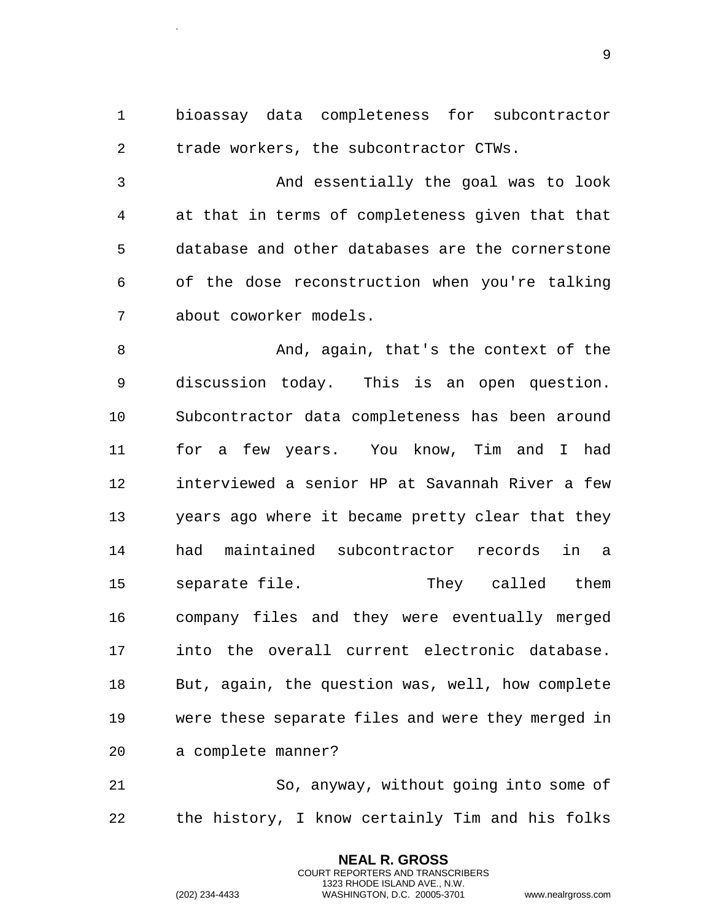1 bioassay data completeness for subcontractor 2 trade workers, the subcontractor CTWs. 3 And essentially the goal was to look 4 at that in terms of completeness given that that 5 database and other databases are the cornerstone 6 of the dose reconstruction when you're talking 7 about coworker models. 8 And, again, that's the context of the 9 discussion today. This is an open question. 10 Subcontractor data completeness has been around 11 for a few years. You know, Tim and I had 12 interviewed a senior HP at Savannah River a few 13 years ago where it became pretty clear that they 14 had maintained subcontractor records in a 15 separate file. They called them 16 company files and they were eventually merged 17 into the overall current electronic database. 18 But, again, the question was, well, how complete 19 were these separate files and were they merged in 20 a complete manner?

21 So, anyway, without going into some of 22 the history, I know certainly Tim and his folks

> **NEAL R. GROSS** COURT REPORTERS AND TRANSCRIBERS 1323 RHODE ISLAND AVE., N.W.

.

```
(202) 234-4433 WASHINGTON, D.C. 20005-3701 www.nealrgross.com
```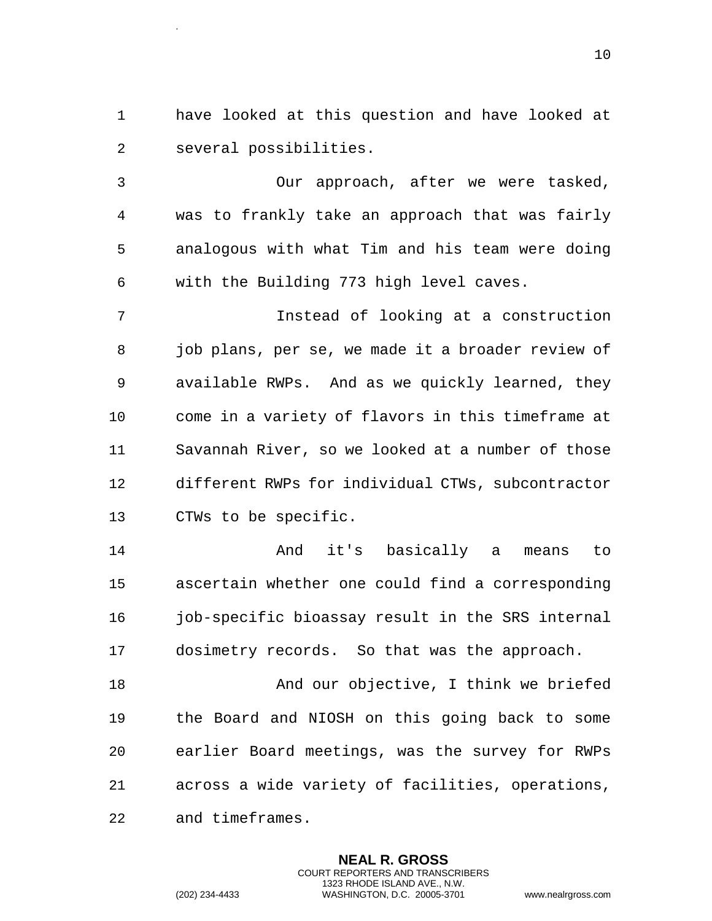1 have looked at this question and have looked at 2 several possibilities.

3 Our approach, after we were tasked, 4 was to frankly take an approach that was fairly 5 analogous with what Tim and his team were doing 6 with the Building 773 high level caves.

7 Instead of looking at a construction 8 job plans, per se, we made it a broader review of 9 available RWPs. And as we quickly learned, they 10 come in a variety of flavors in this timeframe at 11 Savannah River, so we looked at a number of those 12 different RWPs for individual CTWs, subcontractor 13 CTWs to be specific.

14 and it's basically a means to 15 ascertain whether one could find a corresponding 16 job-specific bioassay result in the SRS internal 17 dosimetry records. So that was the approach.

18 And our objective, I think we briefed 19 the Board and NIOSH on this going back to some 20 earlier Board meetings, was the survey for RWPs 21 across a wide variety of facilities, operations, 22 and timeframes.

> **NEAL R. GROSS** COURT REPORTERS AND TRANSCRIBERS 1323 RHODE ISLAND AVE., N.W.

.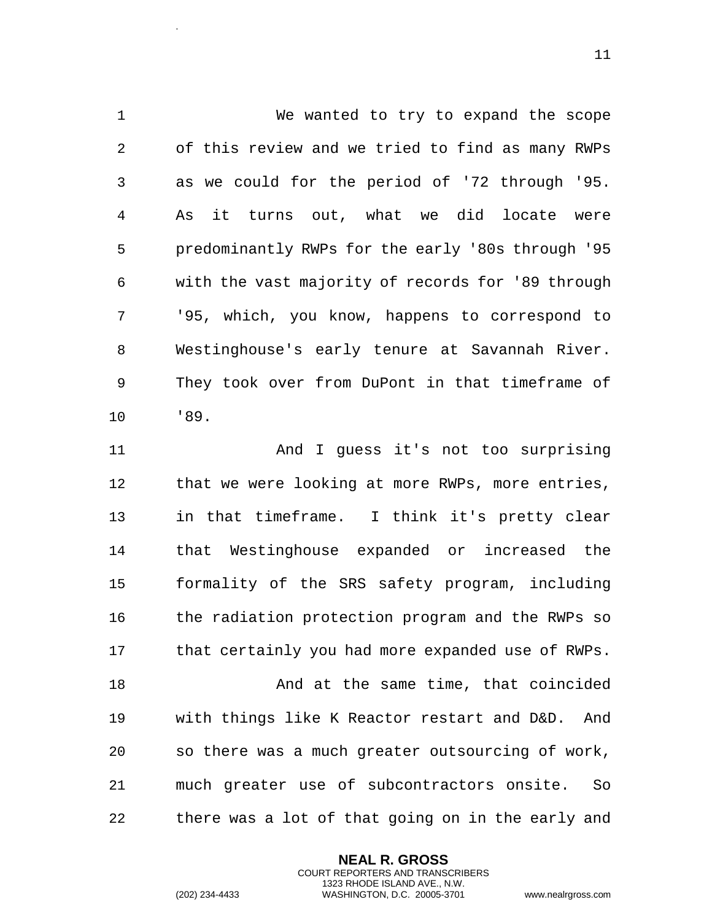1 We wanted to try to expand the scope 2 of this review and we tried to find as many RWPs 3 as we could for the period of '72 through '95. 4 As it turns out, what we did locate were 5 predominantly RWPs for the early '80s through '95 6 with the vast majority of records for '89 through 7 '95, which, you know, happens to correspond to 8 Westinghouse's early tenure at Savannah River. 9 They took over from DuPont in that timeframe of 10 '89.

11 And I guess it's not too surprising 12 that we were looking at more RWPs, more entries, 13 in that timeframe. I think it's pretty clear 14 that Westinghouse expanded or increased the 15 formality of the SRS safety program, including 16 the radiation protection program and the RWPs so 17 that certainly you had more expanded use of RWPs. 18 And at the same time, that coincided 19 with things like K Reactor restart and D&D. And 20 so there was a much greater outsourcing of work, 21 much greater use of subcontractors onsite. So 22 there was a lot of that going on in the early and

> **NEAL R. GROSS** COURT REPORTERS AND TRANSCRIBERS 1323 RHODE ISLAND AVE., N.W.

.

(202) 234-4433 WASHINGTON, D.C. 20005-3701 www.nealrgross.com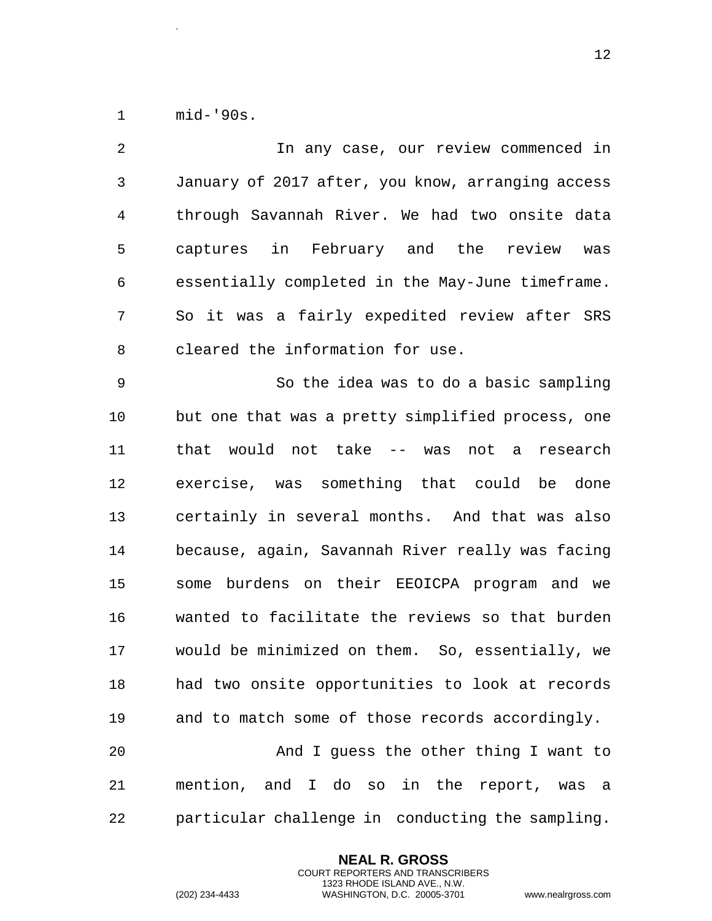1 mid-'90s.

.

2 In any case, our review commenced in 3 January of 2017 after, you know, arranging access 4 through Savannah River. We had two onsite data 5 captures in February and the review was 6 essentially completed in the May-June timeframe. 7 So it was a fairly expedited review after SRS 8 cleared the information for use. 9 So the idea was to do a basic sampling 10 but one that was a pretty simplified process, one 11 that would not take -- was not a research 12 exercise, was something that could be done 13 certainly in several months. And that was also 14 because, again, Savannah River really was facing 15 some burdens on their EEOICPA program and we 16 wanted to facilitate the reviews so that burden 17 would be minimized on them. So, essentially, we 18 had two onsite opportunities to look at records 19 and to match some of those records accordingly. 20 And I guess the other thing I want to 21 mention, and I do so in the report, was a 22 particular challenge in conducting the sampling.

> **NEAL R. GROSS** COURT REPORTERS AND TRANSCRIBERS 1323 RHODE ISLAND AVE., N.W.

(202) 234-4433 WASHINGTON, D.C. 20005-3701 www.nealrgross.com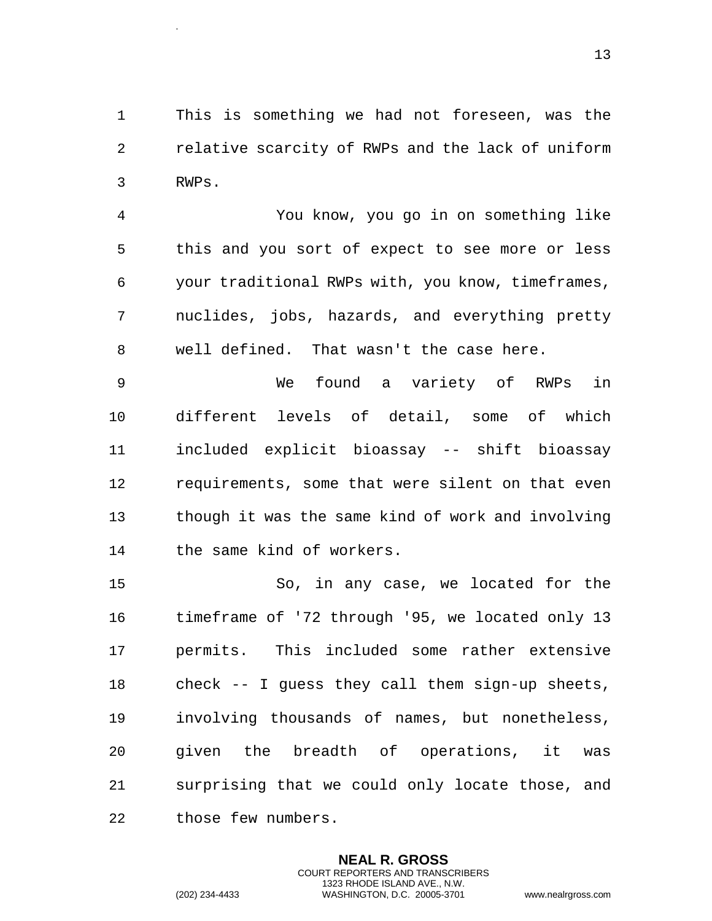1 This is something we had not foreseen, was the 2 relative scarcity of RWPs and the lack of uniform 3 RWPs.

4 You know, you go in on something like 5 this and you sort of expect to see more or less 6 your traditional RWPs with, you know, timeframes, 7 nuclides, jobs, hazards, and everything pretty 8 well defined. That wasn't the case here.

9 We found a variety of RWPs in 10 different levels of detail, some of which 11 included explicit bioassay -- shift bioassay 12 requirements, some that were silent on that even 13 though it was the same kind of work and involving 14 the same kind of workers.

15 So, in any case, we located for the 16 timeframe of '72 through '95, we located only 13 17 permits. This included some rather extensive 18 check -- I guess they call them sign-up sheets, 19 involving thousands of names, but nonetheless, 20 given the breadth of operations, it was 21 surprising that we could only locate those, and 22 those few numbers.

> **NEAL R. GROSS** COURT REPORTERS AND TRANSCRIBERS 1323 RHODE ISLAND AVE., N.W.

.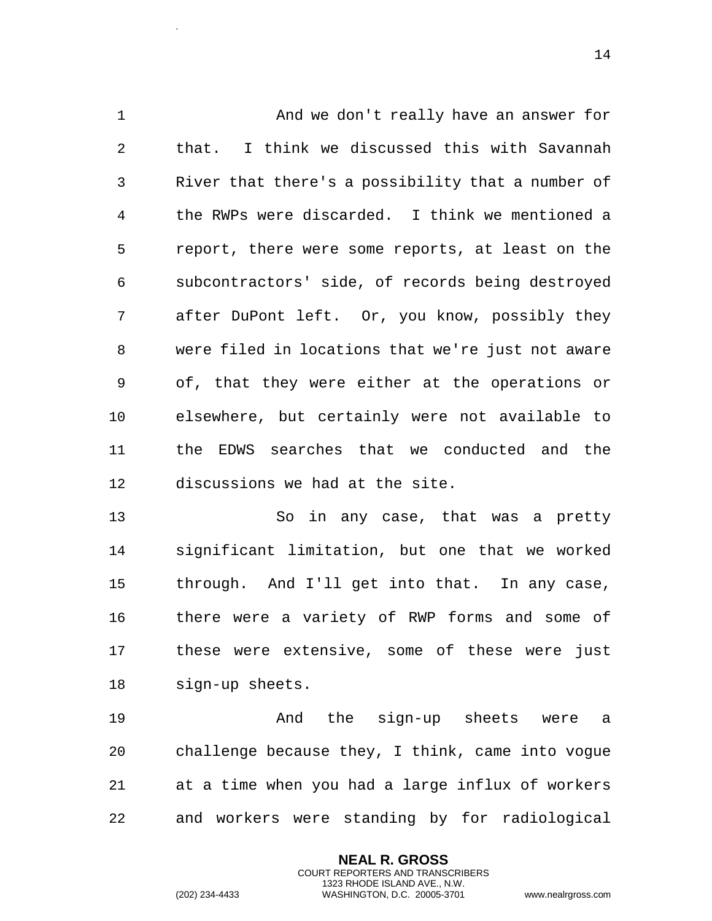1 And we don't really have an answer for 2 that. I think we discussed this with Savannah 3 River that there's a possibility that a number of 4 the RWPs were discarded. I think we mentioned a 5 report, there were some reports, at least on the 6 subcontractors' side, of records being destroyed 7 after DuPont left. Or, you know, possibly they 8 were filed in locations that we're just not aware 9 of, that they were either at the operations or 10 elsewhere, but certainly were not available to 11 the EDWS searches that we conducted and the 12 discussions we had at the site.

13 So in any case, that was a pretty 14 significant limitation, but one that we worked 15 through. And I'll get into that. In any case, 16 there were a variety of RWP forms and some of 17 these were extensive, some of these were just 18 sign-up sheets.

19 And the sign-up sheets were a 20 challenge because they, I think, came into vogue 21 at a time when you had a large influx of workers 22 and workers were standing by for radiological

> **NEAL R. GROSS** COURT REPORTERS AND TRANSCRIBERS 1323 RHODE ISLAND AVE., N.W.

.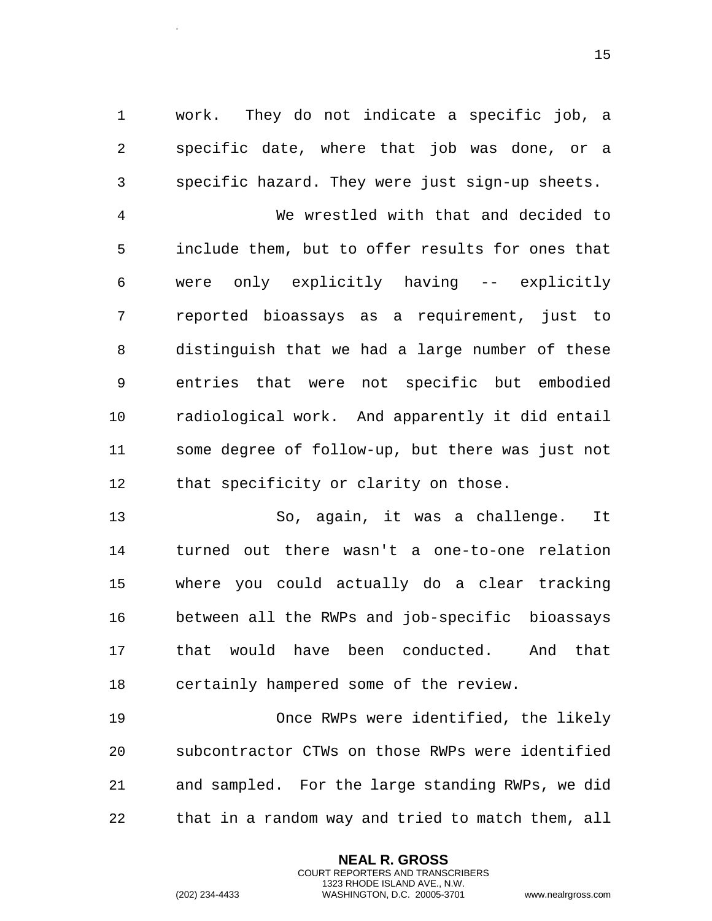1 work. They do not indicate a specific job, a 2 specific date, where that job was done, or a 3 specific hazard. They were just sign-up sheets.

4 We wrestled with that and decided to 5 include them, but to offer results for ones that 6 were only explicitly having -- explicitly 7 reported bioassays as a requirement, just to 8 distinguish that we had a large number of these 9 entries that were not specific but embodied 10 radiological work. And apparently it did entail 11 some degree of follow-up, but there was just not 12 that specificity or clarity on those.

13 So, again, it was a challenge. It 14 turned out there wasn't a one-to-one relation 15 where you could actually do a clear tracking 16 between all the RWPs and job-specific bioassays 17 that would have been conducted. And that 18 certainly hampered some of the review.

19 Once RWPs were identified, the likely 20 subcontractor CTWs on those RWPs were identified 21 and sampled. For the large standing RWPs, we did 22 that in a random way and tried to match them, all

> **NEAL R. GROSS** COURT REPORTERS AND TRANSCRIBERS 1323 RHODE ISLAND AVE., N.W.

.

(202) 234-4433 WASHINGTON, D.C. 20005-3701 www.nealrgross.com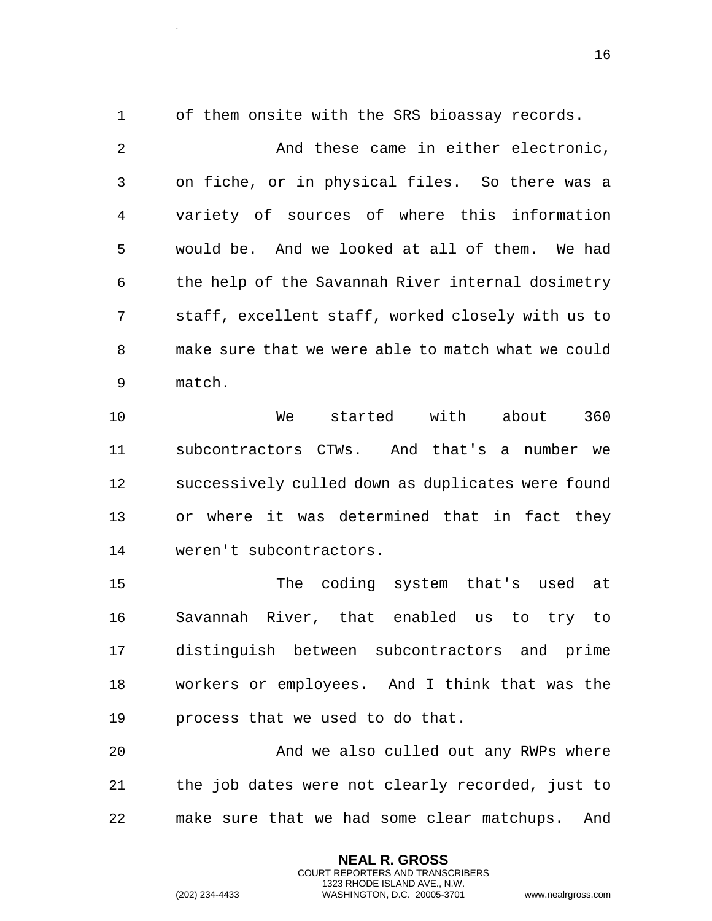1 of them onsite with the SRS bioassay records.

.

2 And these came in either electronic, 3 on fiche, or in physical files. So there was a 4 variety of sources of where this information 5 would be. And we looked at all of them. We had 6 the help of the Savannah River internal dosimetry 7 staff, excellent staff, worked closely with us to 8 make sure that we were able to match what we could 9 match.

10 We started with about 360 11 subcontractors CTWs. And that's a number we 12 successively culled down as duplicates were found 13 or where it was determined that in fact they 14 weren't subcontractors.

15 The coding system that's used at 16 Savannah River, that enabled us to try to 17 distinguish between subcontractors and prime 18 workers or employees. And I think that was the 19 process that we used to do that.

20 And we also culled out any RWPs where 21 the job dates were not clearly recorded, just to 22 make sure that we had some clear matchups. And

> **NEAL R. GROSS** COURT REPORTERS AND TRANSCRIBERS 1323 RHODE ISLAND AVE., N.W.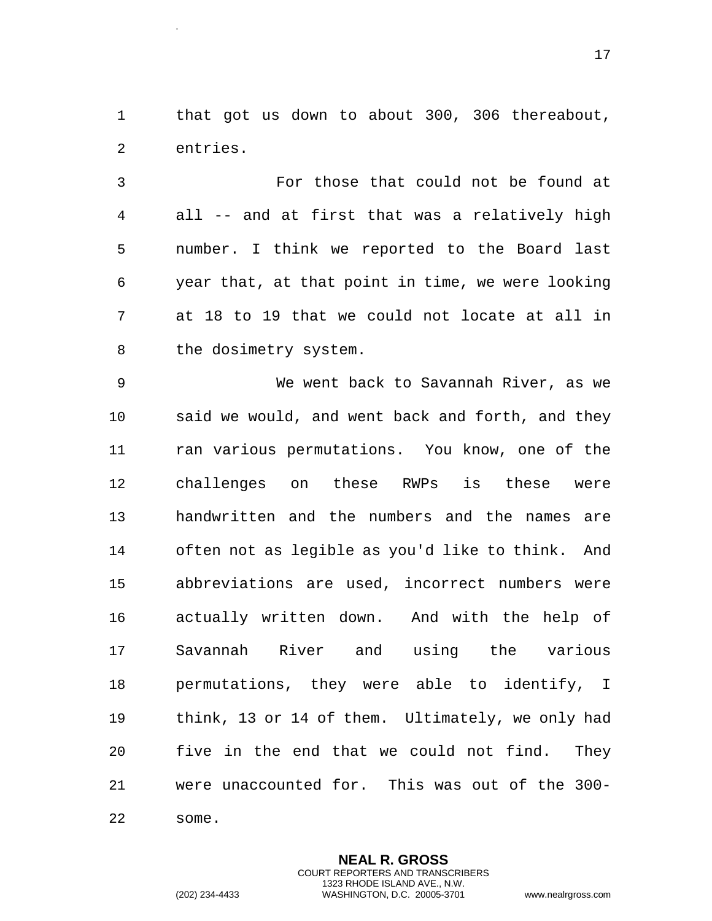1 that got us down to about 300, 306 thereabout, 2 entries.

3 For those that could not be found at 4 all -- and at first that was a relatively high 5 number. I think we reported to the Board last 6 year that, at that point in time, we were looking 7 at 18 to 19 that we could not locate at all in 8 the dosimetry system.

9 We went back to Savannah River, as we 10 said we would, and went back and forth, and they 11 ran various permutations. You know, one of the 12 challenges on these RWPs is these were 13 handwritten and the numbers and the names are 14 often not as legible as you'd like to think. And 15 abbreviations are used, incorrect numbers were 16 actually written down. And with the help of 17 Savannah River and using the various 18 permutations, they were able to identify, I 19 think, 13 or 14 of them. Ultimately, we only had 20 five in the end that we could not find. They 21 were unaccounted for. This was out of the 300- 22 some.

.

**NEAL R. GROSS** COURT REPORTERS AND TRANSCRIBERS 1323 RHODE ISLAND AVE., N.W. (202) 234-4433 WASHINGTON, D.C. 20005-3701 www.nealrgross.com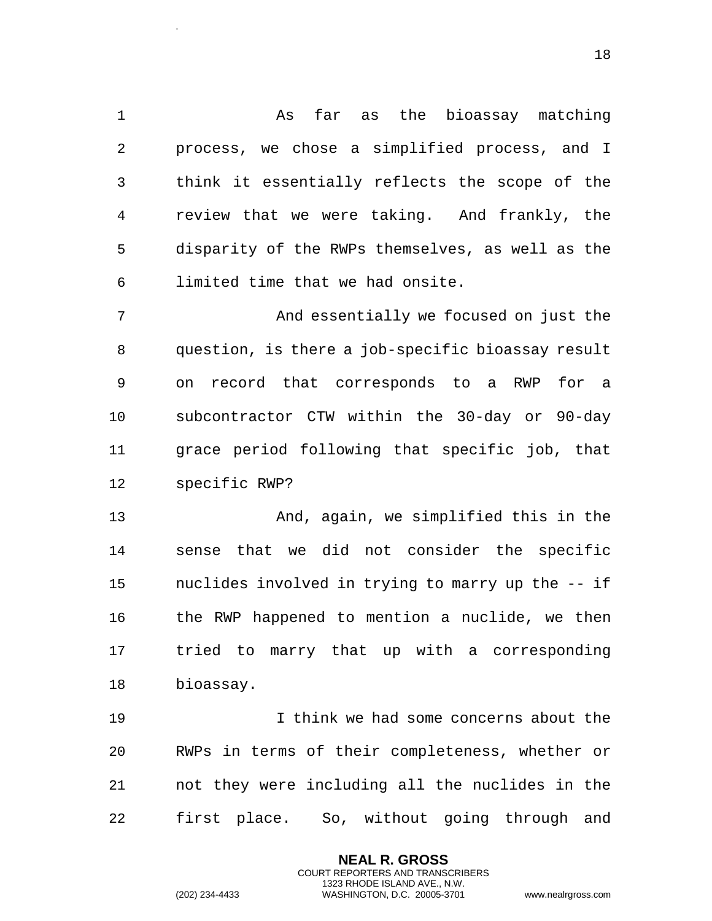1 As far as the bioassay matching 2 process, we chose a simplified process, and I 3 think it essentially reflects the scope of the 4 review that we were taking. And frankly, the 5 disparity of the RWPs themselves, as well as the 6 limited time that we had onsite.

7 And essentially we focused on just the 8 question, is there a job-specific bioassay result 9 on record that corresponds to a RWP for a 10 subcontractor CTW within the 30-day or 90-day 11 grace period following that specific job, that 12 specific RWP?

13 And, again, we simplified this in the 14 sense that we did not consider the specific 15 nuclides involved in trying to marry up the -- if 16 the RWP happened to mention a nuclide, we then 17 tried to marry that up with a corresponding 18 bioassay.

19 I think we had some concerns about the 20 RWPs in terms of their completeness, whether or 21 not they were including all the nuclides in the 22 first place. So, without going through and

> **NEAL R. GROSS** COURT REPORTERS AND TRANSCRIBERS 1323 RHODE ISLAND AVE., N.W.

.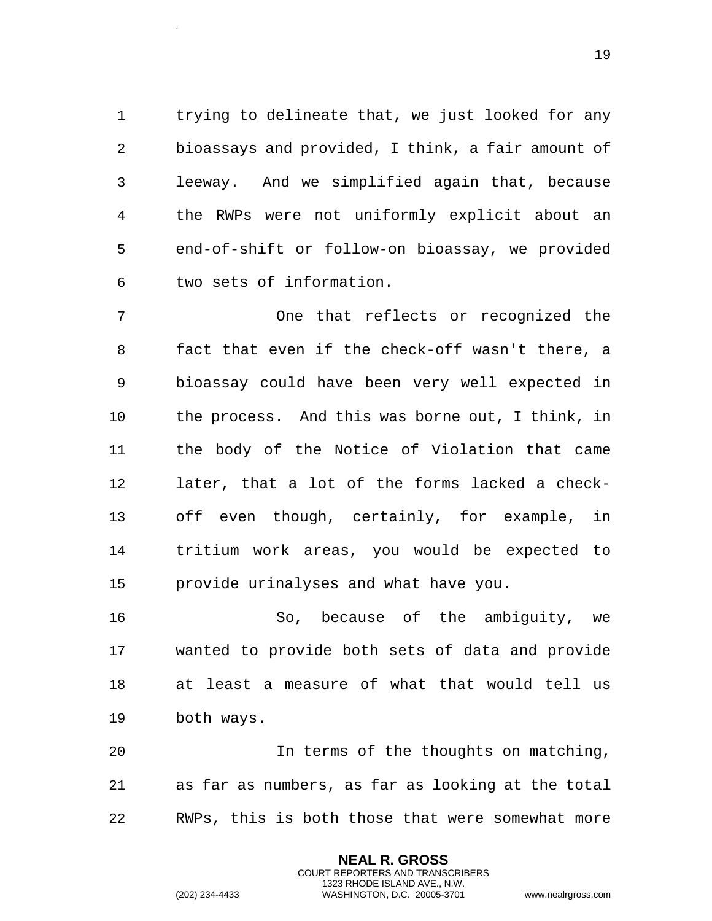1 trying to delineate that, we just looked for any 2 bioassays and provided, I think, a fair amount of 3 leeway. And we simplified again that, because 4 the RWPs were not uniformly explicit about an 5 end-of-shift or follow-on bioassay, we provided 6 two sets of information.

7 One that reflects or recognized the 8 fact that even if the check-off wasn't there, a 9 bioassay could have been very well expected in 10 the process. And this was borne out, I think, in 11 the body of the Notice of Violation that came 12 later, that a lot of the forms lacked a check-13 off even though, certainly, for example, in 14 tritium work areas, you would be expected to 15 provide urinalyses and what have you.

16 So, because of the ambiguity, we 17 wanted to provide both sets of data and provide 18 at least a measure of what that would tell us 19 both ways.

20 In terms of the thoughts on matching, 21 as far as numbers, as far as looking at the total 22 RWPs, this is both those that were somewhat more

> **NEAL R. GROSS** COURT REPORTERS AND TRANSCRIBERS 1323 RHODE ISLAND AVE., N.W.

.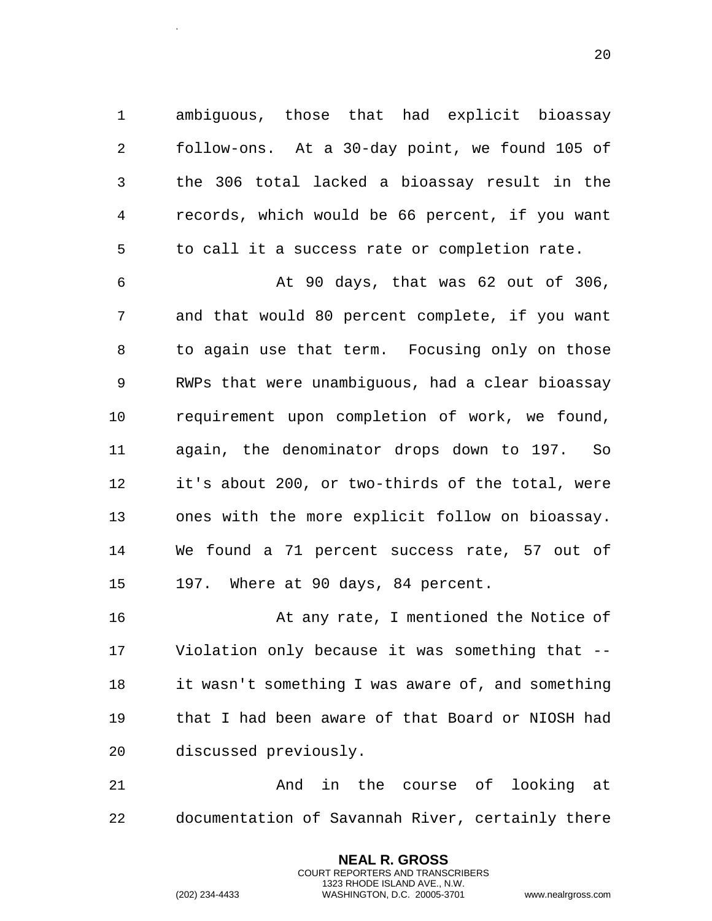1 ambiguous, those that had explicit bioassay 2 follow-ons. At a 30-day point, we found 105 of 3 the 306 total lacked a bioassay result in the 4 records, which would be 66 percent, if you want 5 to call it a success rate or completion rate.

6 At 90 days, that was 62 out of 306, 7 and that would 80 percent complete, if you want 8 to again use that term. Focusing only on those 9 RWPs that were unambiguous, had a clear bioassay 10 requirement upon completion of work, we found, 11 again, the denominator drops down to 197. So 12 it's about 200, or two-thirds of the total, were 13 ones with the more explicit follow on bioassay. 14 We found a 71 percent success rate, 57 out of 15 197. Where at 90 days, 84 percent.

16 At any rate, I mentioned the Notice of 17 Violation only because it was something that -- 18 it wasn't something I was aware of, and something 19 that I had been aware of that Board or NIOSH had 20 discussed previously.

21 And in the course of looking at 22 documentation of Savannah River, certainly there

> **NEAL R. GROSS** COURT REPORTERS AND TRANSCRIBERS 1323 RHODE ISLAND AVE., N.W.

.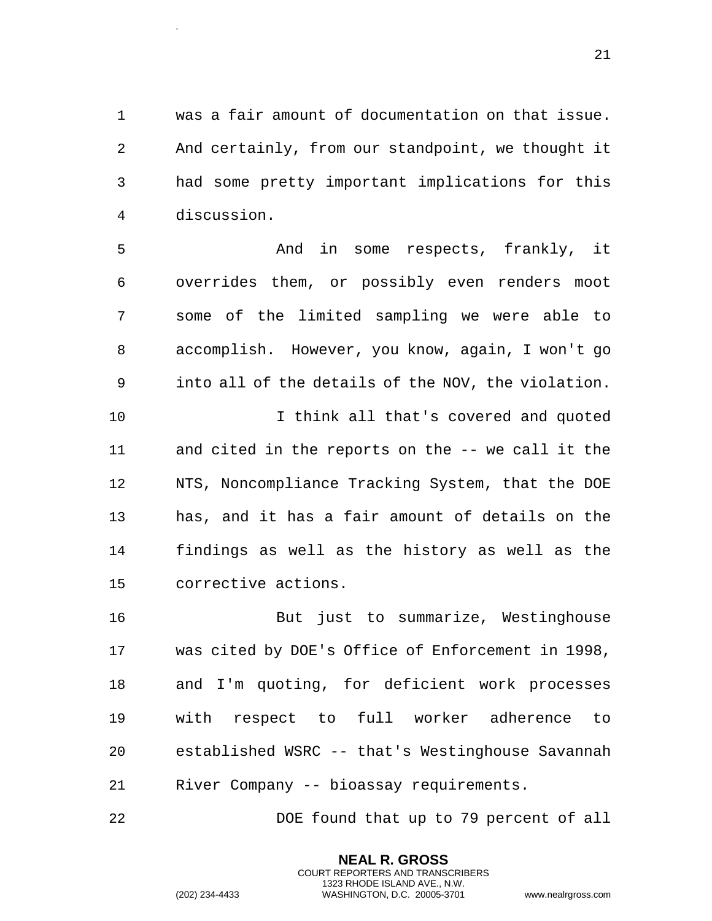1 was a fair amount of documentation on that issue. 2 And certainly, from our standpoint, we thought it 3 had some pretty important implications for this 4 discussion.

5 And in some respects, frankly, it 6 overrides them, or possibly even renders moot 7 some of the limited sampling we were able to 8 accomplish. However, you know, again, I won't go 9 into all of the details of the NOV, the violation. 10 I think all that's covered and quoted 11 and cited in the reports on the -- we call it the 12 NTS, Noncompliance Tracking System, that the DOE 13 has, and it has a fair amount of details on the 14 findings as well as the history as well as the 15 corrective actions.

16 But just to summarize, Westinghouse 17 was cited by DOE's Office of Enforcement in 1998, 18 and I'm quoting, for deficient work processes 19 with respect to full worker adherence to 20 established WSRC -- that's Westinghouse Savannah 21 River Company -- bioassay requirements.

22 DOE found that up to 79 percent of all

**NEAL R. GROSS** COURT REPORTERS AND TRANSCRIBERS 1323 RHODE ISLAND AVE., N.W.

.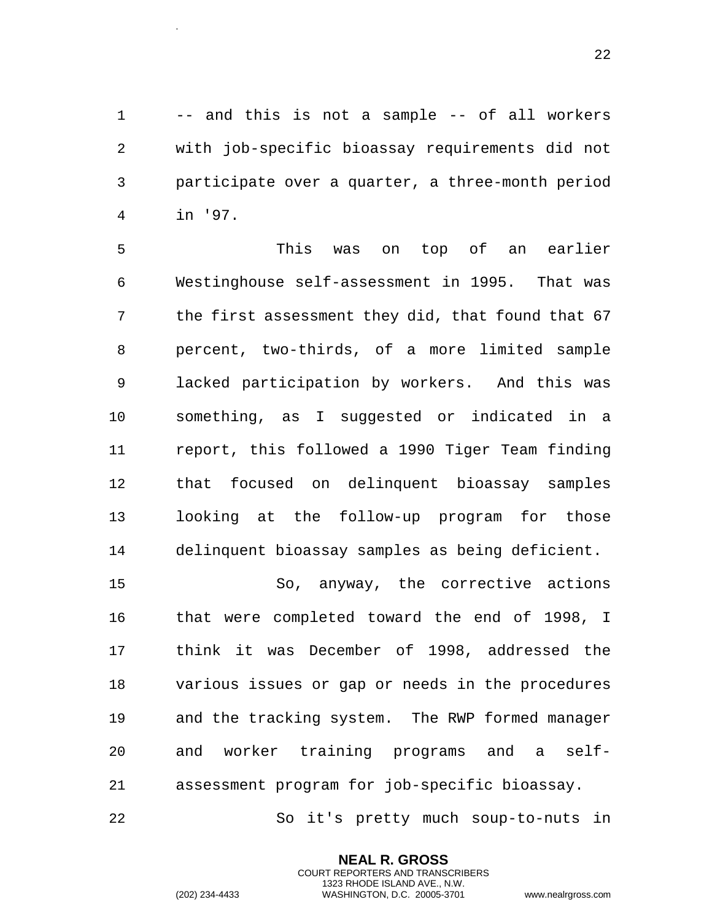1 -- and this is not a sample -- of all workers 2 with job-specific bioassay requirements did not 3 participate over a quarter, a three-month period 4 in '97.

5 This was on top of an earlier 6 Westinghouse self-assessment in 1995. That was 7 the first assessment they did, that found that 67 8 percent, two-thirds, of a more limited sample 9 lacked participation by workers. And this was 10 something, as I suggested or indicated in a 11 report, this followed a 1990 Tiger Team finding 12 that focused on delinquent bioassay samples 13 looking at the follow-up program for those 14 delinquent bioassay samples as being deficient.

15 So, anyway, the corrective actions 16 that were completed toward the end of 1998, I 17 think it was December of 1998, addressed the 18 various issues or gap or needs in the procedures 19 and the tracking system. The RWP formed manager 20 and worker training programs and a self-21 assessment program for job-specific bioassay.

22 So it's pretty much soup-to-nuts in

**NEAL R. GROSS** COURT REPORTERS AND TRANSCRIBERS 1323 RHODE ISLAND AVE., N.W.

.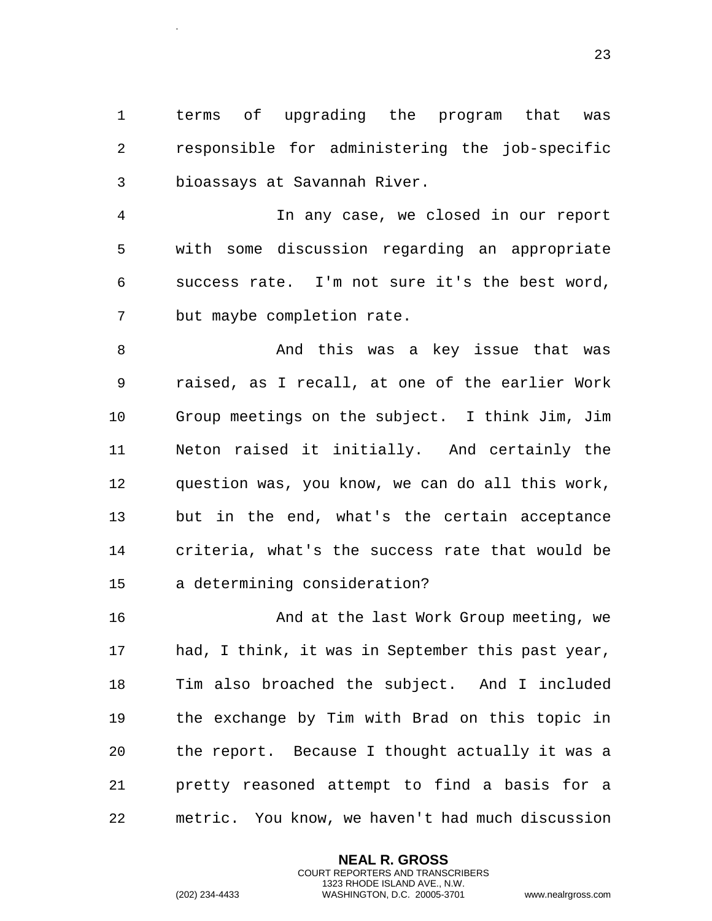1 terms of upgrading the program that was 2 responsible for administering the job-specific 3 bioassays at Savannah River.

4 In any case, we closed in our report 5 with some discussion regarding an appropriate 6 success rate. I'm not sure it's the best word, 7 but maybe completion rate.

8 And this was a key issue that was 9 raised, as I recall, at one of the earlier Work 10 Group meetings on the subject. I think Jim, Jim 11 Neton raised it initially. And certainly the 12 question was, you know, we can do all this work, 13 but in the end, what's the certain acceptance 14 criteria, what's the success rate that would be 15 a determining consideration?

16 And at the last Work Group meeting, we 17 had, I think, it was in September this past year, 18 Tim also broached the subject. And I included 19 the exchange by Tim with Brad on this topic in 20 the report. Because I thought actually it was a 21 pretty reasoned attempt to find a basis for a 22 metric. You know, we haven't had much discussion

> **NEAL R. GROSS** COURT REPORTERS AND TRANSCRIBERS 1323 RHODE ISLAND AVE., N.W.

.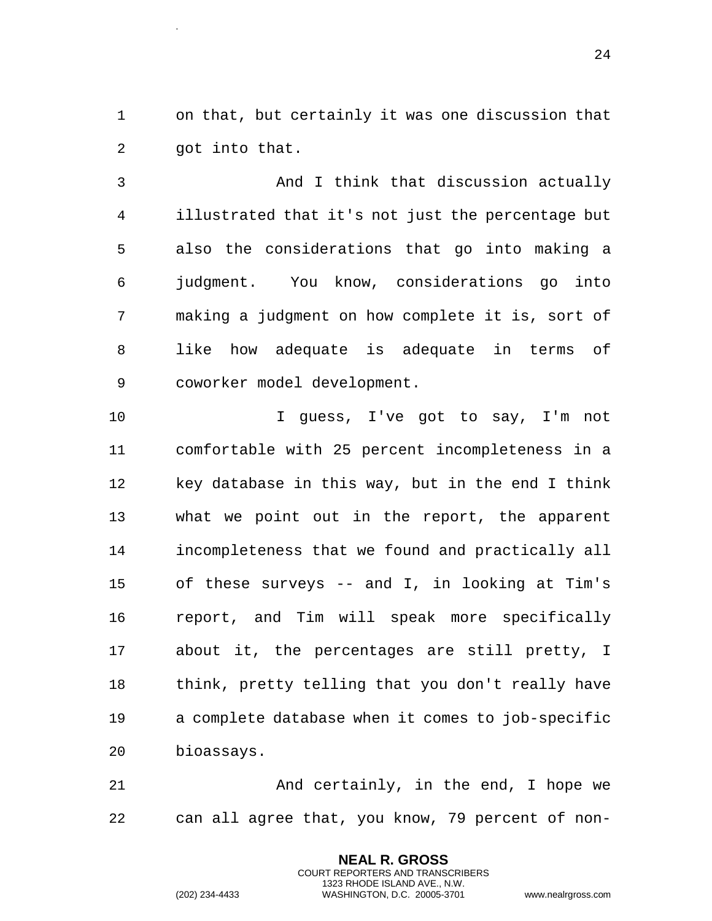1 on that, but certainly it was one discussion that 2 got into that.

3 And I think that discussion actually 4 illustrated that it's not just the percentage but 5 also the considerations that go into making a 6 judgment. You know, considerations go into 7 making a judgment on how complete it is, sort of 8 like how adequate is adequate in terms of 9 coworker model development.

10 I guess, I've got to say, I'm not 11 comfortable with 25 percent incompleteness in a 12 key database in this way, but in the end I think 13 what we point out in the report, the apparent 14 incompleteness that we found and practically all 15 of these surveys -- and I, in looking at Tim's 16 report, and Tim will speak more specifically 17 about it, the percentages are still pretty, I 18 think, pretty telling that you don't really have 19 a complete database when it comes to job-specific 20 bioassays.

21 And certainly, in the end, I hope we 22 can all agree that, you know, 79 percent of non-

> **NEAL R. GROSS** COURT REPORTERS AND TRANSCRIBERS 1323 RHODE ISLAND AVE., N.W.

.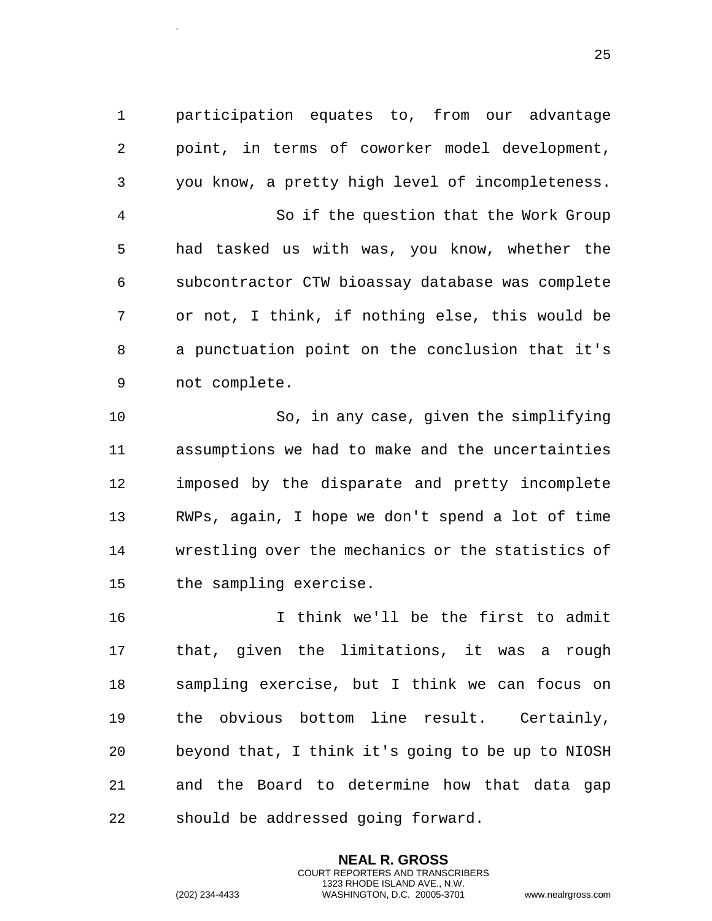1 participation equates to, from our advantage 2 point, in terms of coworker model development, 3 you know, a pretty high level of incompleteness. 4 So if the question that the Work Group 5 had tasked us with was, you know, whether the 6 subcontractor CTW bioassay database was complete 7 or not, I think, if nothing else, this would be 8 a punctuation point on the conclusion that it's 9 not complete.

10 So, in any case, given the simplifying 11 assumptions we had to make and the uncertainties 12 imposed by the disparate and pretty incomplete 13 RWPs, again, I hope we don't spend a lot of time 14 wrestling over the mechanics or the statistics of 15 the sampling exercise.

16 I think we'll be the first to admit 17 that, given the limitations, it was a rough 18 sampling exercise, but I think we can focus on 19 the obvious bottom line result. Certainly, 20 beyond that, I think it's going to be up to NIOSH 21 and the Board to determine how that data gap 22 should be addressed going forward.

> **NEAL R. GROSS** COURT REPORTERS AND TRANSCRIBERS 1323 RHODE ISLAND AVE., N.W.

.

(202) 234-4433 WASHINGTON, D.C. 20005-3701 www.nealrgross.com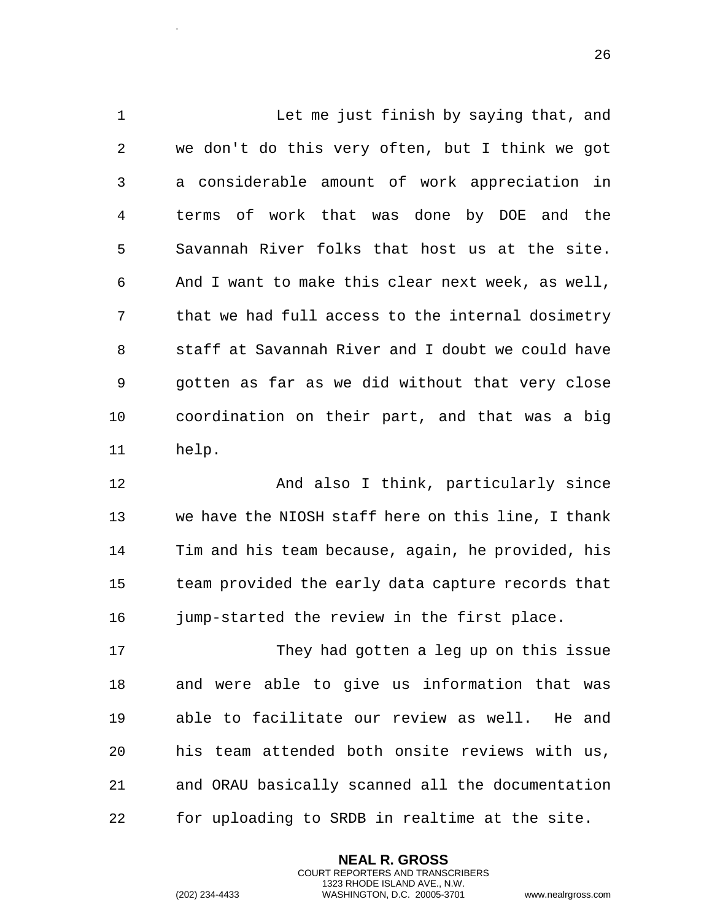Let me just finish by saying that, and we don't do this very often, but I think we got a considerable amount of work appreciation in terms of work that was done by DOE and the Savannah River folks that host us at the site. And I want to make this clear next week, as well, that we had full access to the internal dosimetry staff at Savannah River and I doubt we could have gotten as far as we did without that very close coordination on their part, and that was a big help.

 And also I think, particularly since we have the NIOSH staff here on this line, I thank Tim and his team because, again, he provided, his team provided the early data capture records that jump-started the review in the first place.

17 They had gotten a leg up on this issue and were able to give us information that was able to facilitate our review as well. He and his team attended both onsite reviews with us, and ORAU basically scanned all the documentation for uploading to SRDB in realtime at the site.

> **NEAL R. GROSS** COURT REPORTERS AND TRANSCRIBERS 1323 RHODE ISLAND AVE., N.W.

.

(202) 234-4433 WASHINGTON, D.C. 20005-3701 www.nealrgross.com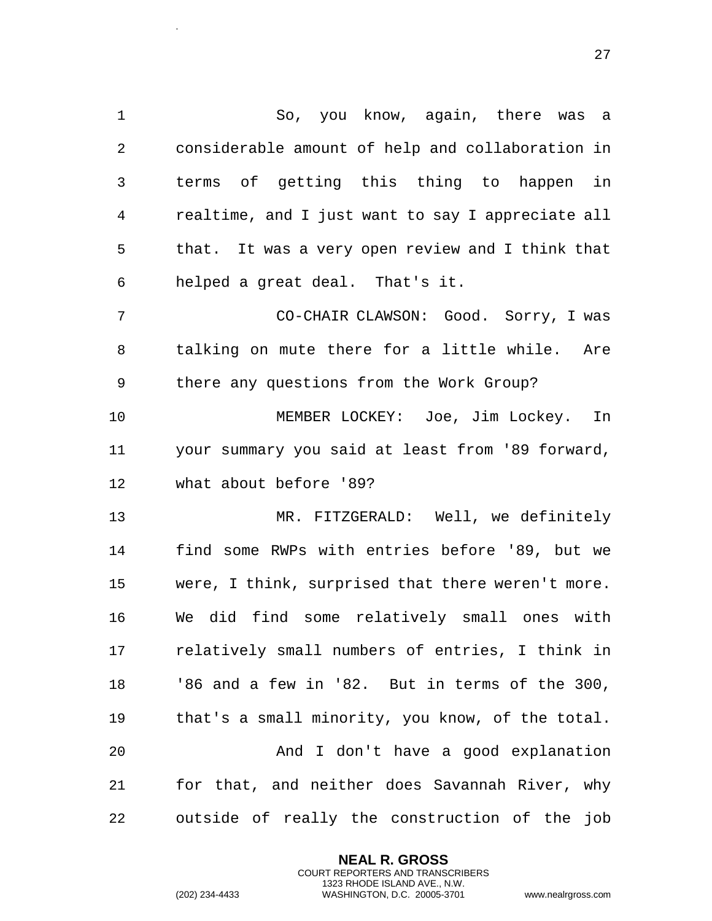So, you know, again, there was a considerable amount of help and collaboration in terms of getting this thing to happen in realtime, and I just want to say I appreciate all that. It was a very open review and I think that helped a great deal. That's it. CO-CHAIR CLAWSON: Good. Sorry, I was talking on mute there for a little while. Are there any questions from the Work Group? MEMBER LOCKEY: Joe, Jim Lockey. In your summary you said at least from '89 forward, what about before '89? MR. FITZGERALD: Well, we definitely find some RWPs with entries before '89, but we were, I think, surprised that there weren't more. We did find some relatively small ones with relatively small numbers of entries, I think in '86 and a few in '82. But in terms of the 300, that's a small minority, you know, of the total. And I don't have a good explanation for that, and neither does Savannah River, why outside of really the construction of the job

> **NEAL R. GROSS** COURT REPORTERS AND TRANSCRIBERS 1323 RHODE ISLAND AVE., N.W.

.

(202) 234-4433 WASHINGTON, D.C. 20005-3701 www.nealrgross.com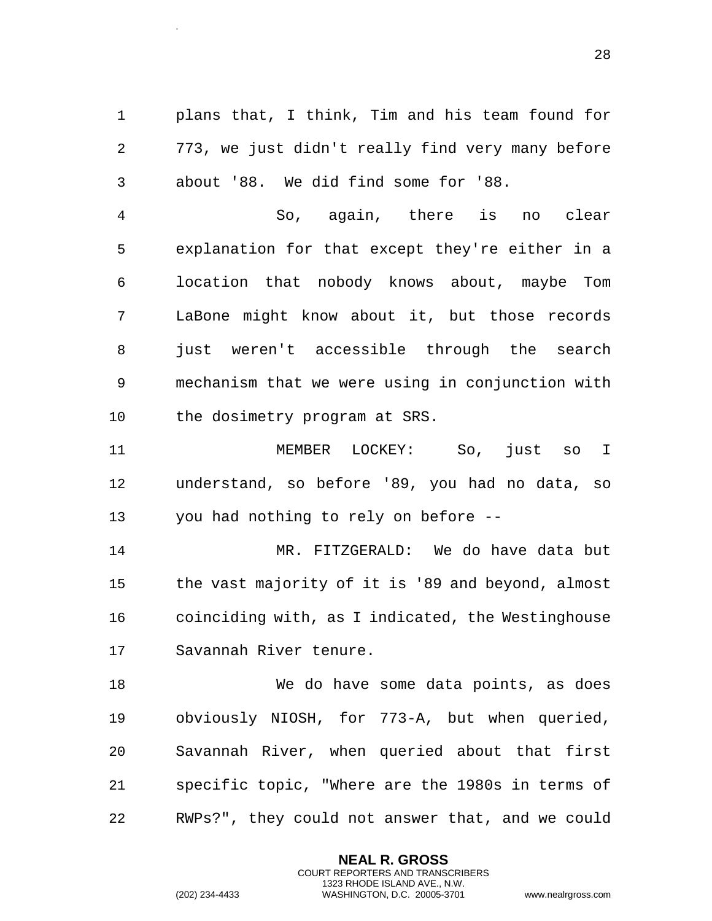plans that, I think, Tim and his team found for 773, we just didn't really find very many before about '88. We did find some for '88.

 So, again, there is no clear explanation for that except they're either in a location that nobody knows about, maybe Tom LaBone might know about it, but those records just weren't accessible through the search mechanism that we were using in conjunction with the dosimetry program at SRS.

 MEMBER LOCKEY: So, just so I understand, so before '89, you had no data, so you had nothing to rely on before --

 MR. FITZGERALD: We do have data but the vast majority of it is '89 and beyond, almost coinciding with, as I indicated, the Westinghouse Savannah River tenure.

 We do have some data points, as does obviously NIOSH, for 773-A, but when queried, Savannah River, when queried about that first specific topic, "Where are the 1980s in terms of RWPs?", they could not answer that, and we could

> **NEAL R. GROSS** COURT REPORTERS AND TRANSCRIBERS 1323 RHODE ISLAND AVE., N.W.

.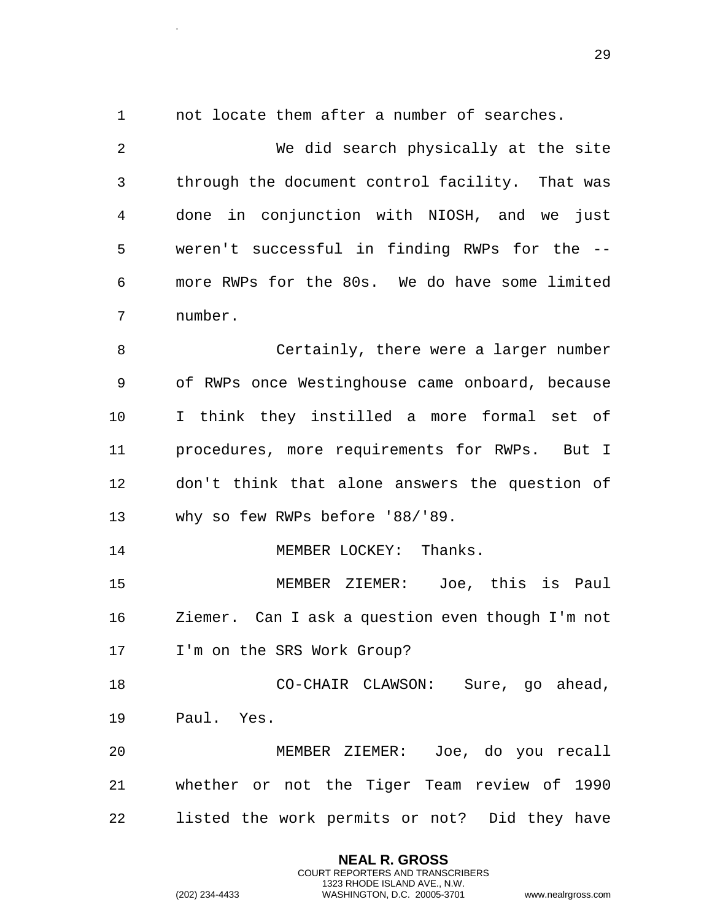not locate them after a number of searches.

.

 We did search physically at the site through the document control facility. That was done in conjunction with NIOSH, and we just weren't successful in finding RWPs for the -- more RWPs for the 80s. We do have some limited number.

 Certainly, there were a larger number of RWPs once Westinghouse came onboard, because I think they instilled a more formal set of procedures, more requirements for RWPs. But I don't think that alone answers the question of why so few RWPs before '88/'89.

14 MEMBER LOCKEY: Thanks.

 MEMBER ZIEMER: Joe, this is Paul Ziemer. Can I ask a question even though I'm not I'm on the SRS Work Group?

 CO-CHAIR CLAWSON: Sure, go ahead, Paul. Yes.

 MEMBER ZIEMER: Joe, do you recall whether or not the Tiger Team review of 1990 listed the work permits or not? Did they have

> **NEAL R. GROSS** COURT REPORTERS AND TRANSCRIBERS 1323 RHODE ISLAND AVE., N.W.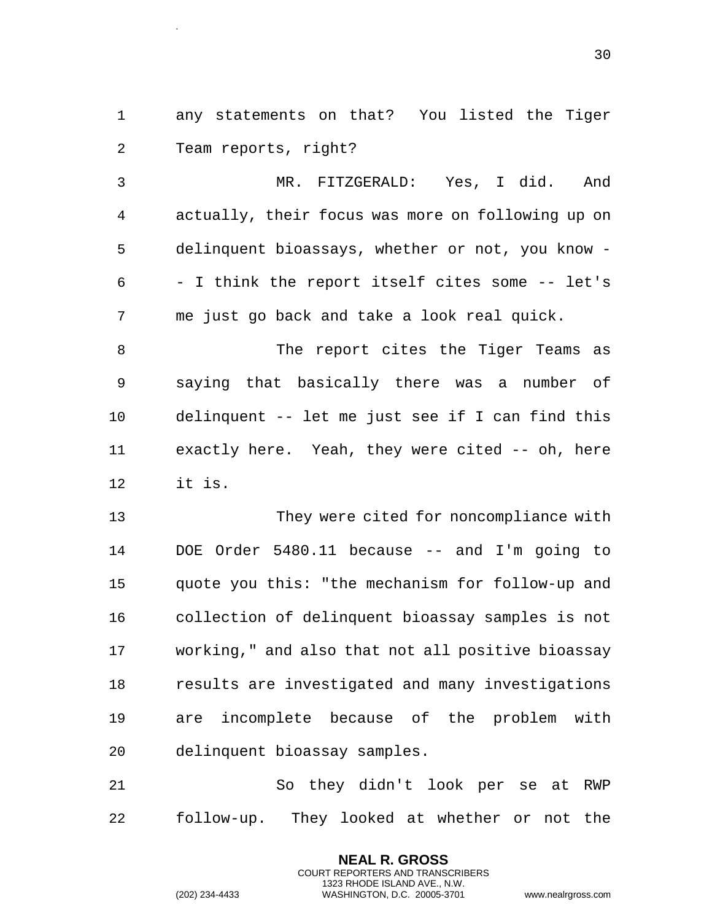any statements on that? You listed the Tiger Team reports, right?

 MR. FITZGERALD: Yes, I did. And actually, their focus was more on following up on delinquent bioassays, whether or not, you know - - I think the report itself cites some -- let's me just go back and take a look real quick.

8 The report cites the Tiger Teams as saying that basically there was a number of delinquent -- let me just see if I can find this exactly here. Yeah, they were cited -- oh, here it is.

 They were cited for noncompliance with DOE Order 5480.11 because -- and I'm going to quote you this: "the mechanism for follow-up and collection of delinquent bioassay samples is not working," and also that not all positive bioassay results are investigated and many investigations are incomplete because of the problem with delinquent bioassay samples.

 So they didn't look per se at RWP follow-up. They looked at whether or not the

> **NEAL R. GROSS** COURT REPORTERS AND TRANSCRIBERS 1323 RHODE ISLAND AVE., N.W.

.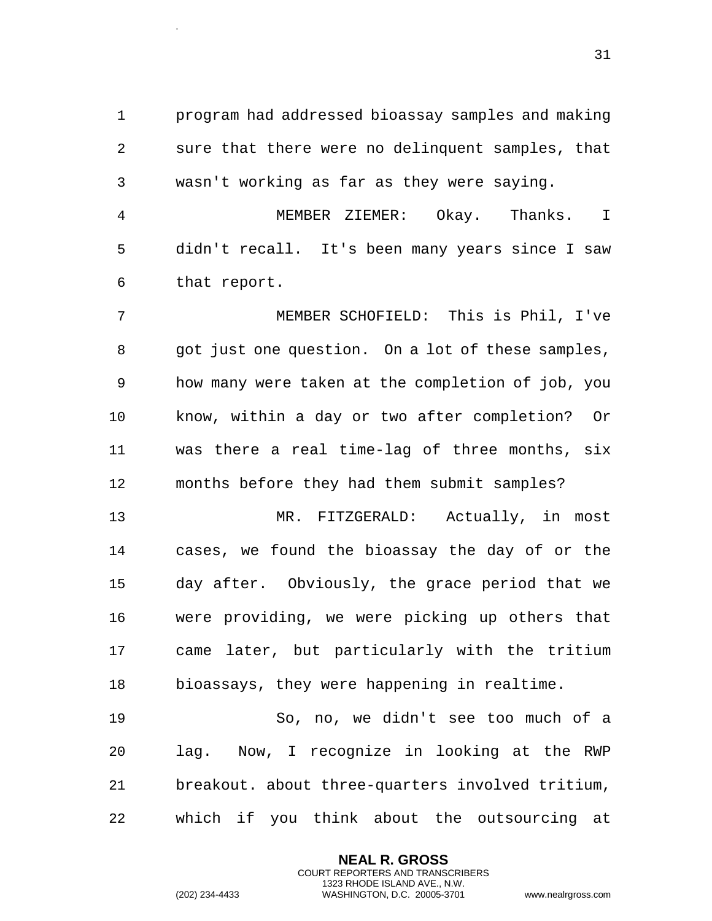program had addressed bioassay samples and making sure that there were no delinquent samples, that wasn't working as far as they were saying.

 MEMBER ZIEMER: Okay. Thanks. I didn't recall. It's been many years since I saw that report.

 MEMBER SCHOFIELD: This is Phil, I've got just one question. On a lot of these samples, how many were taken at the completion of job, you know, within a day or two after completion? Or was there a real time-lag of three months, six months before they had them submit samples?

 MR. FITZGERALD: Actually, in most cases, we found the bioassay the day of or the day after. Obviously, the grace period that we were providing, we were picking up others that came later, but particularly with the tritium bioassays, they were happening in realtime.

 So, no, we didn't see too much of a lag. Now, I recognize in looking at the RWP breakout. about three-quarters involved tritium, which if you think about the outsourcing at

> **NEAL R. GROSS** COURT REPORTERS AND TRANSCRIBERS 1323 RHODE ISLAND AVE., N.W.

.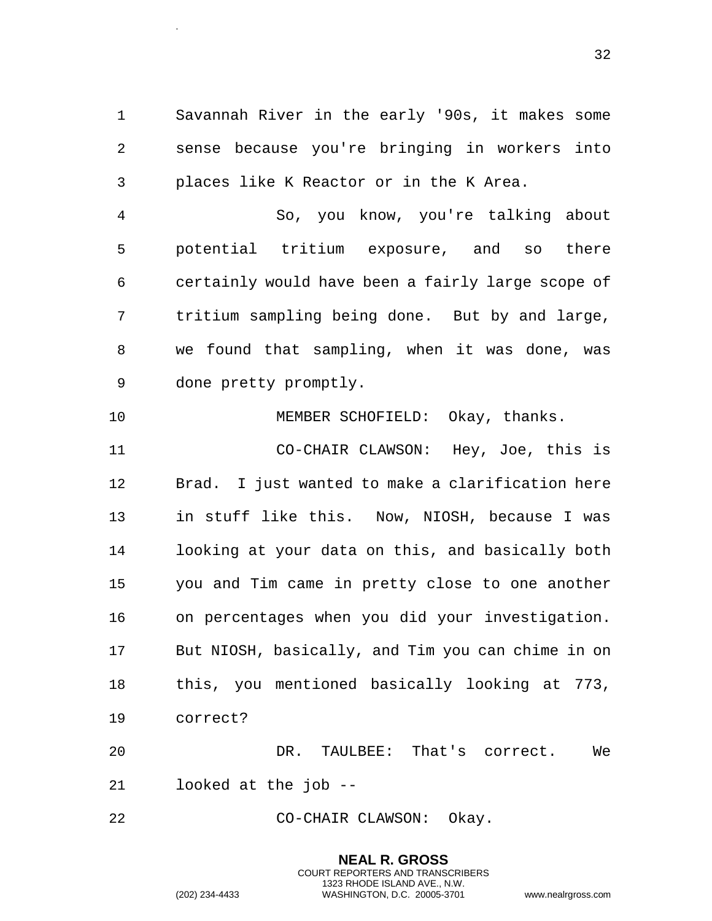Savannah River in the early '90s, it makes some sense because you're bringing in workers into places like K Reactor or in the K Area.

.

 So, you know, you're talking about potential tritium exposure, and so there certainly would have been a fairly large scope of tritium sampling being done. But by and large, we found that sampling, when it was done, was done pretty promptly.

 MEMBER SCHOFIELD: Okay, thanks. CO-CHAIR CLAWSON: Hey, Joe, this is Brad. I just wanted to make a clarification here in stuff like this. Now, NIOSH, because I was looking at your data on this, and basically both you and Tim came in pretty close to one another on percentages when you did your investigation. But NIOSH, basically, and Tim you can chime in on this, you mentioned basically looking at 773, correct?

 DR. TAULBEE: That's correct. We looked at the job --

CO-CHAIR CLAWSON: Okay.

**NEAL R. GROSS** COURT REPORTERS AND TRANSCRIBERS 1323 RHODE ISLAND AVE., N.W. (202) 234-4433 WASHINGTON, D.C. 20005-3701 www.nealrgross.com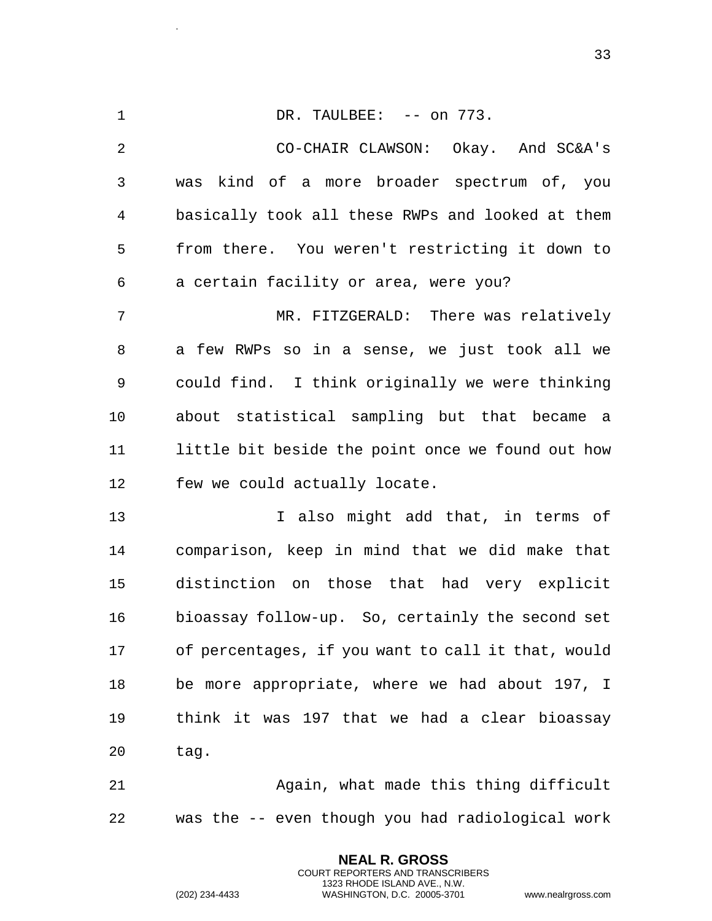1 DR. TAULBEE: -- on 773. CO-CHAIR CLAWSON: Okay. And SC&A's was kind of a more broader spectrum of, you basically took all these RWPs and looked at them from there. You weren't restricting it down to a certain facility or area, were you? MR. FITZGERALD: There was relatively a few RWPs so in a sense, we just took all we could find. I think originally we were thinking about statistical sampling but that became a little bit beside the point once we found out how

few we could actually locate.

13 13 I also might add that, in terms of comparison, keep in mind that we did make that distinction on those that had very explicit bioassay follow-up. So, certainly the second set of percentages, if you want to call it that, would be more appropriate, where we had about 197, I think it was 197 that we had a clear bioassay tag.

 Again, what made this thing difficult was the -- even though you had radiological work

> **NEAL R. GROSS** COURT REPORTERS AND TRANSCRIBERS 1323 RHODE ISLAND AVE., N.W.

.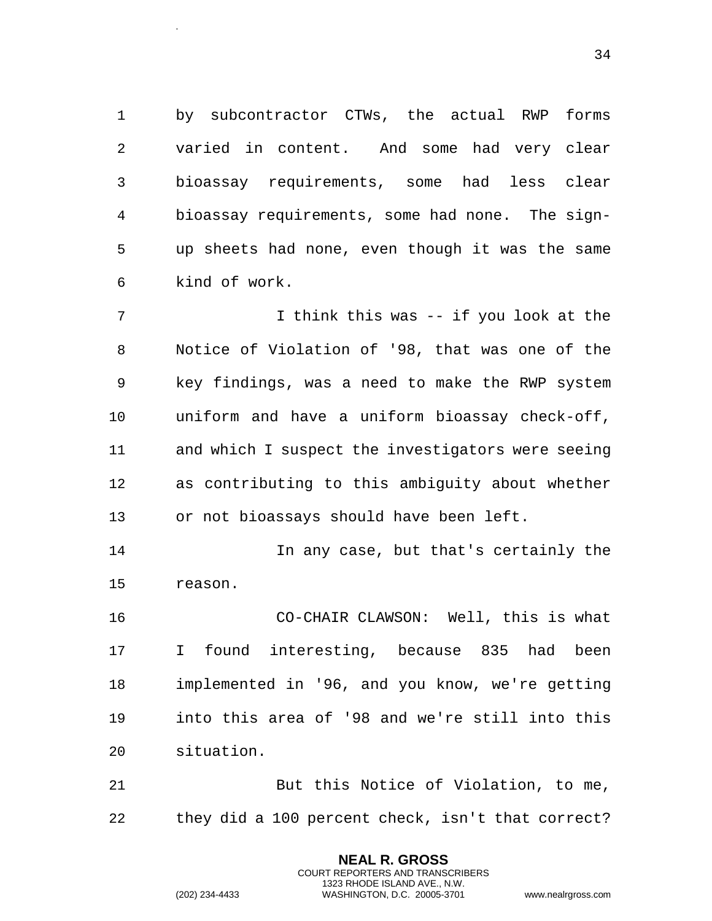by subcontractor CTWs, the actual RWP forms varied in content. And some had very clear bioassay requirements, some had less clear bioassay requirements, some had none. The sign- up sheets had none, even though it was the same kind of work.

 I think this was -- if you look at the Notice of Violation of '98, that was one of the key findings, was a need to make the RWP system uniform and have a uniform bioassay check-off, and which I suspect the investigators were seeing as contributing to this ambiguity about whether or not bioassays should have been left.

 In any case, but that's certainly the reason.

 CO-CHAIR CLAWSON: Well, this is what I found interesting, because 835 had been implemented in '96, and you know, we're getting into this area of '98 and we're still into this situation.

 But this Notice of Violation, to me, they did a 100 percent check, isn't that correct?

> **NEAL R. GROSS** COURT REPORTERS AND TRANSCRIBERS 1323 RHODE ISLAND AVE., N.W.

.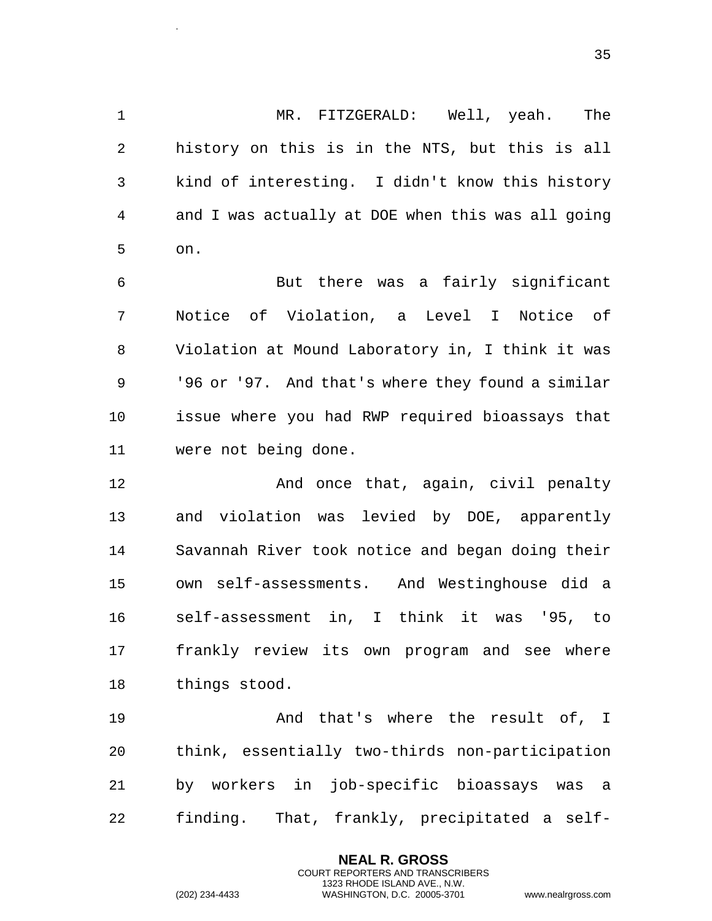MR. FITZGERALD: Well, yeah. The history on this is in the NTS, but this is all kind of interesting. I didn't know this history and I was actually at DOE when this was all going on.

 But there was a fairly significant Notice of Violation, a Level I Notice of Violation at Mound Laboratory in, I think it was '96 or '97. And that's where they found a similar issue where you had RWP required bioassays that were not being done.

**And once that, again, civil penalty**  and violation was levied by DOE, apparently Savannah River took notice and began doing their own self-assessments. And Westinghouse did a self-assessment in, I think it was '95, to frankly review its own program and see where things stood.

 And that's where the result of, I think, essentially two-thirds non-participation by workers in job-specific bioassays was a finding. That, frankly, precipitated a self-

> **NEAL R. GROSS** COURT REPORTERS AND TRANSCRIBERS 1323 RHODE ISLAND AVE., N.W.

.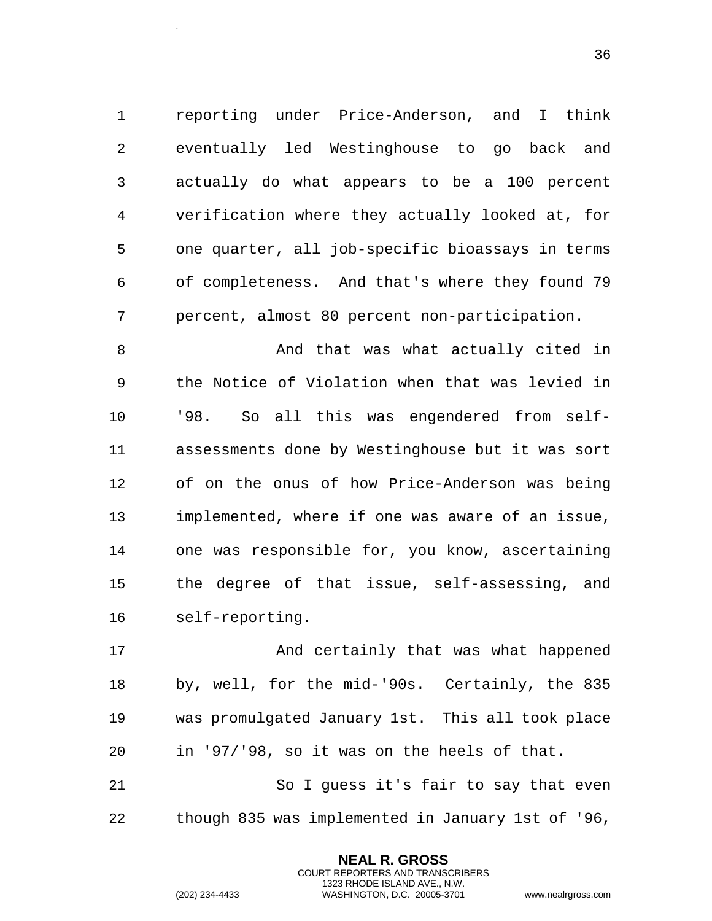reporting under Price-Anderson, and I think eventually led Westinghouse to go back and actually do what appears to be a 100 percent verification where they actually looked at, for one quarter, all job-specific bioassays in terms of completeness. And that's where they found 79 percent, almost 80 percent non-participation.

8 And that was what actually cited in the Notice of Violation when that was levied in '98. So all this was engendered from self- assessments done by Westinghouse but it was sort of on the onus of how Price-Anderson was being implemented, where if one was aware of an issue, one was responsible for, you know, ascertaining the degree of that issue, self-assessing, and self-reporting.

17 And certainly that was what happened by, well, for the mid-'90s. Certainly, the 835 was promulgated January 1st. This all took place in '97/'98, so it was on the heels of that. So I guess it's fair to say that even

though 835 was implemented in January 1st of '96,

**NEAL R. GROSS** COURT REPORTERS AND TRANSCRIBERS 1323 RHODE ISLAND AVE., N.W.

.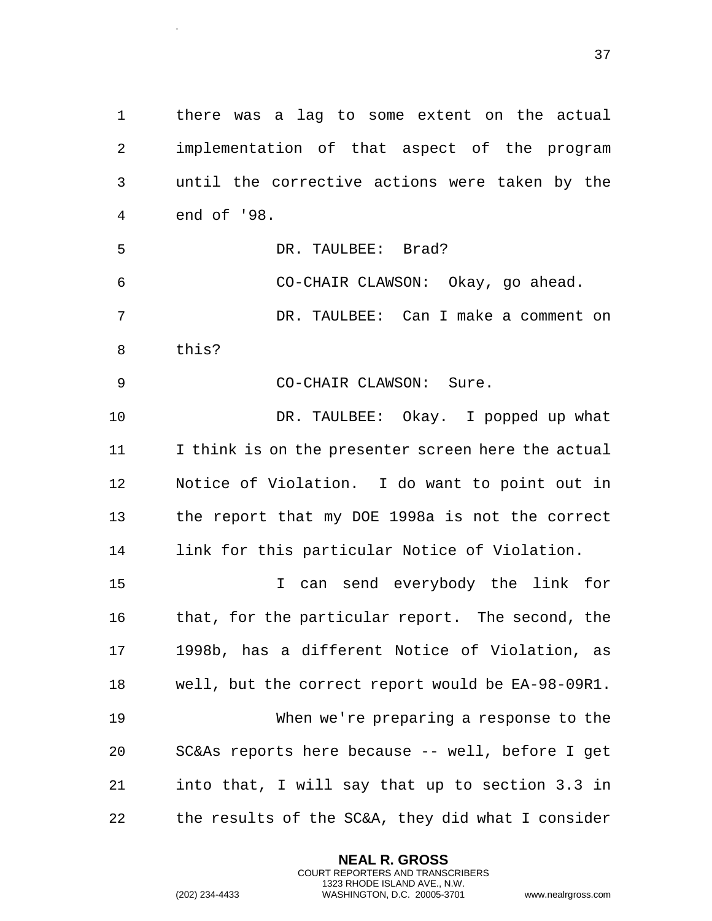there was a lag to some extent on the actual implementation of that aspect of the program until the corrective actions were taken by the end of '98. DR. TAULBEE: Brad? CO-CHAIR CLAWSON: Okay, go ahead. DR. TAULBEE: Can I make a comment on this? 9 CO-CHAIR CLAWSON: Sure. 10 DR. TAULBEE: Okay. I popped up what I think is on the presenter screen here the actual Notice of Violation. I do want to point out in the report that my DOE 1998a is not the correct link for this particular Notice of Violation. I can send everybody the link for that, for the particular report. The second, the 1998b, has a different Notice of Violation, as

 well, but the correct report would be EA-98-09R1. When we're preparing a response to the SC&As reports here because -- well, before I get into that, I will say that up to section 3.3 in the results of the SC&A, they did what I consider

> **NEAL R. GROSS** COURT REPORTERS AND TRANSCRIBERS 1323 RHODE ISLAND AVE., N.W.

.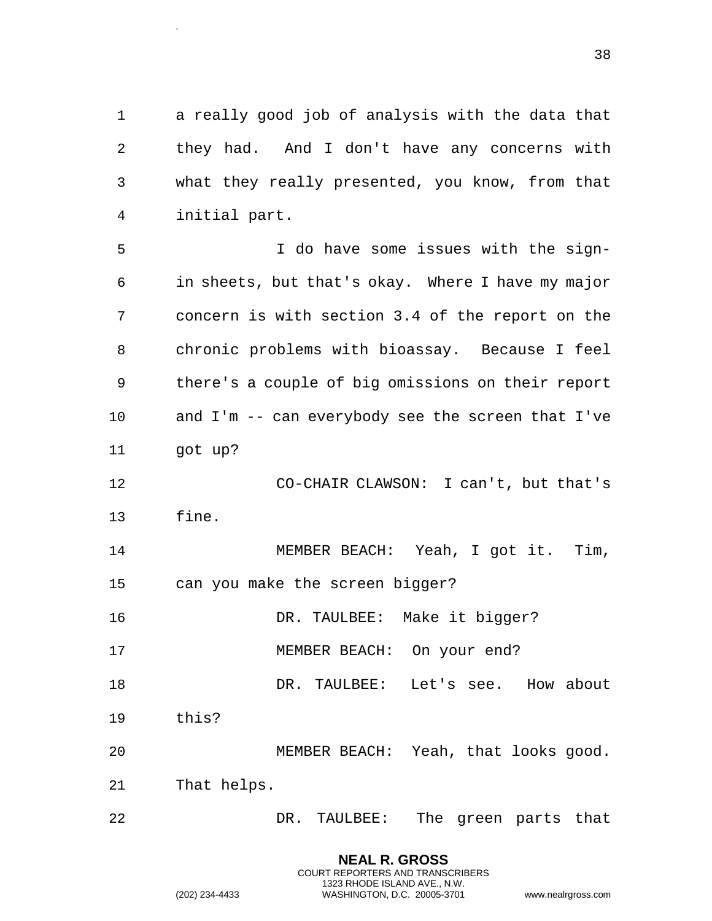a really good job of analysis with the data that they had. And I don't have any concerns with what they really presented, you know, from that initial part.

 I do have some issues with the sign- in sheets, but that's okay. Where I have my major concern is with section 3.4 of the report on the chronic problems with bioassay. Because I feel there's a couple of big omissions on their report and I'm -- can everybody see the screen that I've got up?

 CO-CHAIR CLAWSON: I can't, but that's fine.

 MEMBER BEACH: Yeah, I got it. Tim, can you make the screen bigger?

DR. TAULBEE: Make it bigger?

MEMBER BEACH: On your end?

DR. TAULBEE: Let's see. How about

this?

.

 MEMBER BEACH: Yeah, that looks good. That helps.

DR. TAULBEE: The green parts that

|                | <b>NEAL R. GROSS</b>             |                    |
|----------------|----------------------------------|--------------------|
|                | COURT REPORTERS AND TRANSCRIBERS |                    |
|                | 1323 RHODE ISLAND AVE N.W.       |                    |
| (202) 234-4433 | WASHINGTON, D.C. 20005-3701      | www.nealrgross.com |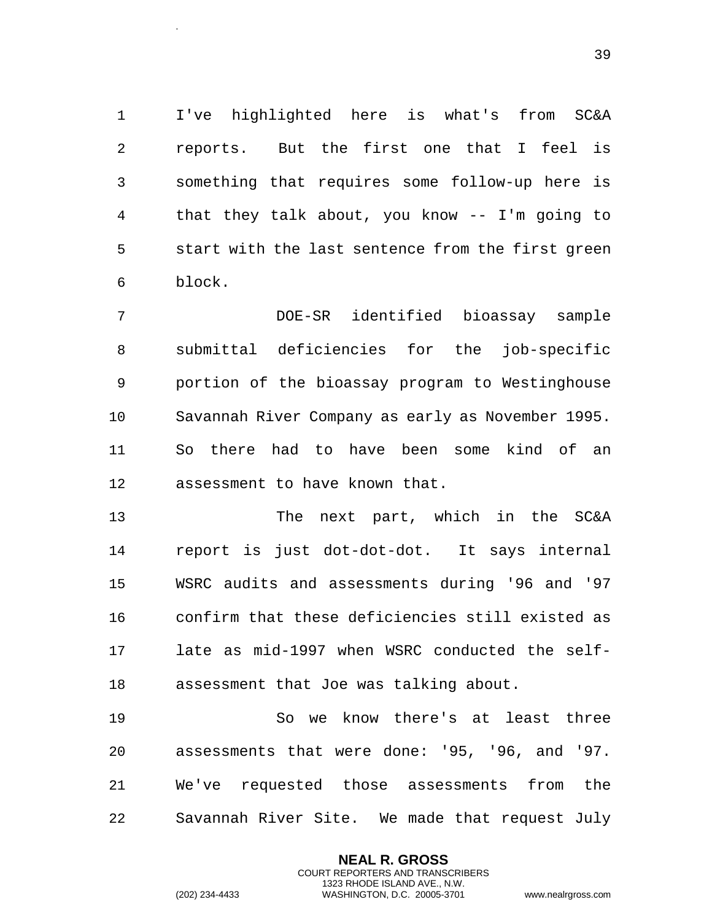I've highlighted here is what's from SC&A reports. But the first one that I feel is something that requires some follow-up here is that they talk about, you know -- I'm going to start with the last sentence from the first green block.

 DOE-SR identified bioassay sample submittal deficiencies for the job-specific portion of the bioassay program to Westinghouse Savannah River Company as early as November 1995. So there had to have been some kind of an assessment to have known that.

 The next part, which in the SC&A report is just dot-dot-dot. It says internal WSRC audits and assessments during '96 and '97 confirm that these deficiencies still existed as late as mid-1997 when WSRC conducted the self-assessment that Joe was talking about.

 So we know there's at least three assessments that were done: '95, '96, and '97. We've requested those assessments from the Savannah River Site. We made that request July

> **NEAL R. GROSS** COURT REPORTERS AND TRANSCRIBERS 1323 RHODE ISLAND AVE., N.W.

.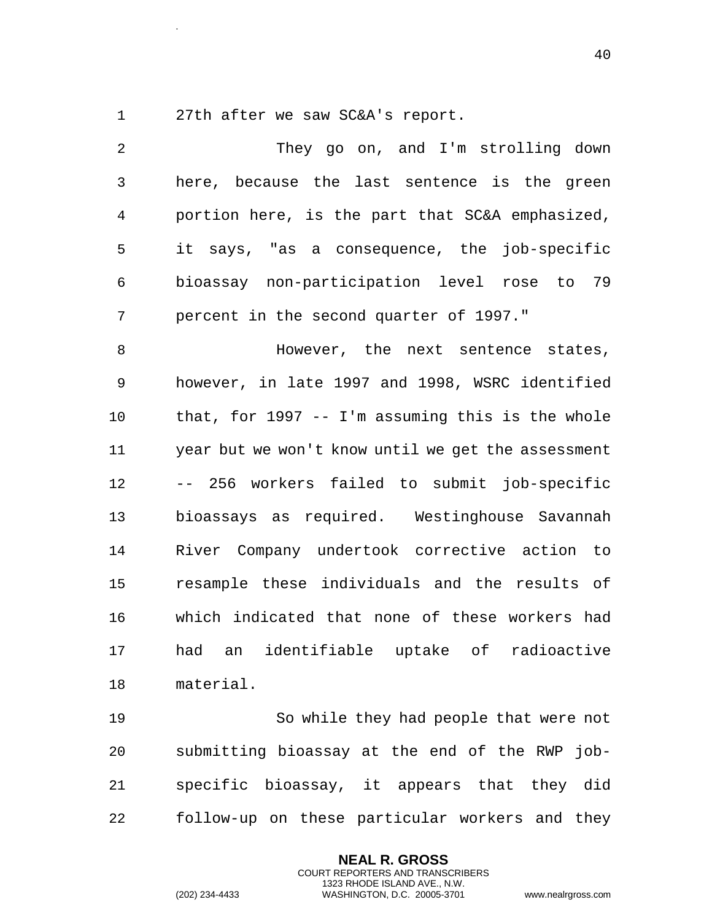.

27th after we saw SC&A's report.

 They go on, and I'm strolling down here, because the last sentence is the green portion here, is the part that SC&A emphasized, it says, "as a consequence, the job-specific bioassay non-participation level rose to 79 percent in the second quarter of 1997." 8 Mowever, the next sentence states, however, in late 1997 and 1998, WSRC identified that, for 1997 -- I'm assuming this is the whole year but we won't know until we get the assessment -- 256 workers failed to submit job-specific bioassays as required. Westinghouse Savannah River Company undertook corrective action to resample these individuals and the results of which indicated that none of these workers had had an identifiable uptake of radioactive material.

 So while they had people that were not submitting bioassay at the end of the RWP job- specific bioassay, it appears that they did follow-up on these particular workers and they

> **NEAL R. GROSS** COURT REPORTERS AND TRANSCRIBERS 1323 RHODE ISLAND AVE., N.W.

(202) 234-4433 WASHINGTON, D.C. 20005-3701 www.nealrgross.com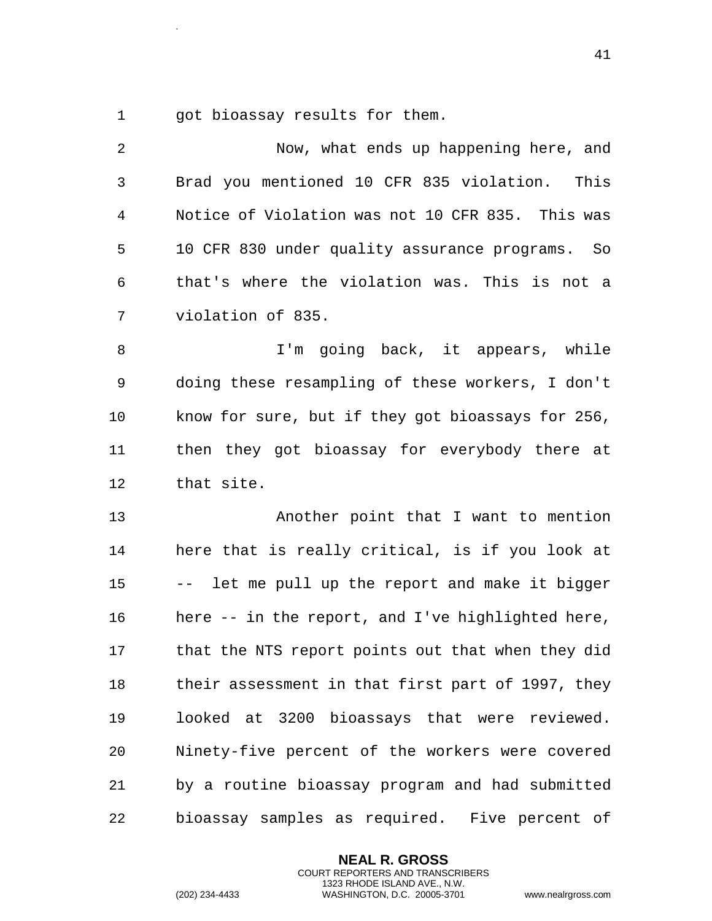1 got bioassay results for them.

.

 Now, what ends up happening here, and Brad you mentioned 10 CFR 835 violation. This Notice of Violation was not 10 CFR 835. This was 10 CFR 830 under quality assurance programs. So that's where the violation was. This is not a violation of 835. I'm going back, it appears, while doing these resampling of these workers, I don't know for sure, but if they got bioassays for 256, then they got bioassay for everybody there at that site. Another point that I want to mention here that is really critical, is if you look at -- let me pull up the report and make it bigger here -- in the report, and I've highlighted here, that the NTS report points out that when they did their assessment in that first part of 1997, they looked at 3200 bioassays that were reviewed. Ninety-five percent of the workers were covered by a routine bioassay program and had submitted bioassay samples as required. Five percent of

> **NEAL R. GROSS** COURT REPORTERS AND TRANSCRIBERS 1323 RHODE ISLAND AVE., N.W.

(202) 234-4433 WASHINGTON, D.C. 20005-3701 www.nealrgross.com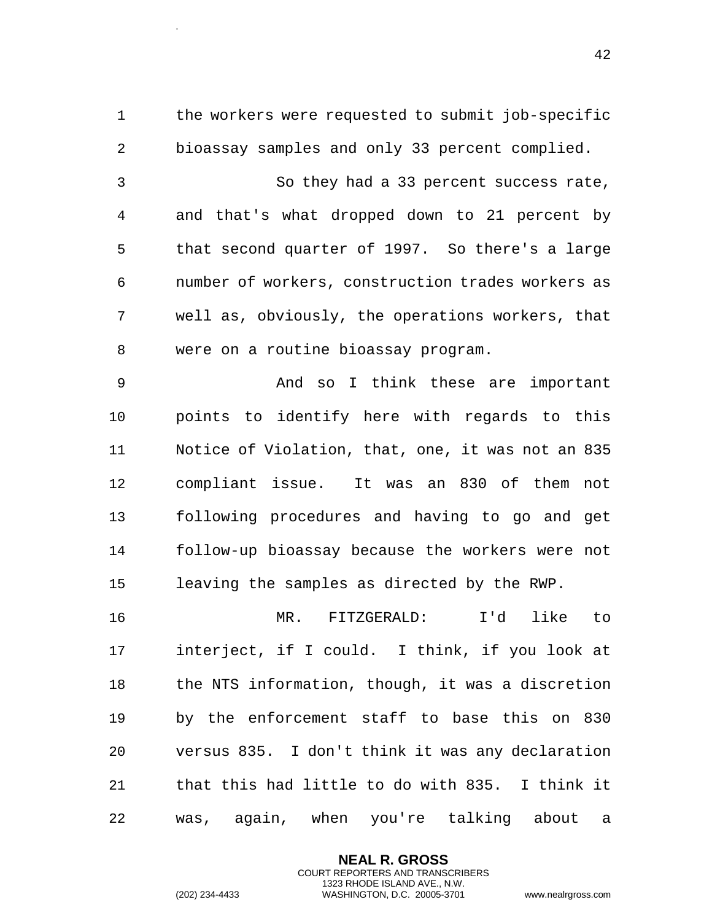the workers were requested to submit job-specific bioassay samples and only 33 percent complied.

 So they had a 33 percent success rate, and that's what dropped down to 21 percent by that second quarter of 1997. So there's a large number of workers, construction trades workers as well as, obviously, the operations workers, that were on a routine bioassay program.

 And so I think these are important points to identify here with regards to this Notice of Violation, that, one, it was not an 835 compliant issue. It was an 830 of them not following procedures and having to go and get follow-up bioassay because the workers were not leaving the samples as directed by the RWP.

 MR. FITZGERALD: I'd like to interject, if I could. I think, if you look at the NTS information, though, it was a discretion by the enforcement staff to base this on 830 versus 835. I don't think it was any declaration that this had little to do with 835. I think it was, again, when you're talking about a

> **NEAL R. GROSS** COURT REPORTERS AND TRANSCRIBERS 1323 RHODE ISLAND AVE., N.W.

.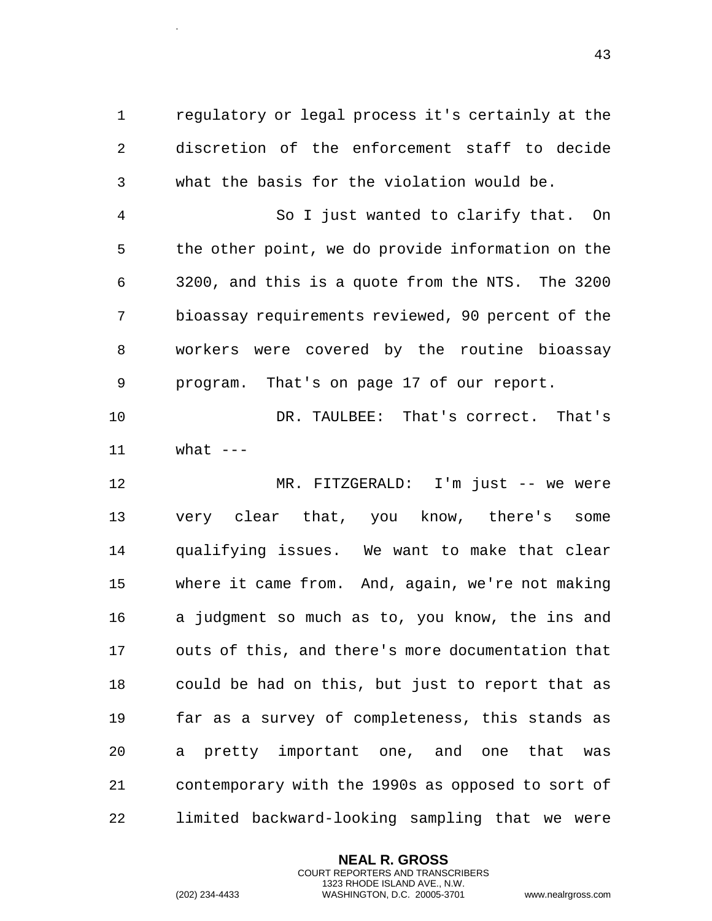regulatory or legal process it's certainly at the discretion of the enforcement staff to decide what the basis for the violation would be.

 So I just wanted to clarify that. On the other point, we do provide information on the 3200, and this is a quote from the NTS. The 3200 bioassay requirements reviewed, 90 percent of the workers were covered by the routine bioassay program. That's on page 17 of our report.

 DR. TAULBEE: That's correct. That's what  $---$ 

 MR. FITZGERALD: I'm just -- we were very clear that, you know, there's some qualifying issues. We want to make that clear where it came from. And, again, we're not making a judgment so much as to, you know, the ins and outs of this, and there's more documentation that could be had on this, but just to report that as far as a survey of completeness, this stands as a pretty important one, and one that was contemporary with the 1990s as opposed to sort of limited backward-looking sampling that we were

> **NEAL R. GROSS** COURT REPORTERS AND TRANSCRIBERS 1323 RHODE ISLAND AVE., N.W.

.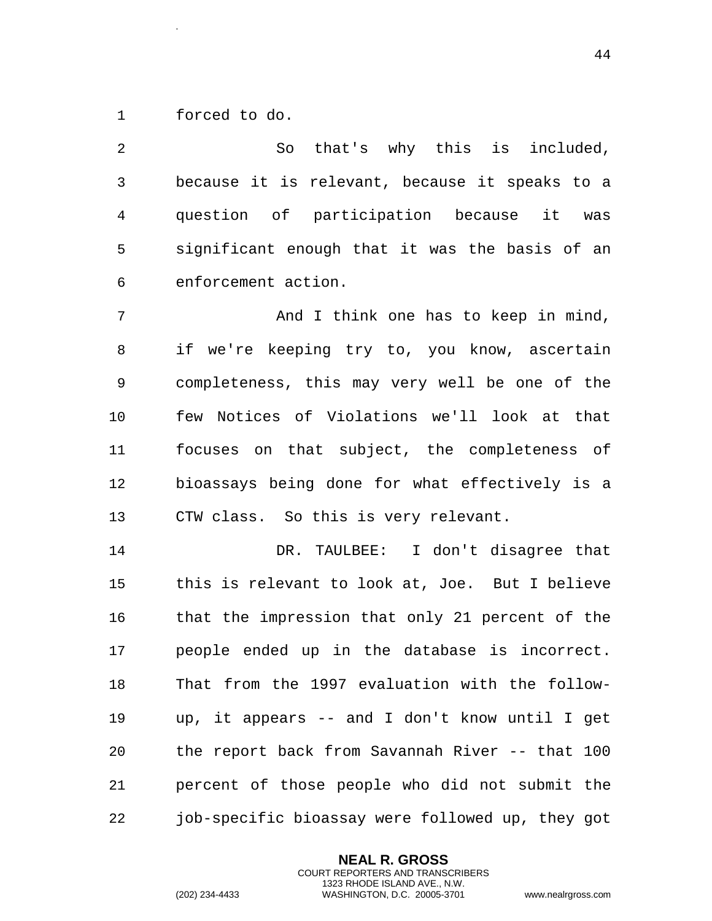forced to do.

.

 So that's why this is included, because it is relevant, because it speaks to a question of participation because it was significant enough that it was the basis of an enforcement action. 7 Think one has to keep in mind,

 if we're keeping try to, you know, ascertain completeness, this may very well be one of the few Notices of Violations we'll look at that focuses on that subject, the completeness of bioassays being done for what effectively is a CTW class. So this is very relevant.

 DR. TAULBEE: I don't disagree that this is relevant to look at, Joe. But I believe that the impression that only 21 percent of the people ended up in the database is incorrect. That from the 1997 evaluation with the follow- up, it appears -- and I don't know until I get the report back from Savannah River -- that 100 percent of those people who did not submit the job-specific bioassay were followed up, they got

> **NEAL R. GROSS** COURT REPORTERS AND TRANSCRIBERS 1323 RHODE ISLAND AVE., N.W.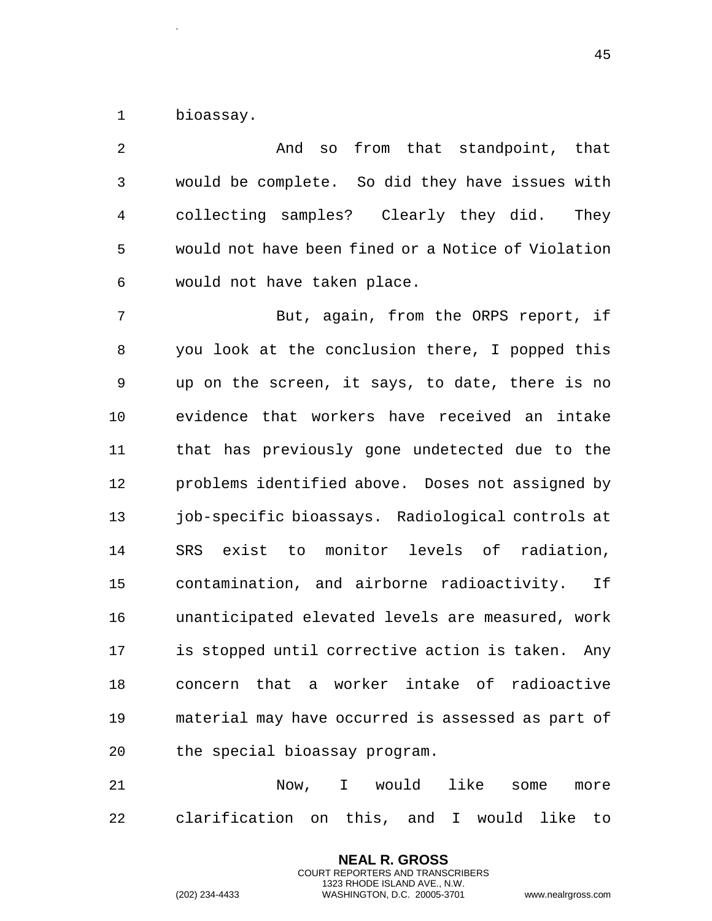bioassay.

.

| 2              | so from that standpoint, that<br>And               |
|----------------|----------------------------------------------------|
| $\mathfrak{Z}$ | would be complete. So did they have issues with    |
| 4              | collecting samples? Clearly they did.<br>They      |
| 5              | would not have been fined or a Notice of Violation |
| 6              | would not have taken place.                        |
| 7              | But, again, from the ORPS report, if               |
| 8              | you look at the conclusion there, I popped this    |
| 9              | up on the screen, it says, to date, there is no    |
| 10             | evidence that workers have received an intake      |
| 11             | that has previously gone undetected due to the     |
| 12             | problems identified above. Doses not assigned by   |
| 13             | job-specific bioassays. Radiological controls at   |
| 14             | exist to monitor levels of radiation,<br>SRS       |
| 15             | contamination, and airborne radioactivity.<br>Ιf   |
| 16             | unanticipated elevated levels are measured, work   |
| 17             | is stopped until corrective action is taken. Any   |
| 18             | concern that a worker intake of radioactive        |
| 19             | material may have occurred is assessed as part of  |
| 20             | the special bioassay program.                      |
|                |                                                    |

 Now, I would like some more clarification on this, and I would like to

> **NEAL R. GROSS** COURT REPORTERS AND TRANSCRIBERS 1323 RHODE ISLAND AVE., N.W.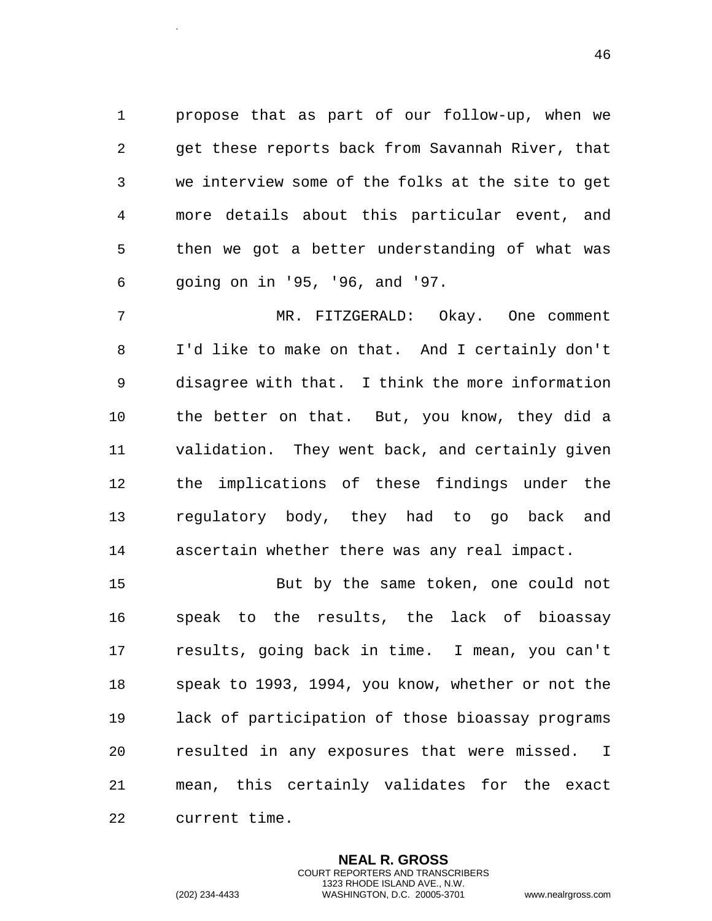propose that as part of our follow-up, when we get these reports back from Savannah River, that we interview some of the folks at the site to get more details about this particular event, and then we got a better understanding of what was going on in '95, '96, and '97.

 MR. FITZGERALD: Okay. One comment I'd like to make on that. And I certainly don't disagree with that. I think the more information the better on that. But, you know, they did a validation. They went back, and certainly given the implications of these findings under the regulatory body, they had to go back and ascertain whether there was any real impact.

 But by the same token, one could not speak to the results, the lack of bioassay results, going back in time. I mean, you can't speak to 1993, 1994, you know, whether or not the lack of participation of those bioassay programs resulted in any exposures that were missed. I mean, this certainly validates for the exact current time.

> **NEAL R. GROSS** COURT REPORTERS AND TRANSCRIBERS 1323 RHODE ISLAND AVE., N.W.

.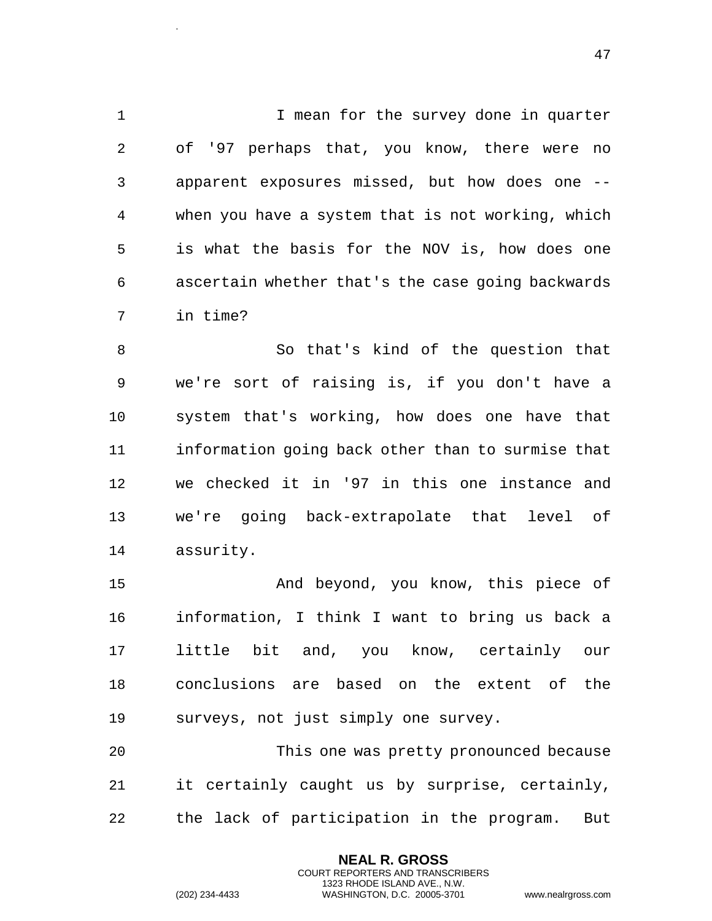1 I mean for the survey done in quarter of '97 perhaps that, you know, there were no apparent exposures missed, but how does one -- when you have a system that is not working, which is what the basis for the NOV is, how does one ascertain whether that's the case going backwards in time?

 So that's kind of the question that we're sort of raising is, if you don't have a system that's working, how does one have that information going back other than to surmise that we checked it in '97 in this one instance and we're going back-extrapolate that level of assurity.

 And beyond, you know, this piece of information, I think I want to bring us back a little bit and, you know, certainly our conclusions are based on the extent of the surveys, not just simply one survey.

 This one was pretty pronounced because it certainly caught us by surprise, certainly, the lack of participation in the program. But

> **NEAL R. GROSS** COURT REPORTERS AND TRANSCRIBERS 1323 RHODE ISLAND AVE., N.W.

.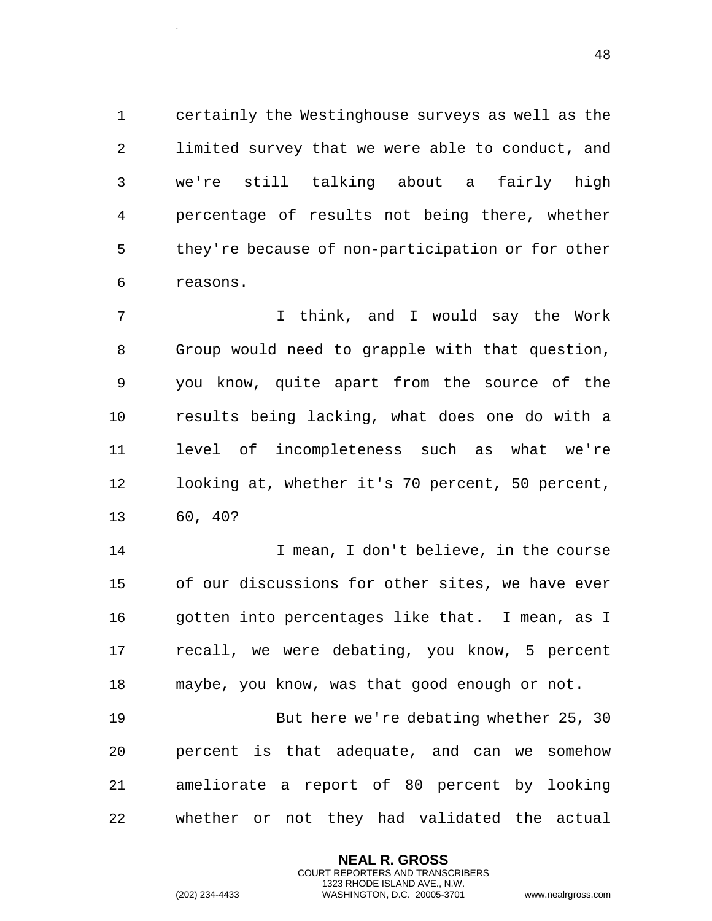certainly the Westinghouse surveys as well as the limited survey that we were able to conduct, and we're still talking about a fairly high percentage of results not being there, whether they're because of non-participation or for other reasons.

 I think, and I would say the Work Group would need to grapple with that question, you know, quite apart from the source of the results being lacking, what does one do with a level of incompleteness such as what we're looking at, whether it's 70 percent, 50 percent, 60, 40?

14 I mean, I don't believe, in the course of our discussions for other sites, we have ever gotten into percentages like that. I mean, as I recall, we were debating, you know, 5 percent maybe, you know, was that good enough or not.

 But here we're debating whether 25, 30 percent is that adequate, and can we somehow ameliorate a report of 80 percent by looking whether or not they had validated the actual

> **NEAL R. GROSS** COURT REPORTERS AND TRANSCRIBERS 1323 RHODE ISLAND AVE., N.W.

.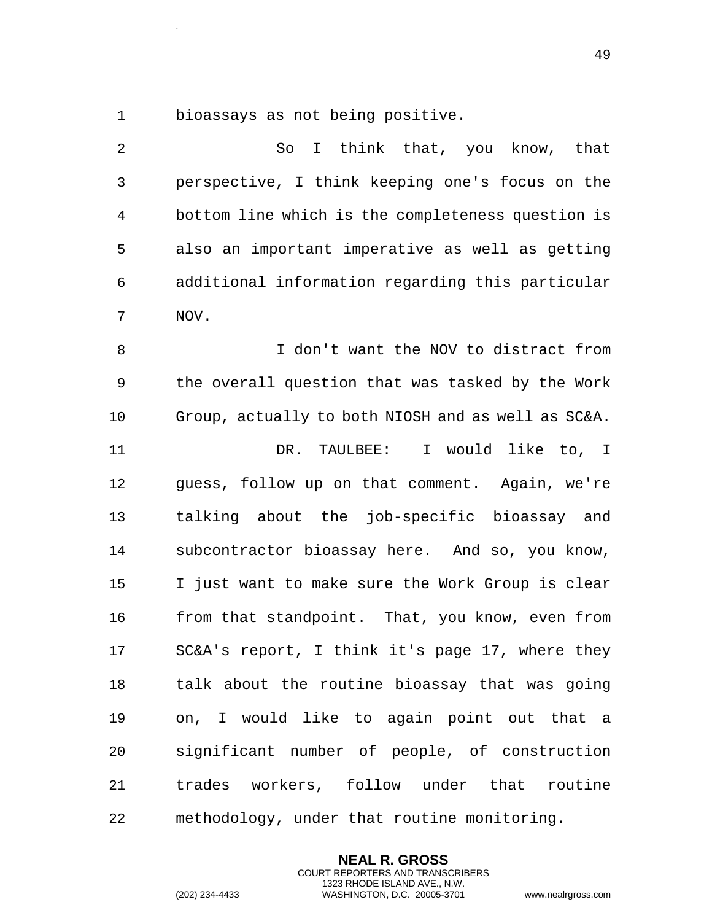bioassays as not being positive.

.

 So I think that, you know, that perspective, I think keeping one's focus on the bottom line which is the completeness question is also an important imperative as well as getting additional information regarding this particular NOV. I don't want the NOV to distract from the overall question that was tasked by the Work Group, actually to both NIOSH and as well as SC&A. DR. TAULBEE: I would like to, I guess, follow up on that comment. Again, we're talking about the job-specific bioassay and subcontractor bioassay here. And so, you know, I just want to make sure the Work Group is clear 16 from that standpoint. That, you know, even from SC&A's report, I think it's page 17, where they talk about the routine bioassay that was going on, I would like to again point out that a

 significant number of people, of construction trades workers, follow under that routine methodology, under that routine monitoring.

> **NEAL R. GROSS** COURT REPORTERS AND TRANSCRIBERS 1323 RHODE ISLAND AVE., N.W.

(202) 234-4433 WASHINGTON, D.C. 20005-3701 www.nealrgross.com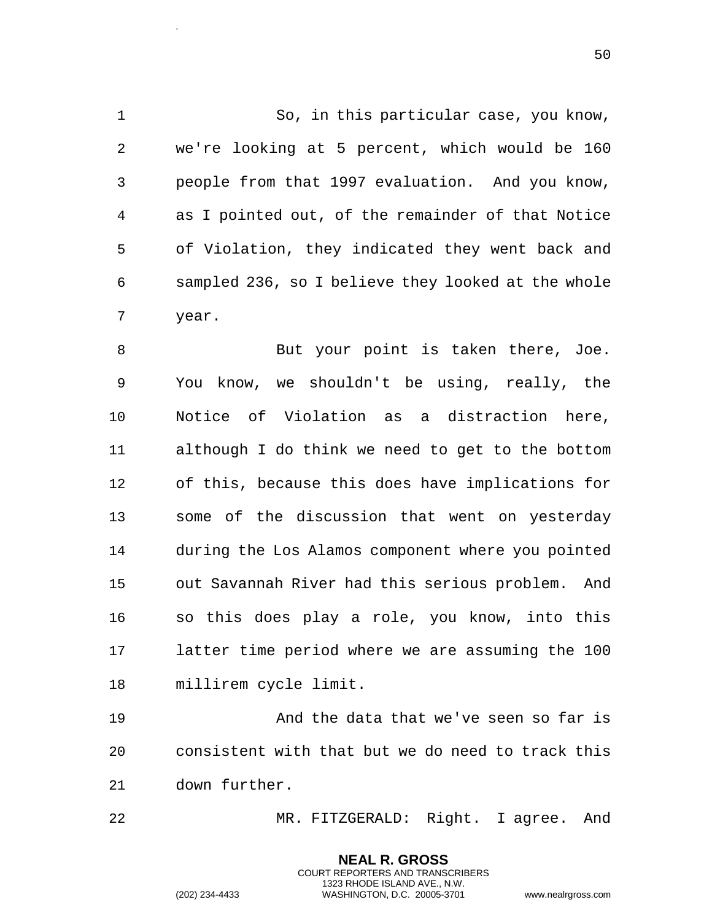So, in this particular case, you know, we're looking at 5 percent, which would be 160 people from that 1997 evaluation. And you know, as I pointed out, of the remainder of that Notice of Violation, they indicated they went back and sampled 236, so I believe they looked at the whole year.

 But your point is taken there, Joe. You know, we shouldn't be using, really, the Notice of Violation as a distraction here, although I do think we need to get to the bottom of this, because this does have implications for some of the discussion that went on yesterday during the Los Alamos component where you pointed out Savannah River had this serious problem. And so this does play a role, you know, into this latter time period where we are assuming the 100 millirem cycle limit.

 And the data that we've seen so far is consistent with that but we do need to track this down further.

MR. FITZGERALD: Right. I agree. And

**NEAL R. GROSS** COURT REPORTERS AND TRANSCRIBERS 1323 RHODE ISLAND AVE., N.W.

.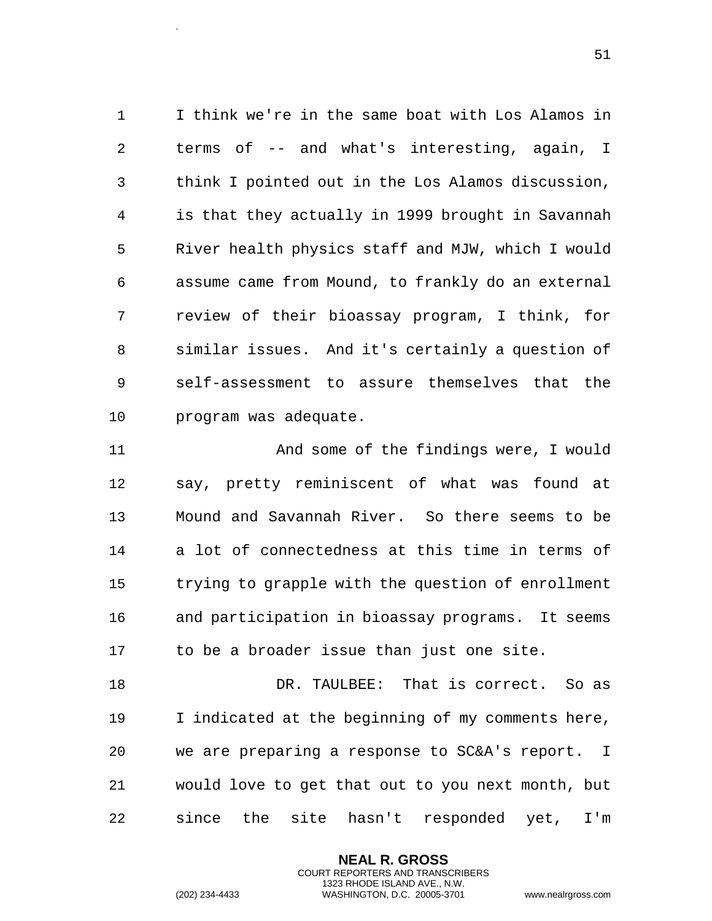I think we're in the same boat with Los Alamos in terms of -- and what's interesting, again, I think I pointed out in the Los Alamos discussion, is that they actually in 1999 brought in Savannah River health physics staff and MJW, which I would assume came from Mound, to frankly do an external review of their bioassay program, I think, for similar issues. And it's certainly a question of self-assessment to assure themselves that the program was adequate.

 And some of the findings were, I would say, pretty reminiscent of what was found at Mound and Savannah River. So there seems to be a lot of connectedness at this time in terms of trying to grapple with the question of enrollment and participation in bioassay programs. It seems to be a broader issue than just one site.

 DR. TAULBEE: That is correct. So as I indicated at the beginning of my comments here, we are preparing a response to SC&A's report. I would love to get that out to you next month, but since the site hasn't responded yet, I'm

> **NEAL R. GROSS** COURT REPORTERS AND TRANSCRIBERS 1323 RHODE ISLAND AVE., N.W.

.

(202) 234-4433 WASHINGTON, D.C. 20005-3701 www.nealrgross.com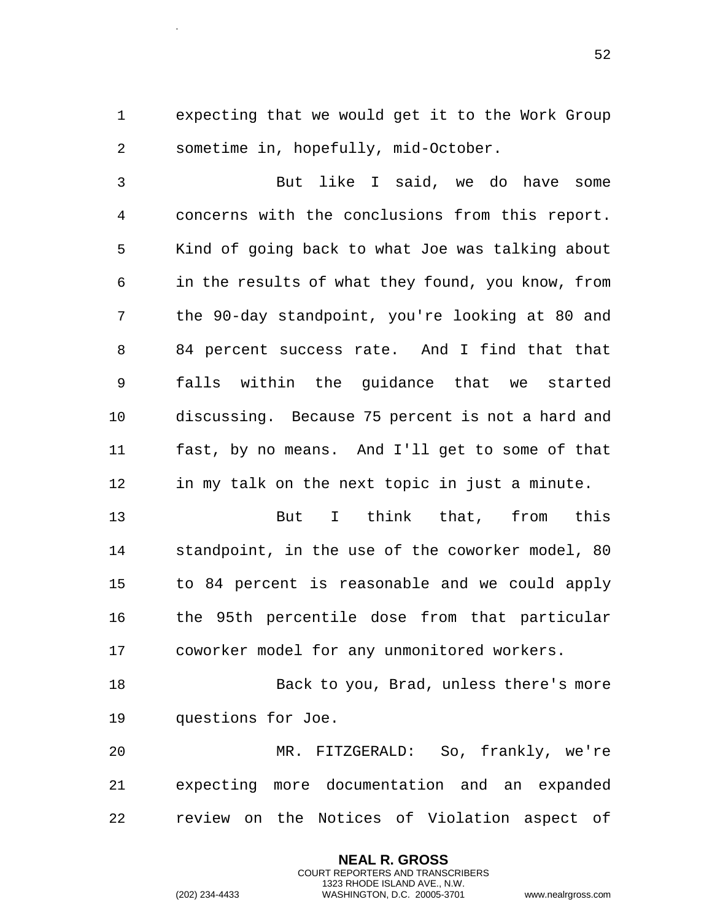expecting that we would get it to the Work Group sometime in, hopefully, mid-October.

 But like I said, we do have some concerns with the conclusions from this report. Kind of going back to what Joe was talking about in the results of what they found, you know, from the 90-day standpoint, you're looking at 80 and 84 percent success rate. And I find that that falls within the guidance that we started discussing. Because 75 percent is not a hard and fast, by no means. And I'll get to some of that in my talk on the next topic in just a minute.

 But I think that, from this standpoint, in the use of the coworker model, 80 to 84 percent is reasonable and we could apply the 95th percentile dose from that particular coworker model for any unmonitored workers.

 Back to you, Brad, unless there's more questions for Joe.

 MR. FITZGERALD: So, frankly, we're expecting more documentation and an expanded review on the Notices of Violation aspect of

> **NEAL R. GROSS** COURT REPORTERS AND TRANSCRIBERS 1323 RHODE ISLAND AVE., N.W.

.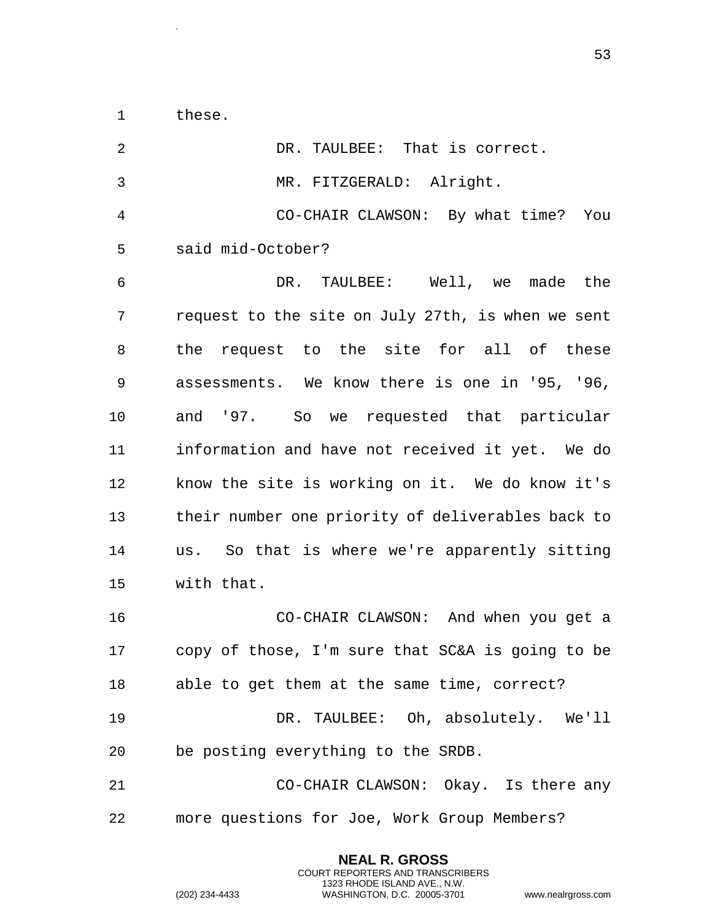these.

.

| 2              | DR. TAULBEE: That is correct.                     |
|----------------|---------------------------------------------------|
| $\mathfrak{Z}$ | MR. FITZGERALD: Alright.                          |
| 4              | CO-CHAIR CLAWSON: By what time? You               |
| 5              | said mid-October?                                 |
| 6              | DR. TAULBEE: Well, we made the                    |
| 7              | request to the site on July 27th, is when we sent |
| 8              | the request to the site for all of these          |
| 9              | assessments. We know there is one in '95, '96,    |
| 10             | and '97. So we requested that particular          |
| 11             | information and have not received it yet. We do   |
| 12             | know the site is working on it. We do know it's   |
| 13             | their number one priority of deliverables back to |
| 14             | us. So that is where we're apparently sitting     |
| 15             | with that.                                        |
| 16             | CO-CHAIR CLAWSON: And when you get a              |
| 17             | copy of those, I'm sure that SC&A is going to be  |
| 18             | able to get them at the same time, correct?       |
| 19             | DR. TAULBEE: Oh, absolutely. We'll                |
| 20             | be posting everything to the SRDB.                |
| 21             | CO-CHAIR CLAWSON: Okay. Is there any              |
| 22             | more questions for Joe, Work Group Members?       |

**NEAL R. GROSS** COURT REPORTERS AND TRANSCRIBERS 1323 RHODE ISLAND AVE., N.W.

(202) 234-4433 WASHINGTON, D.C. 20005-3701 www.nealrgross.com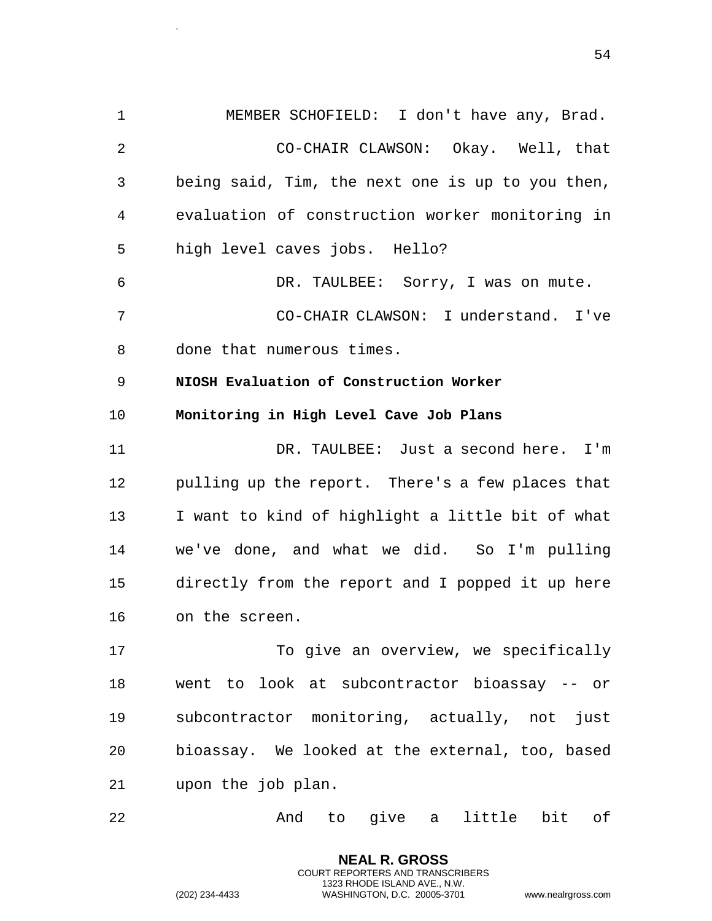1 MEMBER SCHOFIELD: I don't have any, Brad. 2 CO-CHAIR CLAWSON: Okay. Well, that 3 being said, Tim, the next one is up to you then, 4 evaluation of construction worker monitoring in 5 high level caves jobs. Hello? 6 DR. TAULBEE: Sorry, I was on mute. 7 CO-CHAIR CLAWSON: I understand. I've 8 done that numerous times. 9 **NIOSH Evaluation of Construction Worker**  10 **Monitoring in High Level Cave Job Plans**  11 DR. TAULBEE: Just a second here. I'm 12 pulling up the report. There's a few places that 13 I want to kind of highlight a little bit of what 14 we've done, and what we did. So I'm pulling 15 directly from the report and I popped it up here 16 on the screen. 17 To give an overview, we specifically 18 went to look at subcontractor bioassay -- or 19 subcontractor monitoring, actually, not just

20 bioassay. We looked at the external, too, based 21 upon the job plan.

22 And to give a little bit of

**NEAL R. GROSS** COURT REPORTERS AND TRANSCRIBERS 1323 RHODE ISLAND AVE., N.W.

.

(202) 234-4433 WASHINGTON, D.C. 20005-3701 www.nealrgross.com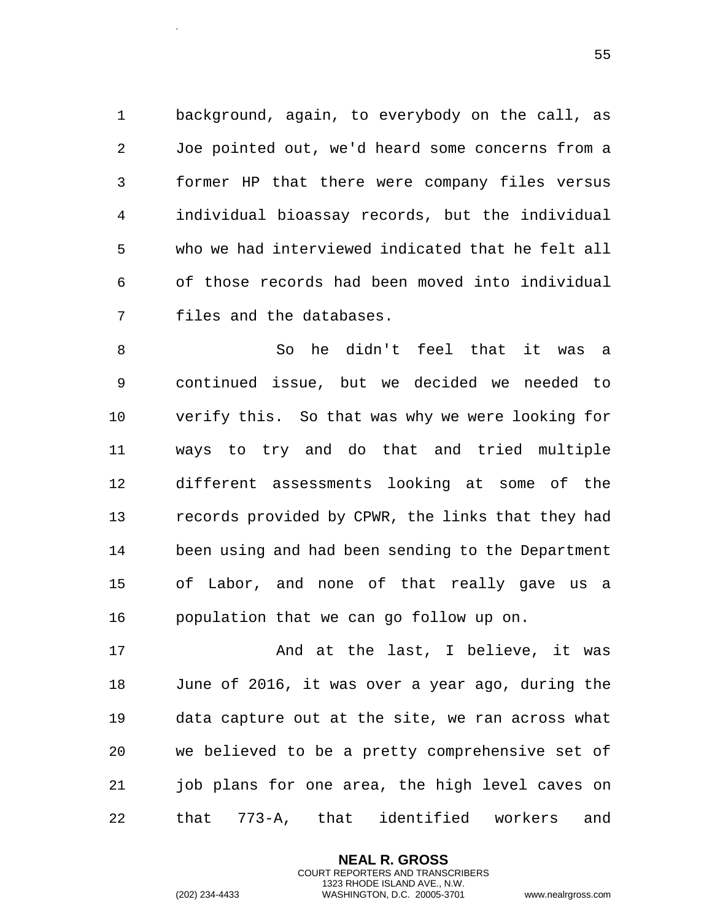background, again, to everybody on the call, as Joe pointed out, we'd heard some concerns from a former HP that there were company files versus individual bioassay records, but the individual who we had interviewed indicated that he felt all of those records had been moved into individual files and the databases.

 So he didn't feel that it was a continued issue, but we decided we needed to verify this. So that was why we were looking for ways to try and do that and tried multiple different assessments looking at some of the records provided by CPWR, the links that they had been using and had been sending to the Department of Labor, and none of that really gave us a population that we can go follow up on.

17 and at the last, I believe, it was June of 2016, it was over a year ago, during the data capture out at the site, we ran across what we believed to be a pretty comprehensive set of job plans for one area, the high level caves on that 773-A, that identified workers and

> **NEAL R. GROSS** COURT REPORTERS AND TRANSCRIBERS 1323 RHODE ISLAND AVE., N.W.

.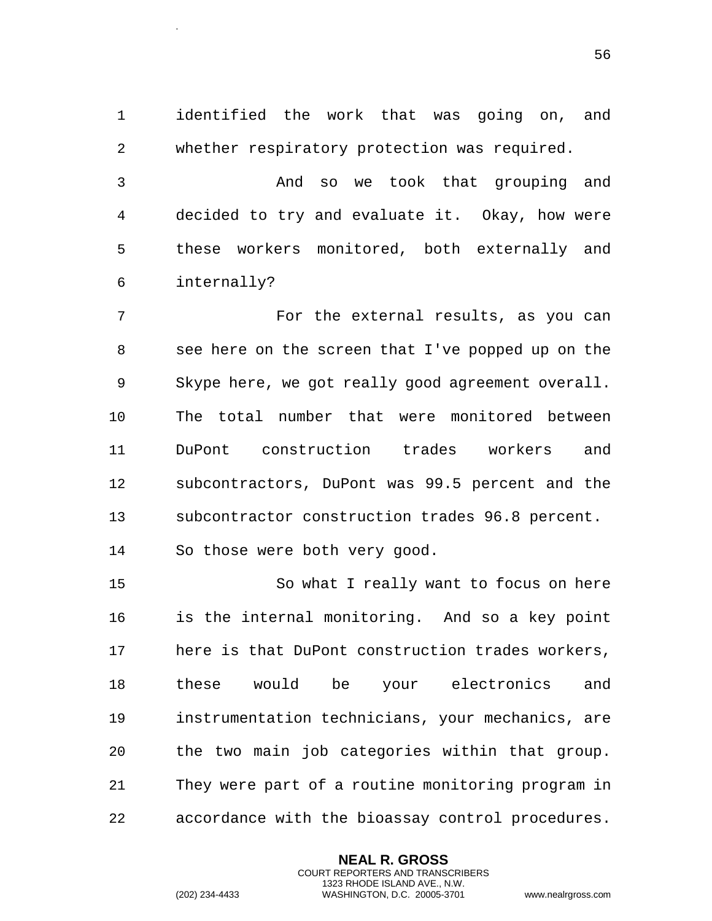identified the work that was going on, and whether respiratory protection was required.

 And so we took that grouping and decided to try and evaluate it. Okay, how were these workers monitored, both externally and internally?

 For the external results, as you can see here on the screen that I've popped up on the Skype here, we got really good agreement overall. The total number that were monitored between DuPont construction trades workers and subcontractors, DuPont was 99.5 percent and the subcontractor construction trades 96.8 percent. So those were both very good.

 So what I really want to focus on here is the internal monitoring. And so a key point here is that DuPont construction trades workers, these would be your electronics and instrumentation technicians, your mechanics, are the two main job categories within that group. They were part of a routine monitoring program in accordance with the bioassay control procedures.

> **NEAL R. GROSS** COURT REPORTERS AND TRANSCRIBERS 1323 RHODE ISLAND AVE., N.W.

.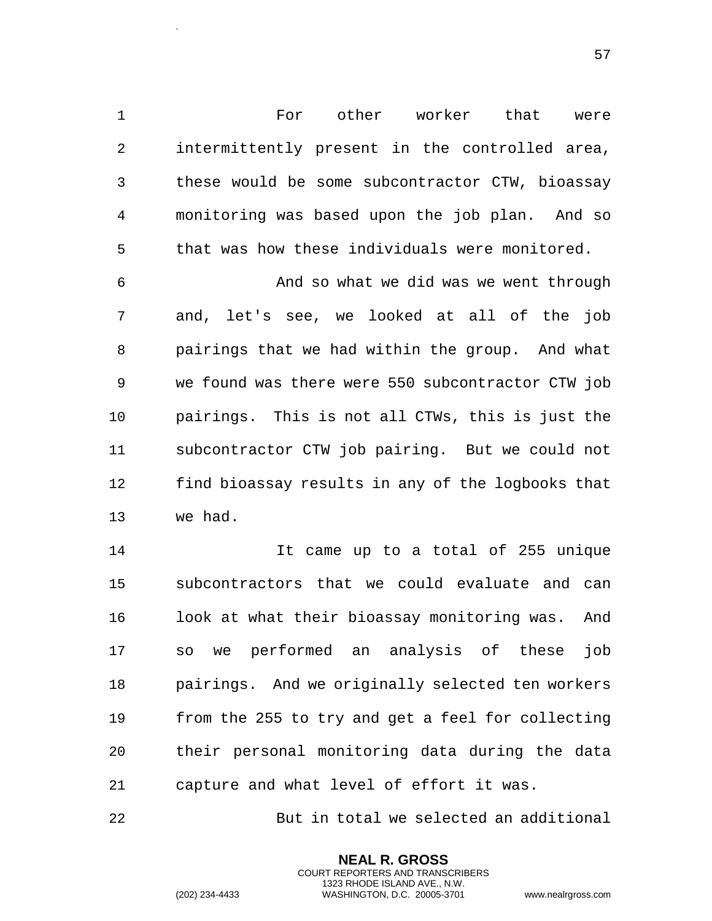For other worker that were intermittently present in the controlled area, these would be some subcontractor CTW, bioassay monitoring was based upon the job plan. And so that was how these individuals were monitored.

 And so what we did was we went through and, let's see, we looked at all of the job pairings that we had within the group. And what we found was there were 550 subcontractor CTW job pairings. This is not all CTWs, this is just the subcontractor CTW job pairing. But we could not find bioassay results in any of the logbooks that we had.

 It came up to a total of 255 unique subcontractors that we could evaluate and can 16 look at what their bioassay monitoring was. And so we performed an analysis of these job pairings. And we originally selected ten workers from the 255 to try and get a feel for collecting their personal monitoring data during the data capture and what level of effort it was.

But in total we selected an additional

**NEAL R. GROSS** COURT REPORTERS AND TRANSCRIBERS 1323 RHODE ISLAND AVE., N.W.

.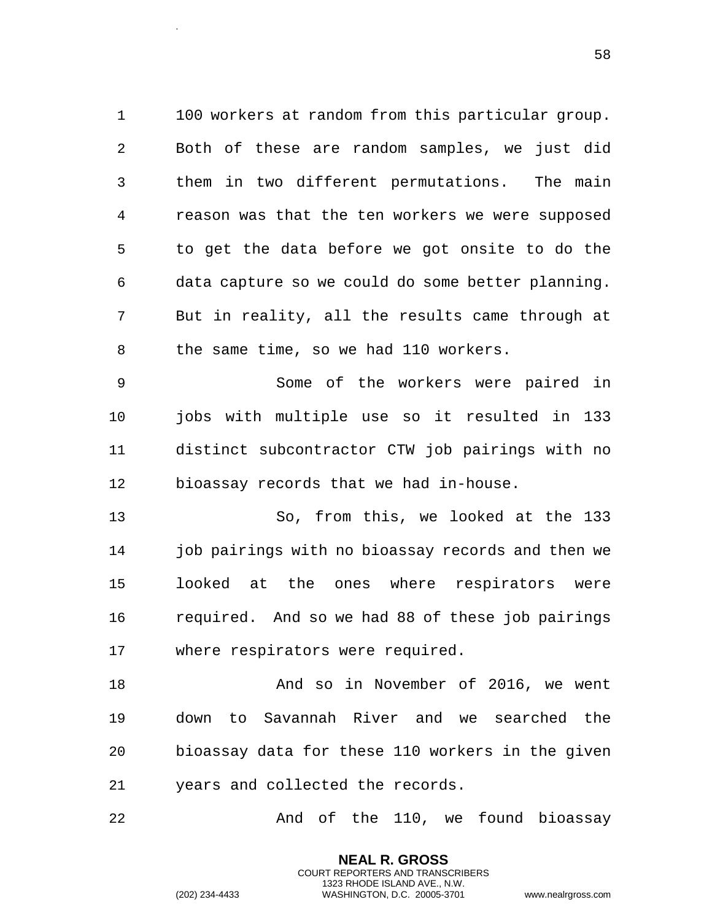100 workers at random from this particular group. Both of these are random samples, we just did them in two different permutations. The main reason was that the ten workers we were supposed to get the data before we got onsite to do the data capture so we could do some better planning. But in reality, all the results came through at the same time, so we had 110 workers.

 Some of the workers were paired in jobs with multiple use so it resulted in 133 distinct subcontractor CTW job pairings with no bioassay records that we had in-house.

 So, from this, we looked at the 133 job pairings with no bioassay records and then we looked at the ones where respirators were required. And so we had 88 of these job pairings where respirators were required.

18 And so in November of 2016, we went down to Savannah River and we searched the bioassay data for these 110 workers in the given years and collected the records.

22 And of the 110, we found bioassay

**NEAL R. GROSS** COURT REPORTERS AND TRANSCRIBERS 1323 RHODE ISLAND AVE., N.W.

.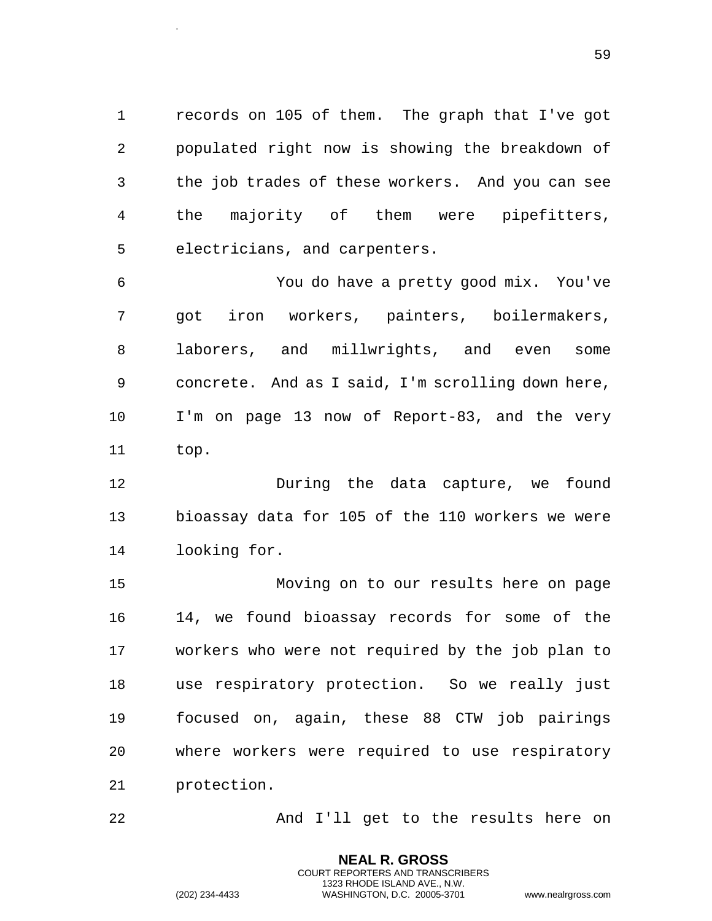records on 105 of them. The graph that I've got populated right now is showing the breakdown of the job trades of these workers. And you can see the majority of them were pipefitters, electricians, and carpenters.

 You do have a pretty good mix. You've got iron workers, painters, boilermakers, laborers, and millwrights, and even some concrete. And as I said, I'm scrolling down here, I'm on page 13 now of Report-83, and the very top.

 During the data capture, we found bioassay data for 105 of the 110 workers we were looking for.

 Moving on to our results here on page 14, we found bioassay records for some of the workers who were not required by the job plan to use respiratory protection. So we really just focused on, again, these 88 CTW job pairings where workers were required to use respiratory protection.

And I'll get to the results here on

**NEAL R. GROSS** COURT REPORTERS AND TRANSCRIBERS 1323 RHODE ISLAND AVE., N.W.

.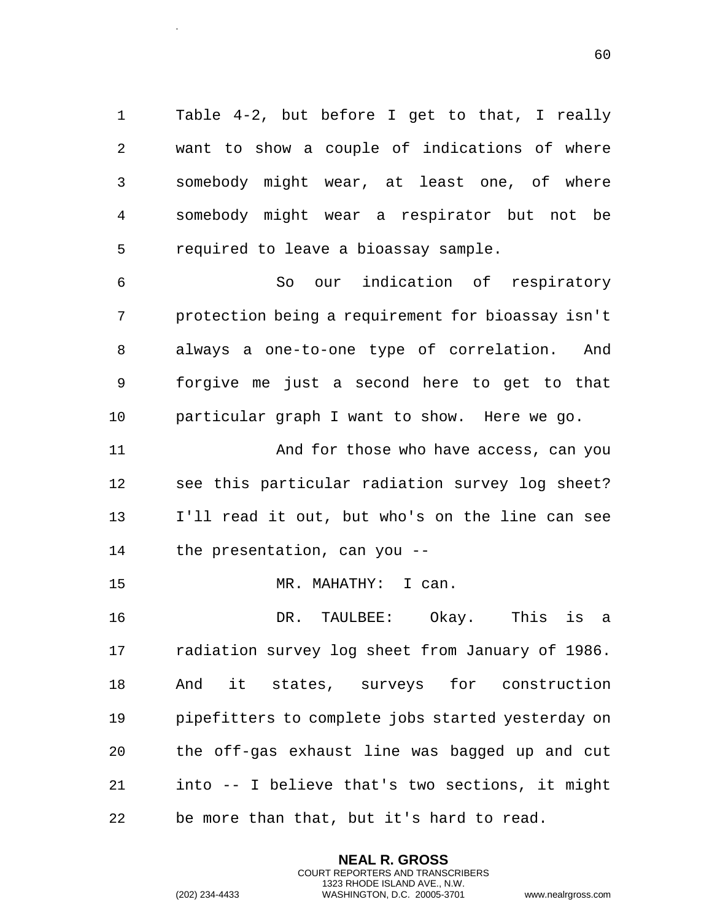Table 4-2, but before I get to that, I really want to show a couple of indications of where somebody might wear, at least one, of where somebody might wear a respirator but not be required to leave a bioassay sample.

 So our indication of respiratory protection being a requirement for bioassay isn't always a one-to-one type of correlation. And forgive me just a second here to get to that particular graph I want to show. Here we go.

 And for those who have access, can you see this particular radiation survey log sheet? I'll read it out, but who's on the line can see the presentation, can you --

MR. MAHATHY: I can.

 DR. TAULBEE: Okay. This is a radiation survey log sheet from January of 1986. And it states, surveys for construction pipefitters to complete jobs started yesterday on the off-gas exhaust line was bagged up and cut into -- I believe that's two sections, it might be more than that, but it's hard to read.

> **NEAL R. GROSS** COURT REPORTERS AND TRANSCRIBERS 1323 RHODE ISLAND AVE., N.W.

.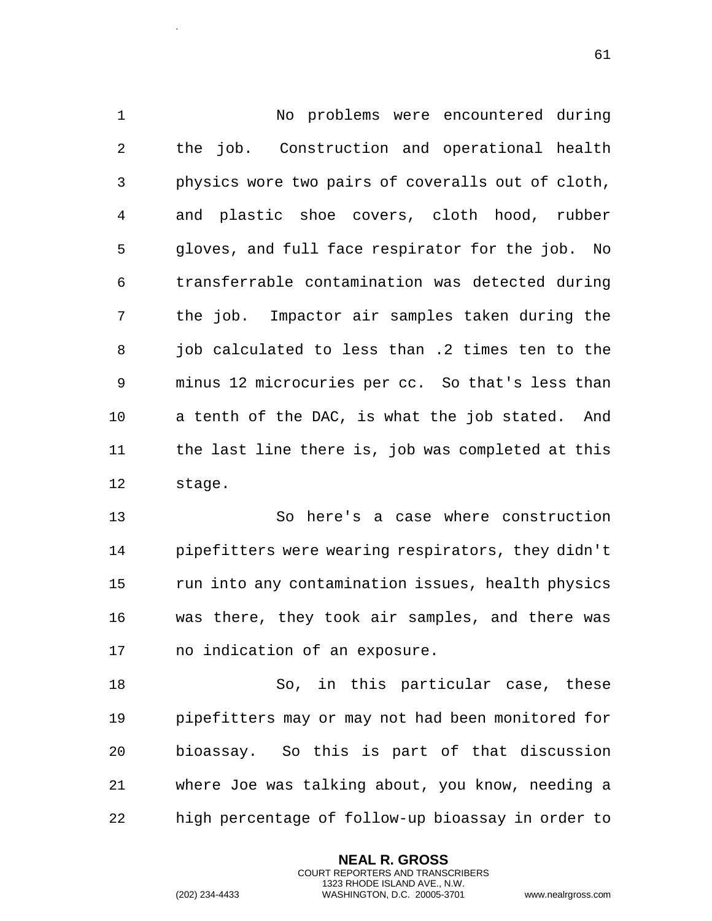No problems were encountered during the job. Construction and operational health physics wore two pairs of coveralls out of cloth, and plastic shoe covers, cloth hood, rubber gloves, and full face respirator for the job. No transferrable contamination was detected during the job. Impactor air samples taken during the job calculated to less than .2 times ten to the minus 12 microcuries per cc. So that's less than a tenth of the DAC, is what the job stated. And the last line there is, job was completed at this stage.

 So here's a case where construction pipefitters were wearing respirators, they didn't run into any contamination issues, health physics was there, they took air samples, and there was no indication of an exposure.

18 So, in this particular case, these pipefitters may or may not had been monitored for bioassay. So this is part of that discussion where Joe was talking about, you know, needing a high percentage of follow-up bioassay in order to

> **NEAL R. GROSS** COURT REPORTERS AND TRANSCRIBERS 1323 RHODE ISLAND AVE., N.W.

.

(202) 234-4433 WASHINGTON, D.C. 20005-3701 www.nealrgross.com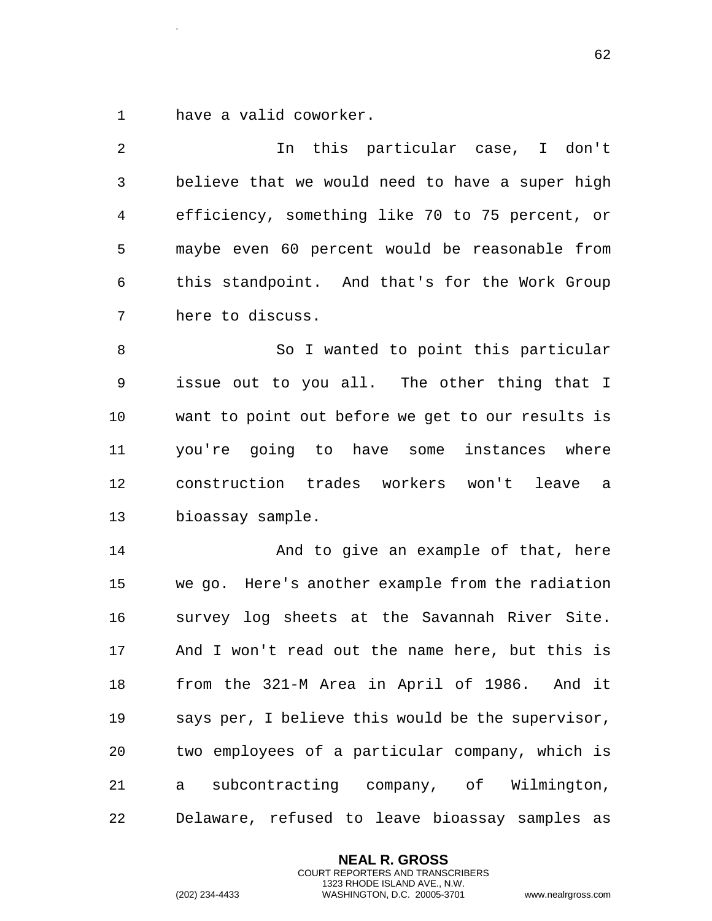have a valid coworker.

.

 In this particular case, I don't believe that we would need to have a super high efficiency, something like 70 to 75 percent, or maybe even 60 percent would be reasonable from this standpoint. And that's for the Work Group here to discuss. 8 So I wanted to point this particular issue out to you all. The other thing that I want to point out before we get to our results is you're going to have some instances where construction trades workers won't leave a bioassay sample. And to give an example of that, here we go. Here's another example from the radiation survey log sheets at the Savannah River Site. And I won't read out the name here, but this is from the 321-M Area in April of 1986. And it says per, I believe this would be the supervisor, two employees of a particular company, which is a subcontracting company, of Wilmington, Delaware, refused to leave bioassay samples as

> **NEAL R. GROSS** COURT REPORTERS AND TRANSCRIBERS 1323 RHODE ISLAND AVE., N.W.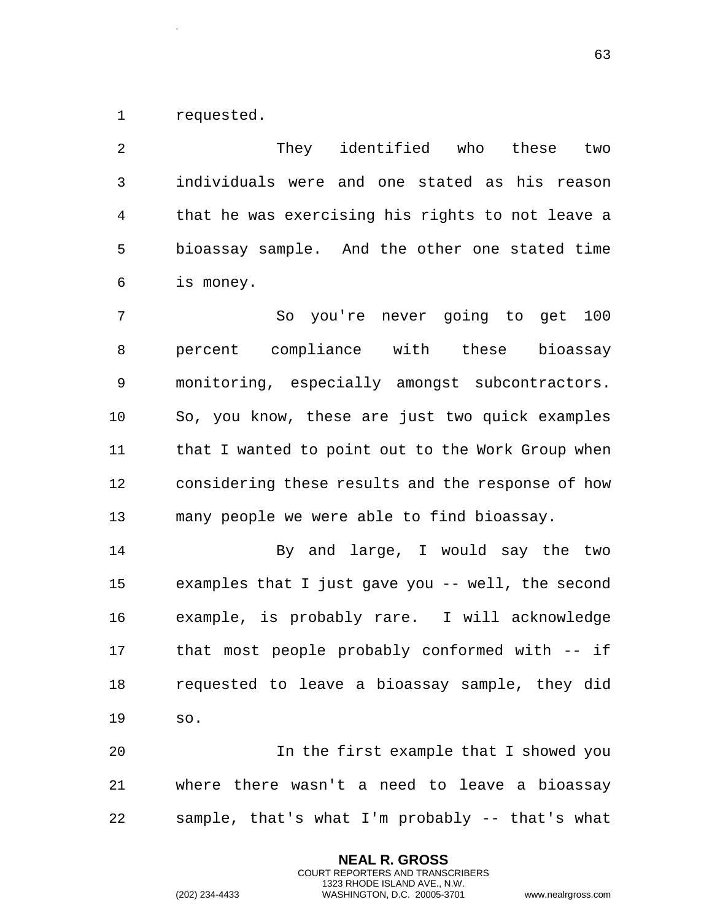requested.

.

 They identified who these two individuals were and one stated as his reason that he was exercising his rights to not leave a bioassay sample. And the other one stated time is money. So you're never going to get 100 percent compliance with these bioassay monitoring, especially amongst subcontractors.

 that I wanted to point out to the Work Group when considering these results and the response of how many people we were able to find bioassay.

So, you know, these are just two quick examples

 By and large, I would say the two examples that I just gave you -- well, the second example, is probably rare. I will acknowledge that most people probably conformed with -- if requested to leave a bioassay sample, they did so.

 In the first example that I showed you where there wasn't a need to leave a bioassay sample, that's what I'm probably -- that's what

> **NEAL R. GROSS** COURT REPORTERS AND TRANSCRIBERS 1323 RHODE ISLAND AVE., N.W.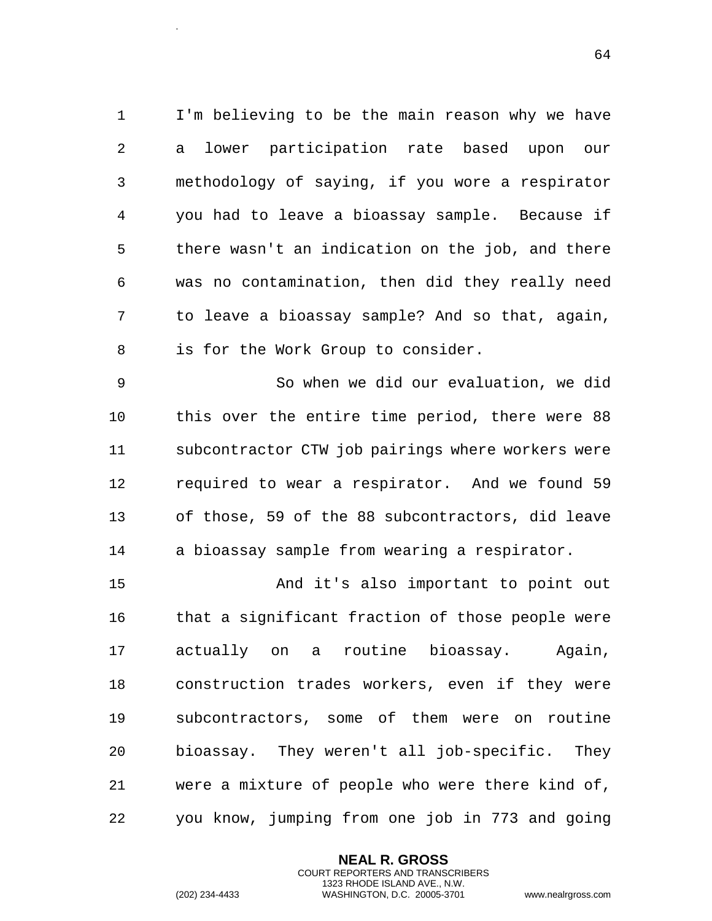I'm believing to be the main reason why we have a lower participation rate based upon our methodology of saying, if you wore a respirator you had to leave a bioassay sample. Because if there wasn't an indication on the job, and there was no contamination, then did they really need to leave a bioassay sample? And so that, again, is for the Work Group to consider.

 So when we did our evaluation, we did this over the entire time period, there were 88 subcontractor CTW job pairings where workers were required to wear a respirator. And we found 59 of those, 59 of the 88 subcontractors, did leave a bioassay sample from wearing a respirator.

 And it's also important to point out that a significant fraction of those people were actually on a routine bioassay. Again, construction trades workers, even if they were subcontractors, some of them were on routine bioassay. They weren't all job-specific. They were a mixture of people who were there kind of, you know, jumping from one job in 773 and going

> **NEAL R. GROSS** COURT REPORTERS AND TRANSCRIBERS 1323 RHODE ISLAND AVE., N.W.

.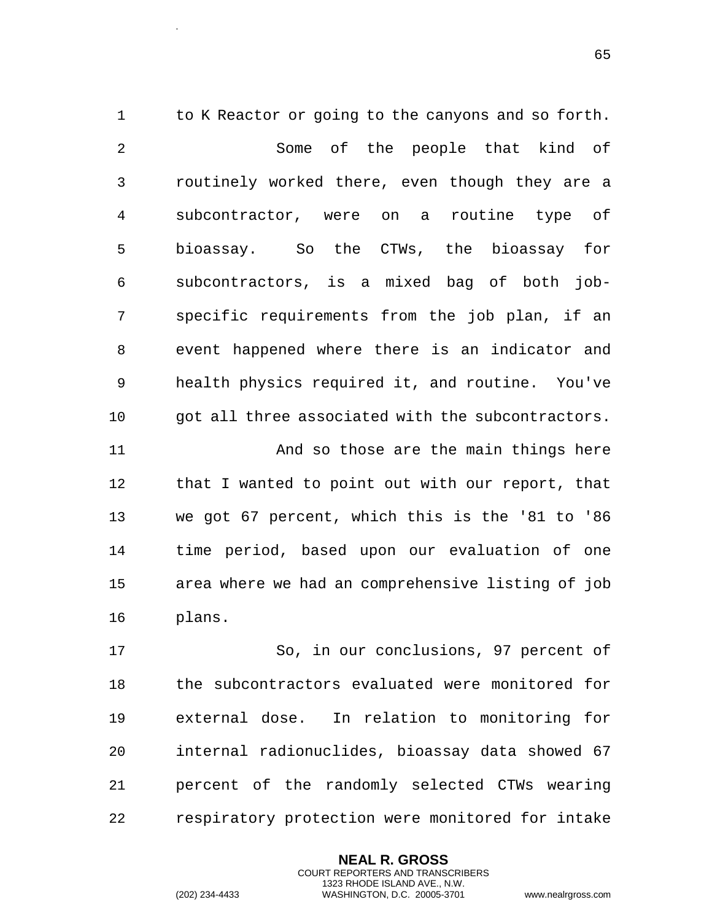1 to K Reactor or going to the canyons and so forth. Some of the people that kind of routinely worked there, even though they are a subcontractor, were on a routine type of bioassay. So the CTWs, the bioassay for subcontractors, is a mixed bag of both job- specific requirements from the job plan, if an event happened where there is an indicator and health physics required it, and routine. You've got all three associated with the subcontractors. And so those are the main things here that I wanted to point out with our report, that we got 67 percent, which this is the '81 to '86 time period, based upon our evaluation of one area where we had an comprehensive listing of job plans.

 So, in our conclusions, 97 percent of the subcontractors evaluated were monitored for external dose. In relation to monitoring for internal radionuclides, bioassay data showed 67 percent of the randomly selected CTWs wearing respiratory protection were monitored for intake

> **NEAL R. GROSS** COURT REPORTERS AND TRANSCRIBERS 1323 RHODE ISLAND AVE., N.W.

.

(202) 234-4433 WASHINGTON, D.C. 20005-3701 www.nealrgross.com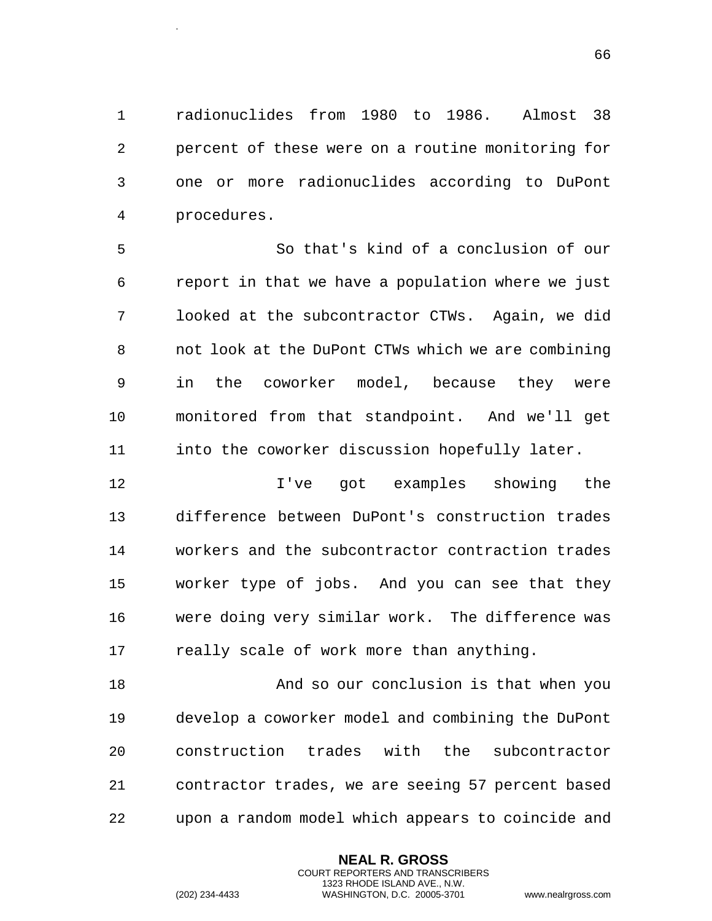radionuclides from 1980 to 1986. Almost 38 percent of these were on a routine monitoring for one or more radionuclides according to DuPont procedures.

 So that's kind of a conclusion of our report in that we have a population where we just looked at the subcontractor CTWs. Again, we did not look at the DuPont CTWs which we are combining in the coworker model, because they were monitored from that standpoint. And we'll get into the coworker discussion hopefully later.

 I've got examples showing the difference between DuPont's construction trades workers and the subcontractor contraction trades worker type of jobs. And you can see that they were doing very similar work. The difference was 17 really scale of work more than anything.

 And so our conclusion is that when you develop a coworker model and combining the DuPont construction trades with the subcontractor contractor trades, we are seeing 57 percent based upon a random model which appears to coincide and

> **NEAL R. GROSS** COURT REPORTERS AND TRANSCRIBERS 1323 RHODE ISLAND AVE., N.W.

.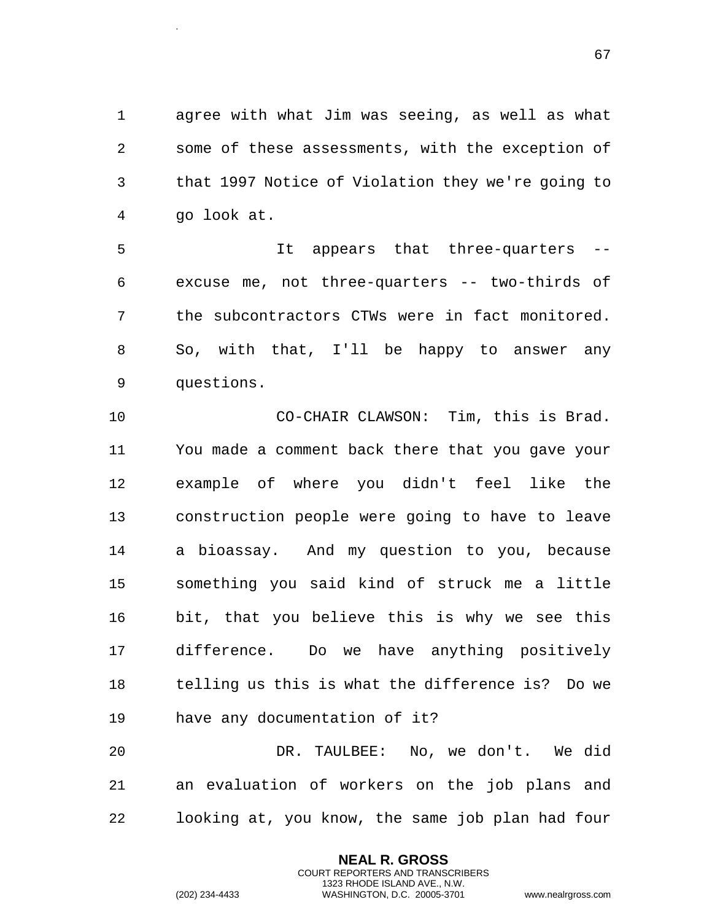agree with what Jim was seeing, as well as what some of these assessments, with the exception of that 1997 Notice of Violation they we're going to go look at.

 It appears that three-quarters -- excuse me, not three-quarters -- two-thirds of the subcontractors CTWs were in fact monitored. So, with that, I'll be happy to answer any questions.

 CO-CHAIR CLAWSON: Tim, this is Brad. You made a comment back there that you gave your example of where you didn't feel like the construction people were going to have to leave a bioassay. And my question to you, because something you said kind of struck me a little bit, that you believe this is why we see this difference. Do we have anything positively telling us this is what the difference is? Do we have any documentation of it?

 DR. TAULBEE: No, we don't. We did an evaluation of workers on the job plans and looking at, you know, the same job plan had four

> **NEAL R. GROSS** COURT REPORTERS AND TRANSCRIBERS 1323 RHODE ISLAND AVE., N.W.

.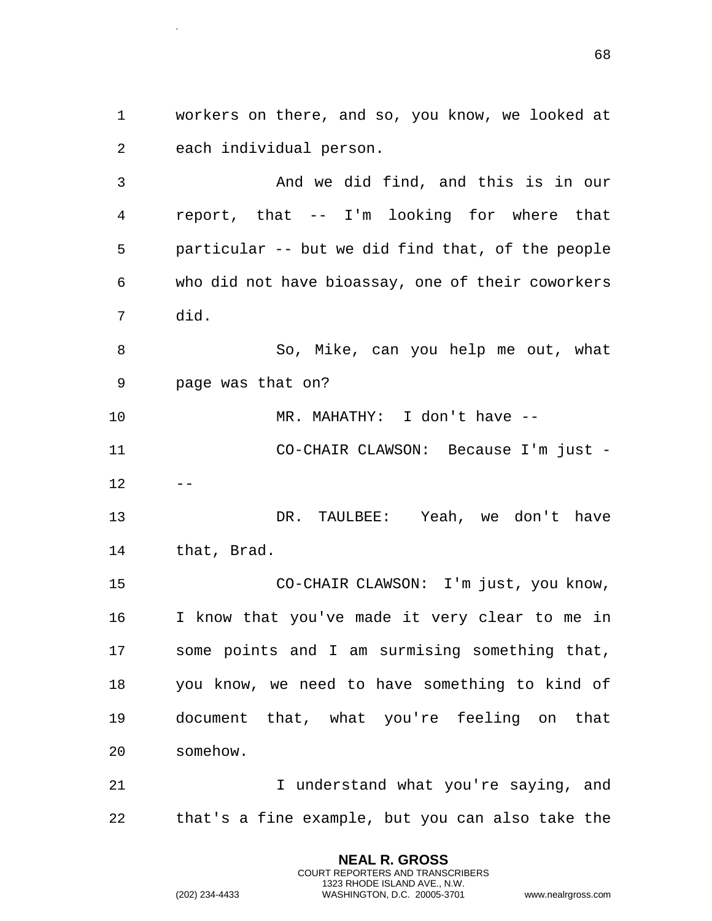workers on there, and so, you know, we looked at each individual person.

 And we did find, and this is in our report, that -- I'm looking for where that particular -- but we did find that, of the people who did not have bioassay, one of their coworkers did.

 So, Mike, can you help me out, what page was that on?

MR. MAHATHY: I don't have --

 CO-CHAIR CLAWSON: Because I'm just -  $12 - -$ 

 DR. TAULBEE: Yeah, we don't have that, Brad.

 CO-CHAIR CLAWSON: I'm just, you know, I know that you've made it very clear to me in some points and I am surmising something that, you know, we need to have something to kind of document that, what you're feeling on that somehow.

21 1 I understand what you're saying, and that's a fine example, but you can also take the

> **NEAL R. GROSS** COURT REPORTERS AND TRANSCRIBERS 1323 RHODE ISLAND AVE., N.W.

.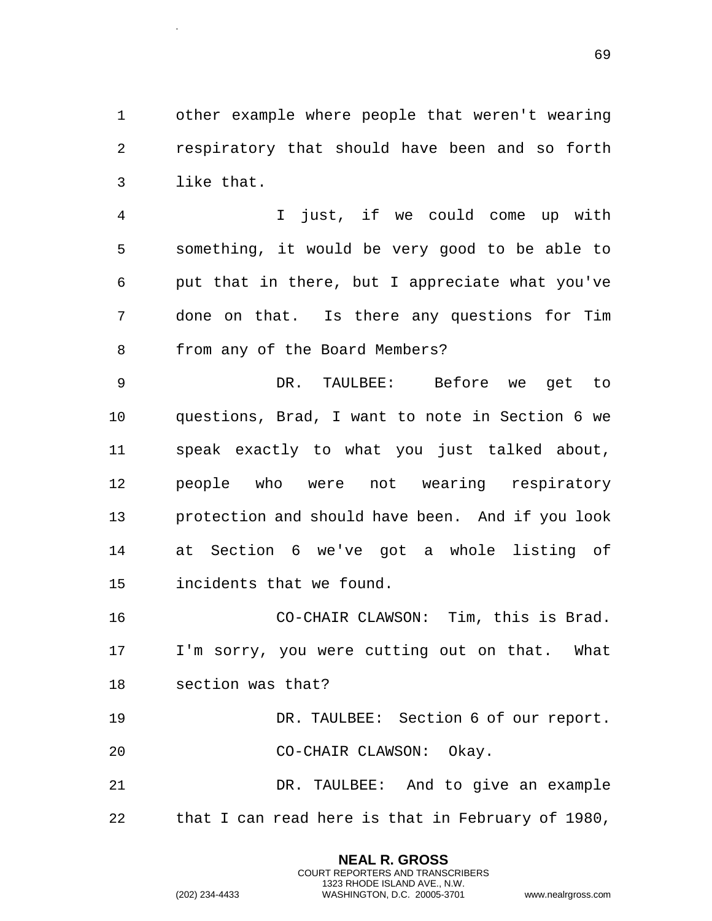other example where people that weren't wearing respiratory that should have been and so forth like that.

 I just, if we could come up with something, it would be very good to be able to put that in there, but I appreciate what you've done on that. Is there any questions for Tim from any of the Board Members?

 DR. TAULBEE: Before we get to questions, Brad, I want to note in Section 6 we speak exactly to what you just talked about, people who were not wearing respiratory protection and should have been. And if you look at Section 6 we've got a whole listing of incidents that we found.

 CO-CHAIR CLAWSON: Tim, this is Brad. I'm sorry, you were cutting out on that. What section was that?

 DR. TAULBEE: Section 6 of our report. CO-CHAIR CLAWSON: Okay.

 DR. TAULBEE: And to give an example that I can read here is that in February of 1980,

> **NEAL R. GROSS** COURT REPORTERS AND TRANSCRIBERS 1323 RHODE ISLAND AVE., N.W.

.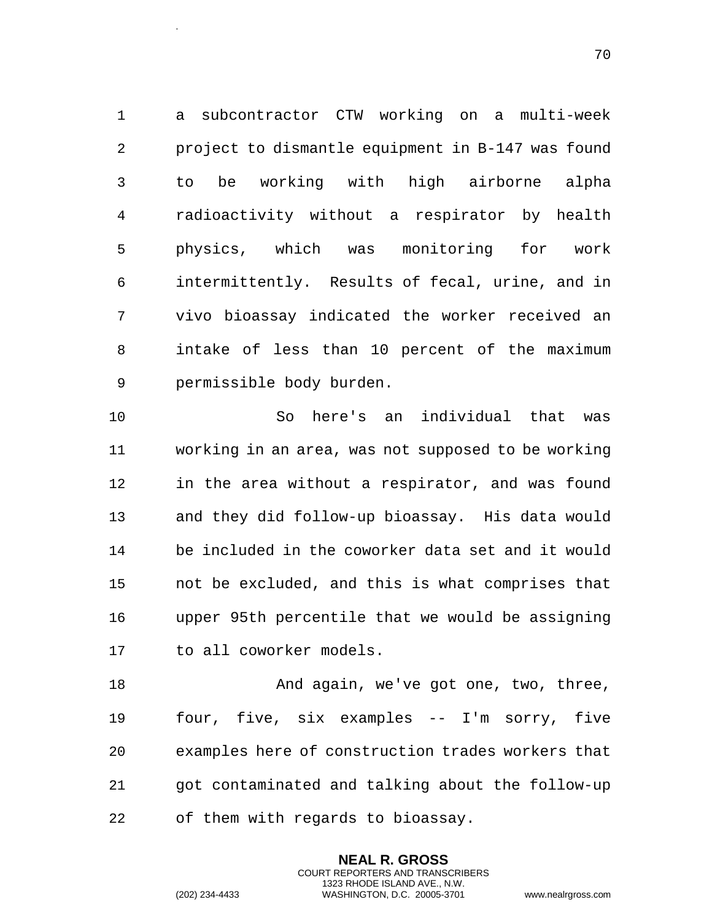a subcontractor CTW working on a multi-week project to dismantle equipment in B-147 was found to be working with high airborne alpha radioactivity without a respirator by health physics, which was monitoring for work intermittently. Results of fecal, urine, and in vivo bioassay indicated the worker received an intake of less than 10 percent of the maximum permissible body burden.

 So here's an individual that was working in an area, was not supposed to be working in the area without a respirator, and was found and they did follow-up bioassay. His data would be included in the coworker data set and it would not be excluded, and this is what comprises that upper 95th percentile that we would be assigning to all coworker models.

18 And again, we've got one, two, three, four, five, six examples -- I'm sorry, five examples here of construction trades workers that got contaminated and talking about the follow-up of them with regards to bioassay.

> **NEAL R. GROSS** COURT REPORTERS AND TRANSCRIBERS 1323 RHODE ISLAND AVE., N.W.

.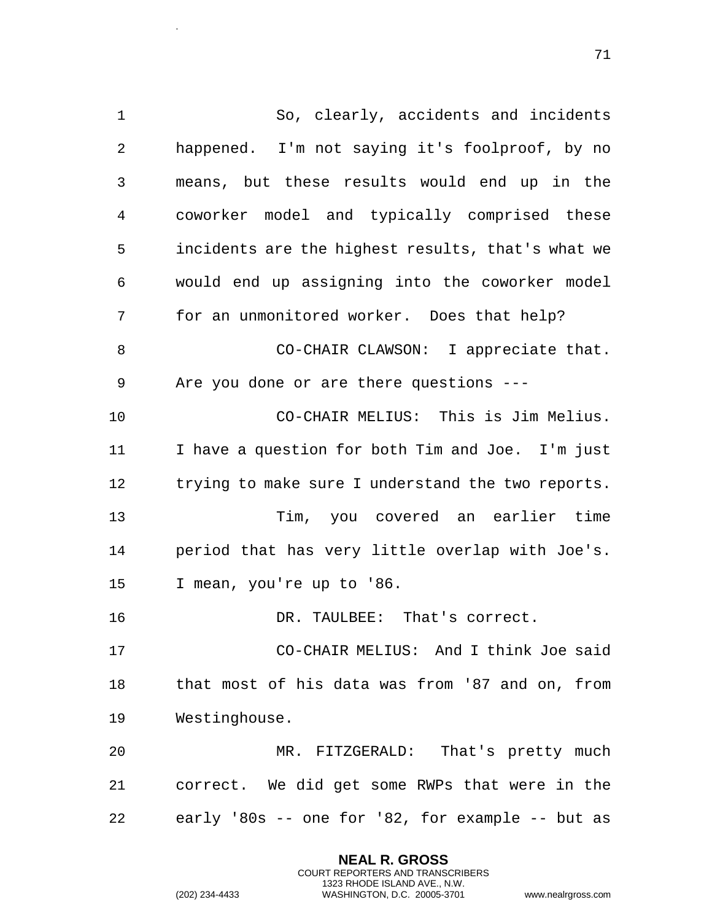So, clearly, accidents and incidents happened. I'm not saying it's foolproof, by no means, but these results would end up in the coworker model and typically comprised these incidents are the highest results, that's what we would end up assigning into the coworker model for an unmonitored worker. Does that help? CO-CHAIR CLAWSON: I appreciate that. Are you done or are there questions --- CO-CHAIR MELIUS: This is Jim Melius. I have a question for both Tim and Joe. I'm just trying to make sure I understand the two reports. Tim, you covered an earlier time period that has very little overlap with Joe's. I mean, you're up to '86. DR. TAULBEE: That's correct. CO-CHAIR MELIUS: And I think Joe said that most of his data was from '87 and on, from Westinghouse. MR. FITZGERALD: That's pretty much correct. We did get some RWPs that were in the early '80s -- one for '82, for example -- but as

> **NEAL R. GROSS** COURT REPORTERS AND TRANSCRIBERS 1323 RHODE ISLAND AVE., N.W.

.

(202) 234-4433 WASHINGTON, D.C. 20005-3701 www.nealrgross.com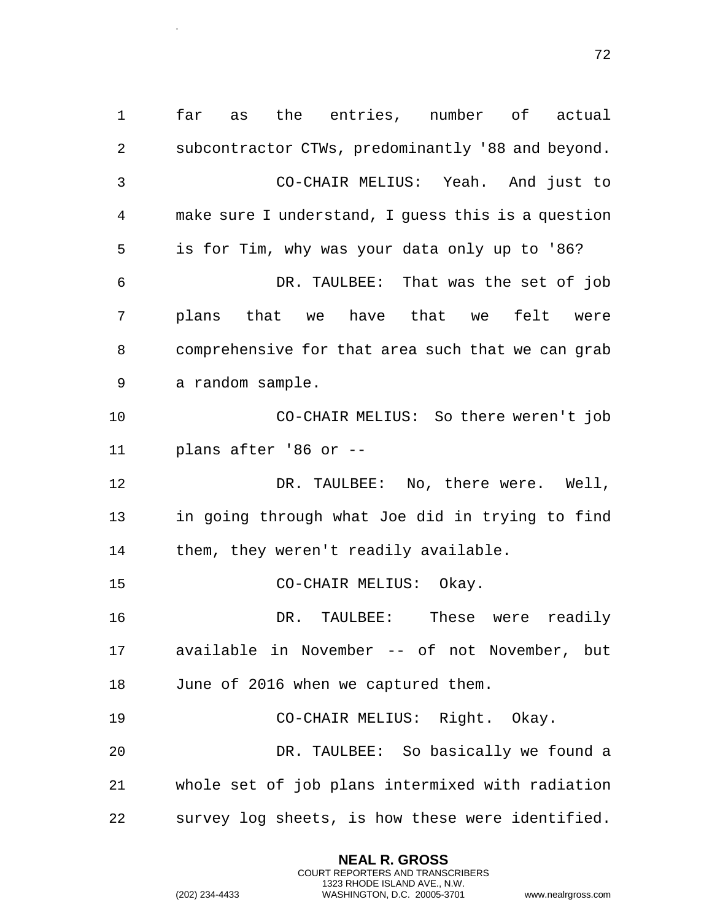far as the entries, number of actual subcontractor CTWs, predominantly '88 and beyond. CO-CHAIR MELIUS: Yeah. And just to make sure I understand, I guess this is a question is for Tim, why was your data only up to '86? DR. TAULBEE: That was the set of job plans that we have that we felt were comprehensive for that area such that we can grab a random sample. CO-CHAIR MELIUS: So there weren't job plans after '86 or -- DR. TAULBEE: No, there were. Well, in going through what Joe did in trying to find them, they weren't readily available. CO-CHAIR MELIUS: Okay. DR. TAULBEE: These were readily available in November -- of not November, but June of 2016 when we captured them. CO-CHAIR MELIUS: Right. Okay. DR. TAULBEE: So basically we found a whole set of job plans intermixed with radiation survey log sheets, is how these were identified.

> **NEAL R. GROSS** COURT REPORTERS AND TRANSCRIBERS 1323 RHODE ISLAND AVE., N.W.

.

(202) 234-4433 WASHINGTON, D.C. 20005-3701 www.nealrgross.com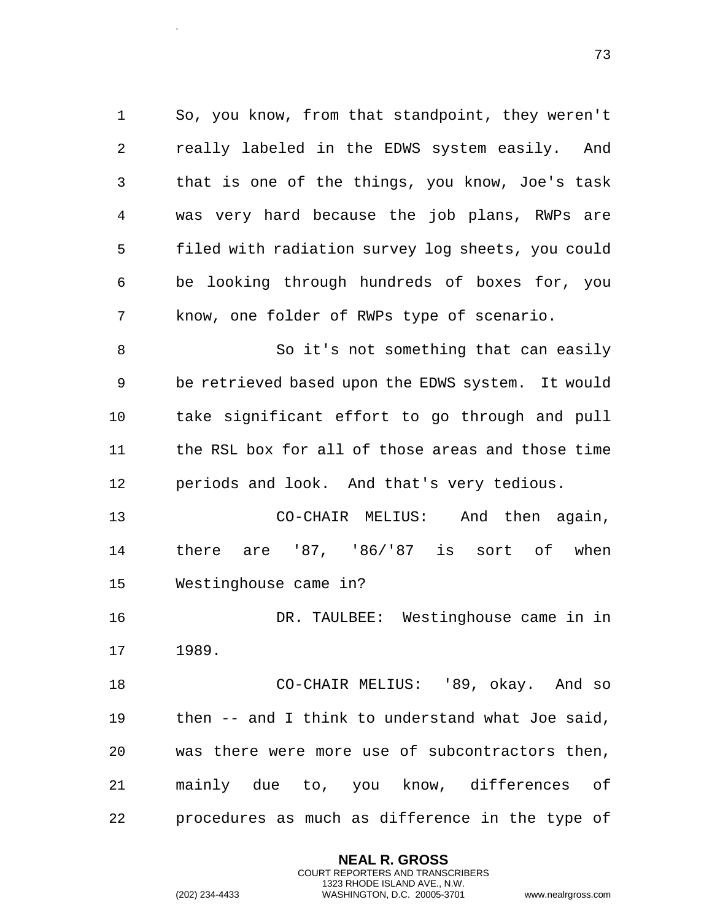So, you know, from that standpoint, they weren't really labeled in the EDWS system easily. And that is one of the things, you know, Joe's task was very hard because the job plans, RWPs are filed with radiation survey log sheets, you could be looking through hundreds of boxes for, you know, one folder of RWPs type of scenario. So it's not something that can easily be retrieved based upon the EDWS system. It would take significant effort to go through and pull the RSL box for all of those areas and those time periods and look. And that's very tedious. CO-CHAIR MELIUS: And then again, there are '87, '86/'87 is sort of when Westinghouse came in? DR. TAULBEE: Westinghouse came in in

1989.

 CO-CHAIR MELIUS: '89, okay. And so then -- and I think to understand what Joe said, was there were more use of subcontractors then, mainly due to, you know, differences of procedures as much as difference in the type of

> **NEAL R. GROSS** COURT REPORTERS AND TRANSCRIBERS 1323 RHODE ISLAND AVE., N.W.

.

(202) 234-4433 WASHINGTON, D.C. 20005-3701 www.nealrgross.com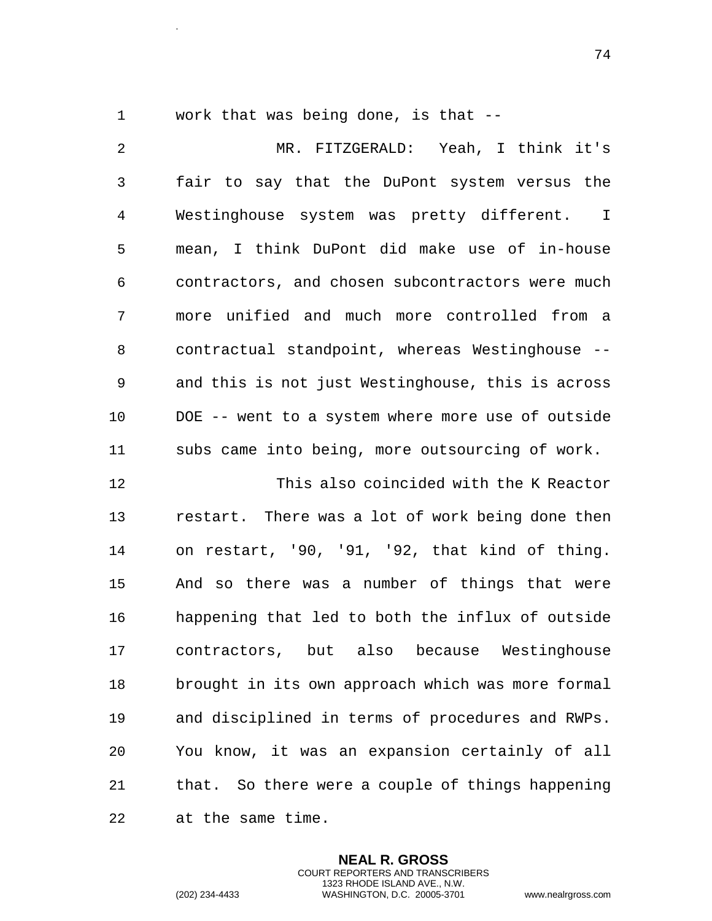.

work that was being done, is that --

 MR. FITZGERALD: Yeah, I think it's fair to say that the DuPont system versus the Westinghouse system was pretty different. I mean, I think DuPont did make use of in-house contractors, and chosen subcontractors were much more unified and much more controlled from a contractual standpoint, whereas Westinghouse -- and this is not just Westinghouse, this is across DOE -- went to a system where more use of outside subs came into being, more outsourcing of work. This also coincided with the K Reactor

 restart. There was a lot of work being done then on restart, '90, '91, '92, that kind of thing. And so there was a number of things that were happening that led to both the influx of outside contractors, but also because Westinghouse brought in its own approach which was more formal and disciplined in terms of procedures and RWPs. You know, it was an expansion certainly of all that. So there were a couple of things happening at the same time.

> **NEAL R. GROSS** COURT REPORTERS AND TRANSCRIBERS 1323 RHODE ISLAND AVE., N.W.

(202) 234-4433 WASHINGTON, D.C. 20005-3701 www.nealrgross.com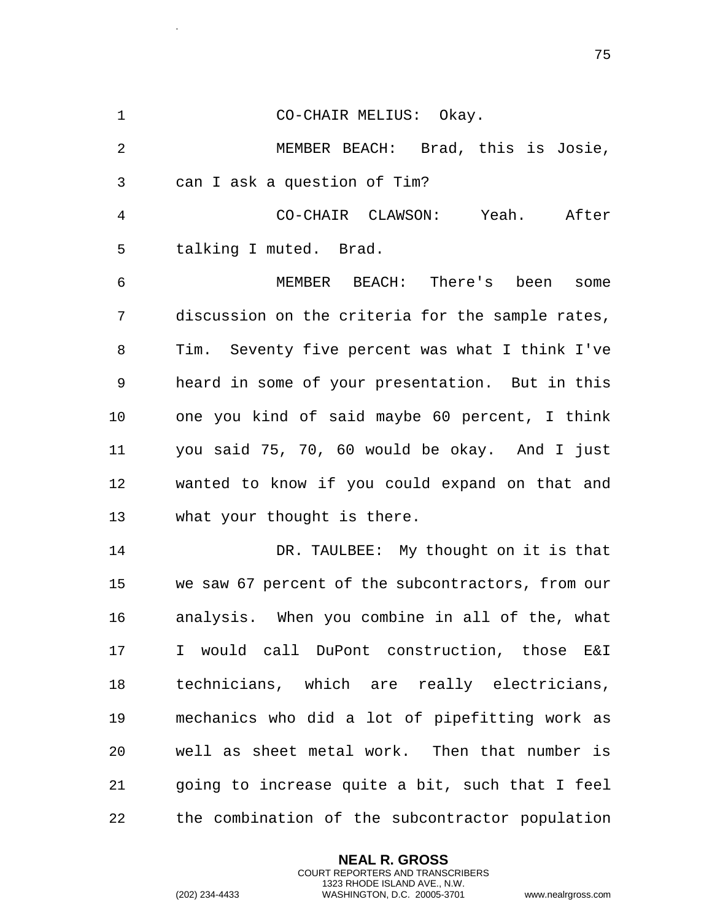CO-CHAIR MELIUS: Okay. MEMBER BEACH: Brad, this is Josie, can I ask a question of Tim? CO-CHAIR CLAWSON: Yeah. After talking I muted. Brad. MEMBER BEACH: There's been some discussion on the criteria for the sample rates, Tim. Seventy five percent was what I think I've heard in some of your presentation. But in this one you kind of said maybe 60 percent, I think you said 75, 70, 60 would be okay. And I just wanted to know if you could expand on that and what your thought is there. DR. TAULBEE: My thought on it is that we saw 67 percent of the subcontractors, from our analysis. When you combine in all of the, what I would call DuPont construction, those E&I technicians, which are really electricians, mechanics who did a lot of pipefitting work as well as sheet metal work. Then that number is going to increase quite a bit, such that I feel the combination of the subcontractor population

> **NEAL R. GROSS** COURT REPORTERS AND TRANSCRIBERS 1323 RHODE ISLAND AVE., N.W.

.

```
(202) 234-4433 WASHINGTON, D.C. 20005-3701 www.nealrgross.com
```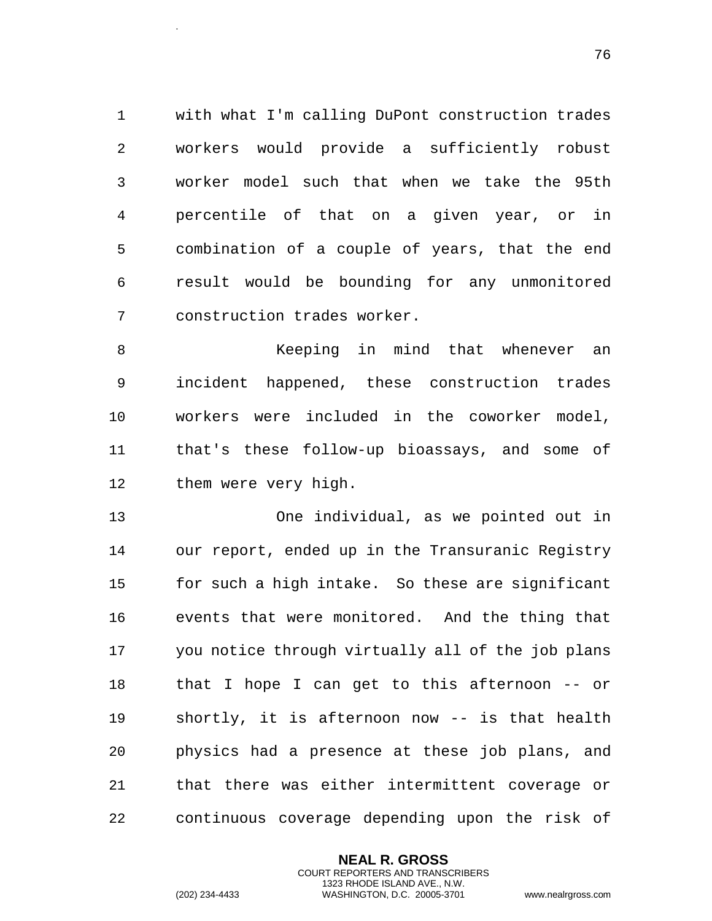with what I'm calling DuPont construction trades workers would provide a sufficiently robust worker model such that when we take the 95th percentile of that on a given year, or in combination of a couple of years, that the end result would be bounding for any unmonitored construction trades worker.

 Keeping in mind that whenever an incident happened, these construction trades workers were included in the coworker model, that's these follow-up bioassays, and some of them were very high.

 One individual, as we pointed out in our report, ended up in the Transuranic Registry for such a high intake. So these are significant events that were monitored. And the thing that you notice through virtually all of the job plans that I hope I can get to this afternoon -- or shortly, it is afternoon now -- is that health physics had a presence at these job plans, and that there was either intermittent coverage or continuous coverage depending upon the risk of

> **NEAL R. GROSS** COURT REPORTERS AND TRANSCRIBERS 1323 RHODE ISLAND AVE., N.W.

.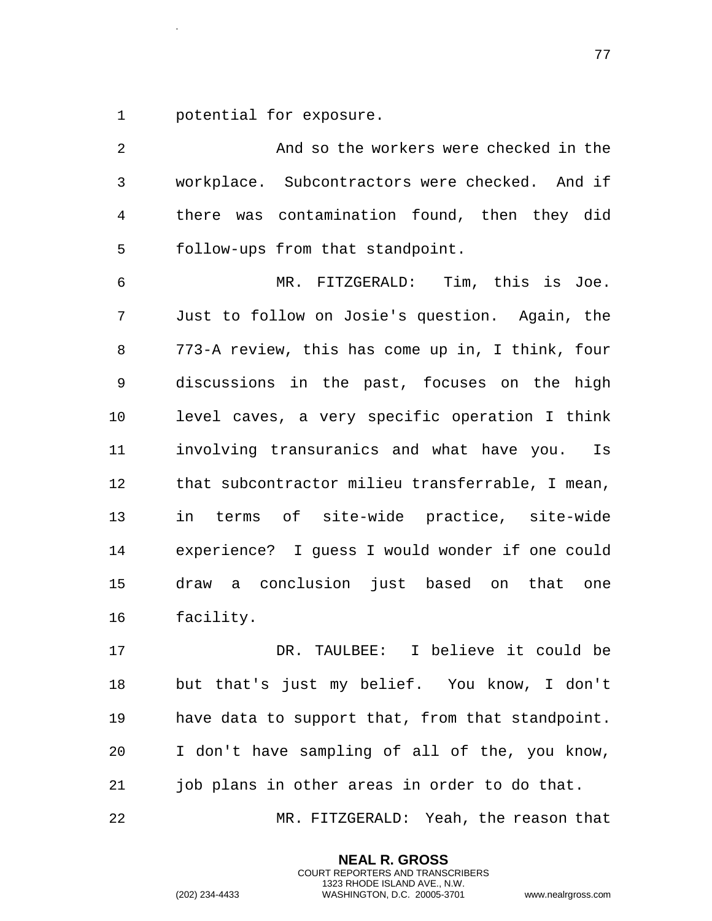potential for exposure.

.

 And so the workers were checked in the workplace. Subcontractors were checked. And if there was contamination found, then they did follow-ups from that standpoint. MR. FITZGERALD: Tim, this is Joe. Just to follow on Josie's question. Again, the

 773-A review, this has come up in, I think, four discussions in the past, focuses on the high level caves, a very specific operation I think involving transuranics and what have you. Is that subcontractor milieu transferrable, I mean, in terms of site-wide practice, site-wide experience? I guess I would wonder if one could draw a conclusion just based on that one facility.

 DR. TAULBEE: I believe it could be but that's just my belief. You know, I don't have data to support that, from that standpoint. I don't have sampling of all of the, you know, job plans in other areas in order to do that.

MR. FITZGERALD: Yeah, the reason that

**NEAL R. GROSS** COURT REPORTERS AND TRANSCRIBERS 1323 RHODE ISLAND AVE., N.W.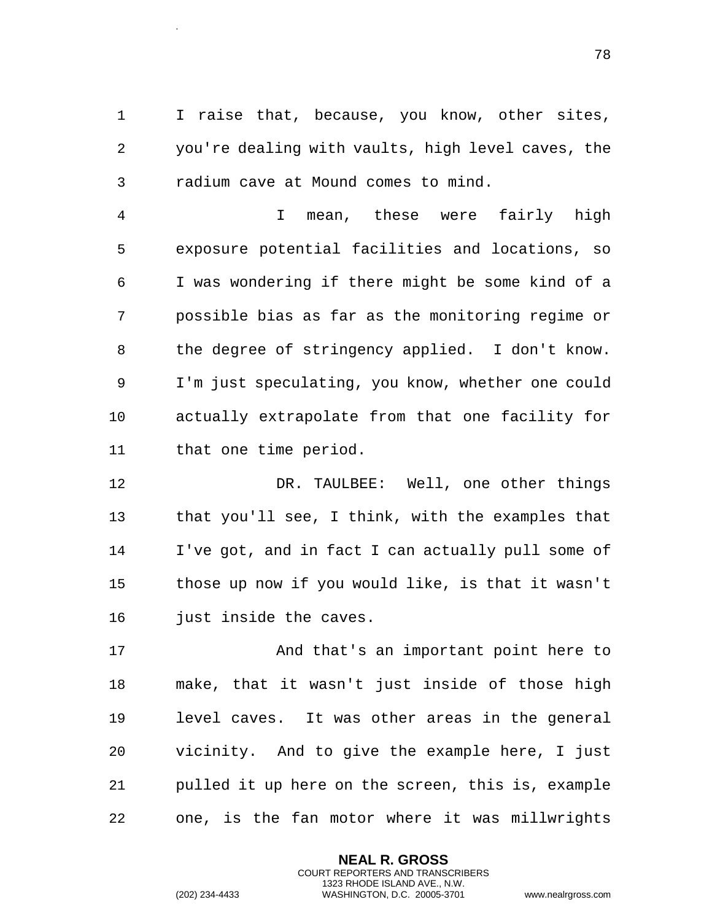I raise that, because, you know, other sites, you're dealing with vaults, high level caves, the radium cave at Mound comes to mind.

 I mean, these were fairly high exposure potential facilities and locations, so I was wondering if there might be some kind of a possible bias as far as the monitoring regime or the degree of stringency applied. I don't know. I'm just speculating, you know, whether one could actually extrapolate from that one facility for that one time period.

 DR. TAULBEE: Well, one other things that you'll see, I think, with the examples that I've got, and in fact I can actually pull some of those up now if you would like, is that it wasn't 16 just inside the caves.

17 And that's an important point here to make, that it wasn't just inside of those high level caves. It was other areas in the general vicinity. And to give the example here, I just pulled it up here on the screen, this is, example one, is the fan motor where it was millwrights

> **NEAL R. GROSS** COURT REPORTERS AND TRANSCRIBERS 1323 RHODE ISLAND AVE., N.W.

.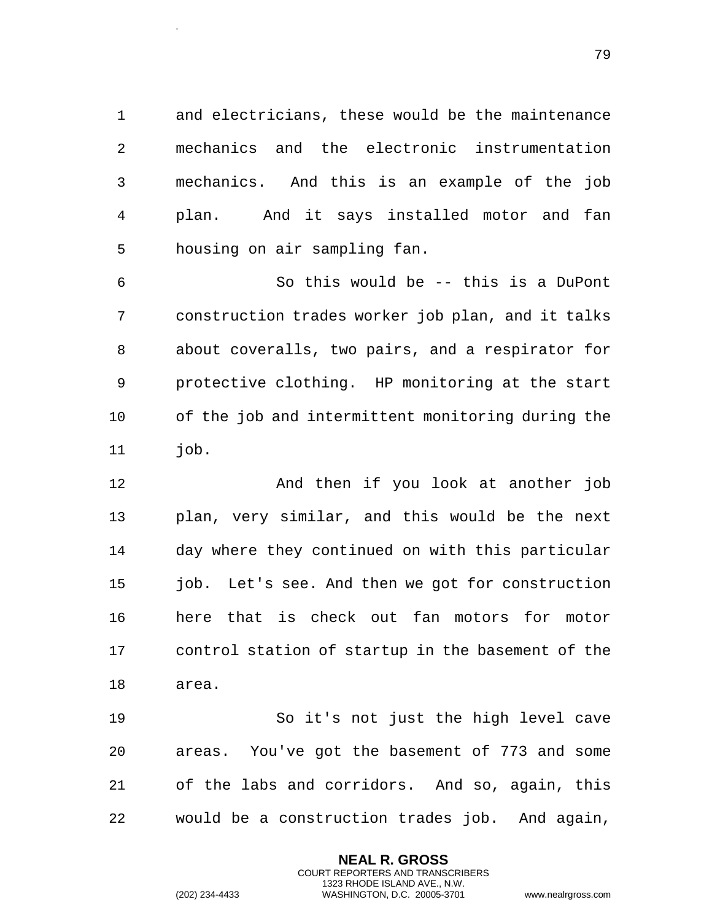and electricians, these would be the maintenance mechanics and the electronic instrumentation mechanics. And this is an example of the job plan. And it says installed motor and fan housing on air sampling fan.

 So this would be -- this is a DuPont construction trades worker job plan, and it talks about coveralls, two pairs, and a respirator for protective clothing. HP monitoring at the start of the job and intermittent monitoring during the 11 iob.

 And then if you look at another job plan, very similar, and this would be the next day where they continued on with this particular 15 job. Let's see. And then we got for construction here that is check out fan motors for motor control station of startup in the basement of the area.

 So it's not just the high level cave areas. You've got the basement of 773 and some of the labs and corridors. And so, again, this would be a construction trades job. And again,

> **NEAL R. GROSS** COURT REPORTERS AND TRANSCRIBERS 1323 RHODE ISLAND AVE., N.W.

.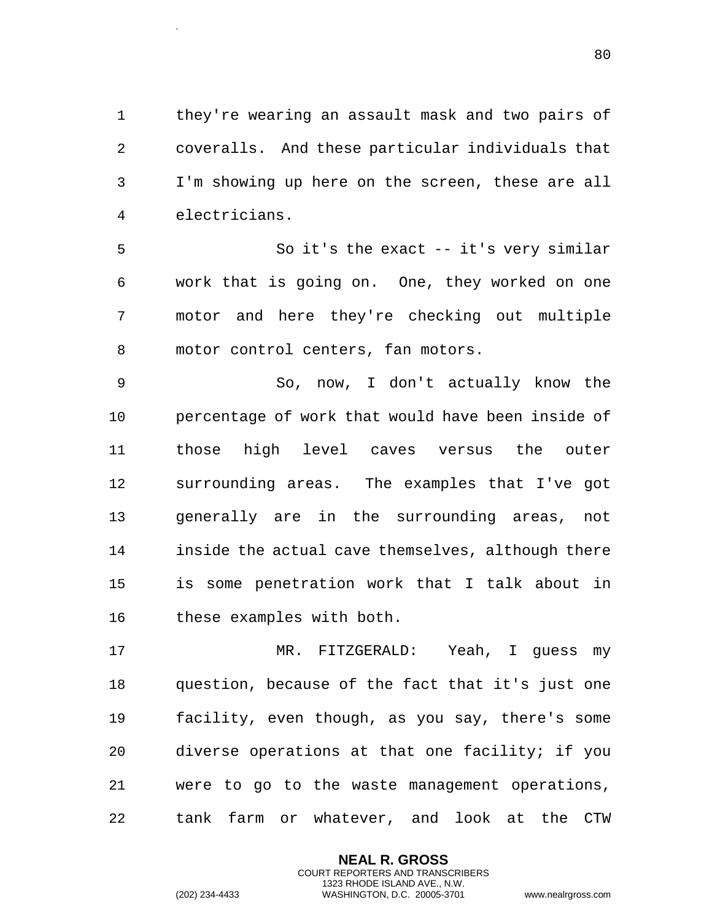they're wearing an assault mask and two pairs of coveralls. And these particular individuals that I'm showing up here on the screen, these are all electricians.

 So it's the exact -- it's very similar work that is going on. One, they worked on one motor and here they're checking out multiple motor control centers, fan motors.

 So, now, I don't actually know the percentage of work that would have been inside of those high level caves versus the outer surrounding areas. The examples that I've got generally are in the surrounding areas, not inside the actual cave themselves, although there is some penetration work that I talk about in these examples with both.

 MR. FITZGERALD: Yeah, I guess my question, because of the fact that it's just one facility, even though, as you say, there's some diverse operations at that one facility; if you were to go to the waste management operations, tank farm or whatever, and look at the CTW

> **NEAL R. GROSS** COURT REPORTERS AND TRANSCRIBERS 1323 RHODE ISLAND AVE., N.W.

.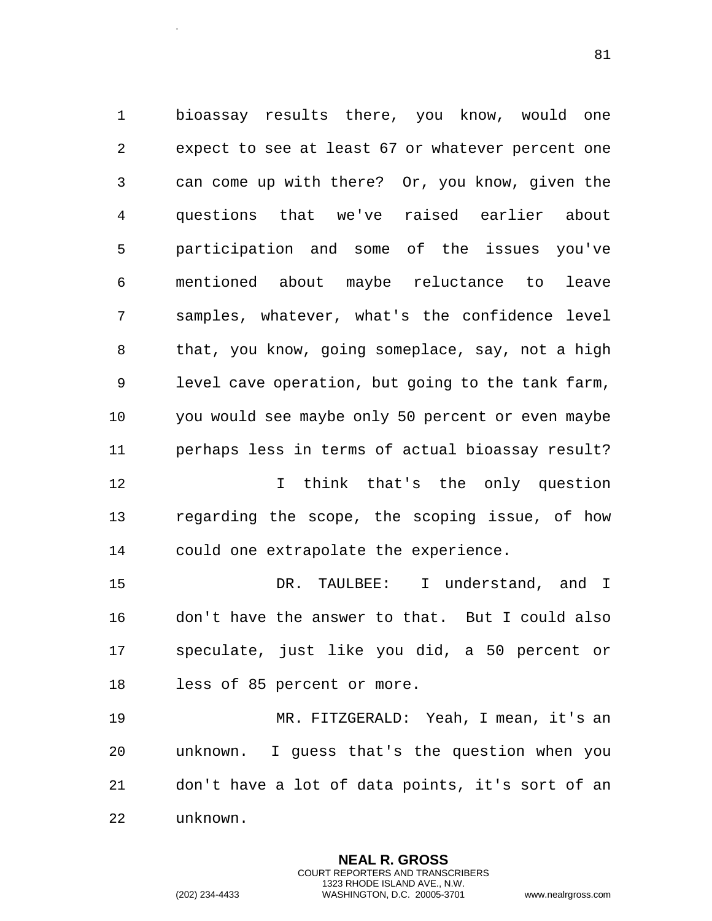bioassay results there, you know, would one expect to see at least 67 or whatever percent one can come up with there? Or, you know, given the questions that we've raised earlier about participation and some of the issues you've mentioned about maybe reluctance to leave samples, whatever, what's the confidence level that, you know, going someplace, say, not a high level cave operation, but going to the tank farm, you would see maybe only 50 percent or even maybe perhaps less in terms of actual bioassay result? I think that's the only question

 regarding the scope, the scoping issue, of how could one extrapolate the experience.

 DR. TAULBEE: I understand, and I don't have the answer to that. But I could also speculate, just like you did, a 50 percent or less of 85 percent or more.

 MR. FITZGERALD: Yeah, I mean, it's an unknown. I guess that's the question when you don't have a lot of data points, it's sort of an unknown.

> **NEAL R. GROSS** COURT REPORTERS AND TRANSCRIBERS 1323 RHODE ISLAND AVE., N.W.

.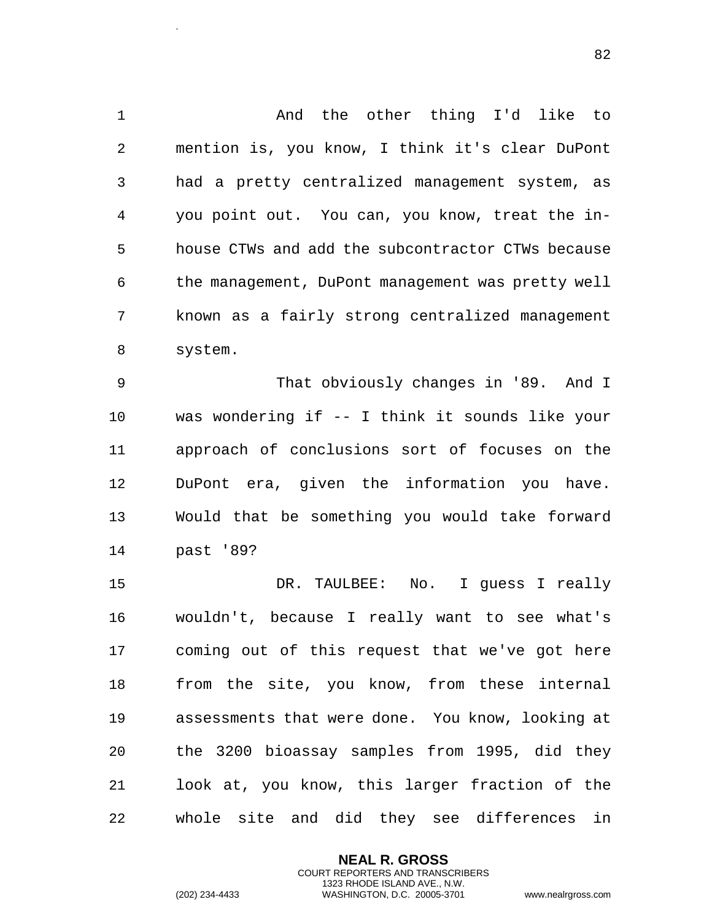And the other thing I'd like to mention is, you know, I think it's clear DuPont had a pretty centralized management system, as you point out. You can, you know, treat the in- house CTWs and add the subcontractor CTWs because the management, DuPont management was pretty well known as a fairly strong centralized management system.

 That obviously changes in '89. And I was wondering if -- I think it sounds like your approach of conclusions sort of focuses on the DuPont era, given the information you have. Would that be something you would take forward past '89?

 DR. TAULBEE: No. I guess I really wouldn't, because I really want to see what's coming out of this request that we've got here from the site, you know, from these internal assessments that were done. You know, looking at the 3200 bioassay samples from 1995, did they look at, you know, this larger fraction of the whole site and did they see differences in

> **NEAL R. GROSS** COURT REPORTERS AND TRANSCRIBERS 1323 RHODE ISLAND AVE., N.W.

.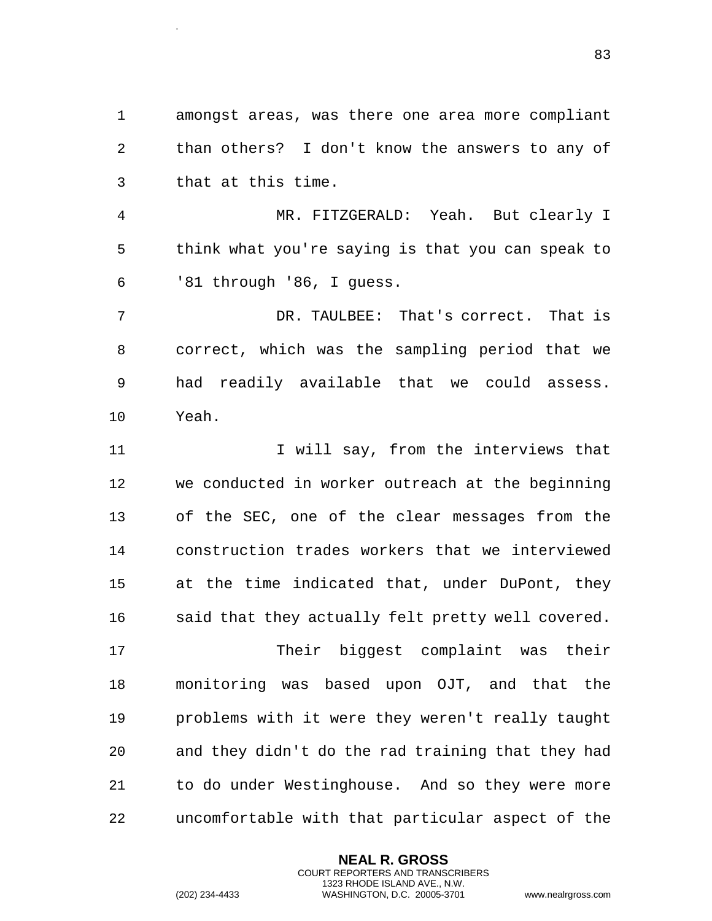amongst areas, was there one area more compliant than others? I don't know the answers to any of that at this time.

 MR. FITZGERALD: Yeah. But clearly I think what you're saying is that you can speak to '81 through '86, I guess.

 DR. TAULBEE: That's correct. That is correct, which was the sampling period that we had readily available that we could assess. Yeah.

11 11 I will say, from the interviews that we conducted in worker outreach at the beginning of the SEC, one of the clear messages from the construction trades workers that we interviewed at the time indicated that, under DuPont, they 16 said that they actually felt pretty well covered.

 Their biggest complaint was their monitoring was based upon OJT, and that the problems with it were they weren't really taught and they didn't do the rad training that they had to do under Westinghouse. And so they were more uncomfortable with that particular aspect of the

> **NEAL R. GROSS** COURT REPORTERS AND TRANSCRIBERS 1323 RHODE ISLAND AVE., N.W.

.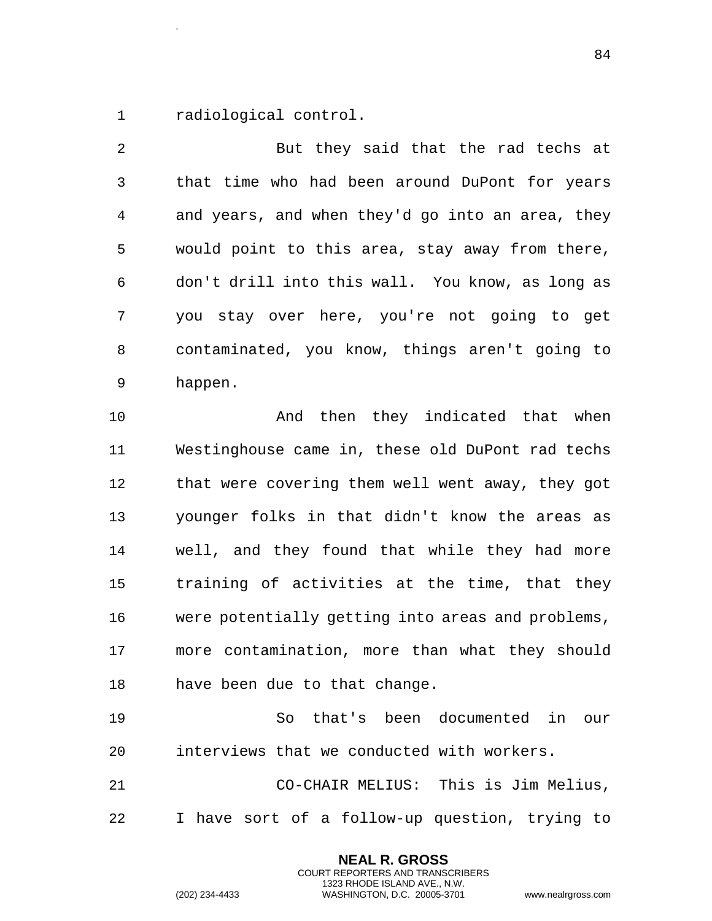radiological control.

.

 But they said that the rad techs at that time who had been around DuPont for years and years, and when they'd go into an area, they would point to this area, stay away from there, don't drill into this wall. You know, as long as you stay over here, you're not going to get contaminated, you know, things aren't going to happen. And then they indicated that when Westinghouse came in, these old DuPont rad techs that were covering them well went away, they got younger folks in that didn't know the areas as well, and they found that while they had more

 training of activities at the time, that they were potentially getting into areas and problems, more contamination, more than what they should have been due to that change.

 So that's been documented in our interviews that we conducted with workers.

 CO-CHAIR MELIUS: This is Jim Melius, I have sort of a follow-up question, trying to

> **NEAL R. GROSS** COURT REPORTERS AND TRANSCRIBERS 1323 RHODE ISLAND AVE., N.W.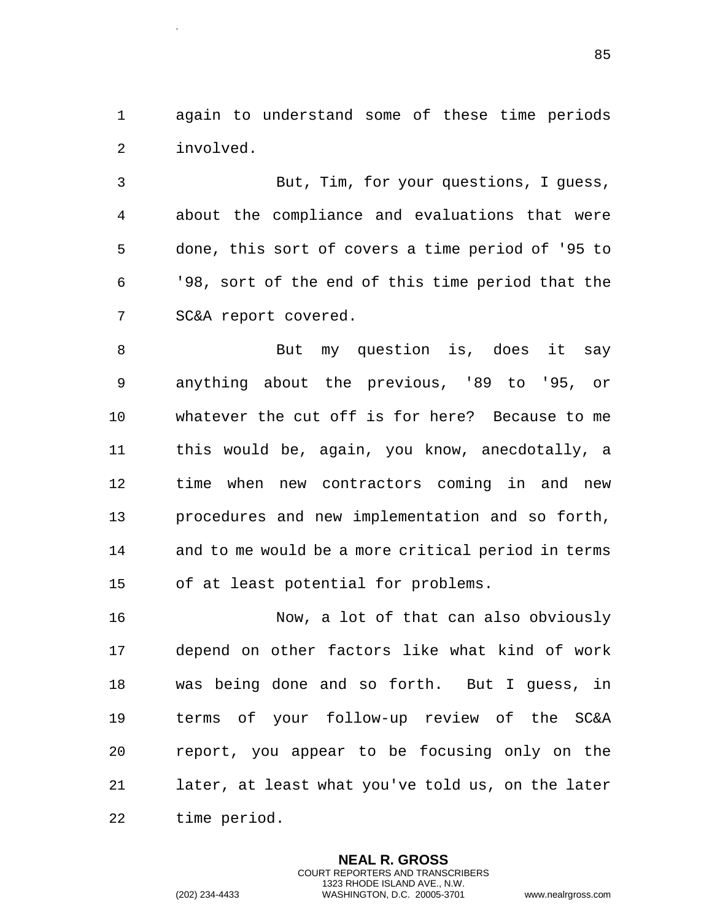again to understand some of these time periods involved.

 But, Tim, for your questions, I guess, about the compliance and evaluations that were done, this sort of covers a time period of '95 to '98, sort of the end of this time period that the SC&A report covered.

8 But my question is, does it say anything about the previous, '89 to '95, or whatever the cut off is for here? Because to me this would be, again, you know, anecdotally, a time when new contractors coming in and new procedures and new implementation and so forth, and to me would be a more critical period in terms of at least potential for problems.

16 Now, a lot of that can also obviously depend on other factors like what kind of work was being done and so forth. But I guess, in terms of your follow-up review of the SC&A report, you appear to be focusing only on the later, at least what you've told us, on the later time period.

> **NEAL R. GROSS** COURT REPORTERS AND TRANSCRIBERS 1323 RHODE ISLAND AVE., N.W.

.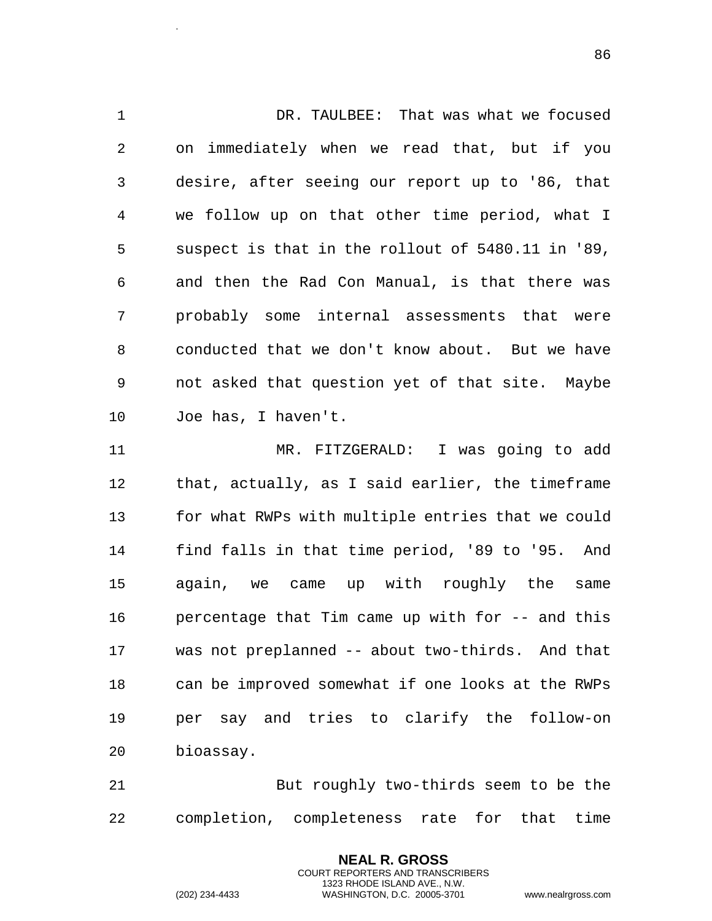DR. TAULBEE: That was what we focused on immediately when we read that, but if you desire, after seeing our report up to '86, that we follow up on that other time period, what I suspect is that in the rollout of 5480.11 in '89, and then the Rad Con Manual, is that there was probably some internal assessments that were conducted that we don't know about. But we have not asked that question yet of that site. Maybe Joe has, I haven't. MR. FITZGERALD: I was going to add that, actually, as I said earlier, the timeframe for what RWPs with multiple entries that we could find falls in that time period, '89 to '95. And again, we came up with roughly the same percentage that Tim came up with for -- and this was not preplanned -- about two-thirds. And that can be improved somewhat if one looks at the RWPs per say and tries to clarify the follow-on

 But roughly two-thirds seem to be the completion, completeness rate for that time

> **NEAL R. GROSS** COURT REPORTERS AND TRANSCRIBERS 1323 RHODE ISLAND AVE., N.W.

bioassay.

.

```
(202) 234-4433 WASHINGTON, D.C. 20005-3701 www.nealrgross.com
```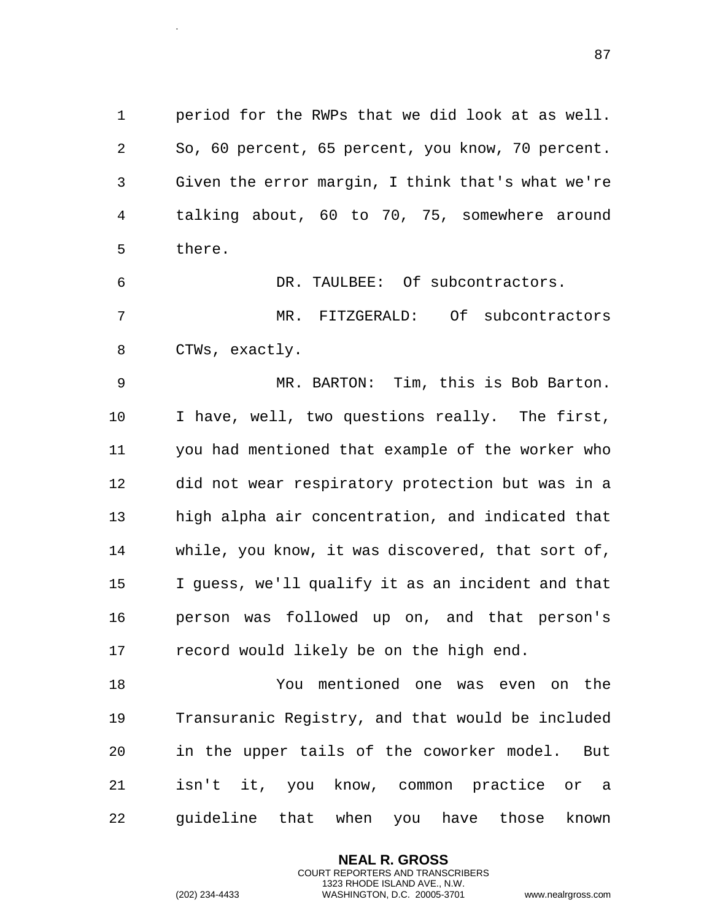period for the RWPs that we did look at as well. So, 60 percent, 65 percent, you know, 70 percent. Given the error margin, I think that's what we're talking about, 60 to 70, 75, somewhere around there.

 DR. TAULBEE: Of subcontractors. MR. FITZGERALD: Of subcontractors CTWs, exactly.

 MR. BARTON: Tim, this is Bob Barton. I have, well, two questions really. The first, you had mentioned that example of the worker who did not wear respiratory protection but was in a high alpha air concentration, and indicated that while, you know, it was discovered, that sort of, I guess, we'll qualify it as an incident and that person was followed up on, and that person's record would likely be on the high end.

 You mentioned one was even on the Transuranic Registry, and that would be included in the upper tails of the coworker model. But isn't it, you know, common practice or a guideline that when you have those known

> **NEAL R. GROSS** COURT REPORTERS AND TRANSCRIBERS 1323 RHODE ISLAND AVE., N.W.

.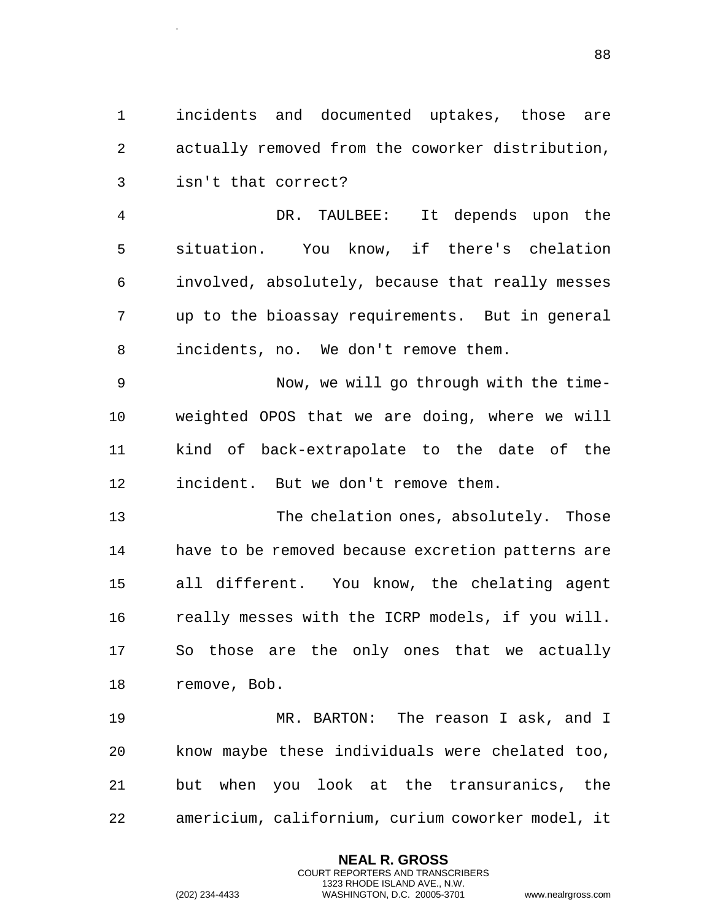incidents and documented uptakes, those are actually removed from the coworker distribution, isn't that correct?

 DR. TAULBEE: It depends upon the situation. You know, if there's chelation involved, absolutely, because that really messes up to the bioassay requirements. But in general incidents, no. We don't remove them.

 Now, we will go through with the time- weighted OPOS that we are doing, where we will kind of back-extrapolate to the date of the incident. But we don't remove them.

 The chelation ones, absolutely. Those have to be removed because excretion patterns are all different. You know, the chelating agent really messes with the ICRP models, if you will. So those are the only ones that we actually remove, Bob.

 MR. BARTON: The reason I ask, and I know maybe these individuals were chelated too, but when you look at the transuranics, the americium, californium, curium coworker model, it

> **NEAL R. GROSS** COURT REPORTERS AND TRANSCRIBERS 1323 RHODE ISLAND AVE., N.W.

.

(202) 234-4433 WASHINGTON, D.C. 20005-3701 www.nealrgross.com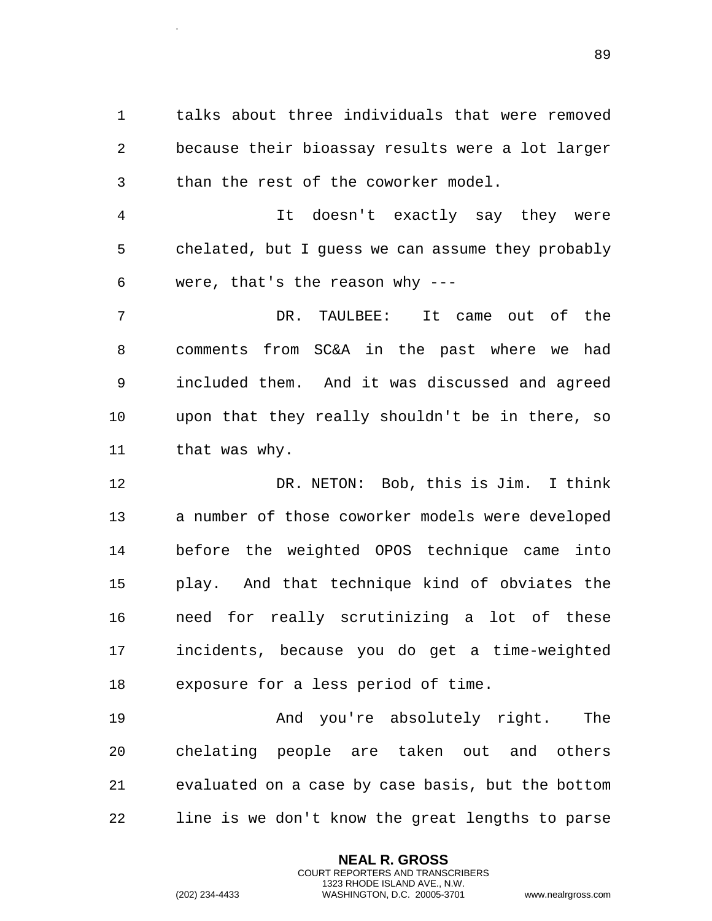talks about three individuals that were removed because their bioassay results were a lot larger than the rest of the coworker model.

 It doesn't exactly say they were chelated, but I guess we can assume they probably were, that's the reason why ---

 DR. TAULBEE: It came out of the comments from SC&A in the past where we had included them. And it was discussed and agreed upon that they really shouldn't be in there, so 11 that was why.

 DR. NETON: Bob, this is Jim. I think a number of those coworker models were developed before the weighted OPOS technique came into play. And that technique kind of obviates the need for really scrutinizing a lot of these incidents, because you do get a time-weighted exposure for a less period of time.

 And you're absolutely right. The chelating people are taken out and others evaluated on a case by case basis, but the bottom line is we don't know the great lengths to parse

> **NEAL R. GROSS** COURT REPORTERS AND TRANSCRIBERS 1323 RHODE ISLAND AVE., N.W.

.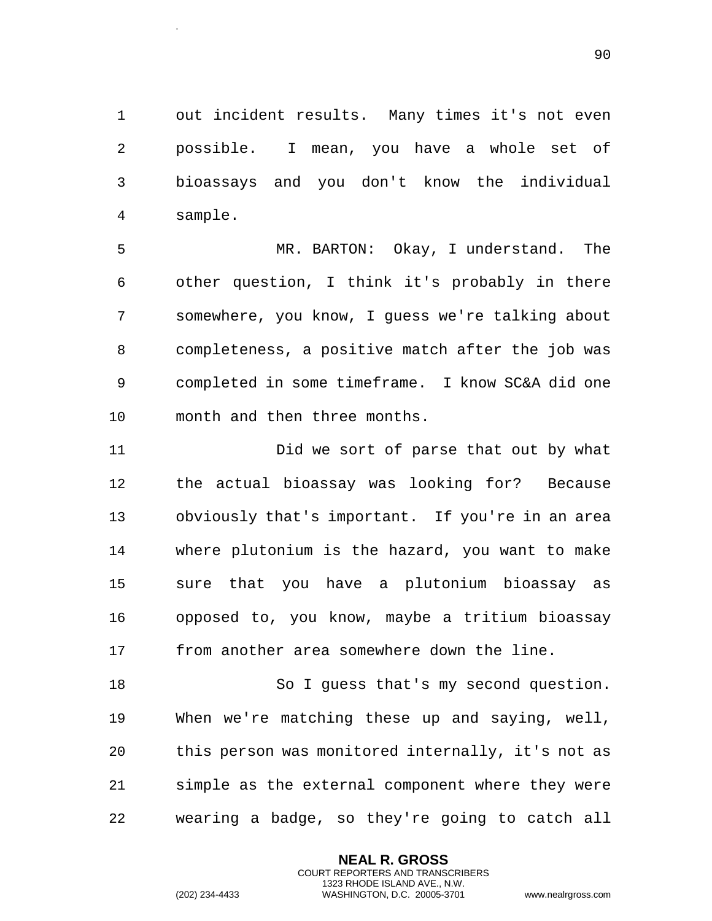out incident results. Many times it's not even possible. I mean, you have a whole set of bioassays and you don't know the individual sample.

 MR. BARTON: Okay, I understand. The other question, I think it's probably in there somewhere, you know, I guess we're talking about completeness, a positive match after the job was completed in some timeframe. I know SC&A did one month and then three months.

 Did we sort of parse that out by what the actual bioassay was looking for? Because obviously that's important. If you're in an area where plutonium is the hazard, you want to make sure that you have a plutonium bioassay as opposed to, you know, maybe a tritium bioassay from another area somewhere down the line.

 So I guess that's my second question. When we're matching these up and saying, well, this person was monitored internally, it's not as simple as the external component where they were wearing a badge, so they're going to catch all

> **NEAL R. GROSS** COURT REPORTERS AND TRANSCRIBERS 1323 RHODE ISLAND AVE., N.W.

.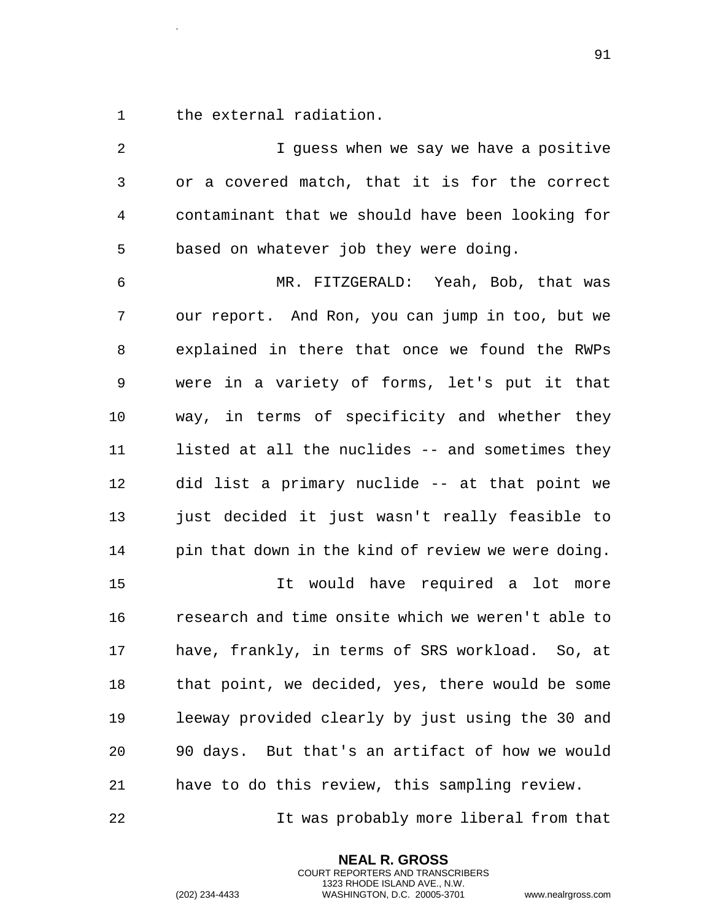the external radiation.

.

 I guess when we say we have a positive or a covered match, that it is for the correct contaminant that we should have been looking for based on whatever job they were doing. MR. FITZGERALD: Yeah, Bob, that was our report. And Ron, you can jump in too, but we explained in there that once we found the RWPs were in a variety of forms, let's put it that way, in terms of specificity and whether they listed at all the nuclides -- and sometimes they did list a primary nuclide -- at that point we just decided it just wasn't really feasible to pin that down in the kind of review we were doing. It would have required a lot more research and time onsite which we weren't able to have, frankly, in terms of SRS workload. So, at that point, we decided, yes, there would be some leeway provided clearly by just using the 30 and 90 days. But that's an artifact of how we would have to do this review, this sampling review.

It was probably more liberal from that

**NEAL R. GROSS** COURT REPORTERS AND TRANSCRIBERS 1323 RHODE ISLAND AVE., N.W.

(202) 234-4433 WASHINGTON, D.C. 20005-3701 www.nealrgross.com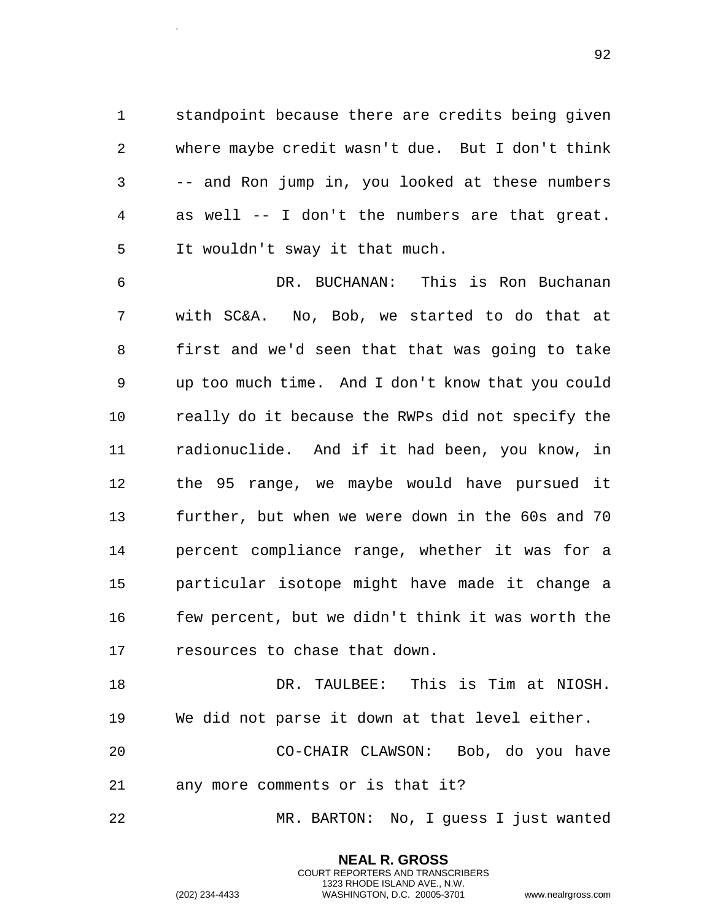standpoint because there are credits being given where maybe credit wasn't due. But I don't think -- and Ron jump in, you looked at these numbers as well -- I don't the numbers are that great. It wouldn't sway it that much.

 DR. BUCHANAN: This is Ron Buchanan with SC&A. No, Bob, we started to do that at first and we'd seen that that was going to take up too much time. And I don't know that you could really do it because the RWPs did not specify the radionuclide. And if it had been, you know, in the 95 range, we maybe would have pursued it further, but when we were down in the 60s and 70 percent compliance range, whether it was for a particular isotope might have made it change a few percent, but we didn't think it was worth the resources to chase that down.

 DR. TAULBEE: This is Tim at NIOSH. We did not parse it down at that level either.

 CO-CHAIR CLAWSON: Bob, do you have any more comments or is that it?

MR. BARTON: No, I guess I just wanted

**NEAL R. GROSS** COURT REPORTERS AND TRANSCRIBERS 1323 RHODE ISLAND AVE., N.W.

(202) 234-4433 WASHINGTON, D.C. 20005-3701 www.nealrgross.com

.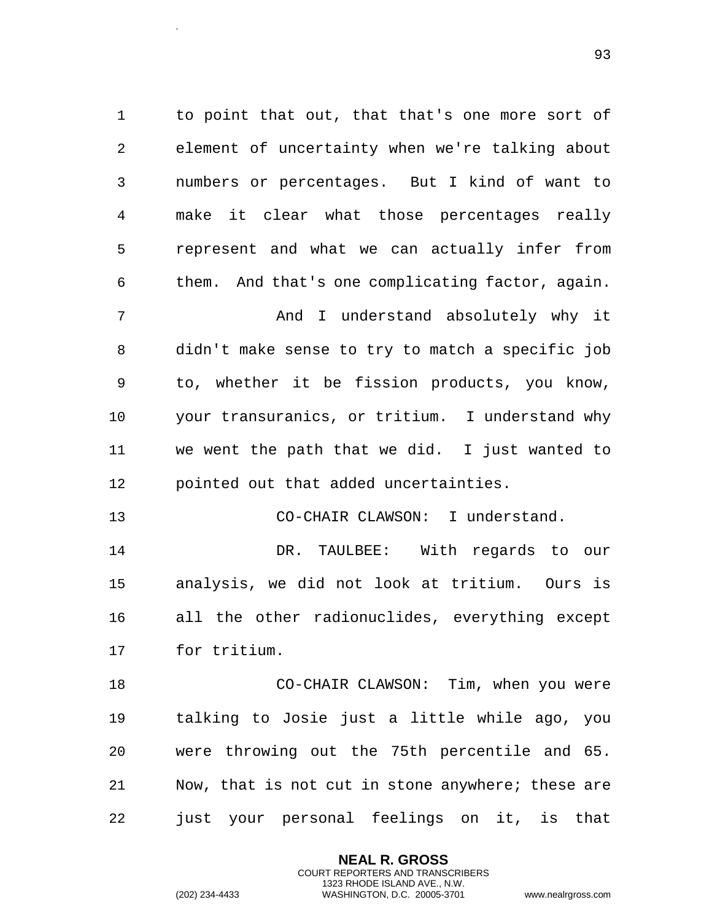to point that out, that that's one more sort of element of uncertainty when we're talking about numbers or percentages. But I kind of want to make it clear what those percentages really represent and what we can actually infer from them. And that's one complicating factor, again. And I understand absolutely why it didn't make sense to try to match a specific job to, whether it be fission products, you know, your transuranics, or tritium. I understand why we went the path that we did. I just wanted to pointed out that added uncertainties. CO-CHAIR CLAWSON: I understand. DR. TAULBEE: With regards to our analysis, we did not look at tritium. Ours is all the other radionuclides, everything except for tritium. CO-CHAIR CLAWSON: Tim, when you were talking to Josie just a little while ago, you were throwing out the 75th percentile and 65.

 Now, that is not cut in stone anywhere; these are just your personal feelings on it, is that

> **NEAL R. GROSS** COURT REPORTERS AND TRANSCRIBERS 1323 RHODE ISLAND AVE., N.W.

.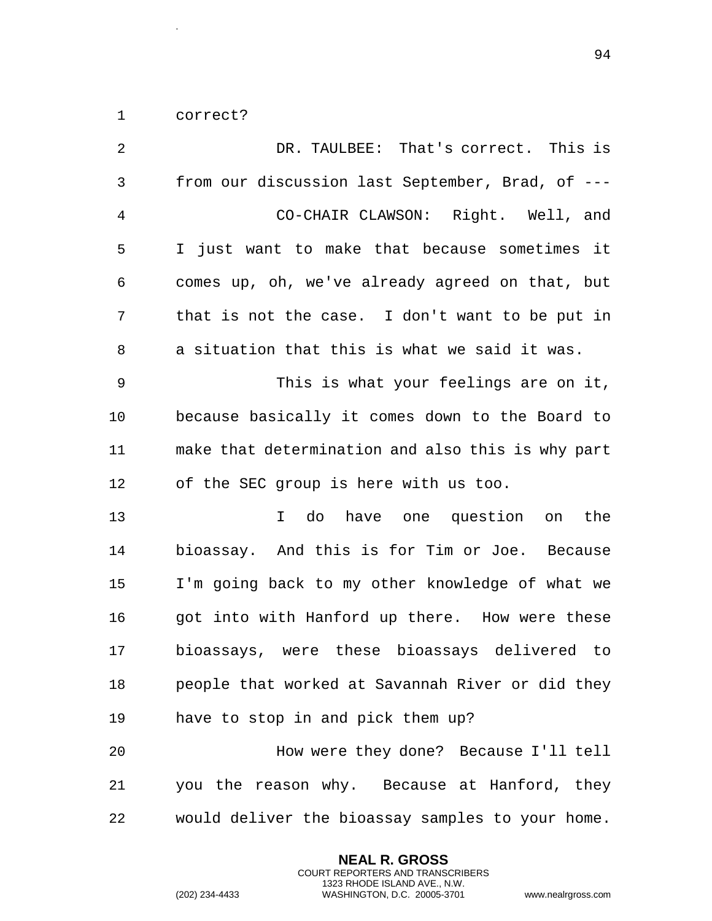correct?

.

| 2              | DR. TAULBEE: That's correct. This is              |
|----------------|---------------------------------------------------|
| 3              | from our discussion last September, Brad, of ---  |
| $\overline{4}$ | CO-CHAIR CLAWSON: Right. Well, and                |
| 5              | I just want to make that because sometimes it     |
| 6              | comes up, oh, we've already agreed on that, but   |
| 7              | that is not the case. I don't want to be put in   |
| 8              | a situation that this is what we said it was.     |
| 9              | This is what your feelings are on it,             |
| 10             | because basically it comes down to the Board to   |
| 11             | make that determination and also this is why part |
| 12             | of the SEC group is here with us too.             |
| 13             | do have one question<br>the<br>$\mathbf{I}$<br>on |
| 14             | bioassay. And this is for Tim or Joe. Because     |
| 15             | I'm going back to my other knowledge of what we   |
| 16             | got into with Hanford up there. How were these    |
| 17             | bioassays, were these bioassays delivered to      |
| 18             | people that worked at Savannah River or did they  |
| 19             | have to stop in and pick them up?                 |
| 20             | How were they done? Because I'll tell             |
| 21             | you the reason why. Because at Hanford, they      |
| 22             | would deliver the bioassay samples to your home.  |

**NEAL R. GROSS** COURT REPORTERS AND TRANSCRIBERS 1323 RHODE ISLAND AVE., N.W.

(202) 234-4433 WASHINGTON, D.C. 20005-3701 www.nealrgross.com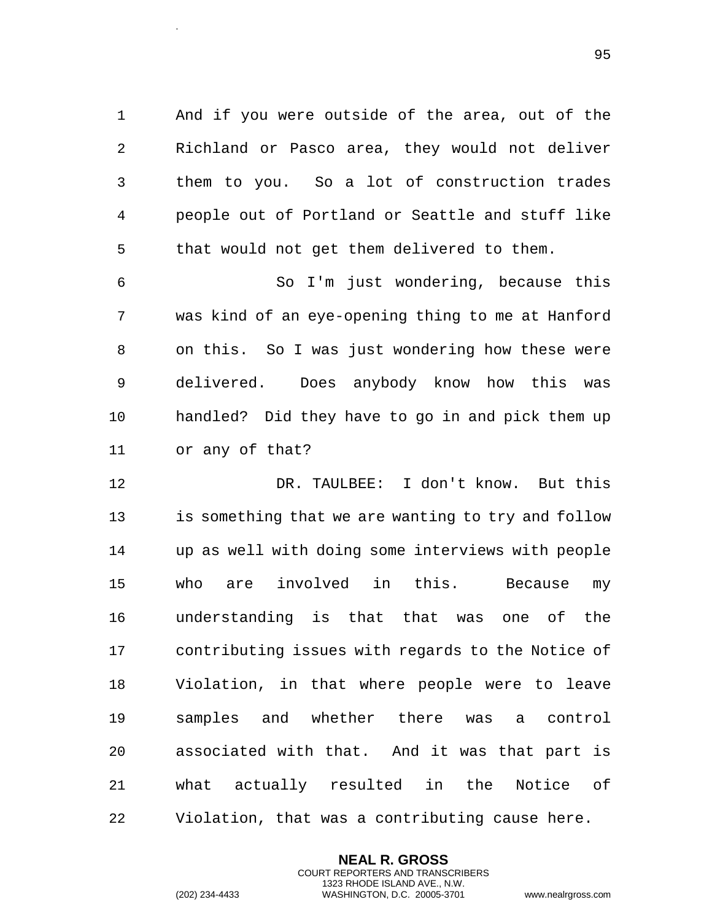And if you were outside of the area, out of the Richland or Pasco area, they would not deliver them to you. So a lot of construction trades people out of Portland or Seattle and stuff like that would not get them delivered to them.

 So I'm just wondering, because this was kind of an eye-opening thing to me at Hanford on this. So I was just wondering how these were delivered. Does anybody know how this was handled? Did they have to go in and pick them up or any of that?

 DR. TAULBEE: I don't know. But this is something that we are wanting to try and follow up as well with doing some interviews with people who are involved in this. Because my understanding is that that was one of the contributing issues with regards to the Notice of Violation, in that where people were to leave samples and whether there was a control associated with that. And it was that part is what actually resulted in the Notice of Violation, that was a contributing cause here.

> **NEAL R. GROSS** COURT REPORTERS AND TRANSCRIBERS 1323 RHODE ISLAND AVE., N.W.

.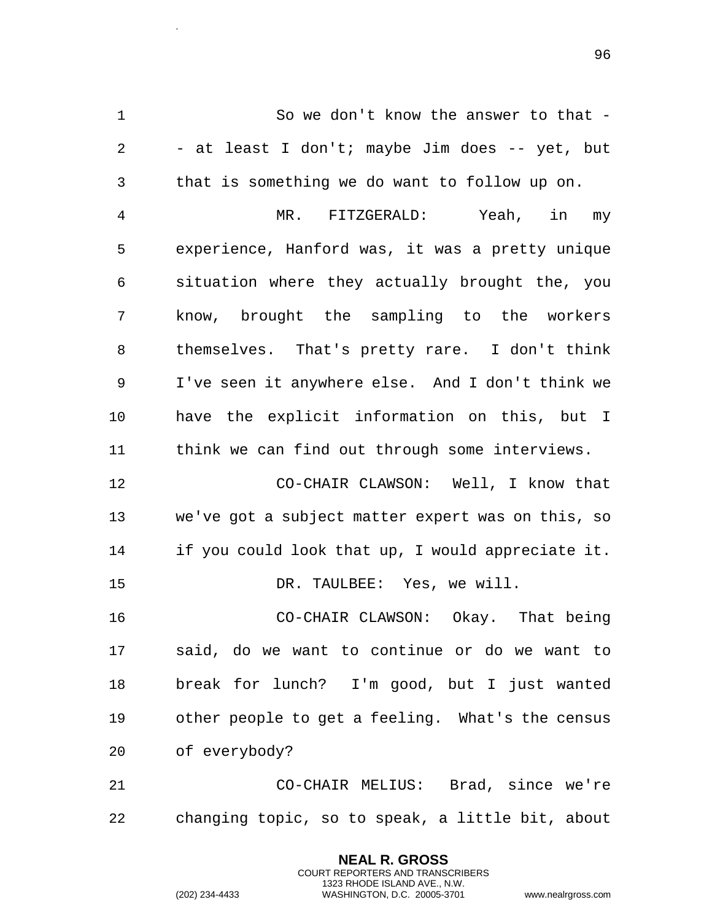So we don't know the answer to that - - at least I don't; maybe Jim does -- yet, but that is something we do want to follow up on.

 MR. FITZGERALD: Yeah, in my experience, Hanford was, it was a pretty unique situation where they actually brought the, you know, brought the sampling to the workers themselves. That's pretty rare. I don't think I've seen it anywhere else. And I don't think we have the explicit information on this, but I think we can find out through some interviews.

 CO-CHAIR CLAWSON: Well, I know that we've got a subject matter expert was on this, so if you could look that up, I would appreciate it. DR. TAULBEE: Yes, we will.

 CO-CHAIR CLAWSON: Okay. That being said, do we want to continue or do we want to break for lunch? I'm good, but I just wanted other people to get a feeling. What's the census of everybody?

 CO-CHAIR MELIUS: Brad, since we're changing topic, so to speak, a little bit, about

> **NEAL R. GROSS** COURT REPORTERS AND TRANSCRIBERS 1323 RHODE ISLAND AVE., N.W.

.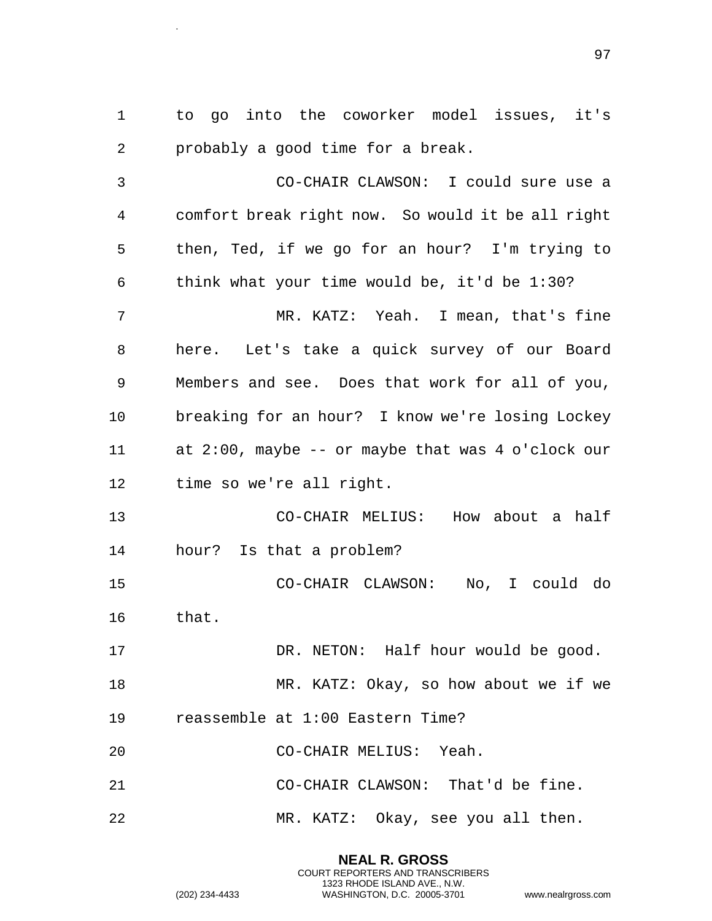to go into the coworker model issues, it's probably a good time for a break.

 CO-CHAIR CLAWSON: I could sure use a comfort break right now. So would it be all right then, Ted, if we go for an hour? I'm trying to think what your time would be, it'd be 1:30? MR. KATZ: Yeah. I mean, that's fine here. Let's take a quick survey of our Board Members and see. Does that work for all of you, breaking for an hour? I know we're losing Lockey at 2:00, maybe -- or maybe that was 4 o'clock our time so we're all right. CO-CHAIR MELIUS: How about a half hour? Is that a problem? CO-CHAIR CLAWSON: No, I could do that. 17 DR. NETON: Half hour would be good. MR. KATZ: Okay, so how about we if we reassemble at 1:00 Eastern Time? CO-CHAIR MELIUS: Yeah.

CO-CHAIR CLAWSON: That'd be fine.

MR. KATZ: Okay, see you all then.

**NEAL R. GROSS** COURT REPORTERS AND TRANSCRIBERS 1323 RHODE ISLAND AVE., N.W.

.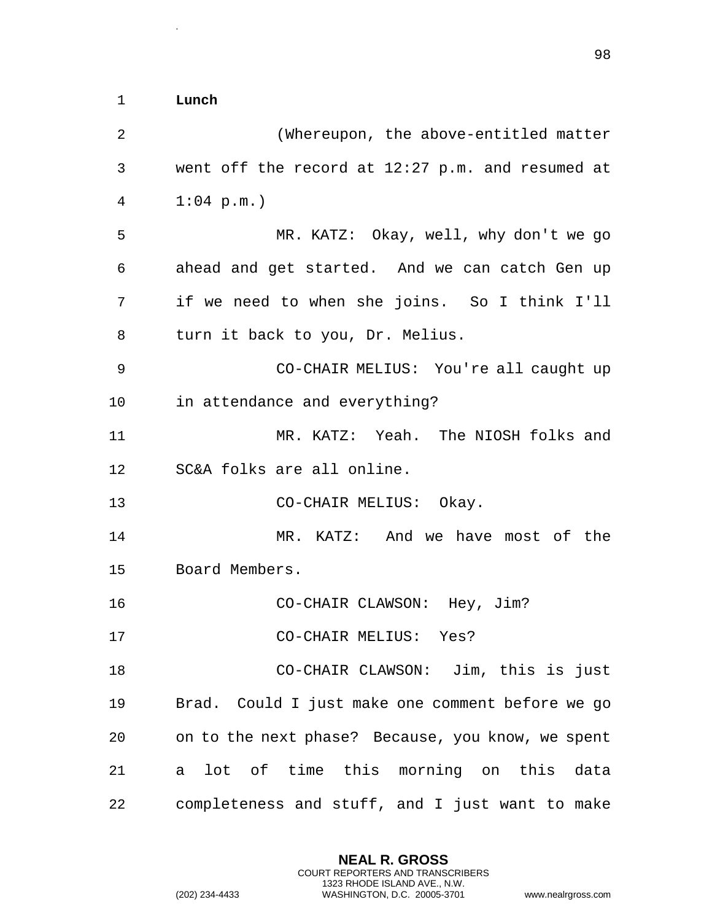1 **Lunch** 

.

2 (Whereupon, the above-entitled matter 3 went off the record at 12:27 p.m. and resumed at 4 1:04 p.m.) 5 MR. KATZ: Okay, well, why don't we go 6 ahead and get started. And we can catch Gen up 7 if we need to when she joins. So I think I'll 8 turn it back to you, Dr. Melius. 9 CO-CHAIR MELIUS: You're all caught up 10 in attendance and everything? 11 MR. KATZ: Yeah. The NIOSH folks and 12 SC&A folks are all online. 13 CO-CHAIR MELIUS: Okay. 14 MR. KATZ: And we have most of the 15 Board Members. 16 CO-CHAIR CLAWSON: Hey, Jim? 17 CO-CHAIR MELIUS: Yes? 18 CO-CHAIR CLAWSON: Jim, this is just 19 Brad. Could I just make one comment before we go 20 on to the next phase? Because, you know, we spent 21 a lot of time this morning on this data 22 completeness and stuff, and I just want to make

> **NEAL R. GROSS** COURT REPORTERS AND TRANSCRIBERS 1323 RHODE ISLAND AVE., N.W.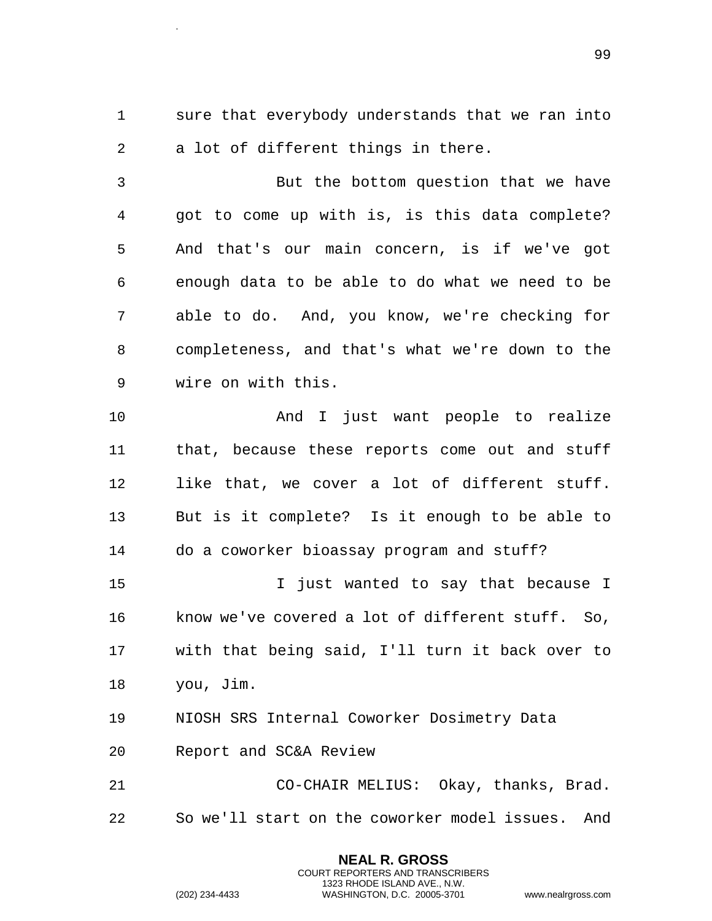.

 sure that everybody understands that we ran into a lot of different things in there.

 But the bottom question that we have got to come up with is, is this data complete? And that's our main concern, is if we've got enough data to be able to do what we need to be able to do. And, you know, we're checking for completeness, and that's what we're down to the wire on with this.

 And I just want people to realize that, because these reports come out and stuff like that, we cover a lot of different stuff. But is it complete? Is it enough to be able to do a coworker bioassay program and stuff?

 I just wanted to say that because I know we've covered a lot of different stuff. So, with that being said, I'll turn it back over to you, Jim.

NIOSH SRS Internal Coworker Dosimetry Data

Report and SC&A Review

 CO-CHAIR MELIUS: Okay, thanks, Brad. So we'll start on the coworker model issues. And

> **NEAL R. GROSS** COURT REPORTERS AND TRANSCRIBERS 1323 RHODE ISLAND AVE., N.W.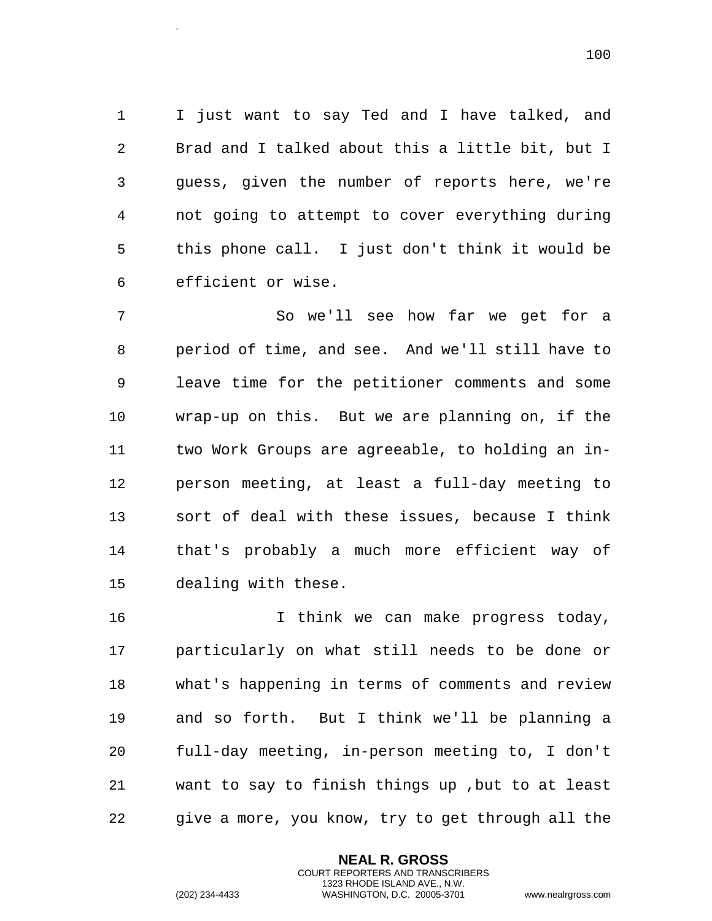I just want to say Ted and I have talked, and Brad and I talked about this a little bit, but I guess, given the number of reports here, we're not going to attempt to cover everything during this phone call. I just don't think it would be efficient or wise.

 So we'll see how far we get for a period of time, and see. And we'll still have to leave time for the petitioner comments and some wrap-up on this. But we are planning on, if the two Work Groups are agreeable, to holding an in- person meeting, at least a full-day meeting to sort of deal with these issues, because I think that's probably a much more efficient way of dealing with these.

 I think we can make progress today, particularly on what still needs to be done or what's happening in terms of comments and review and so forth. But I think we'll be planning a full-day meeting, in-person meeting to, I don't want to say to finish things up ,but to at least give a more, you know, try to get through all the

> **NEAL R. GROSS** COURT REPORTERS AND TRANSCRIBERS 1323 RHODE ISLAND AVE., N.W.

.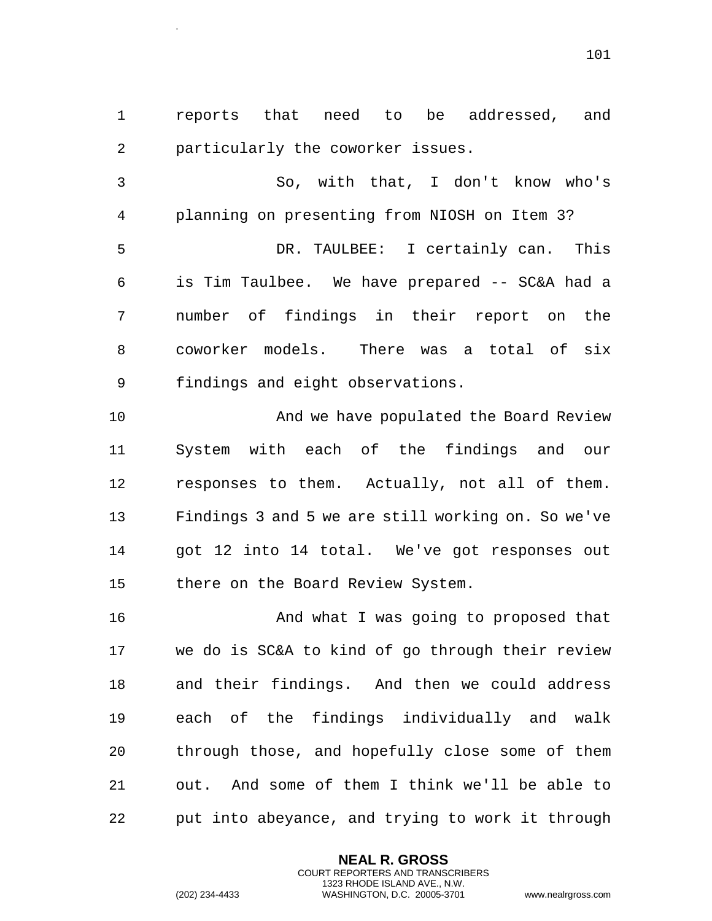reports that need to be addressed, and particularly the coworker issues.

 So, with that, I don't know who's planning on presenting from NIOSH on Item 3? DR. TAULBEE: I certainly can. This is Tim Taulbee. We have prepared -- SC&A had a number of findings in their report on the coworker models. There was a total of six findings and eight observations.

 And we have populated the Board Review System with each of the findings and our responses to them. Actually, not all of them. Findings 3 and 5 we are still working on. So we've got 12 into 14 total. We've got responses out there on the Board Review System.

**And what I was going to proposed that**  we do is SC&A to kind of go through their review and their findings. And then we could address each of the findings individually and walk through those, and hopefully close some of them out. And some of them I think we'll be able to put into abeyance, and trying to work it through

> **NEAL R. GROSS** COURT REPORTERS AND TRANSCRIBERS 1323 RHODE ISLAND AVE., N.W.

.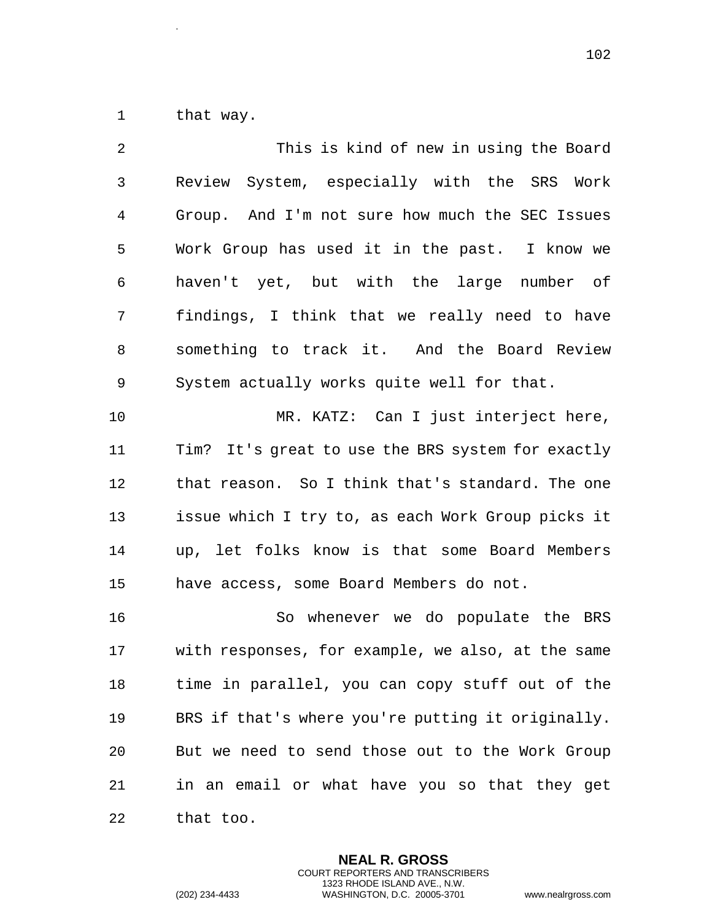that way.

.

| 2              | This is kind of new in using the Board            |
|----------------|---------------------------------------------------|
| $\mathfrak{Z}$ | Review System, especially with the SRS Work       |
| $\overline{4}$ | Group. And I'm not sure how much the SEC Issues   |
| 5              | Work Group has used it in the past. I know we     |
| 6              | haven't yet, but with the large number of         |
| 7              | findings, I think that we really need to have     |
| 8              | something to track it. And the Board Review       |
| 9              | System actually works quite well for that.        |
| 10             | MR. KATZ: Can I just interject here,              |
| 11             | Tim? It's great to use the BRS system for exactly |
| 12             | that reason. So I think that's standard. The one  |
| 13             | issue which I try to, as each Work Group picks it |
| 14             | up, let folks know is that some Board Members     |
| 15             | have access, some Board Members do not.           |
| 16             | So whenever we do populate the BRS                |
| 17             | with responses, for example, we also, at the same |
| 18             | time in parallel, you can copy stuff out of the   |
| 19             | BRS if that's where you're putting it originally. |
| 20             | But we need to send those out to the Work Group   |
| 21             | in an email or what have you so that they get     |
| 22             | that too.                                         |

**NEAL R. GROSS** COURT REPORTERS AND TRANSCRIBERS 1323 RHODE ISLAND AVE., N.W.

(202) 234-4433 WASHINGTON, D.C. 20005-3701 www.nealrgross.com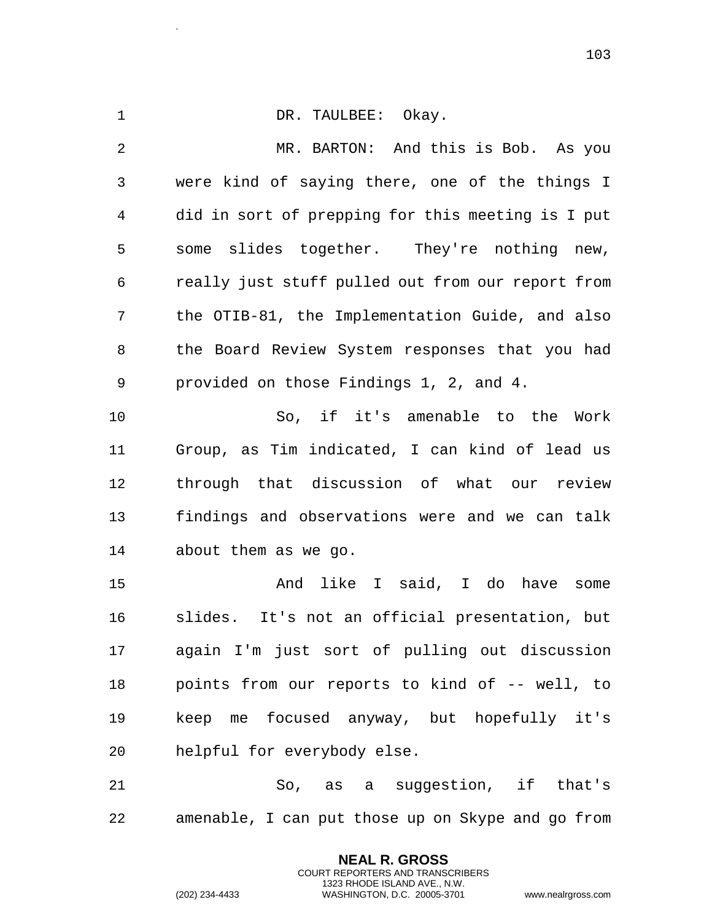1 DR. TAULBEE: Okay. MR. BARTON: And this is Bob. As you were kind of saying there, one of the things I did in sort of prepping for this meeting is I put some slides together. They're nothing new, really just stuff pulled out from our report from the OTIB-81, the Implementation Guide, and also the Board Review System responses that you had provided on those Findings 1, 2, and 4. So, if it's amenable to the Work Group, as Tim indicated, I can kind of lead us through that discussion of what our review findings and observations were and we can talk about them as we go. And like I said, I do have some slides. It's not an official presentation, but

 again I'm just sort of pulling out discussion points from our reports to kind of -- well, to keep me focused anyway, but hopefully it's helpful for everybody else.

 So, as a suggestion, if that's amenable, I can put those up on Skype and go from

> **NEAL R. GROSS** COURT REPORTERS AND TRANSCRIBERS 1323 RHODE ISLAND AVE., N.W.

.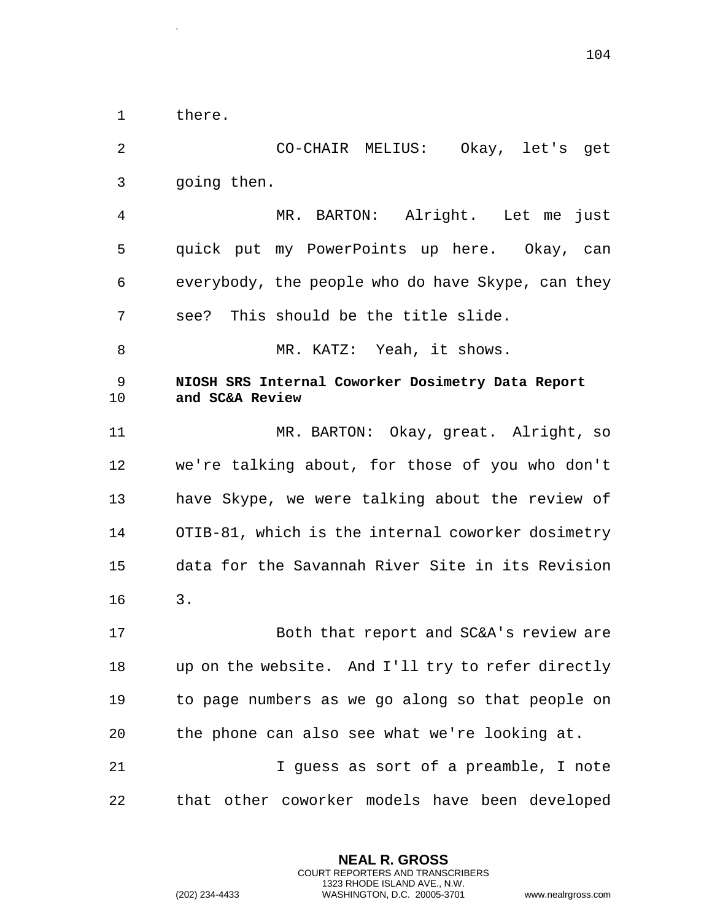1 there.

.

2 CO-CHAIR MELIUS: Okay, let's get 3 going then. 4 MR. BARTON: Alright. Let me just 5 quick put my PowerPoints up here. Okay, can 6 everybody, the people who do have Skype, can they 7 see? This should be the title slide. 8 MR. KATZ: Yeah, it shows. 9 **NIOSH SRS Internal Coworker Dosimetry Data Report**  10 **and SC&A Review** 11 MR. BARTON: Okay, great. Alright, so 12 we're talking about, for those of you who don't 13 have Skype, we were talking about the review of 14 OTIB-81, which is the internal coworker dosimetry 15 data for the Savannah River Site in its Revision 16 3. 17 Both that report and SC&A's review are 18 up on the website. And I'll try to refer directly 19 to page numbers as we go along so that people on 20 the phone can also see what we're looking at. 21 I guess as sort of a preamble, I note 22 that other coworker models have been developed

> **NEAL R. GROSS** COURT REPORTERS AND TRANSCRIBERS 1323 RHODE ISLAND AVE., N.W.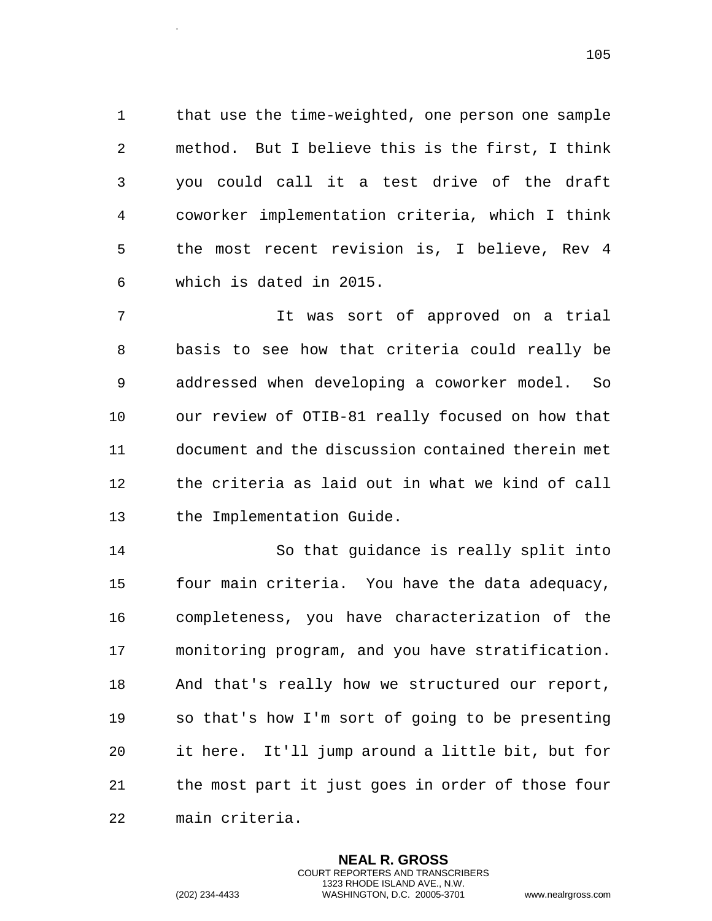that use the time-weighted, one person one sample method. But I believe this is the first, I think you could call it a test drive of the draft coworker implementation criteria, which I think the most recent revision is, I believe, Rev 4 which is dated in 2015.

 It was sort of approved on a trial basis to see how that criteria could really be addressed when developing a coworker model. So our review of OTIB-81 really focused on how that document and the discussion contained therein met the criteria as laid out in what we kind of call the Implementation Guide.

 So that guidance is really split into four main criteria. You have the data adequacy, completeness, you have characterization of the monitoring program, and you have stratification. And that's really how we structured our report, so that's how I'm sort of going to be presenting it here. It'll jump around a little bit, but for the most part it just goes in order of those four main criteria.

> **NEAL R. GROSS** COURT REPORTERS AND TRANSCRIBERS 1323 RHODE ISLAND AVE., N.W.

.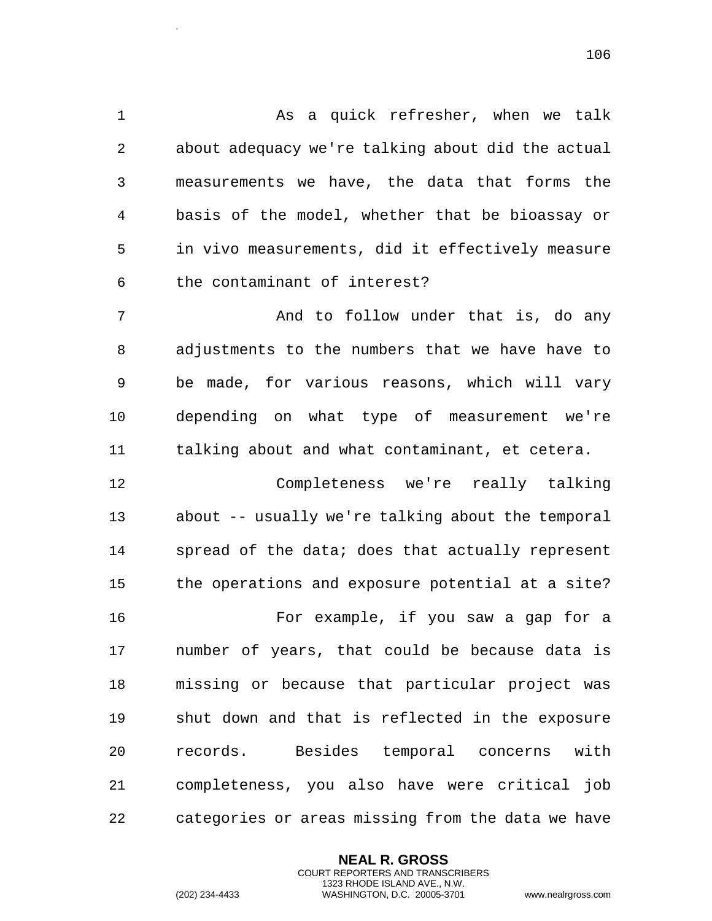As a quick refresher, when we talk about adequacy we're talking about did the actual measurements we have, the data that forms the basis of the model, whether that be bioassay or in vivo measurements, did it effectively measure the contaminant of interest?

 And to follow under that is, do any adjustments to the numbers that we have have to be made, for various reasons, which will vary depending on what type of measurement we're talking about and what contaminant, et cetera.

 Completeness we're really talking about -- usually we're talking about the temporal spread of the data; does that actually represent the operations and exposure potential at a site? For example, if you saw a gap for a number of years, that could be because data is missing or because that particular project was shut down and that is reflected in the exposure records. Besides temporal concerns with completeness, you also have were critical job categories or areas missing from the data we have

> **NEAL R. GROSS** COURT REPORTERS AND TRANSCRIBERS 1323 RHODE ISLAND AVE., N.W. (202) 234-4433 WASHINGTON, D.C. 20005-3701 www.nealrgross.com

.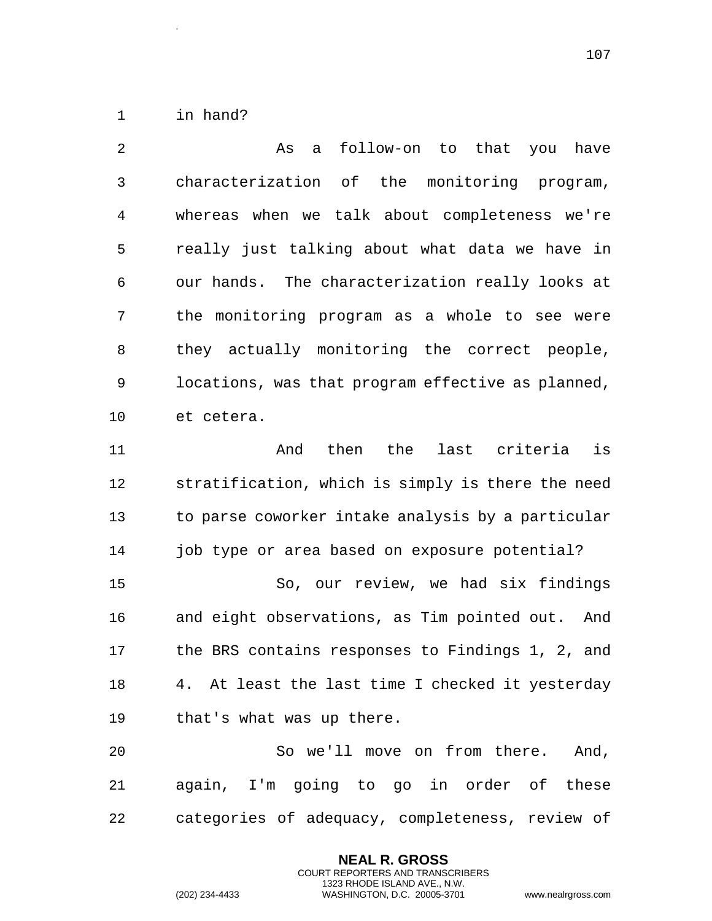in hand?

.

| 2  | follow-on to that you have<br>As<br>a             |
|----|---------------------------------------------------|
| 3  | characterization of the monitoring program,       |
| 4  | whereas when we talk about completeness we're     |
| 5  | really just talking about what data we have in    |
| 6  | our hands. The characterization really looks at   |
| 7  | the monitoring program as a whole to see were     |
| 8  | they actually monitoring the correct people,      |
| 9  | locations, was that program effective as planned, |
| 10 | et cetera.                                        |
| 11 | last criteria<br>then the<br>is<br>And            |
| 12 | stratification, which is simply is there the need |
| 13 | to parse coworker intake analysis by a particular |
| 14 | job type or area based on exposure potential?     |
| 15 | So, our review, we had six findings               |
| 16 | and eight observations, as Tim pointed out. And   |
| 17 | the BRS contains responses to Findings 1, 2, and  |
| 18 | 4. At least the last time I checked it yesterday  |
| 19 | that's what was up there.                         |
| 20 | So we'll move on from there. And,                 |
| 21 | again, I'm going to go in order of these          |
| 22 | categories of adequacy, completeness, review of   |

**NEAL R. GROSS** COURT REPORTERS AND TRANSCRIBERS 1323 RHODE ISLAND AVE., N.W.

(202) 234-4433 WASHINGTON, D.C. 20005-3701 www.nealrgross.com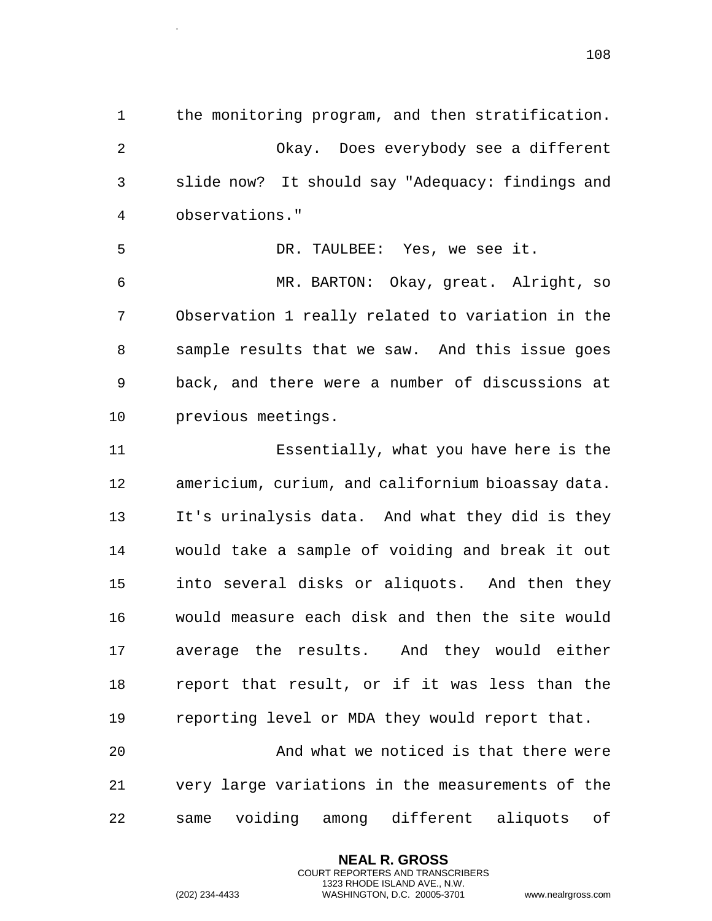the monitoring program, and then stratification. Okay. Does everybody see a different slide now? It should say "Adequacy: findings and observations."

 DR. TAULBEE: Yes, we see it. MR. BARTON: Okay, great. Alright, so Observation 1 really related to variation in the sample results that we saw. And this issue goes back, and there were a number of discussions at previous meetings.

 Essentially, what you have here is the americium, curium, and californium bioassay data. It's urinalysis data. And what they did is they would take a sample of voiding and break it out into several disks or aliquots. And then they would measure each disk and then the site would average the results. And they would either report that result, or if it was less than the reporting level or MDA they would report that.

 And what we noticed is that there were very large variations in the measurements of the same voiding among different aliquots of

> **NEAL R. GROSS** COURT REPORTERS AND TRANSCRIBERS 1323 RHODE ISLAND AVE., N.W.

.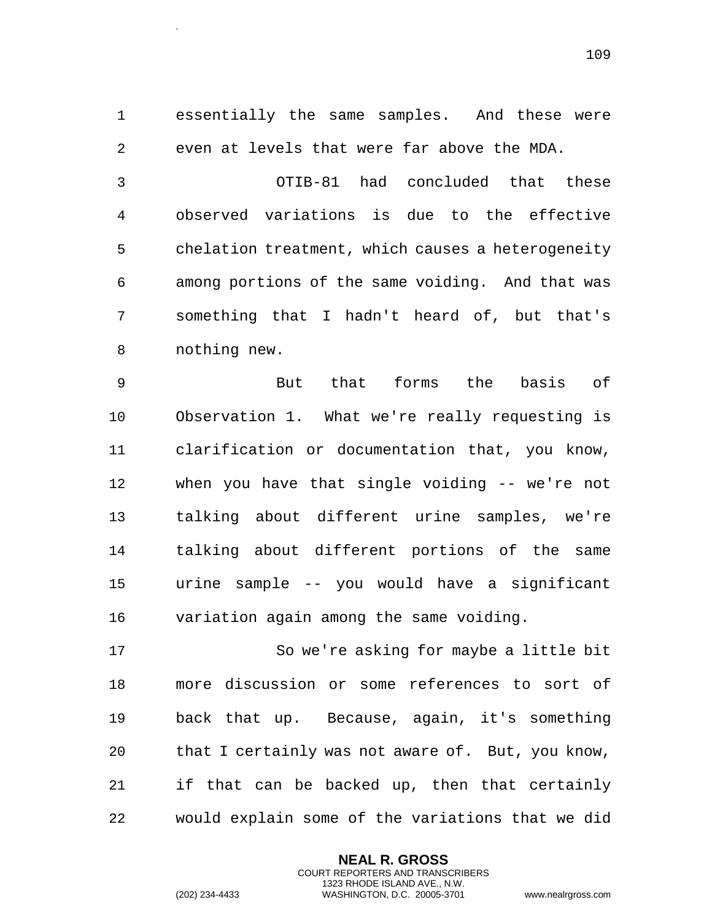essentially the same samples. And these were even at levels that were far above the MDA.

 OTIB-81 had concluded that these observed variations is due to the effective chelation treatment, which causes a heterogeneity among portions of the same voiding. And that was something that I hadn't heard of, but that's nothing new.

 But that forms the basis of Observation 1. What we're really requesting is clarification or documentation that, you know, when you have that single voiding -- we're not talking about different urine samples, we're talking about different portions of the same urine sample -- you would have a significant variation again among the same voiding.

 So we're asking for maybe a little bit more discussion or some references to sort of back that up. Because, again, it's something that I certainly was not aware of. But, you know, if that can be backed up, then that certainly would explain some of the variations that we did

> **NEAL R. GROSS** COURT REPORTERS AND TRANSCRIBERS 1323 RHODE ISLAND AVE., N.W.

.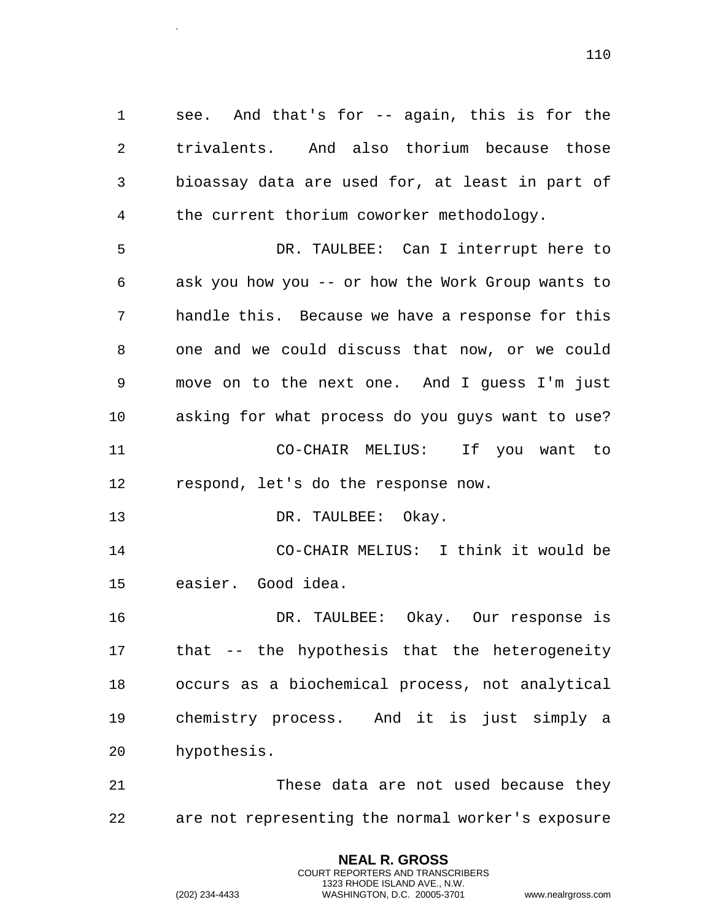see. And that's for -- again, this is for the trivalents. And also thorium because those bioassay data are used for, at least in part of 4 the current thorium coworker methodology.

 DR. TAULBEE: Can I interrupt here to ask you how you -- or how the Work Group wants to handle this. Because we have a response for this one and we could discuss that now, or we could move on to the next one. And I guess I'm just asking for what process do you guys want to use? CO-CHAIR MELIUS: If you want to respond, let's do the response now.

13 DR. TAULBEE: Okay.

.

 CO-CHAIR MELIUS: I think it would be easier. Good idea.

 DR. TAULBEE: Okay. Our response is that -- the hypothesis that the heterogeneity occurs as a biochemical process, not analytical chemistry process. And it is just simply a hypothesis.

 These data are not used because they are not representing the normal worker's exposure

> **NEAL R. GROSS** COURT REPORTERS AND TRANSCRIBERS 1323 RHODE ISLAND AVE., N.W.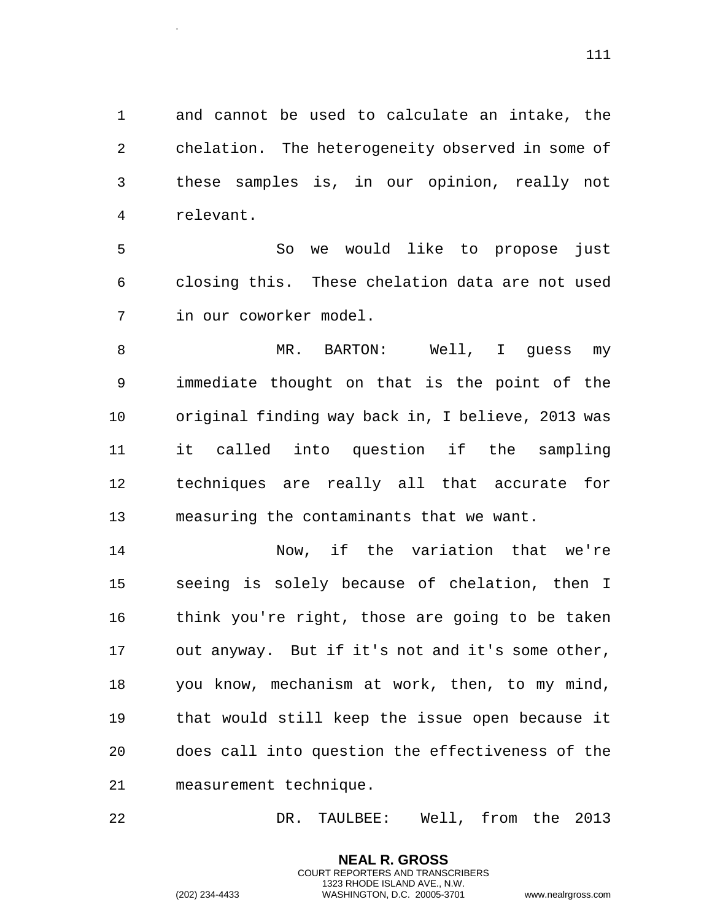and cannot be used to calculate an intake, the chelation. The heterogeneity observed in some of these samples is, in our opinion, really not relevant.

 So we would like to propose just closing this. These chelation data are not used in our coworker model.

8 MR. BARTON: Well, I guess my immediate thought on that is the point of the original finding way back in, I believe, 2013 was it called into question if the sampling techniques are really all that accurate for measuring the contaminants that we want.

 Now, if the variation that we're seeing is solely because of chelation, then I think you're right, those are going to be taken out anyway. But if it's not and it's some other, you know, mechanism at work, then, to my mind, that would still keep the issue open because it does call into question the effectiveness of the measurement technique.

DR. TAULBEE: Well, from the 2013

**NEAL R. GROSS** COURT REPORTERS AND TRANSCRIBERS 1323 RHODE ISLAND AVE., N.W.

.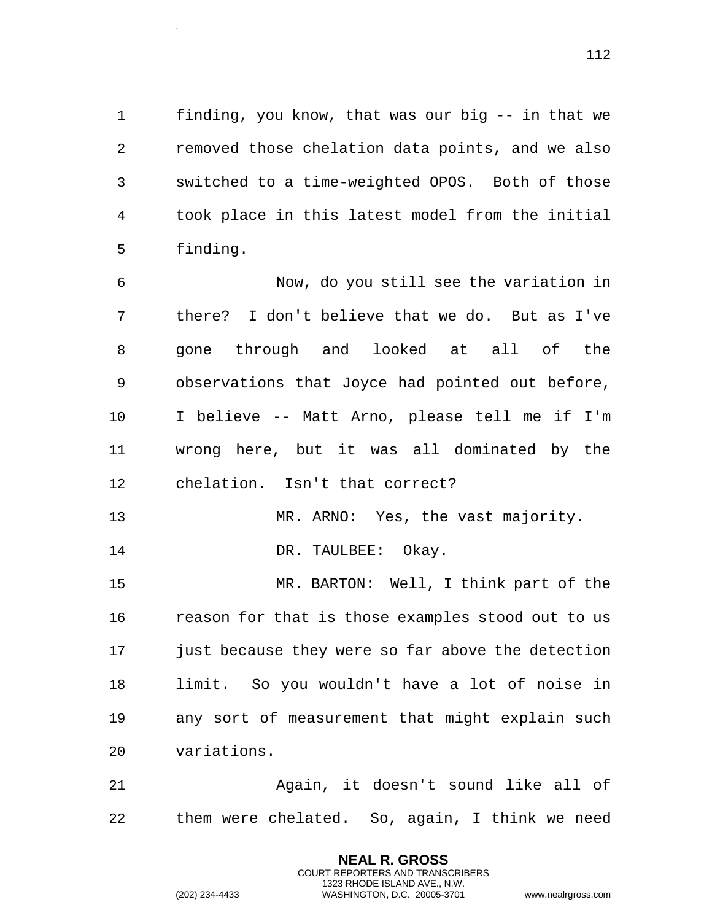finding, you know, that was our big -- in that we removed those chelation data points, and we also switched to a time-weighted OPOS. Both of those took place in this latest model from the initial finding.

 Now, do you still see the variation in there? I don't believe that we do. But as I've gone through and looked at all of the observations that Joyce had pointed out before, I believe -- Matt Arno, please tell me if I'm wrong here, but it was all dominated by the chelation. Isn't that correct?

13 MR. ARNO: Yes, the vast majority.

14 DR. TAULBEE: Okay.

.

 MR. BARTON: Well, I think part of the reason for that is those examples stood out to us just because they were so far above the detection limit. So you wouldn't have a lot of noise in any sort of measurement that might explain such variations.

 Again, it doesn't sound like all of them were chelated. So, again, I think we need

> **NEAL R. GROSS** COURT REPORTERS AND TRANSCRIBERS 1323 RHODE ISLAND AVE., N.W.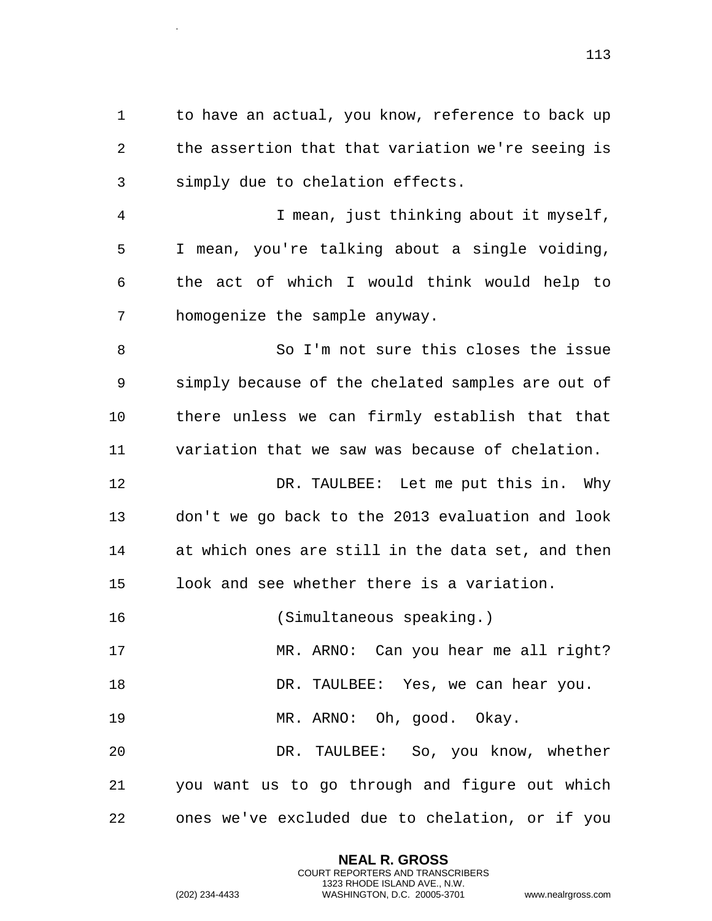1 to have an actual, you know, reference to back up the assertion that that variation we're seeing is simply due to chelation effects.

 I mean, just thinking about it myself, I mean, you're talking about a single voiding, the act of which I would think would help to homogenize the sample anyway.

 So I'm not sure this closes the issue simply because of the chelated samples are out of there unless we can firmly establish that that variation that we saw was because of chelation.

 DR. TAULBEE: Let me put this in. Why don't we go back to the 2013 evaluation and look at which ones are still in the data set, and then look and see whether there is a variation.

(Simultaneous speaking.)

17 MR. ARNO: Can you hear me all right?

18 DR. TAULBEE: Yes, we can hear you.

MR. ARNO: Oh, good. Okay.

 DR. TAULBEE: So, you know, whether you want us to go through and figure out which ones we've excluded due to chelation, or if you

> **NEAL R. GROSS** COURT REPORTERS AND TRANSCRIBERS 1323 RHODE ISLAND AVE., N.W.

.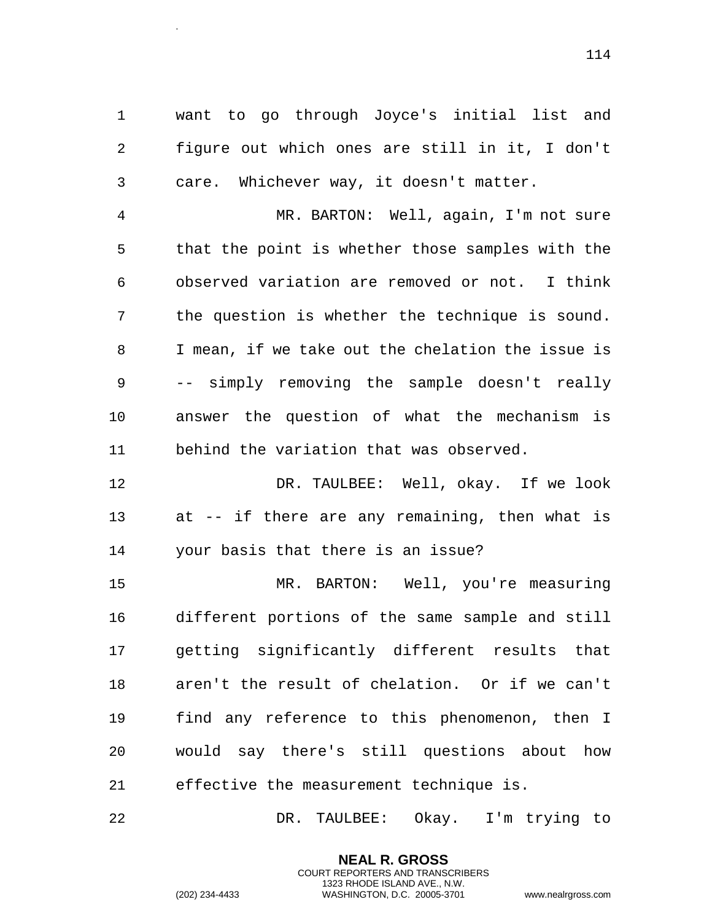want to go through Joyce's initial list and figure out which ones are still in it, I don't care. Whichever way, it doesn't matter.

 MR. BARTON: Well, again, I'm not sure that the point is whether those samples with the observed variation are removed or not. I think the question is whether the technique is sound. I mean, if we take out the chelation the issue is -- simply removing the sample doesn't really answer the question of what the mechanism is behind the variation that was observed.

 DR. TAULBEE: Well, okay. If we look at -- if there are any remaining, then what is your basis that there is an issue?

 MR. BARTON: Well, you're measuring different portions of the same sample and still getting significantly different results that aren't the result of chelation. Or if we can't find any reference to this phenomenon, then I would say there's still questions about how effective the measurement technique is.

DR. TAULBEE: Okay. I'm trying to

**NEAL R. GROSS** COURT REPORTERS AND TRANSCRIBERS 1323 RHODE ISLAND AVE., N.W.

.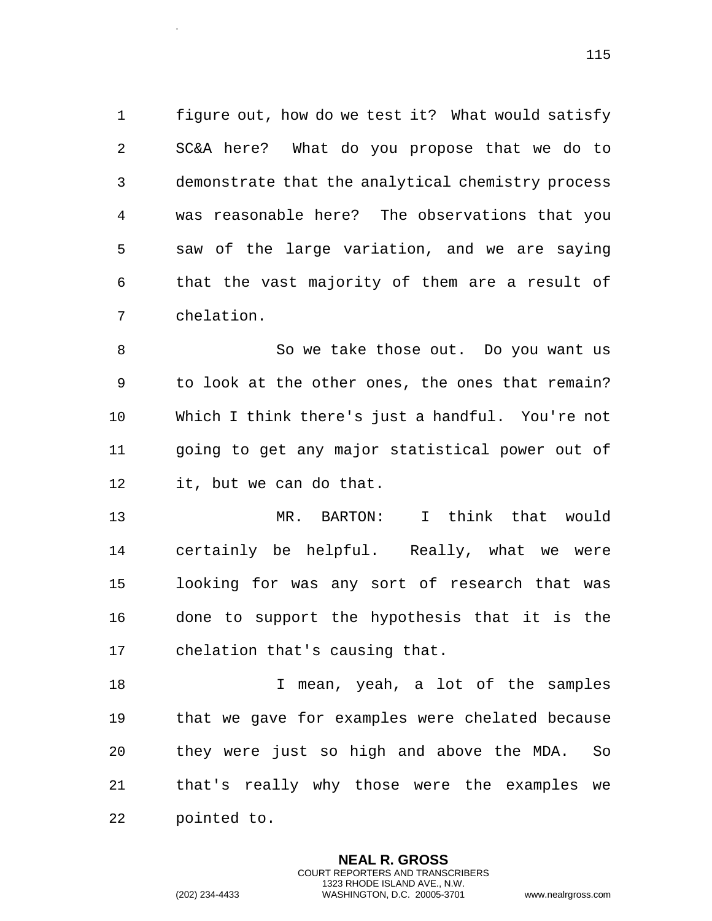figure out, how do we test it? What would satisfy SC&A here? What do you propose that we do to demonstrate that the analytical chemistry process was reasonable here? The observations that you saw of the large variation, and we are saying that the vast majority of them are a result of chelation.

 So we take those out. Do you want us to look at the other ones, the ones that remain? Which I think there's just a handful. You're not going to get any major statistical power out of it, but we can do that.

 MR. BARTON: I think that would certainly be helpful. Really, what we were looking for was any sort of research that was done to support the hypothesis that it is the chelation that's causing that.

18 I mean, yeah, a lot of the samples that we gave for examples were chelated because they were just so high and above the MDA. So that's really why those were the examples we pointed to.

> **NEAL R. GROSS** COURT REPORTERS AND TRANSCRIBERS 1323 RHODE ISLAND AVE., N.W.

.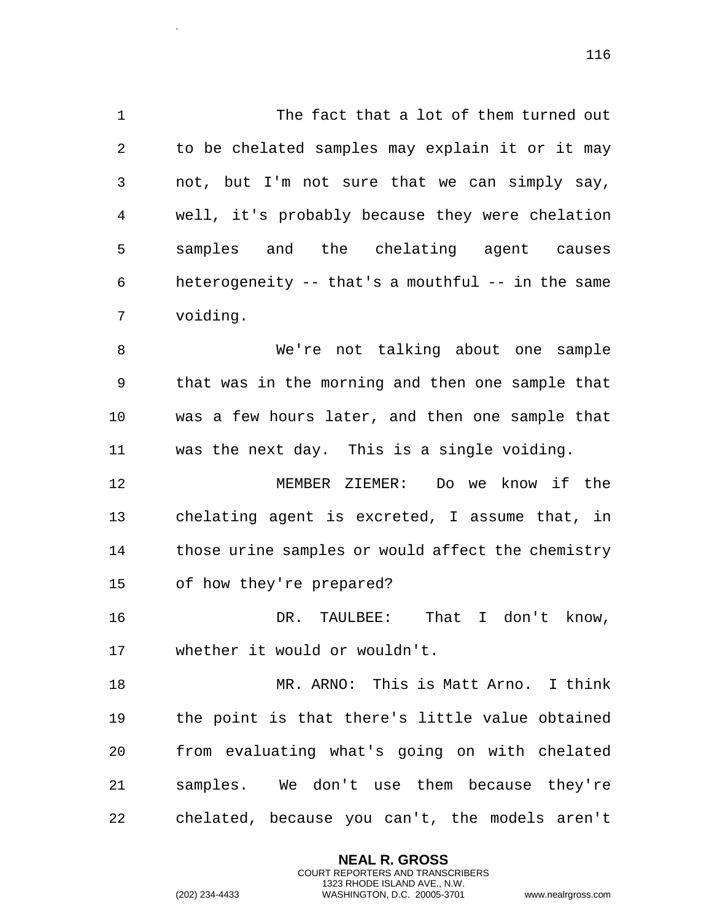1 The fact that a lot of them turned out to be chelated samples may explain it or it may not, but I'm not sure that we can simply say, well, it's probably because they were chelation samples and the chelating agent causes heterogeneity -- that's a mouthful -- in the same voiding.

 We're not talking about one sample that was in the morning and then one sample that was a few hours later, and then one sample that was the next day. This is a single voiding.

 MEMBER ZIEMER: Do we know if the chelating agent is excreted, I assume that, in those urine samples or would affect the chemistry of how they're prepared?

 DR. TAULBEE: That I don't know, whether it would or wouldn't.

 MR. ARNO: This is Matt Arno. I think the point is that there's little value obtained from evaluating what's going on with chelated samples. We don't use them because they're chelated, because you can't, the models aren't

> **NEAL R. GROSS** COURT REPORTERS AND TRANSCRIBERS 1323 RHODE ISLAND AVE., N.W.

.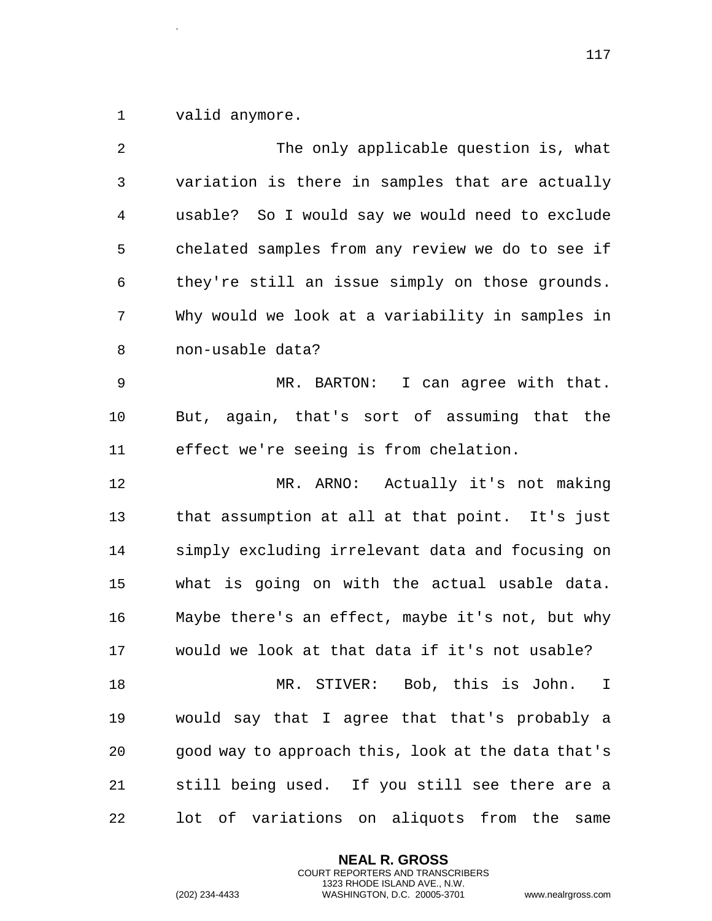valid anymore.

.

 The only applicable question is, what variation is there in samples that are actually usable? So I would say we would need to exclude chelated samples from any review we do to see if they're still an issue simply on those grounds. Why would we look at a variability in samples in non-usable data? MR. BARTON: I can agree with that. But, again, that's sort of assuming that the effect we're seeing is from chelation. MR. ARNO: Actually it's not making that assumption at all at that point. It's just simply excluding irrelevant data and focusing on what is going on with the actual usable data. Maybe there's an effect, maybe it's not, but why would we look at that data if it's not usable? MR. STIVER: Bob, this is John. I would say that I agree that that's probably a good way to approach this, look at the data that's still being used. If you still see there are a lot of variations on aliquots from the same

> **NEAL R. GROSS** COURT REPORTERS AND TRANSCRIBERS 1323 RHODE ISLAND AVE., N.W.

(202) 234-4433 WASHINGTON, D.C. 20005-3701 www.nealrgross.com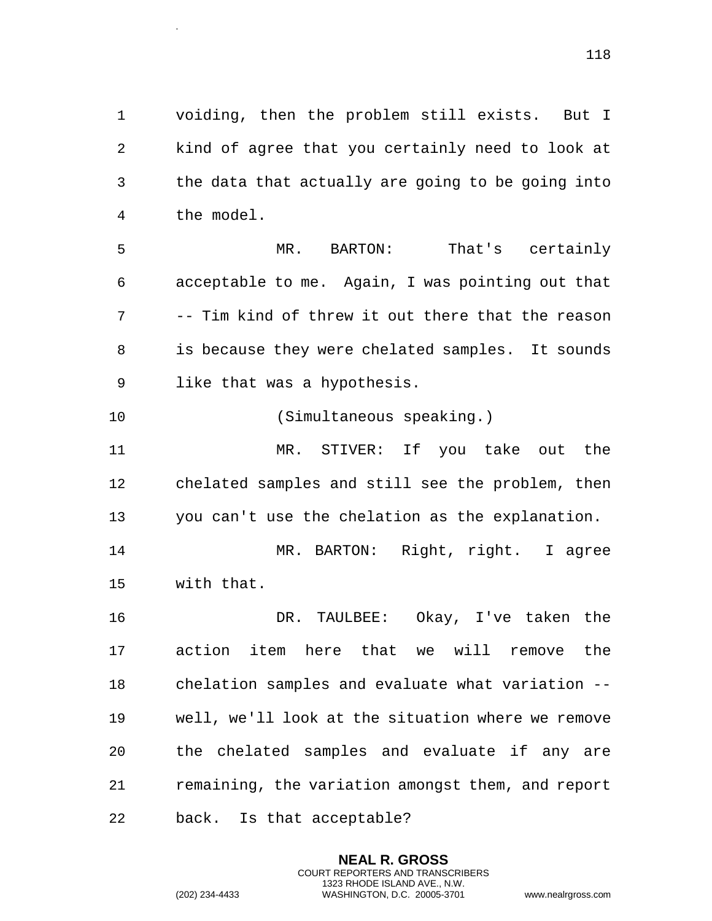voiding, then the problem still exists. But I kind of agree that you certainly need to look at the data that actually are going to be going into the model.

 MR. BARTON: That's certainly acceptable to me. Again, I was pointing out that -- Tim kind of threw it out there that the reason is because they were chelated samples. It sounds like that was a hypothesis.

(Simultaneous speaking.)

.

 MR. STIVER: If you take out the chelated samples and still see the problem, then you can't use the chelation as the explanation.

 MR. BARTON: Right, right. I agree with that.

 DR. TAULBEE: Okay, I've taken the action item here that we will remove the chelation samples and evaluate what variation -- well, we'll look at the situation where we remove the chelated samples and evaluate if any are remaining, the variation amongst them, and report back. Is that acceptable?

> **NEAL R. GROSS** COURT REPORTERS AND TRANSCRIBERS 1323 RHODE ISLAND AVE., N.W.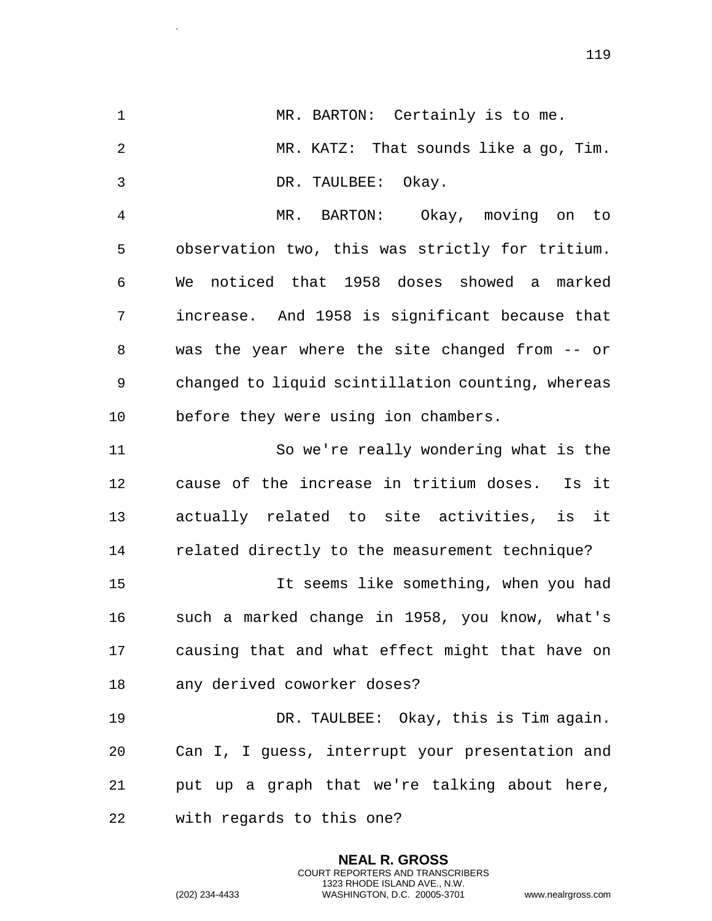1 MR. BARTON: Certainly is to me. MR. KATZ: That sounds like a go, Tim. DR. TAULBEE: Okay. MR. BARTON: Okay, moving on to observation two, this was strictly for tritium. We noticed that 1958 doses showed a marked increase. And 1958 is significant because that was the year where the site changed from -- or changed to liquid scintillation counting, whereas before they were using ion chambers. So we're really wondering what is the cause of the increase in tritium doses. Is it actually related to site activities, is it related directly to the measurement technique? It seems like something, when you had such a marked change in 1958, you know, what's causing that and what effect might that have on any derived coworker doses? DR. TAULBEE: Okay, this is Tim again. Can I, I guess, interrupt your presentation and put up a graph that we're talking about here, with regards to this one?

> **NEAL R. GROSS** COURT REPORTERS AND TRANSCRIBERS 1323 RHODE ISLAND AVE., N.W.

.

(202) 234-4433 WASHINGTON, D.C. 20005-3701 www.nealrgross.com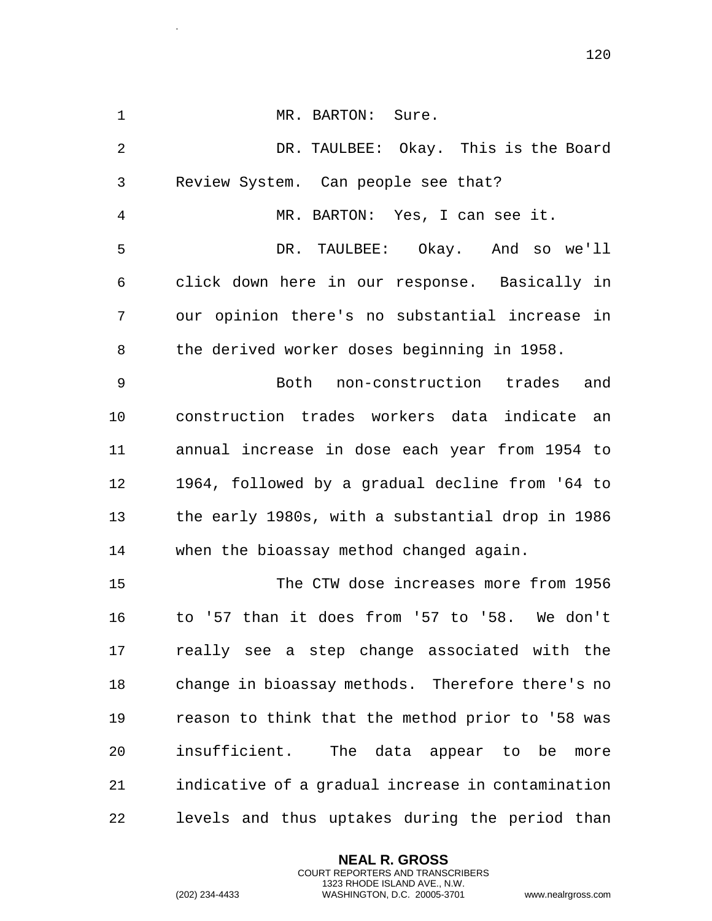1 MR. BARTON: Sure. DR. TAULBEE: Okay. This is the Board Review System. Can people see that? MR. BARTON: Yes, I can see it. DR. TAULBEE: Okay. And so we'll click down here in our response. Basically in our opinion there's no substantial increase in the derived worker doses beginning in 1958. Both non-construction trades and construction trades workers data indicate an annual increase in dose each year from 1954 to 1964, followed by a gradual decline from '64 to the early 1980s, with a substantial drop in 1986 when the bioassay method changed again. The CTW dose increases more from 1956 to '57 than it does from '57 to '58. We don't really see a step change associated with the change in bioassay methods. Therefore there's no reason to think that the method prior to '58 was insufficient. The data appear to be more indicative of a gradual increase in contamination levels and thus uptakes during the period than

> **NEAL R. GROSS** COURT REPORTERS AND TRANSCRIBERS 1323 RHODE ISLAND AVE., N.W.

.

(202) 234-4433 WASHINGTON, D.C. 20005-3701 www.nealrgross.com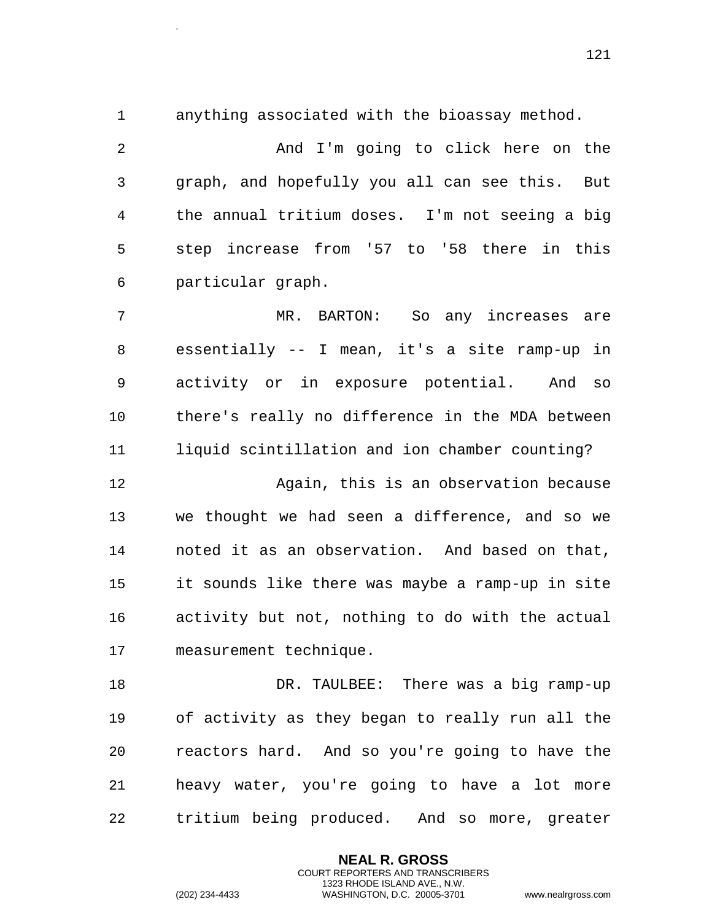.

anything associated with the bioassay method.

 And I'm going to click here on the graph, and hopefully you all can see this. But the annual tritium doses. I'm not seeing a big step increase from '57 to '58 there in this particular graph.

 MR. BARTON: So any increases are essentially -- I mean, it's a site ramp-up in activity or in exposure potential. And so there's really no difference in the MDA between liquid scintillation and ion chamber counting?

 Again, this is an observation because we thought we had seen a difference, and so we noted it as an observation. And based on that, it sounds like there was maybe a ramp-up in site activity but not, nothing to do with the actual measurement technique.

 DR. TAULBEE: There was a big ramp-up of activity as they began to really run all the reactors hard. And so you're going to have the heavy water, you're going to have a lot more tritium being produced. And so more, greater

> **NEAL R. GROSS** COURT REPORTERS AND TRANSCRIBERS 1323 RHODE ISLAND AVE., N.W.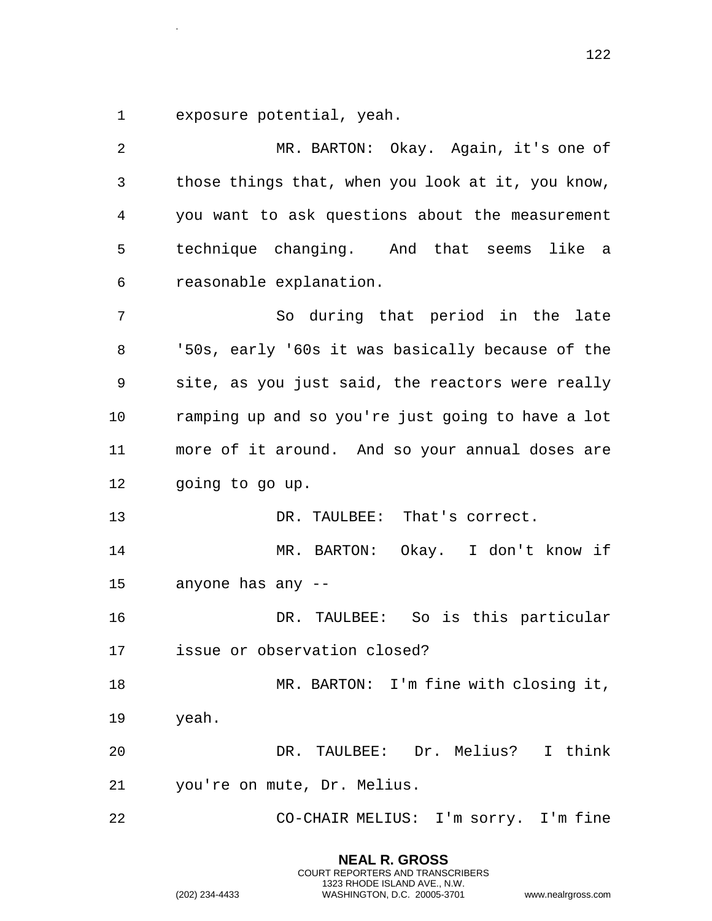exposure potential, yeah.

.

 MR. BARTON: Okay. Again, it's one of those things that, when you look at it, you know, you want to ask questions about the measurement technique changing. And that seems like a reasonable explanation. So during that period in the late '50s, early '60s it was basically because of the site, as you just said, the reactors were really ramping up and so you're just going to have a lot more of it around. And so your annual doses are going to go up. 13 DR. TAULBEE: That's correct. MR. BARTON: Okay. I don't know if anyone has any -- DR. TAULBEE: So is this particular issue or observation closed? MR. BARTON: I'm fine with closing it, yeah. DR. TAULBEE: Dr. Melius? I think you're on mute, Dr. Melius. CO-CHAIR MELIUS: I'm sorry. I'm fine

> **NEAL R. GROSS** COURT REPORTERS AND TRANSCRIBERS 1323 RHODE ISLAND AVE., N.W. (202) 234-4433 WASHINGTON, D.C. 20005-3701 www.nealrgross.com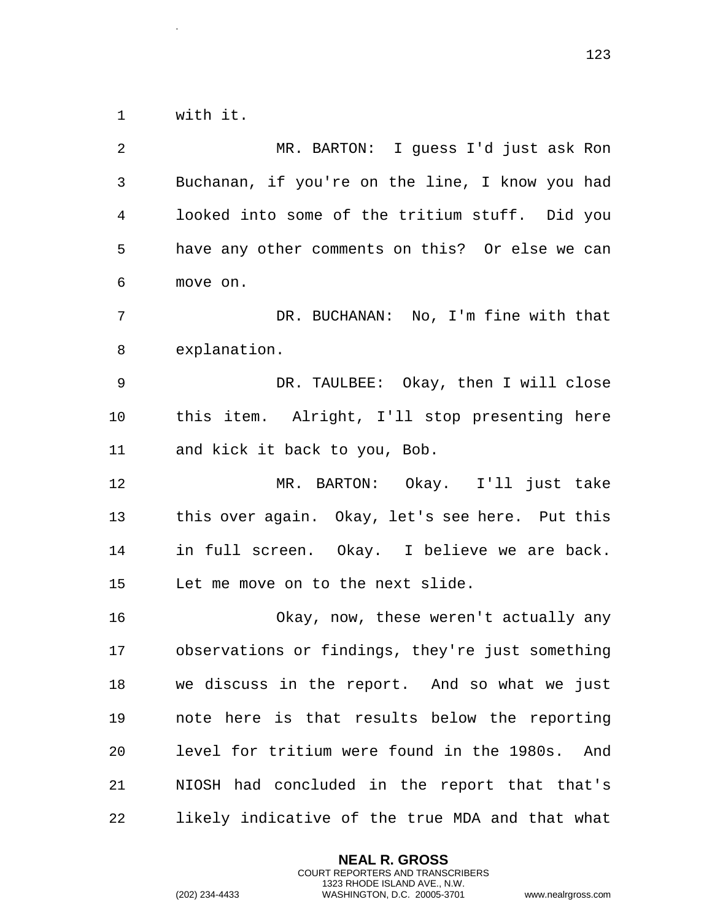with it.

.

 MR. BARTON: I guess I'd just ask Ron Buchanan, if you're on the line, I know you had looked into some of the tritium stuff. Did you have any other comments on this? Or else we can move on. DR. BUCHANAN: No, I'm fine with that explanation. DR. TAULBEE: Okay, then I will close this item. Alright, I'll stop presenting here and kick it back to you, Bob. MR. BARTON: Okay. I'll just take this over again. Okay, let's see here. Put this in full screen. Okay. I believe we are back. Let me move on to the next slide. Okay, now, these weren't actually any observations or findings, they're just something we discuss in the report. And so what we just note here is that results below the reporting level for tritium were found in the 1980s. And NIOSH had concluded in the report that that's likely indicative of the true MDA and that what

> **NEAL R. GROSS** COURT REPORTERS AND TRANSCRIBERS 1323 RHODE ISLAND AVE., N.W.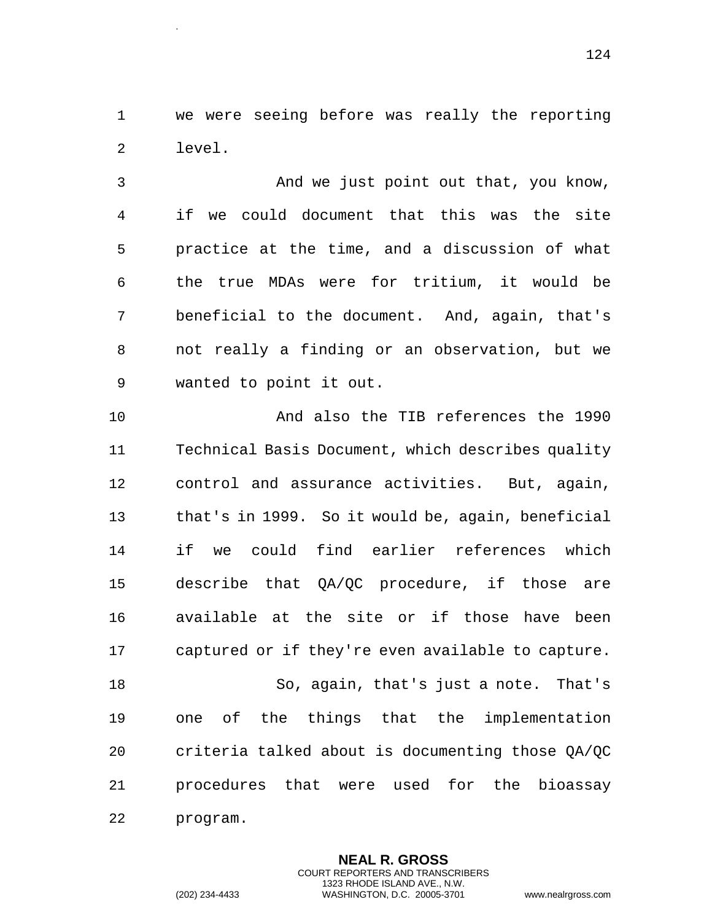we were seeing before was really the reporting level.

 And we just point out that, you know, if we could document that this was the site practice at the time, and a discussion of what the true MDAs were for tritium, it would be beneficial to the document. And, again, that's not really a finding or an observation, but we wanted to point it out.

10 And also the TIB references the 1990 Technical Basis Document, which describes quality control and assurance activities. But, again, that's in 1999. So it would be, again, beneficial if we could find earlier references which describe that QA/QC procedure, if those are available at the site or if those have been captured or if they're even available to capture. So, again, that's just a note. That's one of the things that the implementation

 criteria talked about is documenting those QA/QC procedures that were used for the bioassay program.

> **NEAL R. GROSS** COURT REPORTERS AND TRANSCRIBERS 1323 RHODE ISLAND AVE., N.W.

.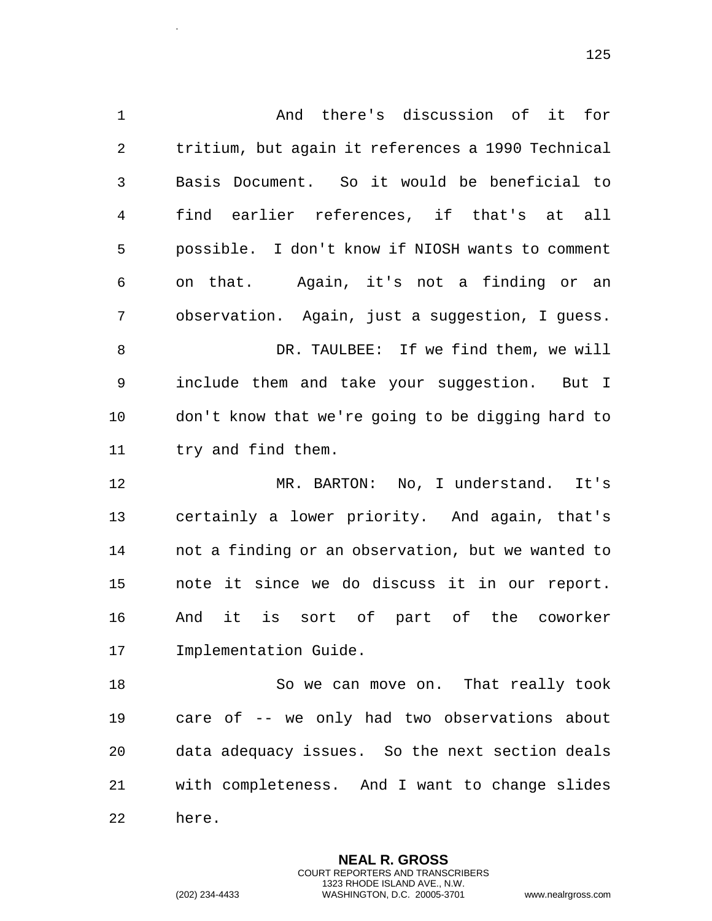And there's discussion of it for tritium, but again it references a 1990 Technical Basis Document. So it would be beneficial to find earlier references, if that's at all possible. I don't know if NIOSH wants to comment on that. Again, it's not a finding or an observation. Again, just a suggestion, I guess. DR. TAULBEE: If we find them, we will include them and take your suggestion. But I don't know that we're going to be digging hard to try and find them. MR. BARTON: No, I understand. It's certainly a lower priority. And again, that's not a finding or an observation, but we wanted to note it since we do discuss it in our report. And it is sort of part of the coworker Implementation Guide. 18 So we can move on. That really took care of -- we only had two observations about data adequacy issues. So the next section deals with completeness. And I want to change slides

here.

.

**NEAL R. GROSS** COURT REPORTERS AND TRANSCRIBERS 1323 RHODE ISLAND AVE., N.W. (202) 234-4433 WASHINGTON, D.C. 20005-3701 www.nealrgross.com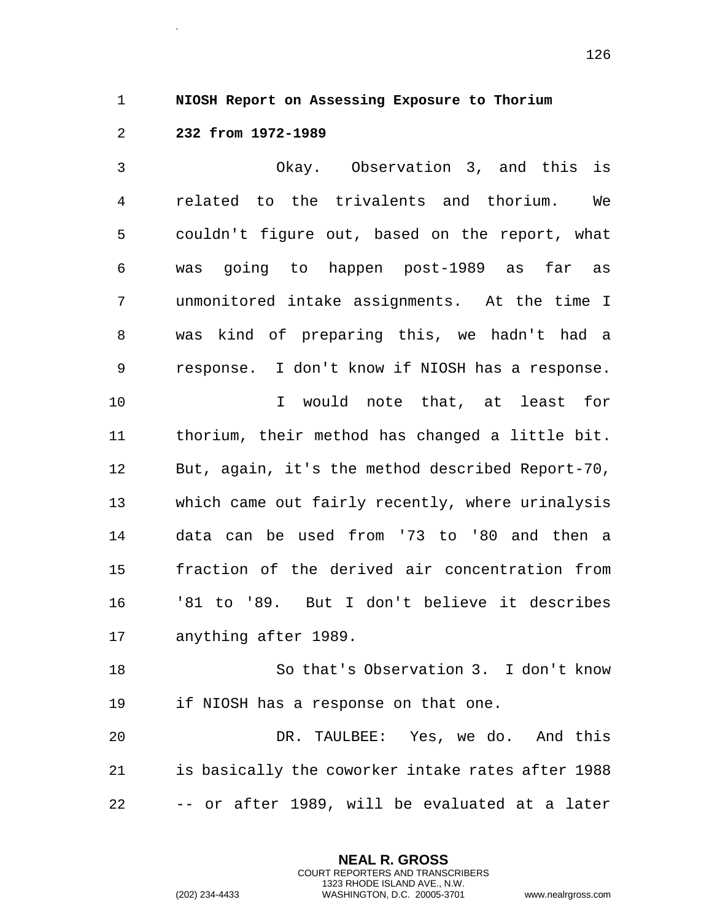1 **NIOSH Report on Assessing Exposure to Thorium** 

2 **232 from 1972-1989** 

.

3 Okay. Observation 3, and this is 4 related to the trivalents and thorium. We 5 couldn't figure out, based on the report, what 6 was going to happen post-1989 as far as 7 unmonitored intake assignments. At the time I 8 was kind of preparing this, we hadn't had a 9 response. I don't know if NIOSH has a response. 10 I would note that, at least for 11 thorium, their method has changed a little bit. 12 But, again, it's the method described Report-70, 13 which came out fairly recently, where urinalysis 14 data can be used from '73 to '80 and then a 15 fraction of the derived air concentration from 16 '81 to '89. But I don't believe it describes 17 anything after 1989. 18 So that's Observation 3. I don't know

19 if NIOSH has a response on that one.

20 DR. TAULBEE: Yes, we do. And this 21 is basically the coworker intake rates after 1988 22 -- or after 1989, will be evaluated at a later

> **NEAL R. GROSS** COURT REPORTERS AND TRANSCRIBERS 1323 RHODE ISLAND AVE., N.W.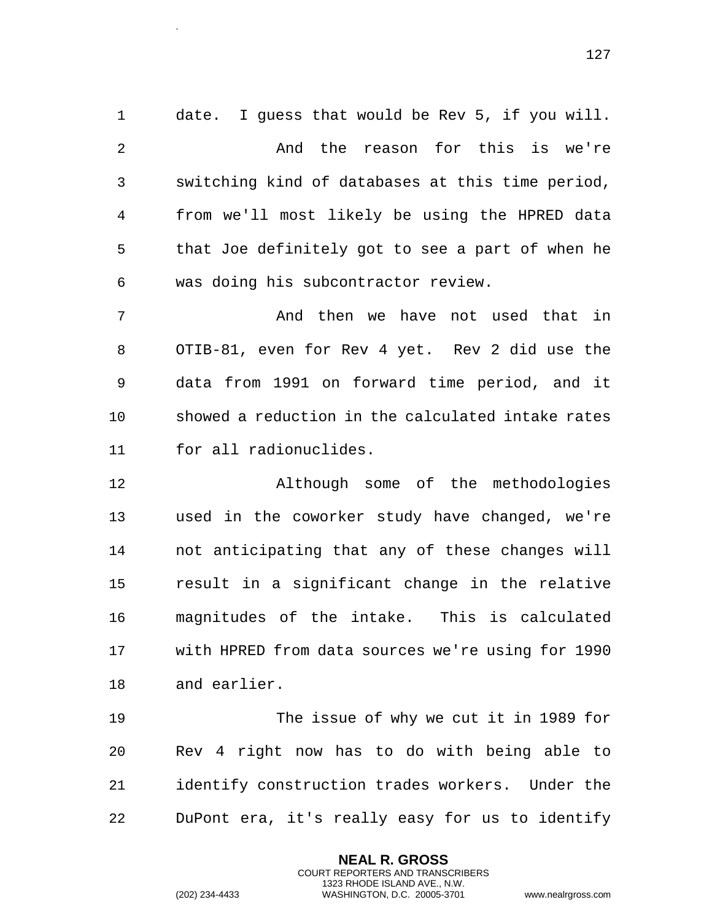date. I guess that would be Rev 5, if you will. And the reason for this is we're switching kind of databases at this time period, from we'll most likely be using the HPRED data that Joe definitely got to see a part of when he was doing his subcontractor review. And then we have not used that in

 OTIB-81, even for Rev 4 yet. Rev 2 did use the data from 1991 on forward time period, and it showed a reduction in the calculated intake rates for all radionuclides.

 Although some of the methodologies used in the coworker study have changed, we're not anticipating that any of these changes will result in a significant change in the relative magnitudes of the intake. This is calculated with HPRED from data sources we're using for 1990 and earlier.

 The issue of why we cut it in 1989 for Rev 4 right now has to do with being able to identify construction trades workers. Under the DuPont era, it's really easy for us to identify

> **NEAL R. GROSS** COURT REPORTERS AND TRANSCRIBERS 1323 RHODE ISLAND AVE., N.W.

.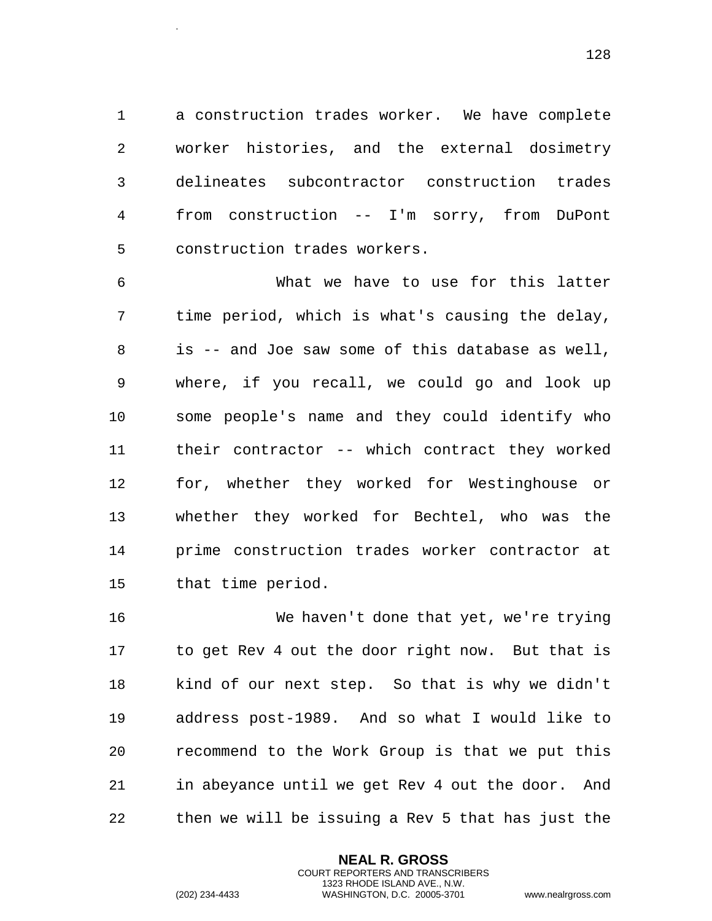a construction trades worker. We have complete worker histories, and the external dosimetry delineates subcontractor construction trades from construction -- I'm sorry, from DuPont construction trades workers.

 What we have to use for this latter time period, which is what's causing the delay, is -- and Joe saw some of this database as well, where, if you recall, we could go and look up some people's name and they could identify who their contractor -- which contract they worked for, whether they worked for Westinghouse or whether they worked for Bechtel, who was the prime construction trades worker contractor at that time period.

 We haven't done that yet, we're trying to get Rev 4 out the door right now. But that is kind of our next step. So that is why we didn't address post-1989. And so what I would like to recommend to the Work Group is that we put this in abeyance until we get Rev 4 out the door. And then we will be issuing a Rev 5 that has just the

> **NEAL R. GROSS** COURT REPORTERS AND TRANSCRIBERS 1323 RHODE ISLAND AVE., N.W.

.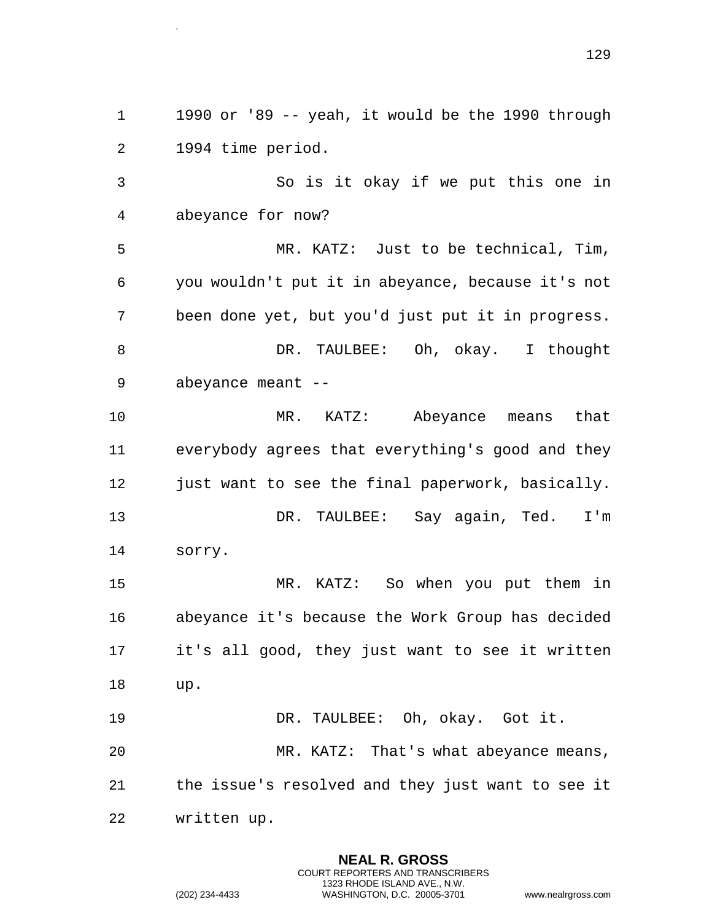1990 or '89 -- yeah, it would be the 1990 through 1994 time period.

 So is it okay if we put this one in abeyance for now?

 MR. KATZ: Just to be technical, Tim, you wouldn't put it in abeyance, because it's not been done yet, but you'd just put it in progress. 8 DR. TAULBEE: Oh, okay. I thought abeyance meant --

 MR. KATZ: Abeyance means that everybody agrees that everything's good and they 12 just want to see the final paperwork, basically. 13 DR. TAULBEE: Say again, Ted. I'm sorry.

 MR. KATZ: So when you put them in abeyance it's because the Work Group has decided it's all good, they just want to see it written up.

 DR. TAULBEE: Oh, okay. Got it. MR. KATZ: That's what abeyance means, the issue's resolved and they just want to see it written up.

> **NEAL R. GROSS** COURT REPORTERS AND TRANSCRIBERS 1323 RHODE ISLAND AVE., N.W.

.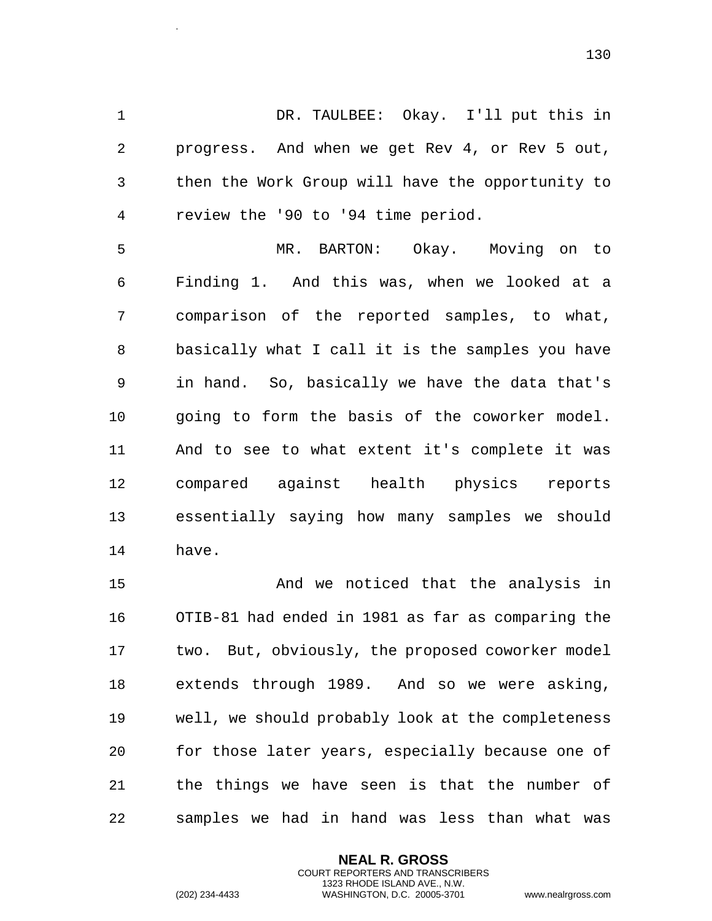DR. TAULBEE: Okay. I'll put this in progress. And when we get Rev 4, or Rev 5 out, then the Work Group will have the opportunity to review the '90 to '94 time period.

 MR. BARTON: Okay. Moving on to Finding 1. And this was, when we looked at a comparison of the reported samples, to what, basically what I call it is the samples you have in hand. So, basically we have the data that's going to form the basis of the coworker model. And to see to what extent it's complete it was compared against health physics reports essentially saying how many samples we should have.

 And we noticed that the analysis in OTIB-81 had ended in 1981 as far as comparing the two. But, obviously, the proposed coworker model extends through 1989. And so we were asking, well, we should probably look at the completeness for those later years, especially because one of the things we have seen is that the number of samples we had in hand was less than what was

> **NEAL R. GROSS** COURT REPORTERS AND TRANSCRIBERS 1323 RHODE ISLAND AVE., N.W.

.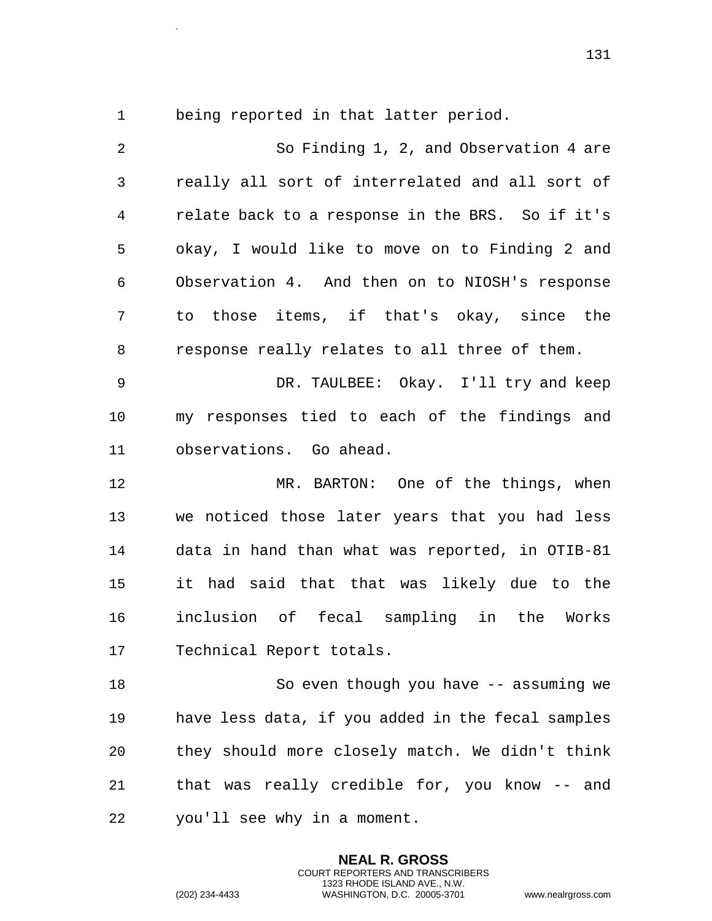.

being reported in that latter period.

 So Finding 1, 2, and Observation 4 are really all sort of interrelated and all sort of relate back to a response in the BRS. So if it's okay, I would like to move on to Finding 2 and Observation 4. And then on to NIOSH's response to those items, if that's okay, since the response really relates to all three of them. DR. TAULBEE: Okay. I'll try and keep my responses tied to each of the findings and observations. Go ahead. MR. BARTON: One of the things, when we noticed those later years that you had less data in hand than what was reported, in OTIB-81 it had said that that was likely due to the inclusion of fecal sampling in the Works Technical Report totals. So even though you have -- assuming we have less data, if you added in the fecal samples they should more closely match. We didn't think that was really credible for, you know -- and you'll see why in a moment.

> **NEAL R. GROSS** COURT REPORTERS AND TRANSCRIBERS 1323 RHODE ISLAND AVE., N.W.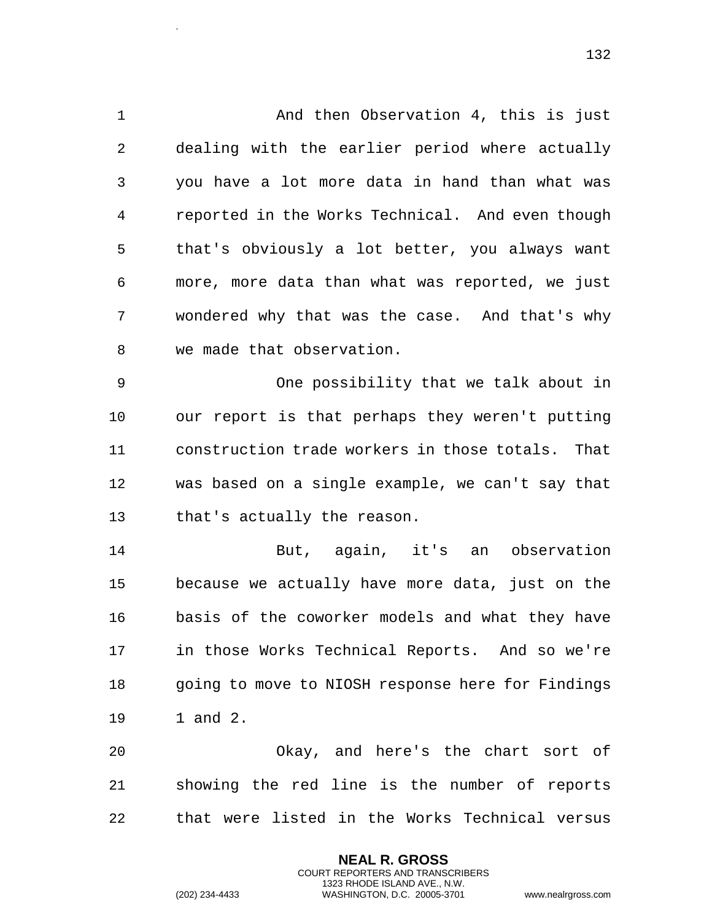1 And then Observation 4, this is just dealing with the earlier period where actually you have a lot more data in hand than what was reported in the Works Technical. And even though that's obviously a lot better, you always want more, more data than what was reported, we just wondered why that was the case. And that's why we made that observation.

 One possibility that we talk about in our report is that perhaps they weren't putting construction trade workers in those totals. That was based on a single example, we can't say that that's actually the reason.

 But, again, it's an observation because we actually have more data, just on the basis of the coworker models and what they have in those Works Technical Reports. And so we're going to move to NIOSH response here for Findings 1 and 2.

 Okay, and here's the chart sort of showing the red line is the number of reports that were listed in the Works Technical versus

> **NEAL R. GROSS** COURT REPORTERS AND TRANSCRIBERS 1323 RHODE ISLAND AVE., N.W.

.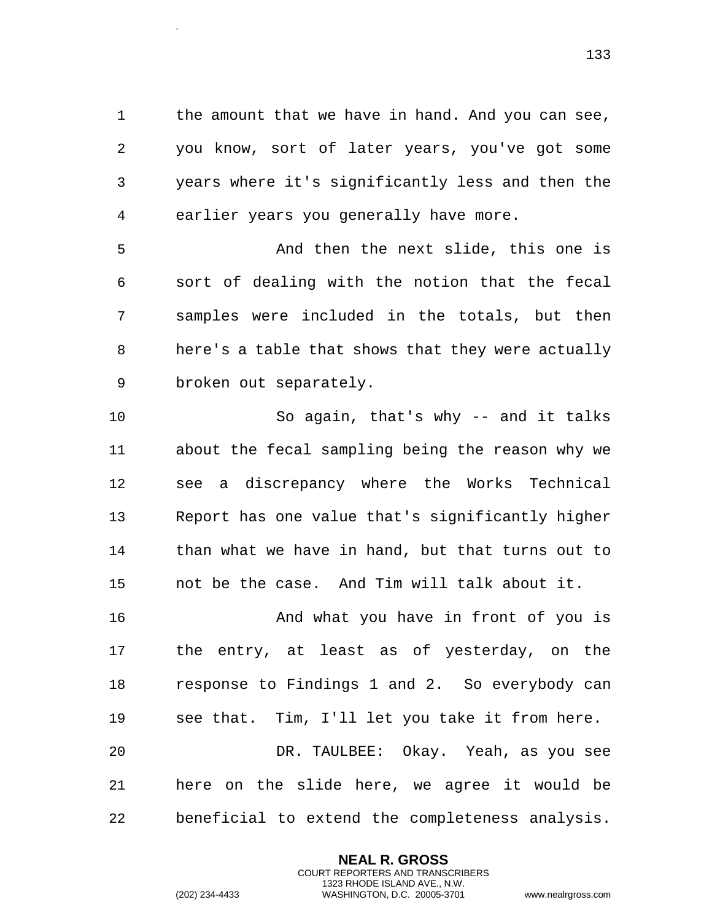1 the amount that we have in hand. And you can see, you know, sort of later years, you've got some years where it's significantly less and then the earlier years you generally have more.

 And then the next slide, this one is sort of dealing with the notion that the fecal samples were included in the totals, but then here's a table that shows that they were actually broken out separately.

 So again, that's why -- and it talks about the fecal sampling being the reason why we see a discrepancy where the Works Technical Report has one value that's significantly higher than what we have in hand, but that turns out to not be the case. And Tim will talk about it.

 And what you have in front of you is the entry, at least as of yesterday, on the response to Findings 1 and 2. So everybody can see that. Tim, I'll let you take it from here. DR. TAULBEE: Okay. Yeah, as you see here on the slide here, we agree it would be

beneficial to extend the completeness analysis.

**NEAL R. GROSS** COURT REPORTERS AND TRANSCRIBERS 1323 RHODE ISLAND AVE., N.W.

.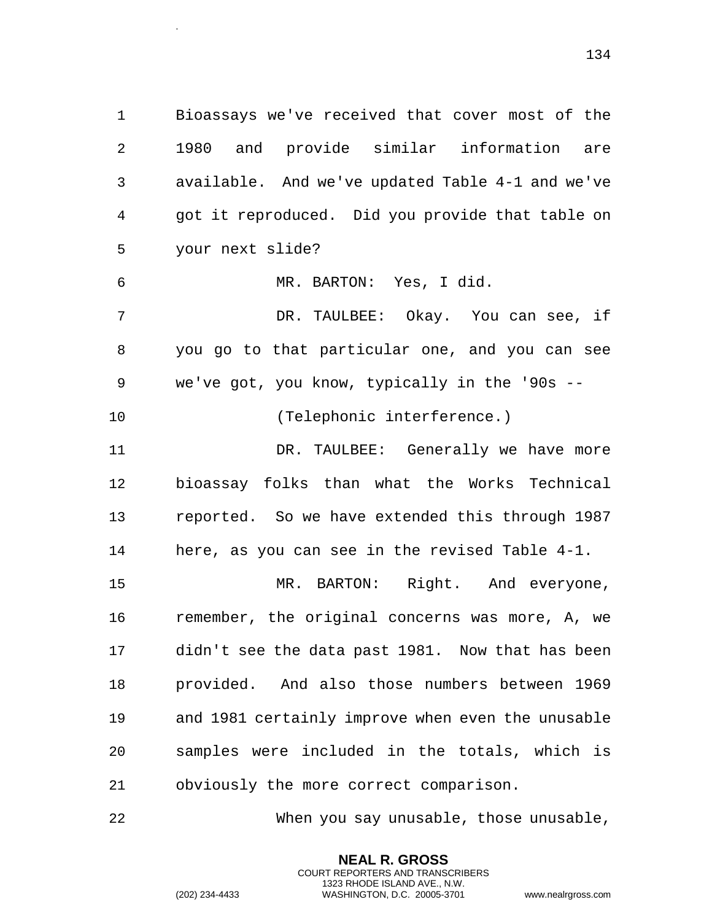Bioassays we've received that cover most of the 1980 and provide similar information are available. And we've updated Table 4-1 and we've got it reproduced. Did you provide that table on your next slide?

MR. BARTON: Yes, I did.

.

 DR. TAULBEE: Okay. You can see, if you go to that particular one, and you can see we've got, you know, typically in the '90s --

(Telephonic interference.)

 DR. TAULBEE: Generally we have more bioassay folks than what the Works Technical reported. So we have extended this through 1987 here, as you can see in the revised Table 4-1.

 MR. BARTON: Right. And everyone, remember, the original concerns was more, A, we didn't see the data past 1981. Now that has been provided. And also those numbers between 1969 and 1981 certainly improve when even the unusable samples were included in the totals, which is obviously the more correct comparison.

When you say unusable, those unusable,

**NEAL R. GROSS** COURT REPORTERS AND TRANSCRIBERS 1323 RHODE ISLAND AVE., N.W.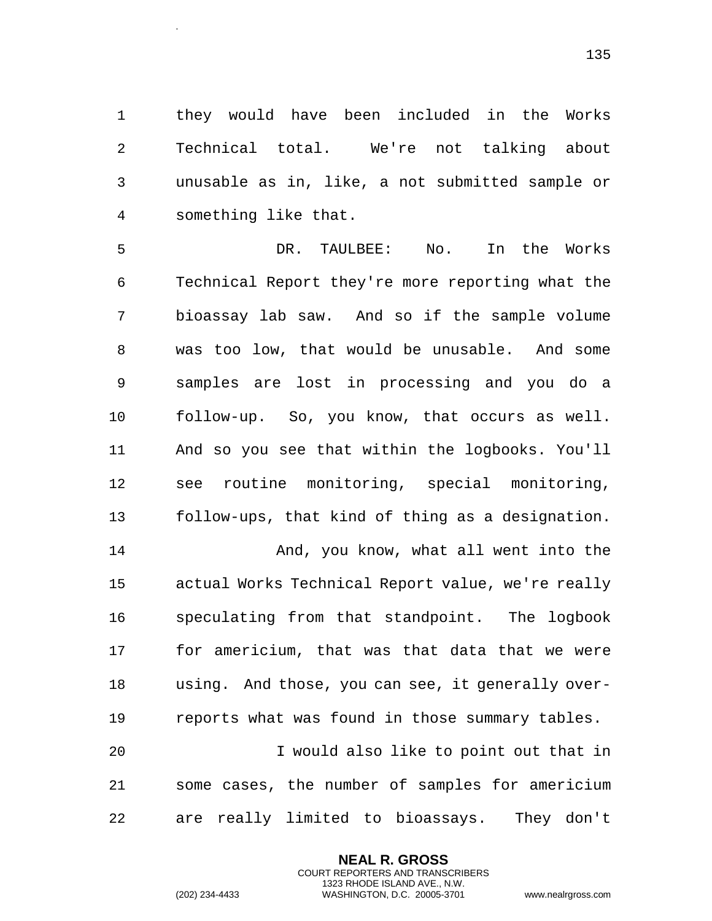they would have been included in the Works Technical total. We're not talking about unusable as in, like, a not submitted sample or something like that.

 DR. TAULBEE: No. In the Works Technical Report they're more reporting what the bioassay lab saw. And so if the sample volume was too low, that would be unusable. And some samples are lost in processing and you do a follow-up. So, you know, that occurs as well. And so you see that within the logbooks. You'll see routine monitoring, special monitoring, follow-ups, that kind of thing as a designation. And, you know, what all went into the

 actual Works Technical Report value, we're really speculating from that standpoint. The logbook for americium, that was that data that we were using. And those, you can see, it generally over-reports what was found in those summary tables.

 I would also like to point out that in some cases, the number of samples for americium are really limited to bioassays. They don't

> **NEAL R. GROSS** COURT REPORTERS AND TRANSCRIBERS 1323 RHODE ISLAND AVE., N.W.

.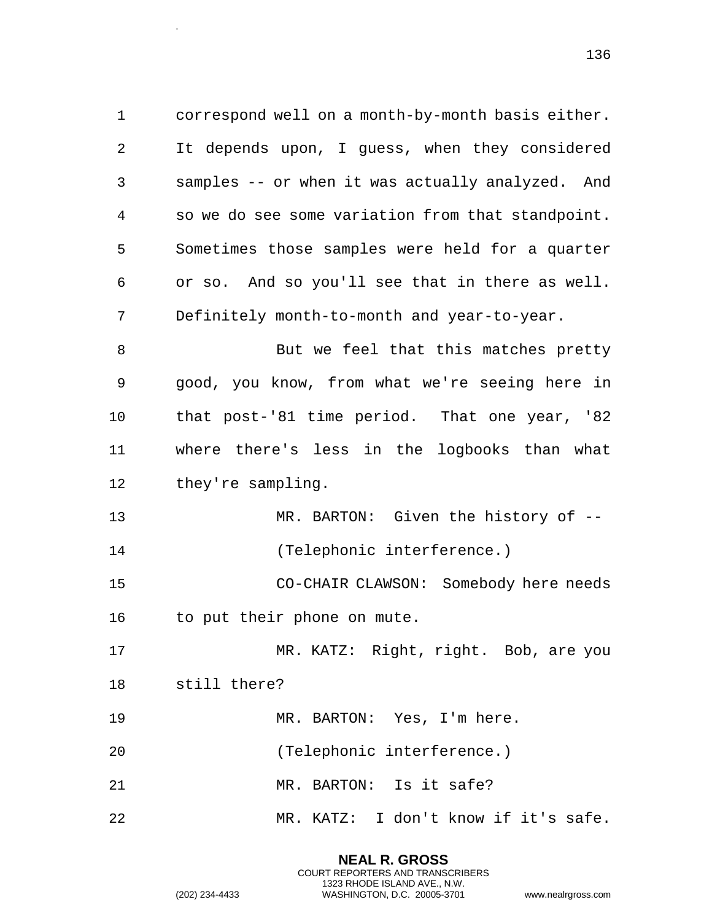correspond well on a month-by-month basis either. It depends upon, I guess, when they considered samples -- or when it was actually analyzed. And so we do see some variation from that standpoint. Sometimes those samples were held for a quarter or so. And so you'll see that in there as well. Definitely month-to-month and year-to-year. 8 But we feel that this matches pretty good, you know, from what we're seeing here in that post-'81 time period. That one year, '82 where there's less in the logbooks than what 12 they're sampling. 13 MR. BARTON: Given the history of -- (Telephonic interference.) CO-CHAIR CLAWSON: Somebody here needs 16 to put their phone on mute. MR. KATZ: Right, right. Bob, are you still there? MR. BARTON: Yes, I'm here. (Telephonic interference.) 21 MR. BARTON: Is it safe? MR. KATZ: I don't know if it's safe.

.

COURT REPORTERS AND TRANSCRIBERS 1323 RHODE ISLAND AVE., N.W. (202) 234-4433 WASHINGTON, D.C. 20005-3701 www.nealrgross.com

**NEAL R. GROSS**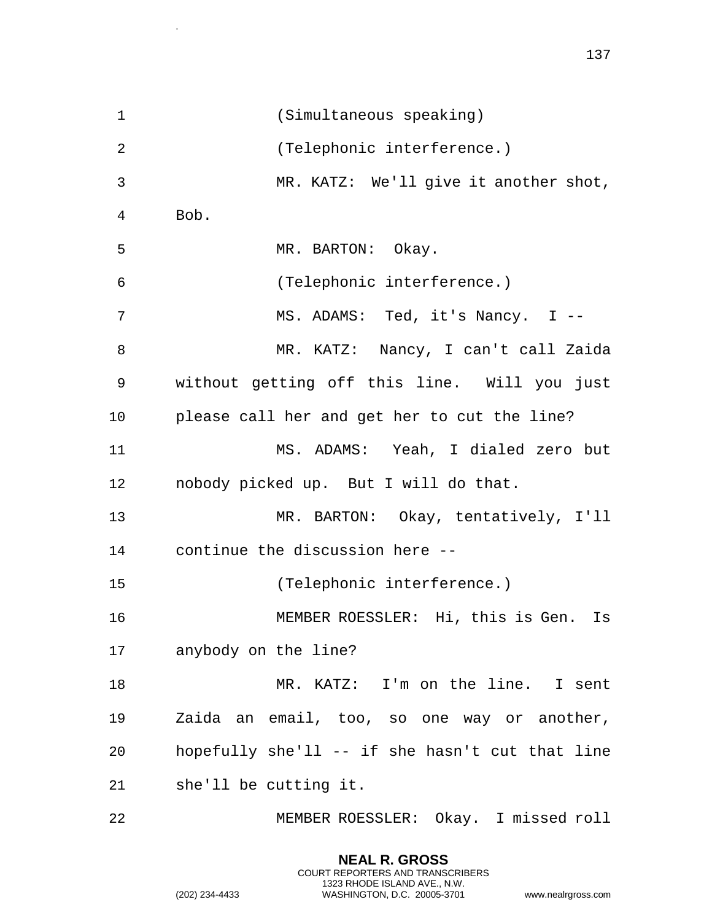(Simultaneous speaking) (Telephonic interference.) MR. KATZ: We'll give it another shot, Bob. 5 MR. BARTON: Okay. (Telephonic interference.) MS. ADAMS: Ted, it's Nancy. I -- MR. KATZ: Nancy, I can't call Zaida without getting off this line. Will you just please call her and get her to cut the line? MS. ADAMS: Yeah, I dialed zero but nobody picked up. But I will do that. MR. BARTON: Okay, tentatively, I'll continue the discussion here -- (Telephonic interference.) MEMBER ROESSLER: Hi, this is Gen. Is anybody on the line? MR. KATZ: I'm on the line. I sent Zaida an email, too, so one way or another, hopefully she'll -- if she hasn't cut that line she'll be cutting it. MEMBER ROESSLER: Okay. I missed roll

> **NEAL R. GROSS** COURT REPORTERS AND TRANSCRIBERS 1323 RHODE ISLAND AVE., N.W.

.

(202) 234-4433 WASHINGTON, D.C. 20005-3701 www.nealrgross.com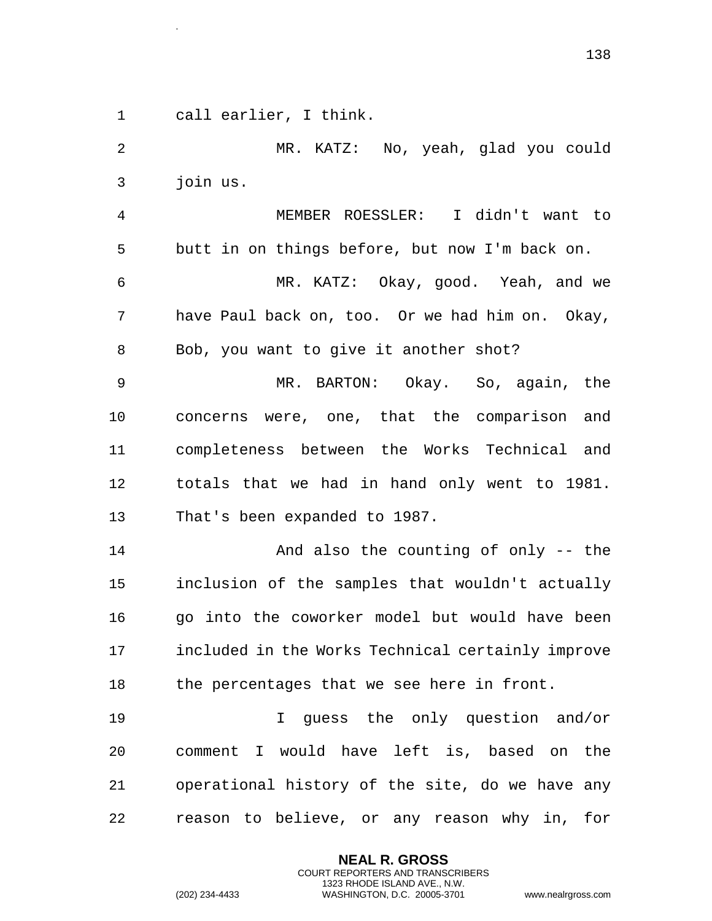call earlier, I think.

.

 MR. KATZ: No, yeah, glad you could join us. MEMBER ROESSLER: I didn't want to butt in on things before, but now I'm back on. MR. KATZ: Okay, good. Yeah, and we have Paul back on, too. Or we had him on. Okay, Bob, you want to give it another shot? MR. BARTON: Okay. So, again, the concerns were, one, that the comparison and completeness between the Works Technical and totals that we had in hand only went to 1981. That's been expanded to 1987. And also the counting of only -- the inclusion of the samples that wouldn't actually go into the coworker model but would have been included in the Works Technical certainly improve 18 the percentages that we see here in front. 19 19 I guess the only question and/or comment I would have left is, based on the operational history of the site, do we have any

reason to believe, or any reason why in, for

**NEAL R. GROSS** COURT REPORTERS AND TRANSCRIBERS 1323 RHODE ISLAND AVE., N.W.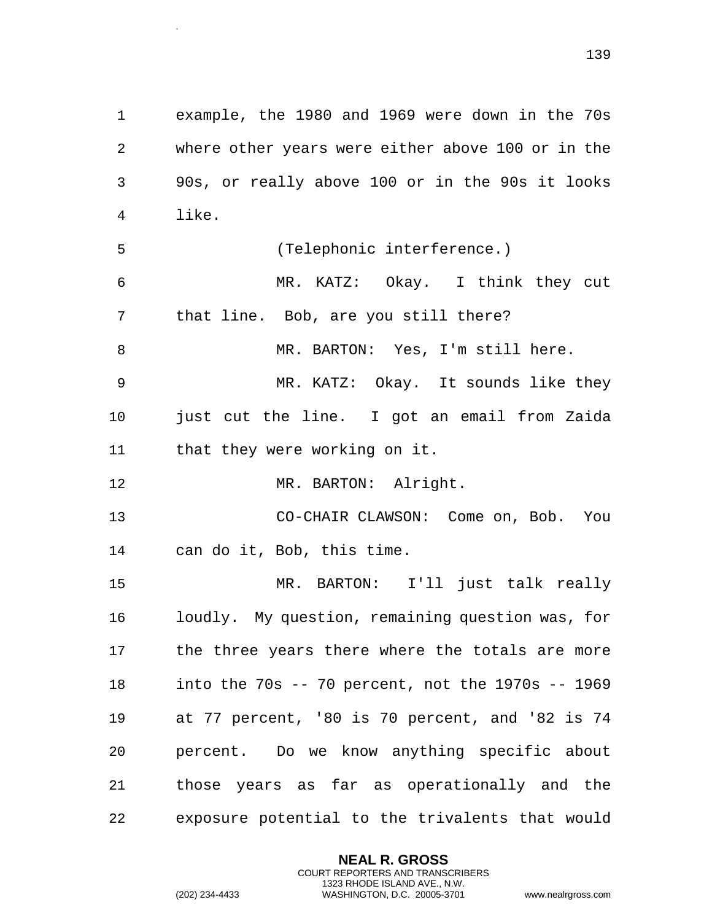where other years were either above 100 or in the 90s, or really above 100 or in the 90s it looks like. (Telephonic interference.) MR. KATZ: Okay. I think they cut that line. Bob, are you still there? MR. BARTON: Yes, I'm still here.

example, the 1980 and 1969 were down in the 70s

 MR. KATZ: Okay. It sounds like they just cut the line. I got an email from Zaida that they were working on it.

12 MR. BARTON: Alright.

.

 CO-CHAIR CLAWSON: Come on, Bob. You can do it, Bob, this time.

 MR. BARTON: I'll just talk really loudly. My question, remaining question was, for 17 the three years there where the totals are more into the 70s -- 70 percent, not the 1970s -- 1969 at 77 percent, '80 is 70 percent, and '82 is 74 percent. Do we know anything specific about those years as far as operationally and the exposure potential to the trivalents that would

> **NEAL R. GROSS** COURT REPORTERS AND TRANSCRIBERS 1323 RHODE ISLAND AVE., N.W.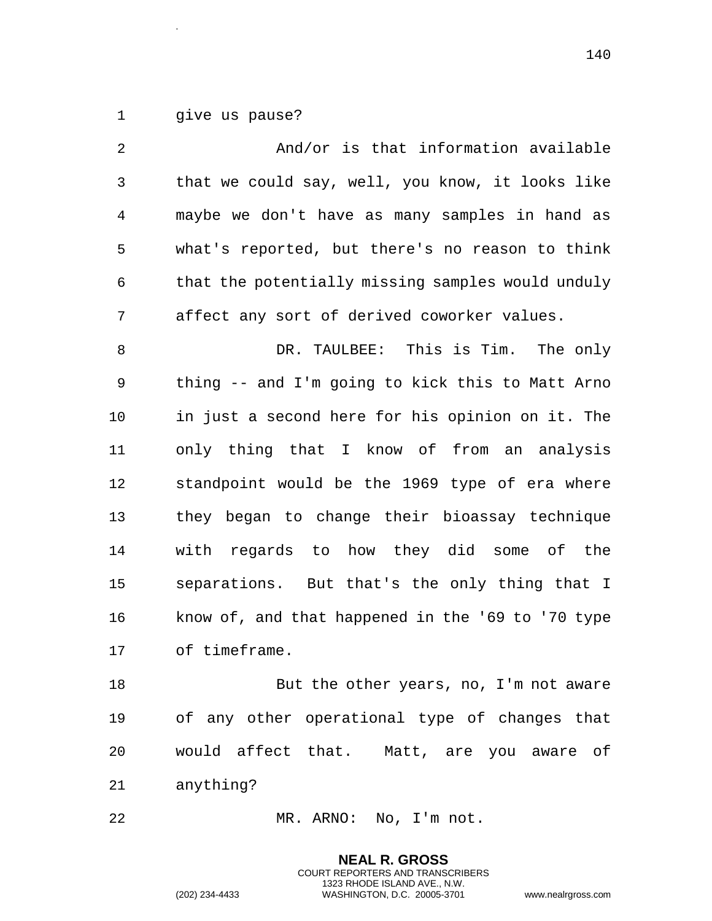give us pause?

.

| 2  | And/or is that information available              |
|----|---------------------------------------------------|
| 3  | that we could say, well, you know, it looks like  |
| 4  | maybe we don't have as many samples in hand as    |
| 5  | what's reported, but there's no reason to think   |
| 6  | that the potentially missing samples would unduly |
| 7  | affect any sort of derived coworker values.       |
| 8  | DR. TAULBEE: This is Tim. The only                |
| 9  | thing -- and I'm going to kick this to Matt Arno  |
| 10 | in just a second here for his opinion on it. The  |
| 11 | only thing that I know of from an analysis        |
| 12 | standpoint would be the 1969 type of era where    |
| 13 | they began to change their bioassay technique     |
| 14 | with regards to how they did some of the          |
| 15 | separations. But that's the only thing that I     |
| 16 | know of, and that happened in the '69 to '70 type |
| 17 | of timeframe.                                     |
| 18 | But the other years, no, I'm not aware            |
| 19 | any other operational type of changes that<br>οf  |

 would affect that. Matt, are you aware of anything?

> **NEAL R. GROSS** COURT REPORTERS AND TRANSCRIBERS 1323 RHODE ISLAND AVE., N.W.

MR. ARNO: No, I'm not.

(202) 234-4433 WASHINGTON, D.C. 20005-3701 www.nealrgross.com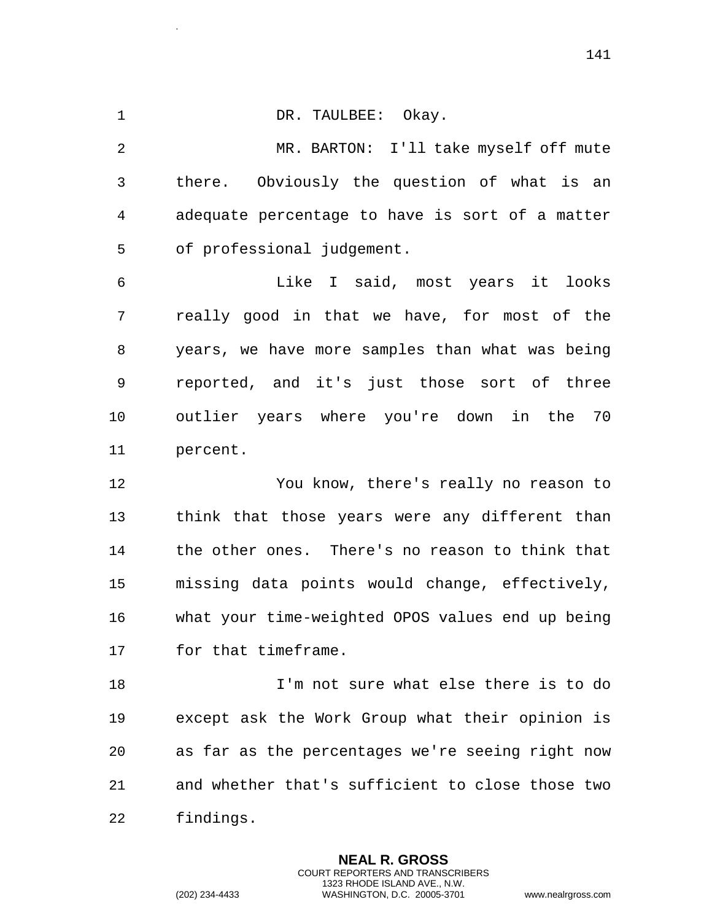1 DR. TAULBEE: Okay.

.

 MR. BARTON: I'll take myself off mute there. Obviously the question of what is an adequate percentage to have is sort of a matter of professional judgement.

 Like I said, most years it looks really good in that we have, for most of the years, we have more samples than what was being reported, and it's just those sort of three outlier years where you're down in the 70 percent.

 You know, there's really no reason to think that those years were any different than the other ones. There's no reason to think that missing data points would change, effectively, what your time-weighted OPOS values end up being for that timeframe.

 I'm not sure what else there is to do except ask the Work Group what their opinion is as far as the percentages we're seeing right now and whether that's sufficient to close those two findings.

> **NEAL R. GROSS** COURT REPORTERS AND TRANSCRIBERS 1323 RHODE ISLAND AVE., N.W.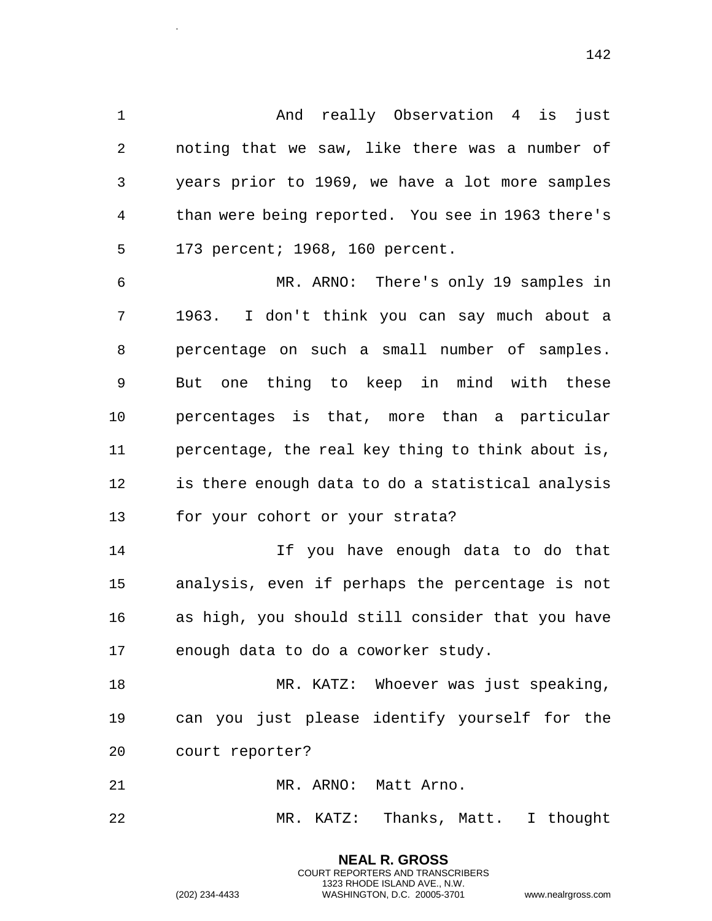And really Observation 4 is just noting that we saw, like there was a number of years prior to 1969, we have a lot more samples than were being reported. You see in 1963 there's 173 percent; 1968, 160 percent.

 MR. ARNO: There's only 19 samples in 1963. I don't think you can say much about a percentage on such a small number of samples. But one thing to keep in mind with these percentages is that, more than a particular percentage, the real key thing to think about is, is there enough data to do a statistical analysis for your cohort or your strata?

 If you have enough data to do that analysis, even if perhaps the percentage is not as high, you should still consider that you have enough data to do a coworker study.

 MR. KATZ: Whoever was just speaking, can you just please identify yourself for the court reporter?

21 MR. ARNO: Matt Arno.

MR. KATZ: Thanks, Matt. I thought

**NEAL R. GROSS** COURT REPORTERS AND TRANSCRIBERS 1323 RHODE ISLAND AVE., N.W.

.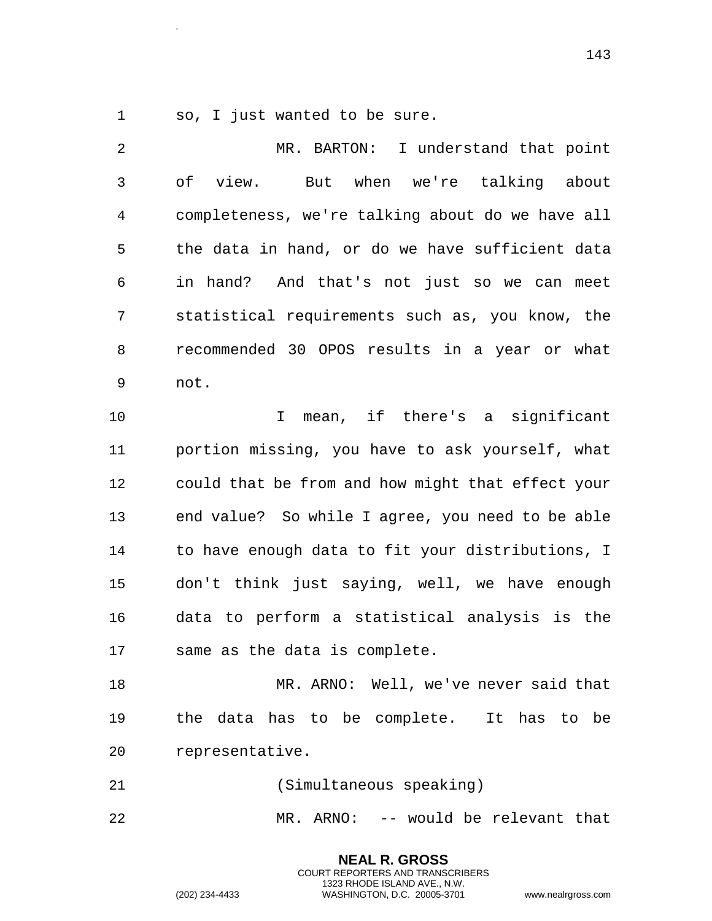so, I just wanted to be sure.

.

 MR. BARTON: I understand that point of view. But when we're talking about completeness, we're talking about do we have all the data in hand, or do we have sufficient data in hand? And that's not just so we can meet statistical requirements such as, you know, the recommended 30 OPOS results in a year or what not. I mean, if there's a significant portion missing, you have to ask yourself, what could that be from and how might that effect your end value? So while I agree, you need to be able to have enough data to fit your distributions, I don't think just saying, well, we have enough data to perform a statistical analysis is the same as the data is complete. MR. ARNO: Well, we've never said that the data has to be complete. It has to be representative. (Simultaneous speaking)

MR. ARNO: -- would be relevant that

**NEAL R. GROSS** COURT REPORTERS AND TRANSCRIBERS 1323 RHODE ISLAND AVE., N.W.

(202) 234-4433 WASHINGTON, D.C. 20005-3701 www.nealrgross.com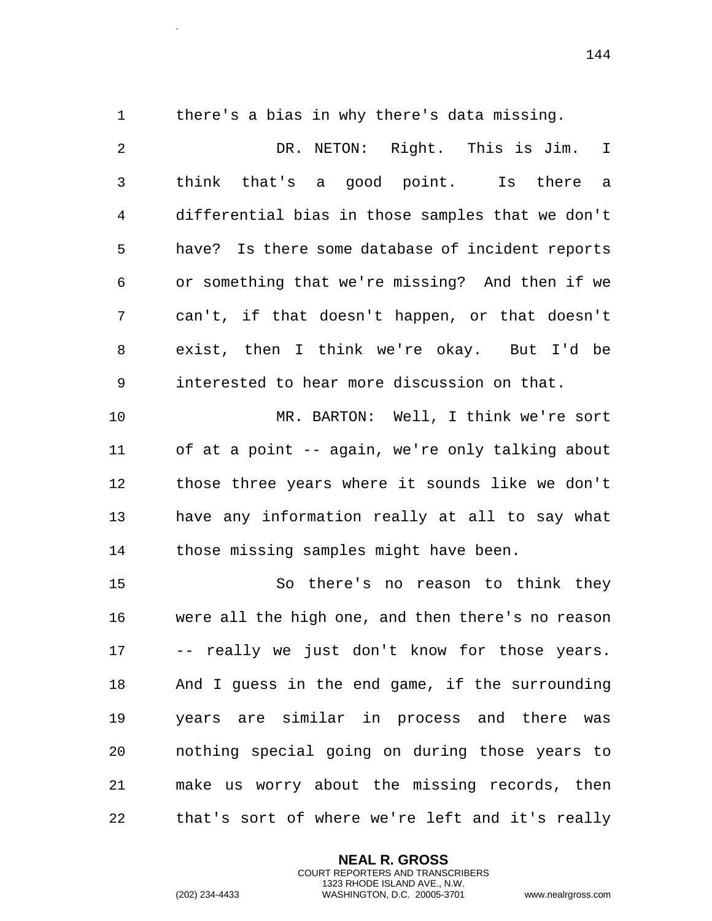.

there's a bias in why there's data missing.

 DR. NETON: Right. This is Jim. I think that's a good point. Is there a differential bias in those samples that we don't have? Is there some database of incident reports or something that we're missing? And then if we can't, if that doesn't happen, or that doesn't exist, then I think we're okay. But I'd be interested to hear more discussion on that. MR. BARTON: Well, I think we're sort of at a point -- again, we're only talking about those three years where it sounds like we don't have any information really at all to say what those missing samples might have been. So there's no reason to think they were all the high one, and then there's no reason -- really we just don't know for those years. And I guess in the end game, if the surrounding years are similar in process and there was nothing special going on during those years to make us worry about the missing records, then

that's sort of where we're left and it's really

**NEAL R. GROSS** COURT REPORTERS AND TRANSCRIBERS 1323 RHODE ISLAND AVE., N.W.

(202) 234-4433 WASHINGTON, D.C. 20005-3701 www.nealrgross.com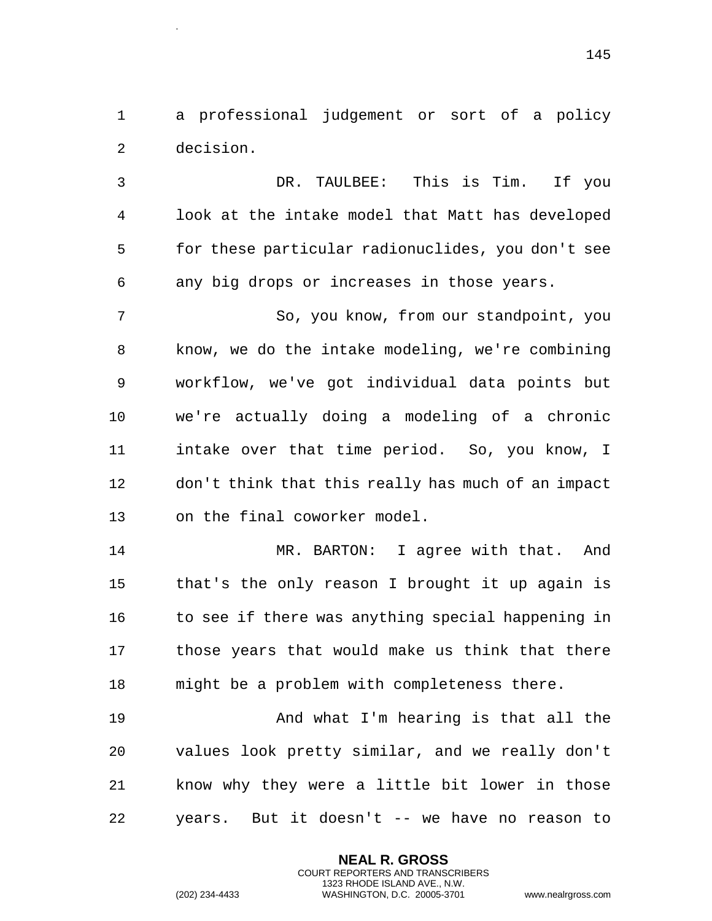a professional judgement or sort of a policy decision.

 DR. TAULBEE: This is Tim. If you look at the intake model that Matt has developed for these particular radionuclides, you don't see any big drops or increases in those years.

 So, you know, from our standpoint, you know, we do the intake modeling, we're combining workflow, we've got individual data points but we're actually doing a modeling of a chronic intake over that time period. So, you know, I don't think that this really has much of an impact on the final coworker model.

 MR. BARTON: I agree with that. And that's the only reason I brought it up again is 16 to see if there was anything special happening in those years that would make us think that there might be a problem with completeness there.

 And what I'm hearing is that all the values look pretty similar, and we really don't know why they were a little bit lower in those years. But it doesn't -- we have no reason to

> **NEAL R. GROSS** COURT REPORTERS AND TRANSCRIBERS 1323 RHODE ISLAND AVE., N.W.

.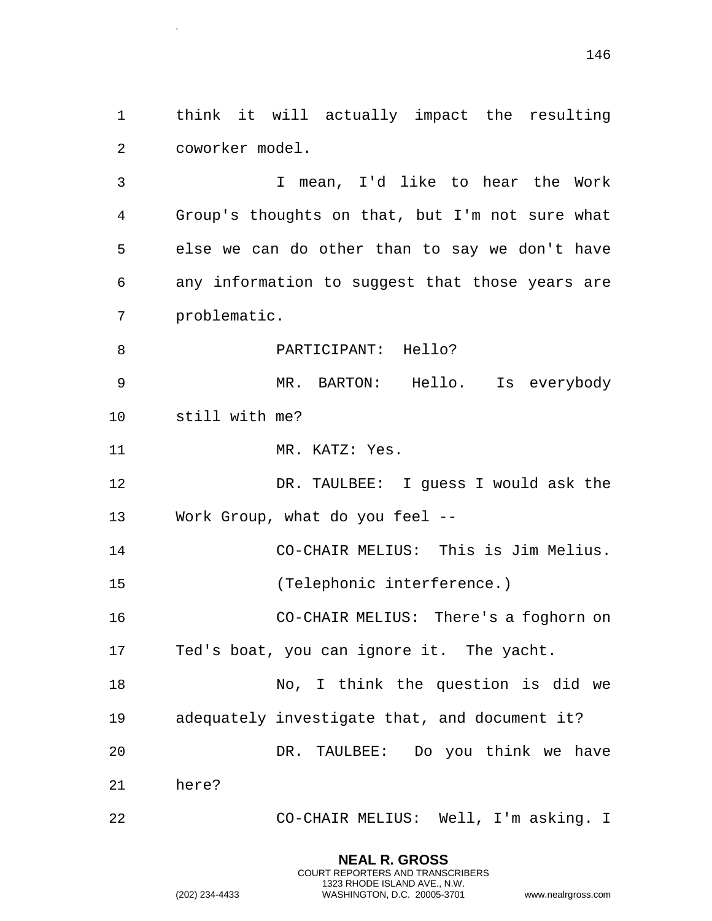think it will actually impact the resulting coworker model.

 I mean, I'd like to hear the Work Group's thoughts on that, but I'm not sure what else we can do other than to say we don't have any information to suggest that those years are problematic.

**PARTICIPANT:** Hello?

.

 MR. BARTON: Hello. Is everybody still with me?

11 MR. KATZ: Yes.

 DR. TAULBEE: I guess I would ask the Work Group, what do you feel --

 CO-CHAIR MELIUS: This is Jim Melius. (Telephonic interference.)

CO-CHAIR MELIUS: There's a foghorn on

Ted's boat, you can ignore it. The yacht.

 No, I think the question is did we adequately investigate that, and document it? DR. TAULBEE: Do you think we have here?

CO-CHAIR MELIUS: Well, I'm asking. I

**NEAL R. GROSS** COURT REPORTERS AND TRANSCRIBERS 1323 RHODE ISLAND AVE., N.W.

```
(202) 234-4433 WASHINGTON, D.C. 20005-3701 www.nealrgross.com
```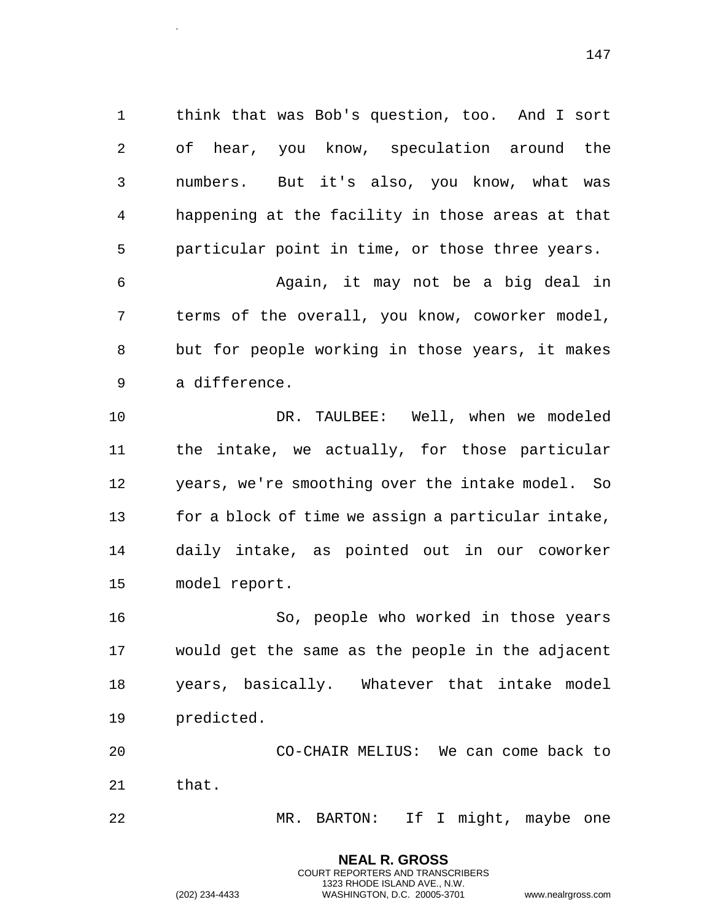think that was Bob's question, too. And I sort of hear, you know, speculation around the numbers. But it's also, you know, what was happening at the facility in those areas at that particular point in time, or those three years.

 Again, it may not be a big deal in terms of the overall, you know, coworker model, but for people working in those years, it makes a difference.

 DR. TAULBEE: Well, when we modeled the intake, we actually, for those particular years, we're smoothing over the intake model. So for a block of time we assign a particular intake, daily intake, as pointed out in our coworker model report.

 So, people who worked in those years would get the same as the people in the adjacent years, basically. Whatever that intake model predicted.

 CO-CHAIR MELIUS: We can come back to that.

MR. BARTON: If I might, maybe one

**NEAL R. GROSS** COURT REPORTERS AND TRANSCRIBERS 1323 RHODE ISLAND AVE., N.W.

.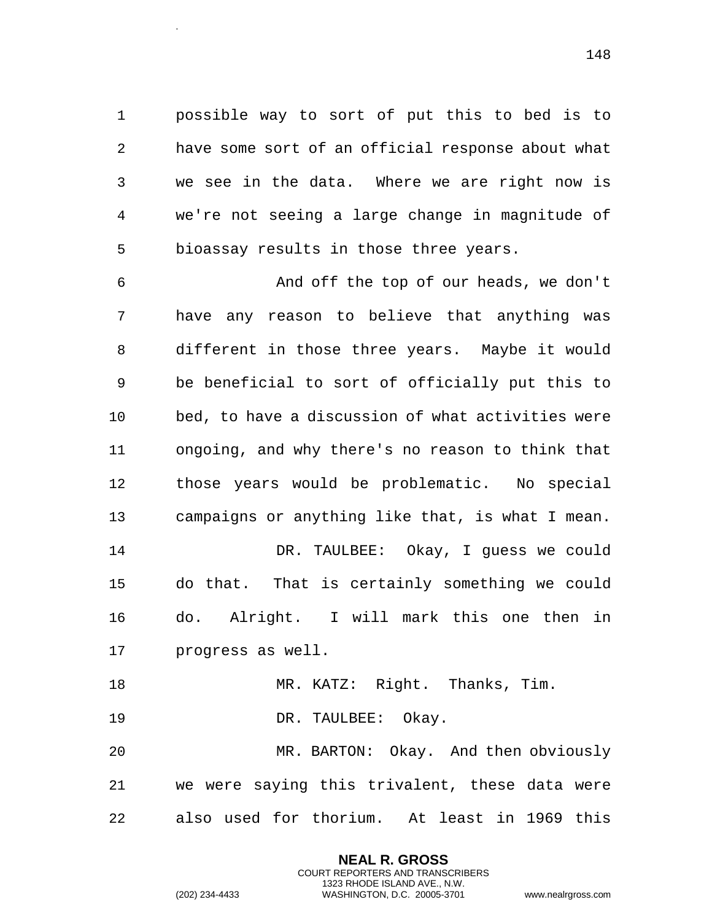possible way to sort of put this to bed is to have some sort of an official response about what we see in the data. Where we are right now is we're not seeing a large change in magnitude of bioassay results in those three years.

 And off the top of our heads, we don't have any reason to believe that anything was different in those three years. Maybe it would be beneficial to sort of officially put this to bed, to have a discussion of what activities were ongoing, and why there's no reason to think that those years would be problematic. No special campaigns or anything like that, is what I mean. DR. TAULBEE: Okay, I guess we could do that. That is certainly something we could do. Alright. I will mark this one then in progress as well. 18 MR. KATZ: Right. Thanks, Tim.

DR. TAULBEE: Okay.

 MR. BARTON: Okay. And then obviously we were saying this trivalent, these data were also used for thorium. At least in 1969 this

> **NEAL R. GROSS** COURT REPORTERS AND TRANSCRIBERS 1323 RHODE ISLAND AVE., N.W.

.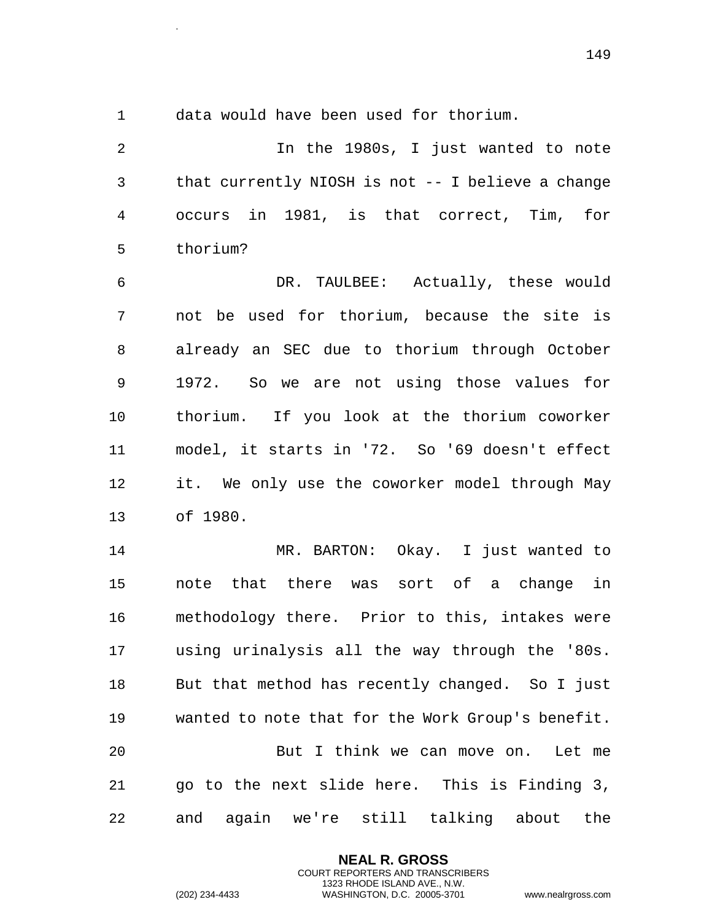.

data would have been used for thorium.

 In the 1980s, I just wanted to note that currently NIOSH is not -- I believe a change occurs in 1981, is that correct, Tim, for thorium?

 DR. TAULBEE: Actually, these would not be used for thorium, because the site is already an SEC due to thorium through October 1972. So we are not using those values for thorium. If you look at the thorium coworker model, it starts in '72. So '69 doesn't effect it. We only use the coworker model through May of 1980.

 MR. BARTON: Okay. I just wanted to note that there was sort of a change in methodology there. Prior to this, intakes were using urinalysis all the way through the '80s. But that method has recently changed. So I just wanted to note that for the Work Group's benefit. But I think we can move on. Let me go to the next slide here. This is Finding 3, and again we're still talking about the

> **NEAL R. GROSS** COURT REPORTERS AND TRANSCRIBERS 1323 RHODE ISLAND AVE., N.W.

(202) 234-4433 WASHINGTON, D.C. 20005-3701 www.nealrgross.com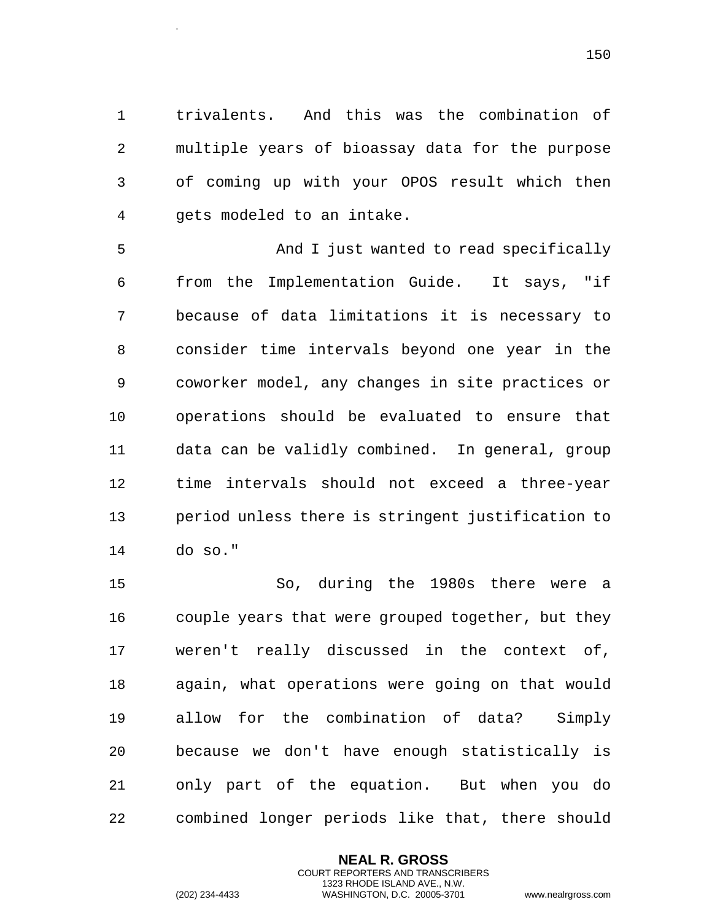trivalents. And this was the combination of multiple years of bioassay data for the purpose of coming up with your OPOS result which then gets modeled to an intake.

 And I just wanted to read specifically from the Implementation Guide. It says, "if because of data limitations it is necessary to consider time intervals beyond one year in the coworker model, any changes in site practices or operations should be evaluated to ensure that data can be validly combined. In general, group time intervals should not exceed a three-year period unless there is stringent justification to do so."

 So, during the 1980s there were a couple years that were grouped together, but they weren't really discussed in the context of, again, what operations were going on that would allow for the combination of data? Simply because we don't have enough statistically is only part of the equation. But when you do combined longer periods like that, there should

> **NEAL R. GROSS** COURT REPORTERS AND TRANSCRIBERS 1323 RHODE ISLAND AVE., N.W.

.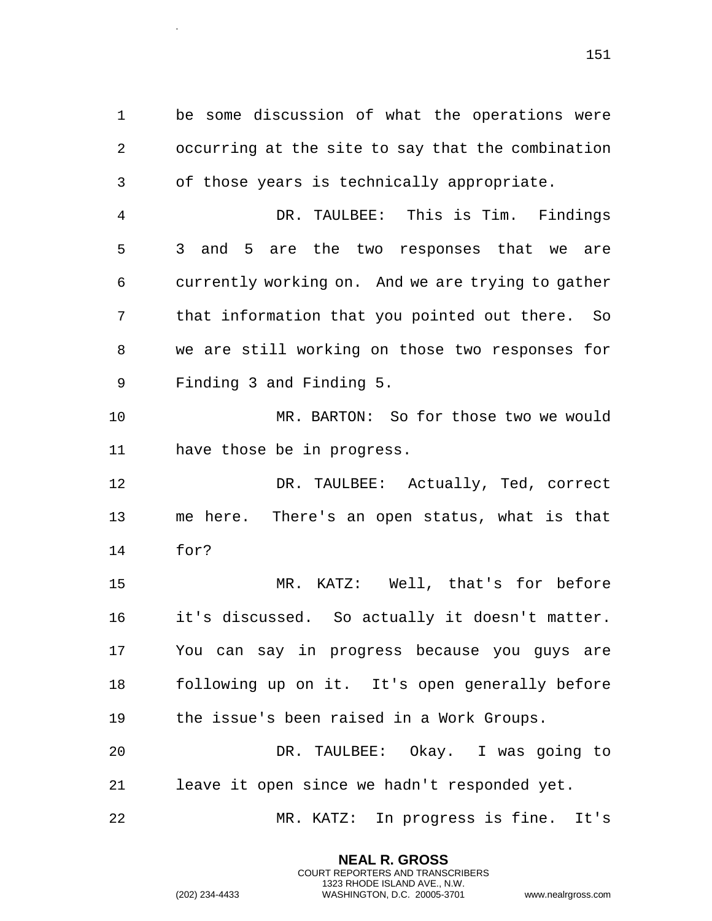be some discussion of what the operations were occurring at the site to say that the combination of those years is technically appropriate.

 DR. TAULBEE: This is Tim. Findings 3 and 5 are the two responses that we are currently working on. And we are trying to gather that information that you pointed out there. So we are still working on those two responses for Finding 3 and Finding 5.

 MR. BARTON: So for those two we would have those be in progress.

 DR. TAULBEE: Actually, Ted, correct me here. There's an open status, what is that for?

 MR. KATZ: Well, that's for before it's discussed. So actually it doesn't matter. You can say in progress because you guys are following up on it. It's open generally before the issue's been raised in a Work Groups.

 DR. TAULBEE: Okay. I was going to leave it open since we hadn't responded yet.

MR. KATZ: In progress is fine. It's

**NEAL R. GROSS** COURT REPORTERS AND TRANSCRIBERS 1323 RHODE ISLAND AVE., N.W.

.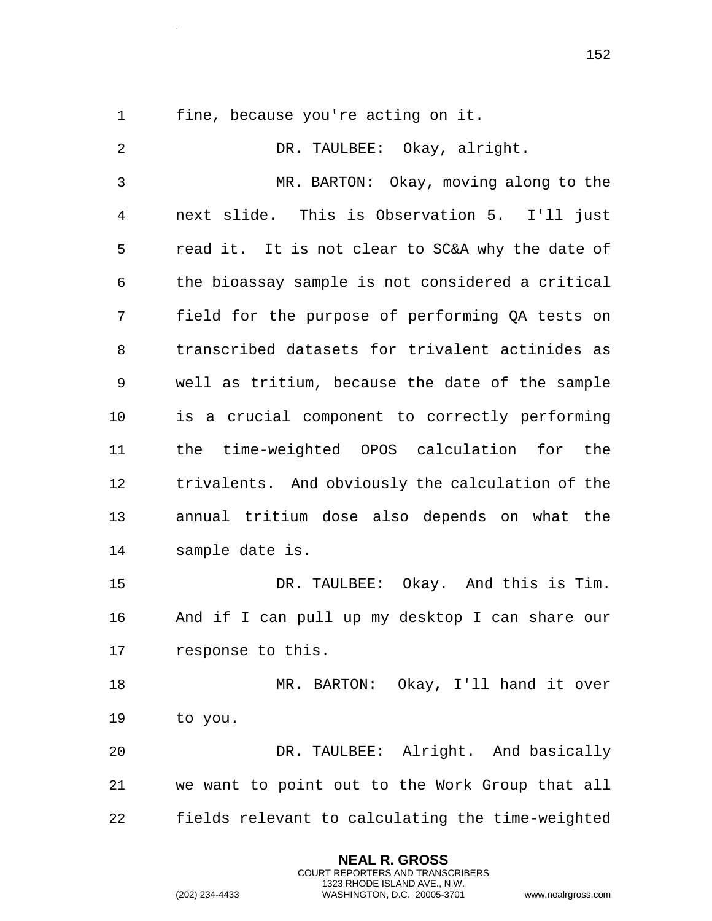.

fine, because you're acting on it.

 DR. TAULBEE: Okay, alright. MR. BARTON: Okay, moving along to the next slide. This is Observation 5. I'll just read it. It is not clear to SC&A why the date of the bioassay sample is not considered a critical field for the purpose of performing QA tests on transcribed datasets for trivalent actinides as well as tritium, because the date of the sample is a crucial component to correctly performing the time-weighted OPOS calculation for the trivalents. And obviously the calculation of the annual tritium dose also depends on what the sample date is. DR. TAULBEE: Okay. And this is Tim. And if I can pull up my desktop I can share our response to this. 18 MR. BARTON: Okay, I'll hand it over to you. DR. TAULBEE: Alright. And basically we want to point out to the Work Group that all fields relevant to calculating the time-weighted

> **NEAL R. GROSS** COURT REPORTERS AND TRANSCRIBERS 1323 RHODE ISLAND AVE., N.W.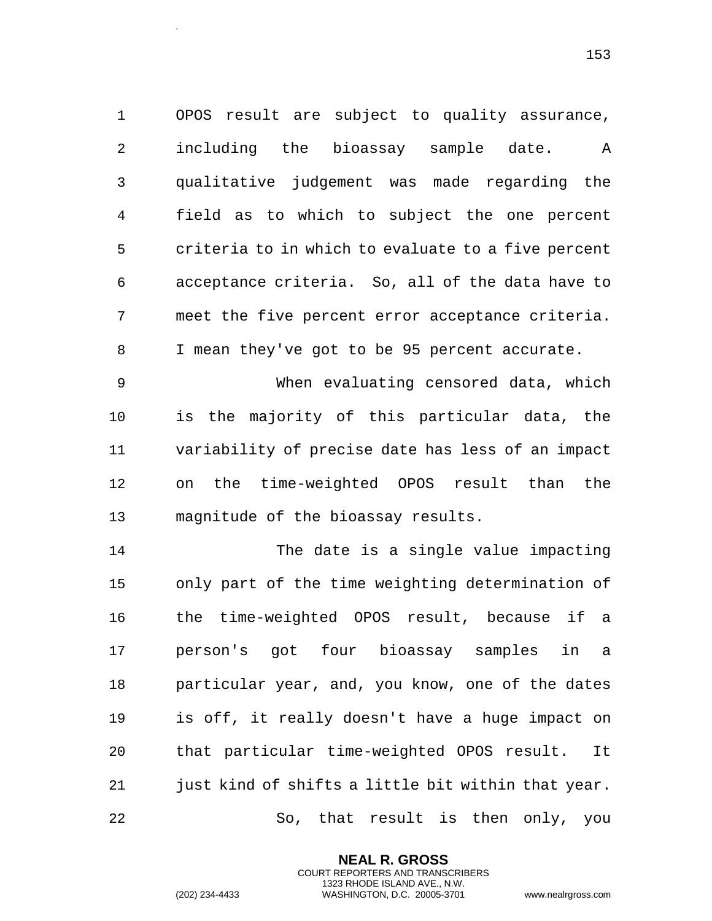OPOS result are subject to quality assurance, including the bioassay sample date. A qualitative judgement was made regarding the field as to which to subject the one percent criteria to in which to evaluate to a five percent acceptance criteria. So, all of the data have to meet the five percent error acceptance criteria. I mean they've got to be 95 percent accurate.

 When evaluating censored data, which is the majority of this particular data, the variability of precise date has less of an impact on the time-weighted OPOS result than the magnitude of the bioassay results.

 The date is a single value impacting only part of the time weighting determination of the time-weighted OPOS result, because if a person's got four bioassay samples in a particular year, and, you know, one of the dates is off, it really doesn't have a huge impact on that particular time-weighted OPOS result. It 21 just kind of shifts a little bit within that year. So, that result is then only, you

> **NEAL R. GROSS** COURT REPORTERS AND TRANSCRIBERS 1323 RHODE ISLAND AVE., N.W.

.

(202) 234-4433 WASHINGTON, D.C. 20005-3701 www.nealrgross.com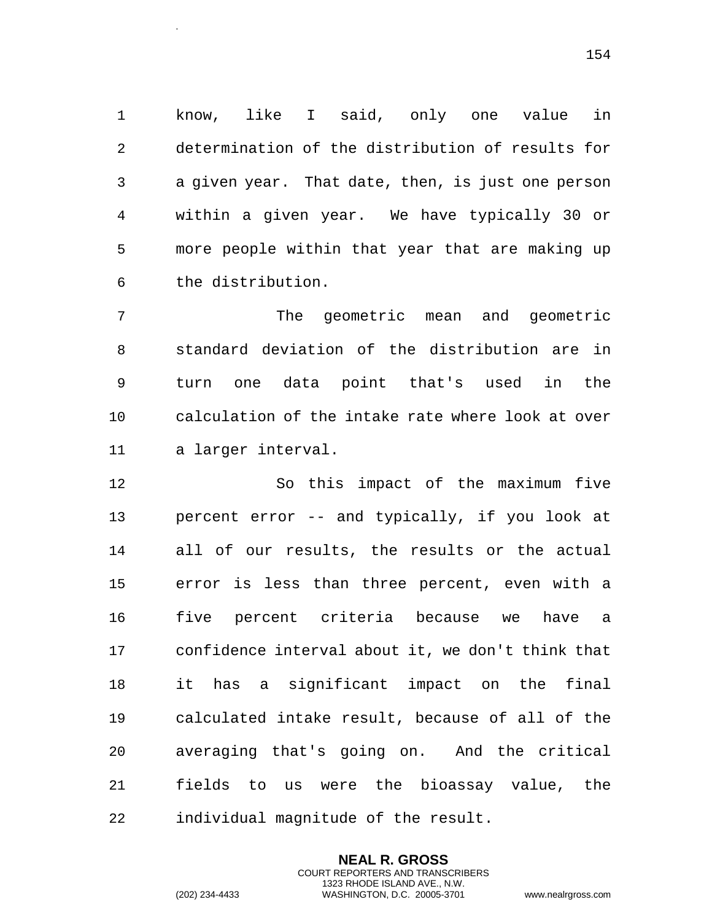know, like I said, only one value in determination of the distribution of results for a given year. That date, then, is just one person within a given year. We have typically 30 or more people within that year that are making up the distribution.

 The geometric mean and geometric standard deviation of the distribution are in turn one data point that's used in the calculation of the intake rate where look at over a larger interval.

 So this impact of the maximum five percent error -- and typically, if you look at all of our results, the results or the actual error is less than three percent, even with a five percent criteria because we have a confidence interval about it, we don't think that it has a significant impact on the final calculated intake result, because of all of the averaging that's going on. And the critical fields to us were the bioassay value, the individual magnitude of the result.

> **NEAL R. GROSS** COURT REPORTERS AND TRANSCRIBERS 1323 RHODE ISLAND AVE., N.W.

.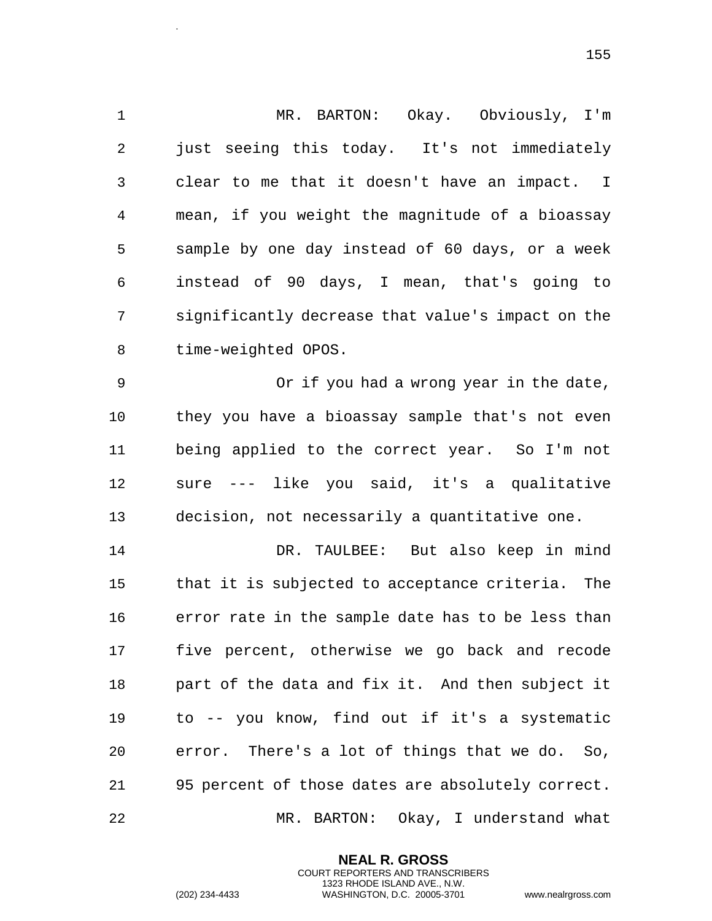MR. BARTON: Okay. Obviously, I'm just seeing this today. It's not immediately clear to me that it doesn't have an impact. I mean, if you weight the magnitude of a bioassay sample by one day instead of 60 days, or a week instead of 90 days, I mean, that's going to significantly decrease that value's impact on the time-weighted OPOS. Or if you had a wrong year in the date, they you have a bioassay sample that's not even being applied to the correct year. So I'm not sure --- like you said, it's a qualitative decision, not necessarily a quantitative one. DR. TAULBEE: But also keep in mind that it is subjected to acceptance criteria. The error rate in the sample date has to be less than five percent, otherwise we go back and recode part of the data and fix it. And then subject it

 to -- you know, find out if it's a systematic error. There's a lot of things that we do. So, 95 percent of those dates are absolutely correct. MR. BARTON: Okay, I understand what

> **NEAL R. GROSS** COURT REPORTERS AND TRANSCRIBERS 1323 RHODE ISLAND AVE., N.W.

.

(202) 234-4433 WASHINGTON, D.C. 20005-3701 www.nealrgross.com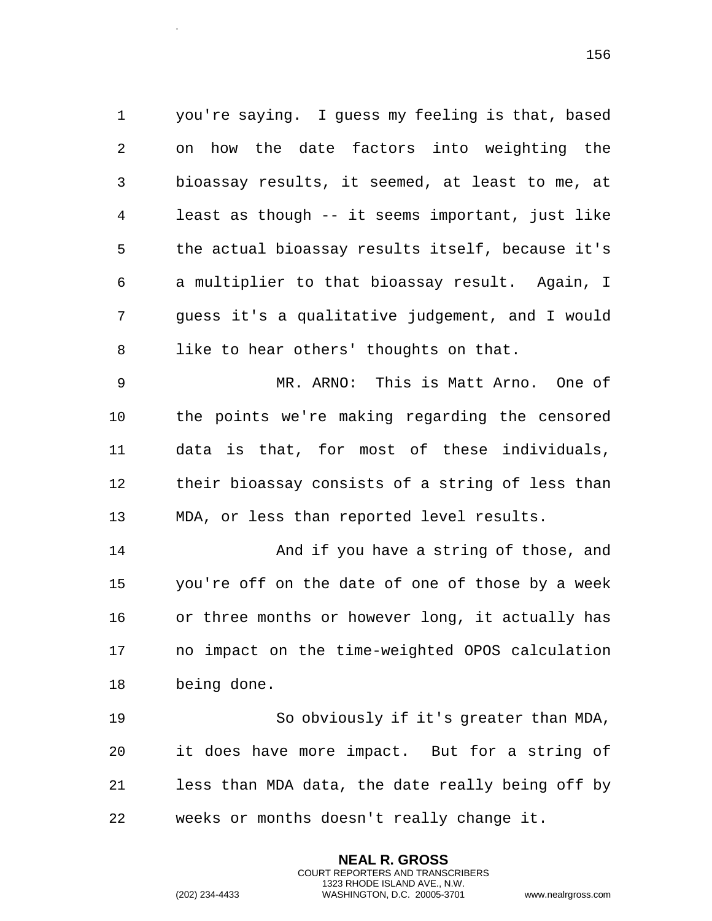you're saying. I guess my feeling is that, based on how the date factors into weighting the bioassay results, it seemed, at least to me, at least as though -- it seems important, just like the actual bioassay results itself, because it's a multiplier to that bioassay result. Again, I guess it's a qualitative judgement, and I would like to hear others' thoughts on that.

 MR. ARNO: This is Matt Arno. One of the points we're making regarding the censored data is that, for most of these individuals, their bioassay consists of a string of less than MDA, or less than reported level results.

 And if you have a string of those, and you're off on the date of one of those by a week or three months or however long, it actually has no impact on the time-weighted OPOS calculation being done.

 So obviously if it's greater than MDA, it does have more impact. But for a string of less than MDA data, the date really being off by weeks or months doesn't really change it.

> **NEAL R. GROSS** COURT REPORTERS AND TRANSCRIBERS 1323 RHODE ISLAND AVE., N.W.

.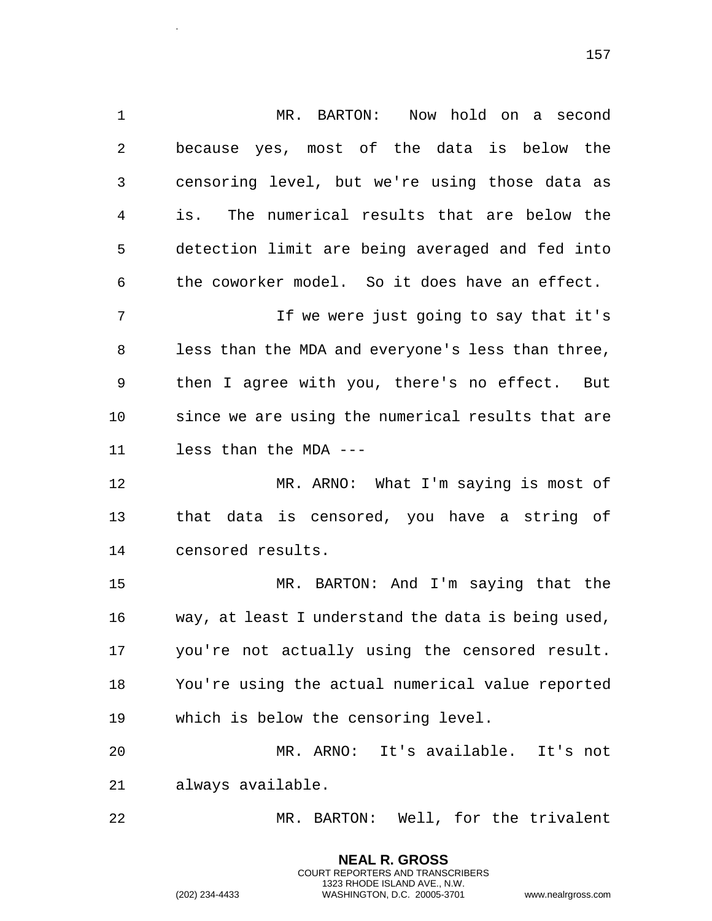MR. BARTON: Now hold on a second because yes, most of the data is below the censoring level, but we're using those data as is. The numerical results that are below the detection limit are being averaged and fed into the coworker model. So it does have an effect. If we were just going to say that it's less than the MDA and everyone's less than three, then I agree with you, there's no effect. But since we are using the numerical results that are less than the MDA --- MR. ARNO: What I'm saying is most of that data is censored, you have a string of

censored results.

 MR. BARTON: And I'm saying that the way, at least I understand the data is being used, you're not actually using the censored result. You're using the actual numerical value reported which is below the censoring level.

 MR. ARNO: It's available. It's not always available.

MR. BARTON: Well, for the trivalent

**NEAL R. GROSS** COURT REPORTERS AND TRANSCRIBERS 1323 RHODE ISLAND AVE., N.W.

.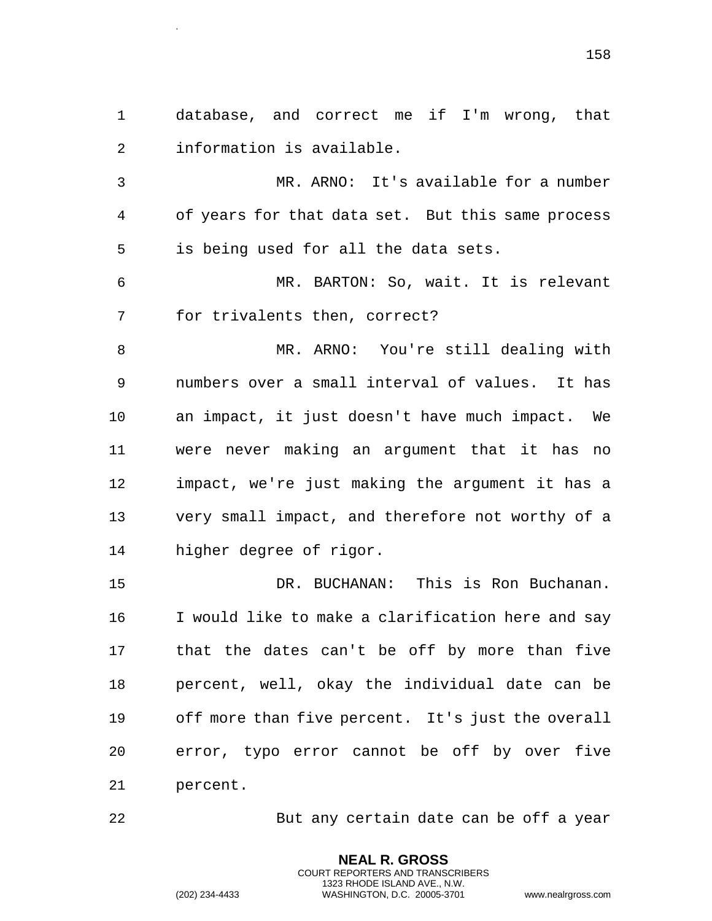database, and correct me if I'm wrong, that information is available.

.

 MR. ARNO: It's available for a number of years for that data set. But this same process is being used for all the data sets.

 MR. BARTON: So, wait. It is relevant for trivalents then, correct?

 MR. ARNO: You're still dealing with numbers over a small interval of values. It has an impact, it just doesn't have much impact. We were never making an argument that it has no impact, we're just making the argument it has a very small impact, and therefore not worthy of a higher degree of rigor.

 DR. BUCHANAN: This is Ron Buchanan. I would like to make a clarification here and say that the dates can't be off by more than five percent, well, okay the individual date can be off more than five percent. It's just the overall error, typo error cannot be off by over five percent.

But any certain date can be off a year

**NEAL R. GROSS** COURT REPORTERS AND TRANSCRIBERS 1323 RHODE ISLAND AVE., N.W.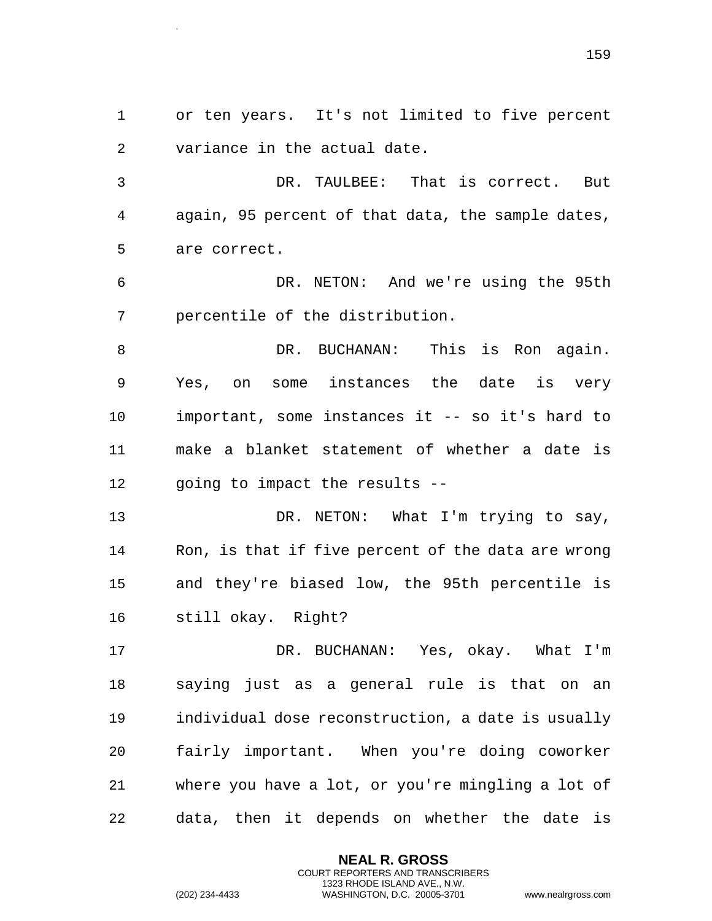or ten years. It's not limited to five percent variance in the actual date.

 DR. TAULBEE: That is correct. But again, 95 percent of that data, the sample dates, are correct.

 DR. NETON: And we're using the 95th percentile of the distribution.

 DR. BUCHANAN: This is Ron again. Yes, on some instances the date is very important, some instances it -- so it's hard to make a blanket statement of whether a date is going to impact the results --

13 DR. NETON: What I'm trying to say, Ron, is that if five percent of the data are wrong and they're biased low, the 95th percentile is still okay. Right?

 DR. BUCHANAN: Yes, okay. What I'm saying just as a general rule is that on an individual dose reconstruction, a date is usually fairly important. When you're doing coworker where you have a lot, or you're mingling a lot of data, then it depends on whether the date is

> **NEAL R. GROSS** COURT REPORTERS AND TRANSCRIBERS 1323 RHODE ISLAND AVE., N.W.

.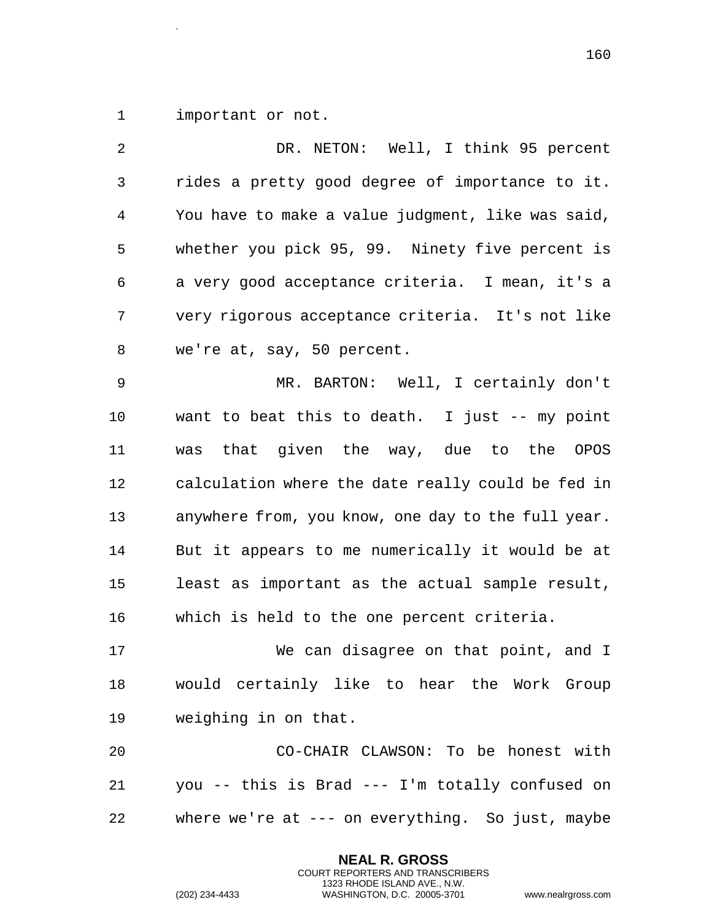important or not.

.

 DR. NETON: Well, I think 95 percent rides a pretty good degree of importance to it. You have to make a value judgment, like was said, whether you pick 95, 99. Ninety five percent is a very good acceptance criteria. I mean, it's a very rigorous acceptance criteria. It's not like we're at, say, 50 percent. MR. BARTON: Well, I certainly don't want to beat this to death. I just -- my point was that given the way, due to the OPOS calculation where the date really could be fed in anywhere from, you know, one day to the full year. But it appears to me numerically it would be at least as important as the actual sample result, which is held to the one percent criteria. We can disagree on that point, and I would certainly like to hear the Work Group weighing in on that. CO-CHAIR CLAWSON: To be honest with

 you -- this is Brad --- I'm totally confused on where we're at --- on everything. So just, maybe

> **NEAL R. GROSS** COURT REPORTERS AND TRANSCRIBERS 1323 RHODE ISLAND AVE., N.W.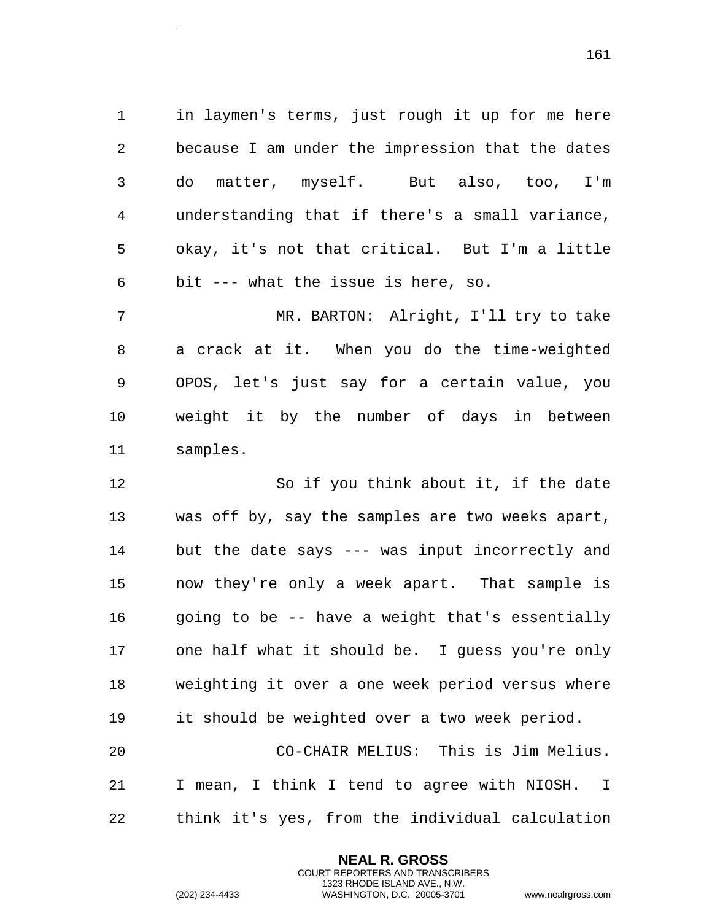in laymen's terms, just rough it up for me here because I am under the impression that the dates do matter, myself. But also, too, I'm understanding that if there's a small variance, okay, it's not that critical. But I'm a little bit --- what the issue is here, so.

 MR. BARTON: Alright, I'll try to take a crack at it. When you do the time-weighted OPOS, let's just say for a certain value, you weight it by the number of days in between samples.

 So if you think about it, if the date was off by, say the samples are two weeks apart, but the date says --- was input incorrectly and now they're only a week apart. That sample is 16 going to be -- have a weight that's essentially one half what it should be. I guess you're only weighting it over a one week period versus where it should be weighted over a two week period. CO-CHAIR MELIUS: This is Jim Melius. I mean, I think I tend to agree with NIOSH. I

think it's yes, from the individual calculation

**NEAL R. GROSS** COURT REPORTERS AND TRANSCRIBERS 1323 RHODE ISLAND AVE., N.W.

.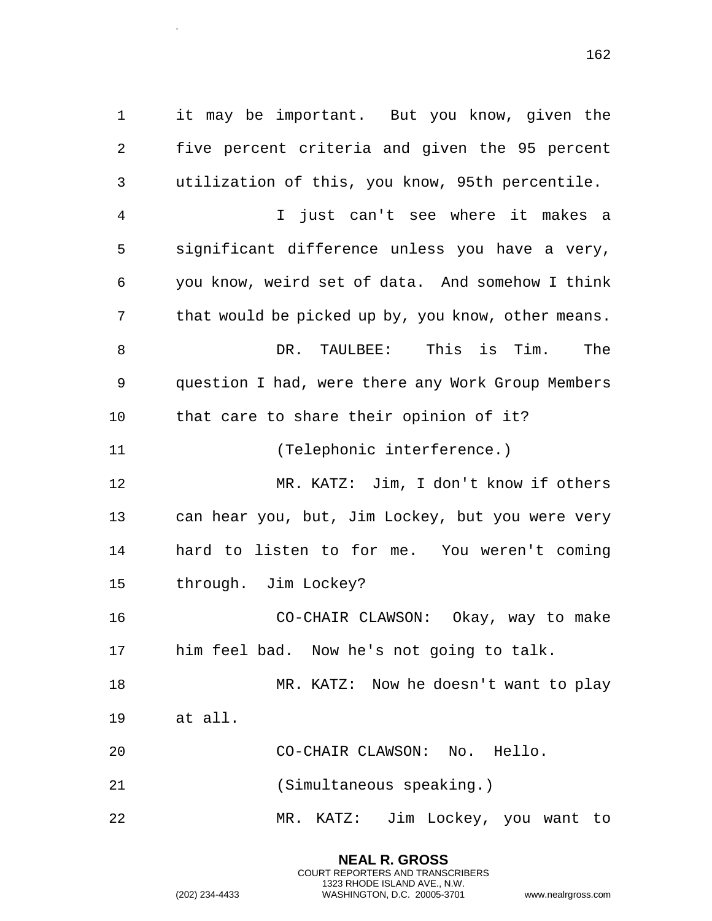it may be important. But you know, given the five percent criteria and given the 95 percent utilization of this, you know, 95th percentile. I just can't see where it makes a significant difference unless you have a very, you know, weird set of data. And somehow I think 7 that would be picked up by, you know, other means. DR. TAULBEE: This is Tim. The question I had, were there any Work Group Members that care to share their opinion of it? (Telephonic interference.) MR. KATZ: Jim, I don't know if others can hear you, but, Jim Lockey, but you were very hard to listen to for me. You weren't coming through. Jim Lockey? CO-CHAIR CLAWSON: Okay, way to make him feel bad. Now he's not going to talk. 18 MR. KATZ: Now he doesn't want to play at all.

- CO-CHAIR CLAWSON: No. Hello.
- (Simultaneous speaking.)

MR. KATZ: Jim Lockey, you want to

**NEAL R. GROSS** COURT REPORTERS AND TRANSCRIBERS 1323 RHODE ISLAND AVE., N.W.

.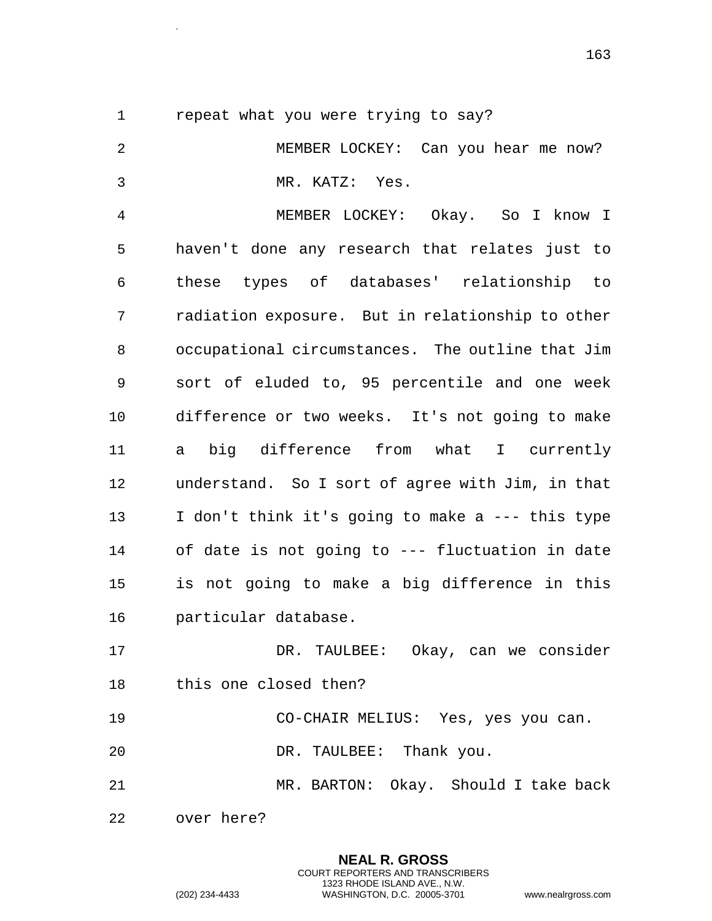repeat what you were trying to say?

.

 MEMBER LOCKEY: Can you hear me now? MR. KATZ: Yes. MEMBER LOCKEY: Okay. So I know I haven't done any research that relates just to these types of databases' relationship to radiation exposure. But in relationship to other occupational circumstances. The outline that Jim sort of eluded to, 95 percentile and one week difference or two weeks. It's not going to make a big difference from what I currently understand. So I sort of agree with Jim, in that I don't think it's going to make a --- this type of date is not going to --- fluctuation in date is not going to make a big difference in this particular database. DR. TAULBEE: Okay, can we consider this one closed then? CO-CHAIR MELIUS: Yes, yes you can. DR. TAULBEE: Thank you. MR. BARTON: Okay. Should I take back over here?

> **NEAL R. GROSS** COURT REPORTERS AND TRANSCRIBERS 1323 RHODE ISLAND AVE., N.W.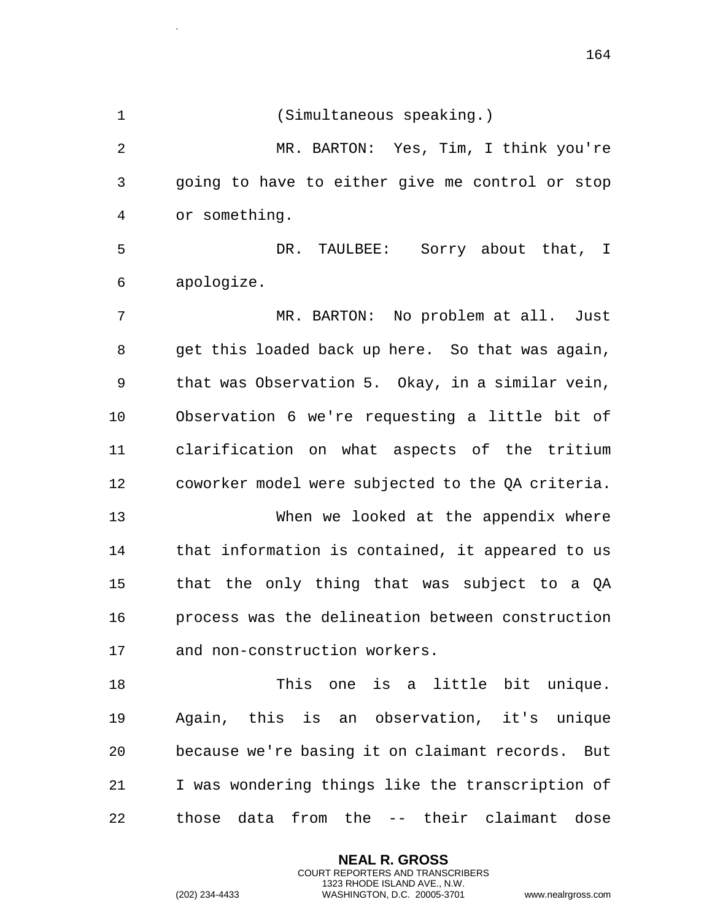**NEAL R. GROSS** (Simultaneous speaking.) MR. BARTON: Yes, Tim, I think you're going to have to either give me control or stop or something. DR. TAULBEE: Sorry about that, I apologize. MR. BARTON: No problem at all. Just get this loaded back up here. So that was again, that was Observation 5. Okay, in a similar vein, Observation 6 we're requesting a little bit of clarification on what aspects of the tritium coworker model were subjected to the QA criteria. When we looked at the appendix where that information is contained, it appeared to us that the only thing that was subject to a QA process was the delineation between construction and non-construction workers. This one is a little bit unique. Again, this is an observation, it's unique because we're basing it on claimant records. But I was wondering things like the transcription of those data from the -- their claimant dose

> COURT REPORTERS AND TRANSCRIBERS 1323 RHODE ISLAND AVE., N.W.

.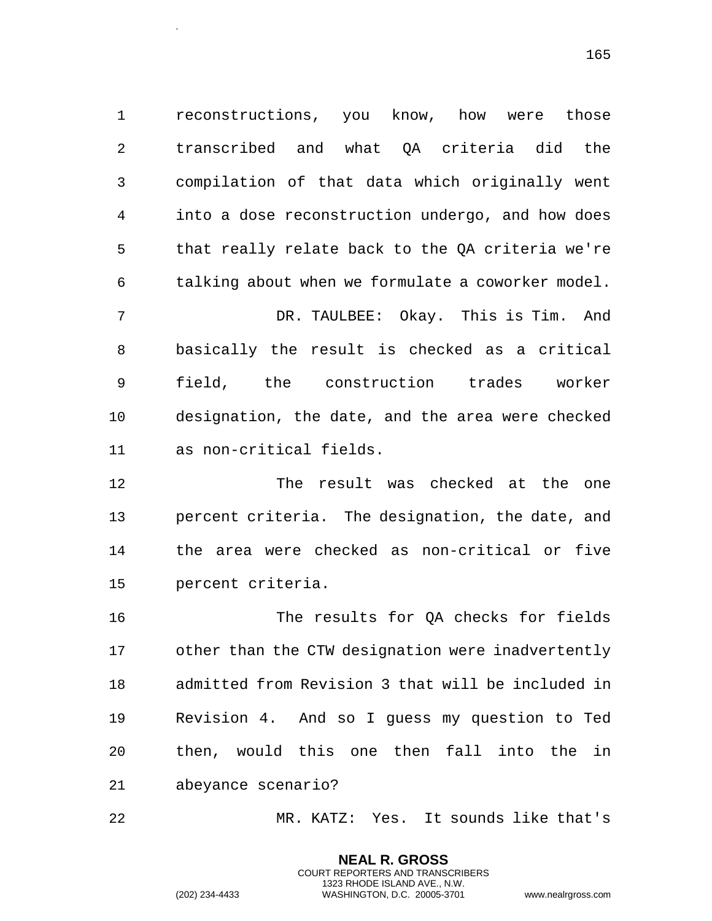reconstructions, you know, how were those transcribed and what QA criteria did the compilation of that data which originally went into a dose reconstruction undergo, and how does that really relate back to the QA criteria we're talking about when we formulate a coworker model. DR. TAULBEE: Okay. This is Tim. And basically the result is checked as a critical field, the construction trades worker designation, the date, and the area were checked as non-critical fields.

 The result was checked at the one percent criteria. The designation, the date, and the area were checked as non-critical or five percent criteria.

 The results for QA checks for fields other than the CTW designation were inadvertently admitted from Revision 3 that will be included in Revision 4. And so I guess my question to Ted then, would this one then fall into the in abeyance scenario?

MR. KATZ: Yes. It sounds like that's

**NEAL R. GROSS** COURT REPORTERS AND TRANSCRIBERS 1323 RHODE ISLAND AVE., N.W.

.

<sup>(202) 234-4433</sup> WASHINGTON, D.C. 20005-3701 www.nealrgross.com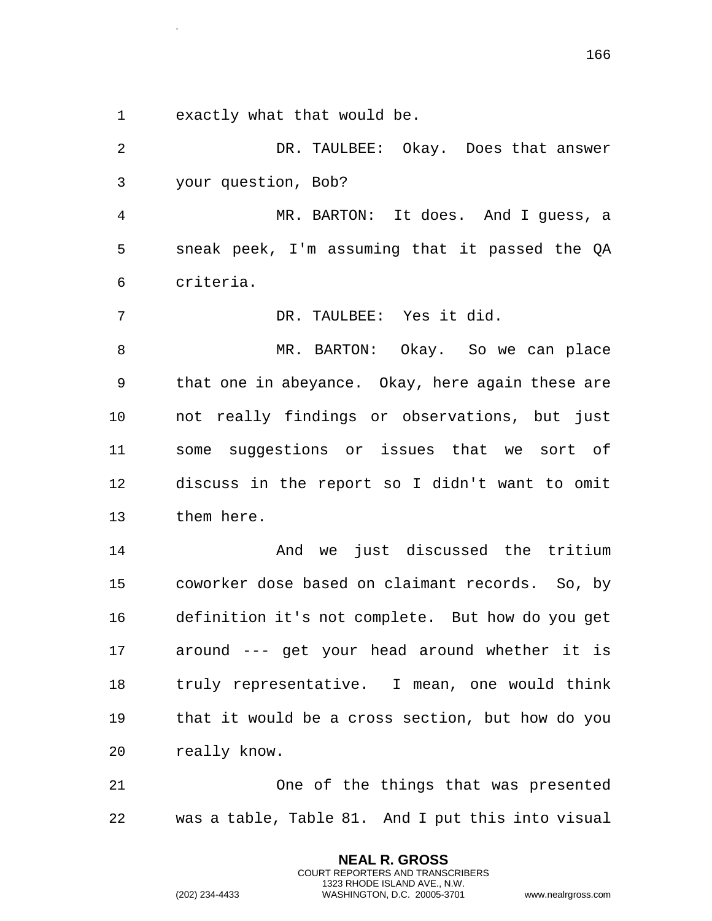exactly what that would be.

.

 DR. TAULBEE: Okay. Does that answer your question, Bob? MR. BARTON: It does. And I guess, a sneak peek, I'm assuming that it passed the QA criteria. DR. TAULBEE: Yes it did. MR. BARTON: Okay. So we can place that one in abeyance. Okay, here again these are not really findings or observations, but just some suggestions or issues that we sort of discuss in the report so I didn't want to omit them here. And we just discussed the tritium coworker dose based on claimant records. So, by definition it's not complete. But how do you get

 around --- get your head around whether it is truly representative. I mean, one would think that it would be a cross section, but how do you really know.

 One of the things that was presented was a table, Table 81. And I put this into visual

> **NEAL R. GROSS** COURT REPORTERS AND TRANSCRIBERS 1323 RHODE ISLAND AVE., N.W.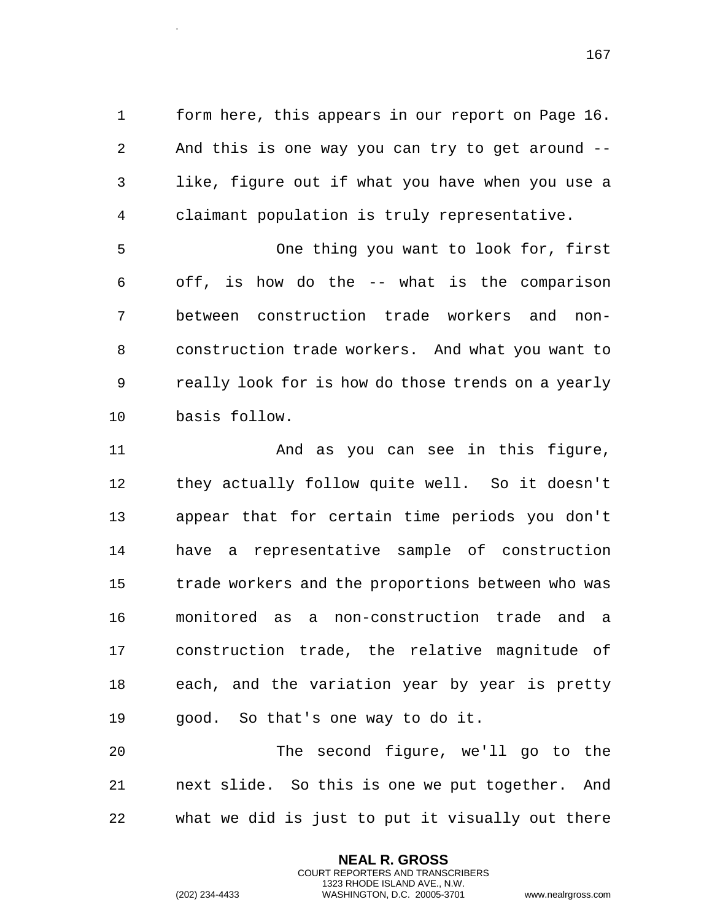form here, this appears in our report on Page 16. And this is one way you can try to get around -- like, figure out if what you have when you use a claimant population is truly representative.

 One thing you want to look for, first off, is how do the -- what is the comparison between construction trade workers and non- construction trade workers. And what you want to really look for is how do those trends on a yearly basis follow.

 And as you can see in this figure, they actually follow quite well. So it doesn't appear that for certain time periods you don't have a representative sample of construction trade workers and the proportions between who was monitored as a non-construction trade and a construction trade, the relative magnitude of each, and the variation year by year is pretty good. So that's one way to do it.

 The second figure, we'll go to the next slide. So this is one we put together. And what we did is just to put it visually out there

> **NEAL R. GROSS** COURT REPORTERS AND TRANSCRIBERS 1323 RHODE ISLAND AVE., N.W.

.

(202) 234-4433 WASHINGTON, D.C. 20005-3701 www.nealrgross.com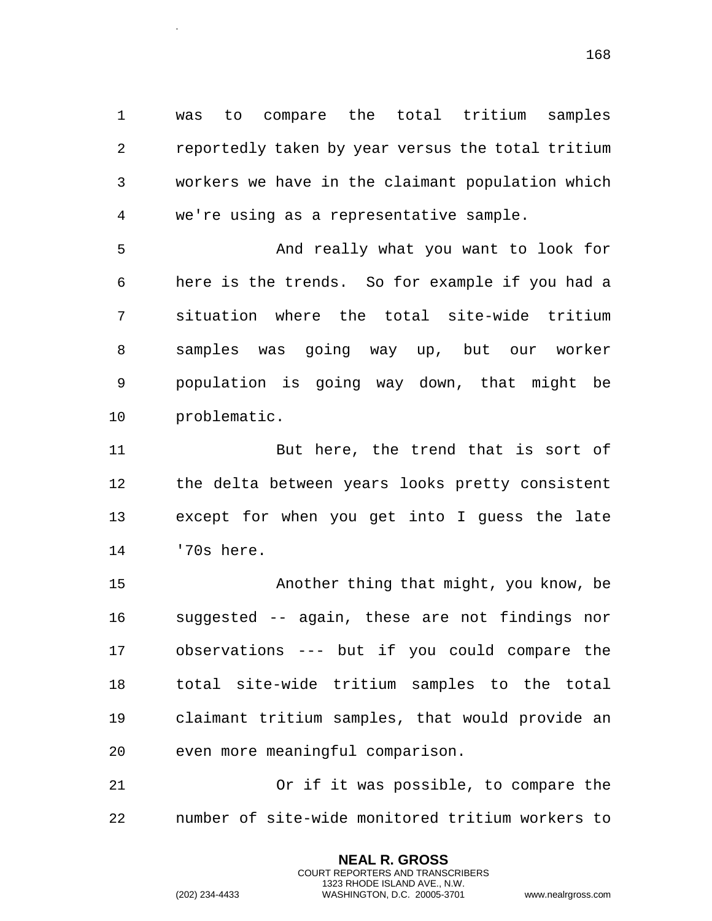was to compare the total tritium samples reportedly taken by year versus the total tritium workers we have in the claimant population which we're using as a representative sample.

 And really what you want to look for here is the trends. So for example if you had a situation where the total site-wide tritium samples was going way up, but our worker population is going way down, that might be problematic.

 But here, the trend that is sort of the delta between years looks pretty consistent except for when you get into I guess the late '70s here.

 Another thing that might, you know, be suggested -- again, these are not findings nor observations --- but if you could compare the total site-wide tritium samples to the total claimant tritium samples, that would provide an even more meaningful comparison.

 Or if it was possible, to compare the number of site-wide monitored tritium workers to

> **NEAL R. GROSS** COURT REPORTERS AND TRANSCRIBERS 1323 RHODE ISLAND AVE., N.W.

.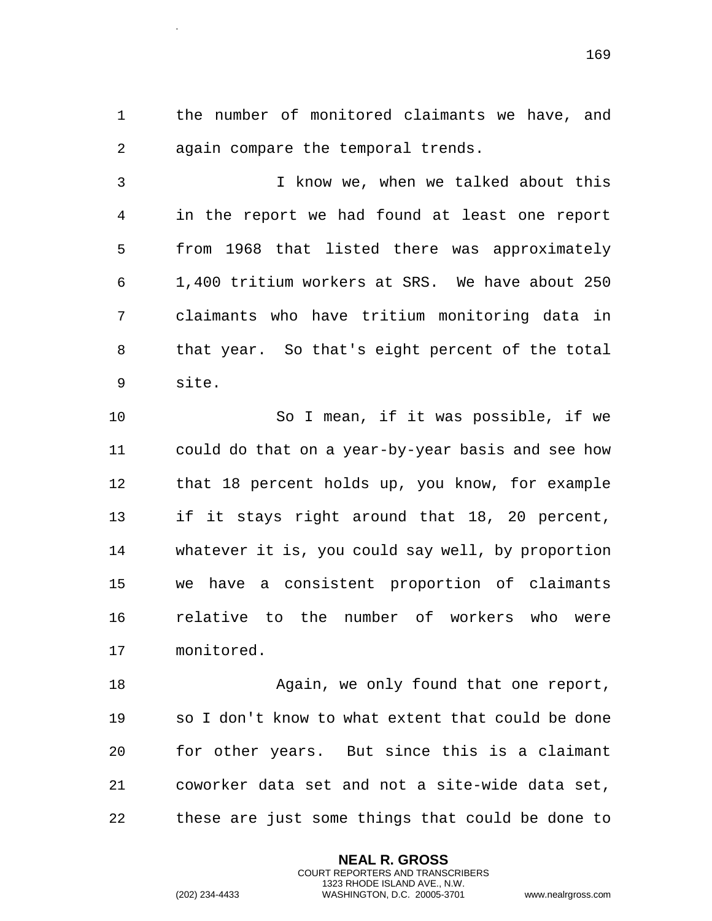the number of monitored claimants we have, and again compare the temporal trends.

 I know we, when we talked about this in the report we had found at least one report from 1968 that listed there was approximately 1,400 tritium workers at SRS. We have about 250 claimants who have tritium monitoring data in that year. So that's eight percent of the total site.

 So I mean, if it was possible, if we could do that on a year-by-year basis and see how that 18 percent holds up, you know, for example if it stays right around that 18, 20 percent, whatever it is, you could say well, by proportion we have a consistent proportion of claimants relative to the number of workers who were monitored.

18 Again, we only found that one report, so I don't know to what extent that could be done for other years. But since this is a claimant coworker data set and not a site-wide data set, these are just some things that could be done to

> **NEAL R. GROSS** COURT REPORTERS AND TRANSCRIBERS 1323 RHODE ISLAND AVE., N.W.

.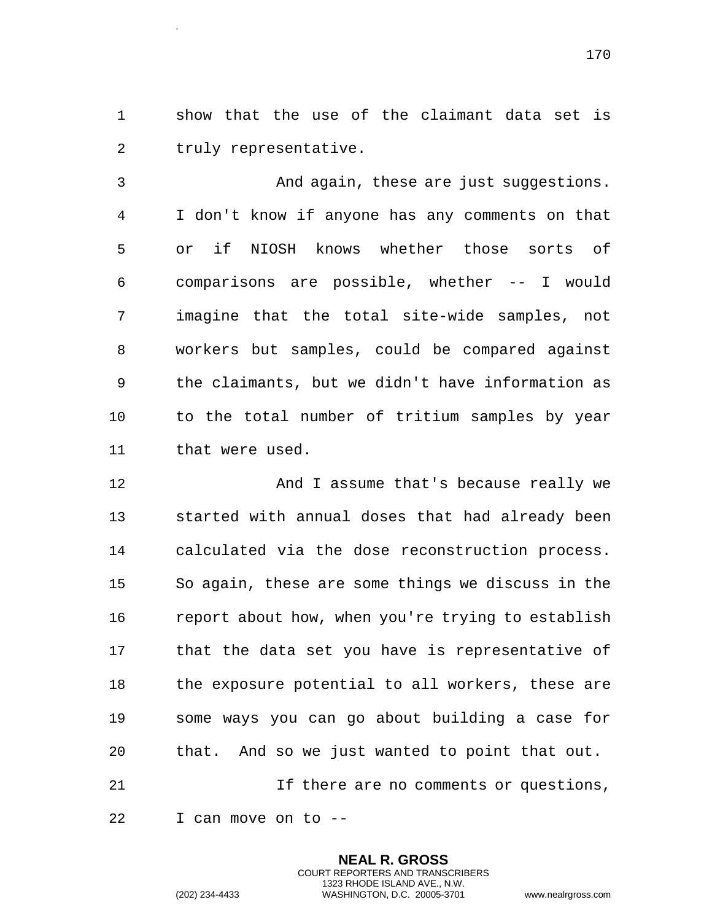show that the use of the claimant data set is truly representative.

.

 And again, these are just suggestions. I don't know if anyone has any comments on that or if NIOSH knows whether those sorts of comparisons are possible, whether -- I would imagine that the total site-wide samples, not workers but samples, could be compared against the claimants, but we didn't have information as to the total number of tritium samples by year that were used.

 And I assume that's because really we started with annual doses that had already been calculated via the dose reconstruction process. So again, these are some things we discuss in the report about how, when you're trying to establish that the data set you have is representative of the exposure potential to all workers, these are some ways you can go about building a case for that. And so we just wanted to point that out. If there are no comments or questions,

> **NEAL R. GROSS** COURT REPORTERS AND TRANSCRIBERS 1323 RHODE ISLAND AVE., N.W.

I can move on to --

(202) 234-4433 WASHINGTON, D.C. 20005-3701 www.nealrgross.com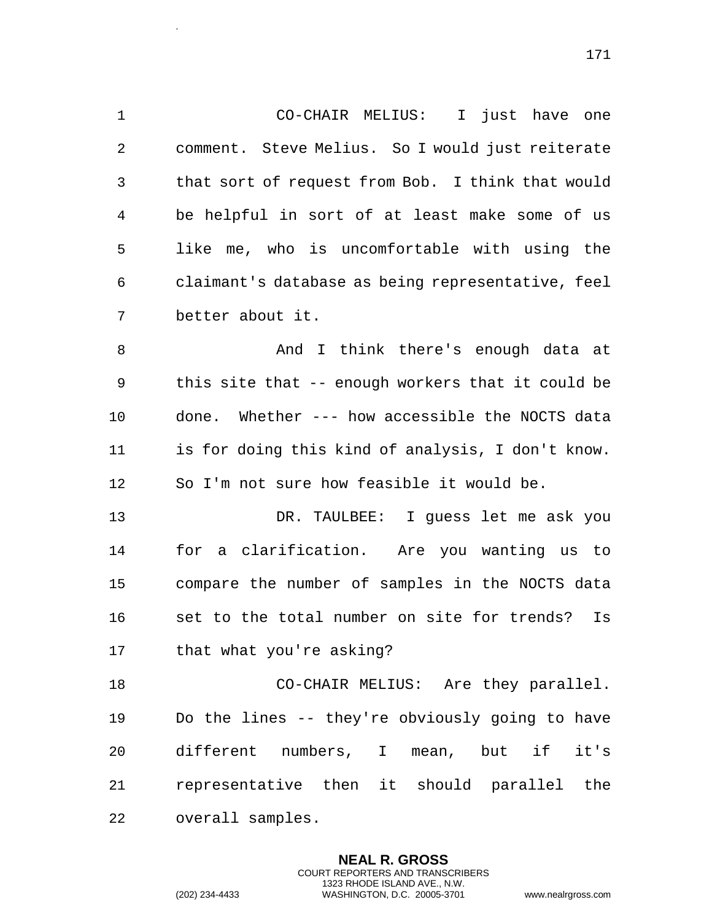CO-CHAIR MELIUS: I just have one comment. Steve Melius. So I would just reiterate that sort of request from Bob. I think that would be helpful in sort of at least make some of us like me, who is uncomfortable with using the claimant's database as being representative, feel better about it. 8 And I think there's enough data at this site that -- enough workers that it could be done. Whether --- how accessible the NOCTS data is for doing this kind of analysis, I don't know. So I'm not sure how feasible it would be. DR. TAULBEE: I guess let me ask you

 for a clarification. Are you wanting us to compare the number of samples in the NOCTS data set to the total number on site for trends? Is that what you're asking?

 CO-CHAIR MELIUS: Are they parallel. Do the lines -- they're obviously going to have different numbers, I mean, but if it's representative then it should parallel the overall samples.

> **NEAL R. GROSS** COURT REPORTERS AND TRANSCRIBERS 1323 RHODE ISLAND AVE., N.W.

.

(202) 234-4433 WASHINGTON, D.C. 20005-3701 www.nealrgross.com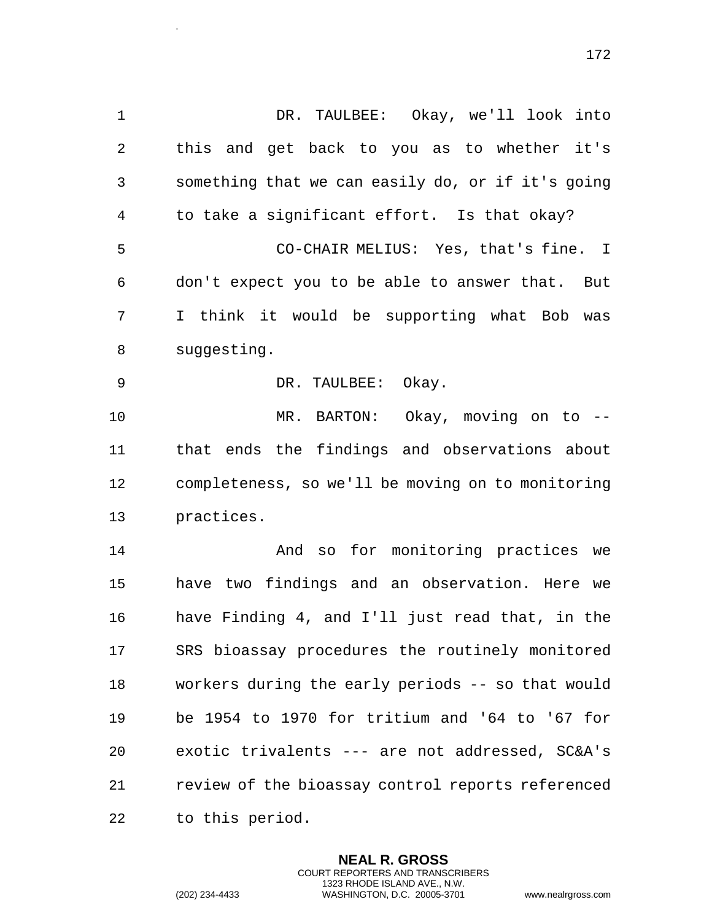DR. TAULBEE: Okay, we'll look into this and get back to you as to whether it's something that we can easily do, or if it's going to take a significant effort. Is that okay? CO-CHAIR MELIUS: Yes, that's fine. I don't expect you to be able to answer that. But I think it would be supporting what Bob was suggesting. DR. TAULBEE: Okay. MR. BARTON: Okay, moving on to -- that ends the findings and observations about completeness, so we'll be moving on to monitoring practices. And so for monitoring practices we have two findings and an observation. Here we have Finding 4, and I'll just read that, in the SRS bioassay procedures the routinely monitored workers during the early periods -- so that would be 1954 to 1970 for tritium and '64 to '67 for exotic trivalents --- are not addressed, SC&A's review of the bioassay control reports referenced to this period.

> **NEAL R. GROSS** COURT REPORTERS AND TRANSCRIBERS 1323 RHODE ISLAND AVE., N.W.

.

(202) 234-4433 WASHINGTON, D.C. 20005-3701 www.nealrgross.com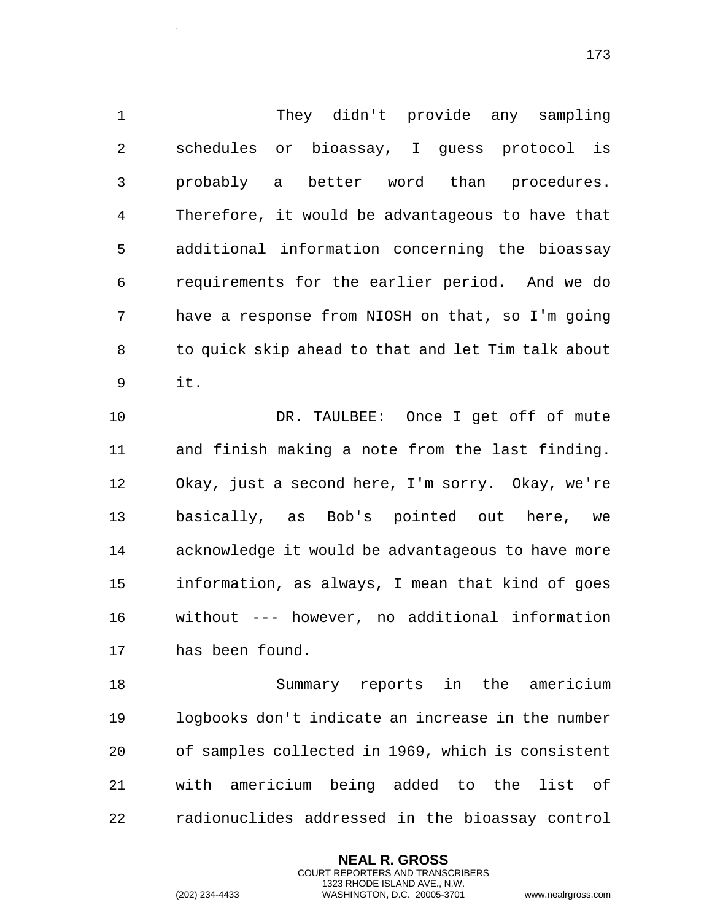They didn't provide any sampling schedules or bioassay, I guess protocol is probably a better word than procedures. Therefore, it would be advantageous to have that additional information concerning the bioassay requirements for the earlier period. And we do have a response from NIOSH on that, so I'm going to quick skip ahead to that and let Tim talk about it.

 DR. TAULBEE: Once I get off of mute and finish making a note from the last finding. Okay, just a second here, I'm sorry. Okay, we're basically, as Bob's pointed out here, we acknowledge it would be advantageous to have more information, as always, I mean that kind of goes without --- however, no additional information has been found.

 Summary reports in the americium logbooks don't indicate an increase in the number of samples collected in 1969, which is consistent with americium being added to the list of radionuclides addressed in the bioassay control

> **NEAL R. GROSS** COURT REPORTERS AND TRANSCRIBERS 1323 RHODE ISLAND AVE., N.W.

.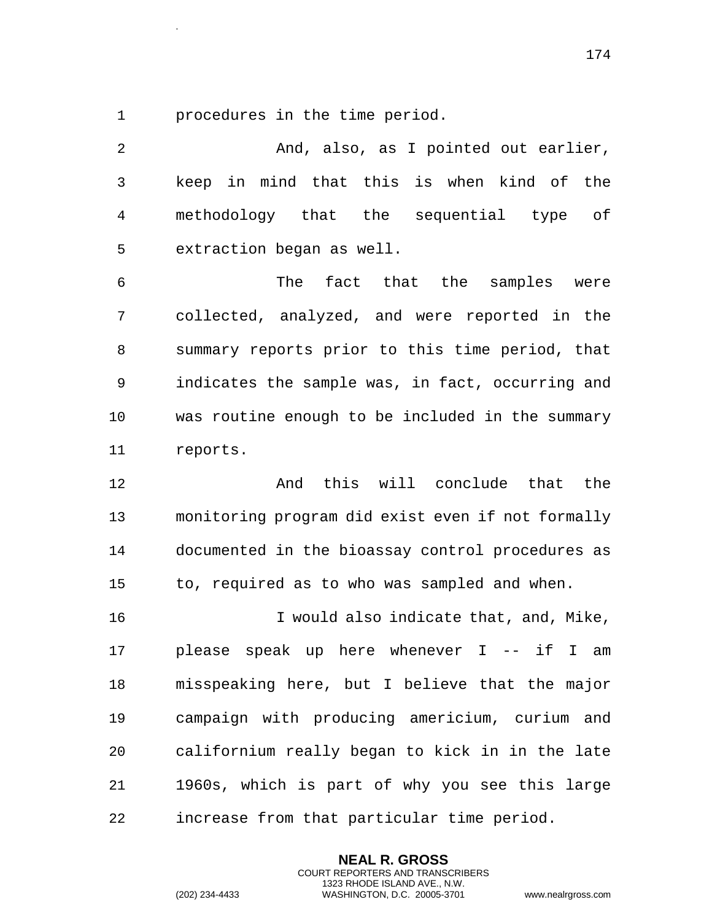procedures in the time period.

.

 And, also, as I pointed out earlier, keep in mind that this is when kind of the methodology that the sequential type of extraction began as well. The fact that the samples were collected, analyzed, and were reported in the summary reports prior to this time period, that indicates the sample was, in fact, occurring and was routine enough to be included in the summary reports. 12 And this will conclude that the monitoring program did exist even if not formally documented in the bioassay control procedures as to, required as to who was sampled and when. I would also indicate that, and, Mike, please speak up here whenever I -- if I am misspeaking here, but I believe that the major campaign with producing americium, curium and californium really began to kick in in the late 1960s, which is part of why you see this large

increase from that particular time period.

**NEAL R. GROSS** COURT REPORTERS AND TRANSCRIBERS 1323 RHODE ISLAND AVE., N.W.

(202) 234-4433 WASHINGTON, D.C. 20005-3701 www.nealrgross.com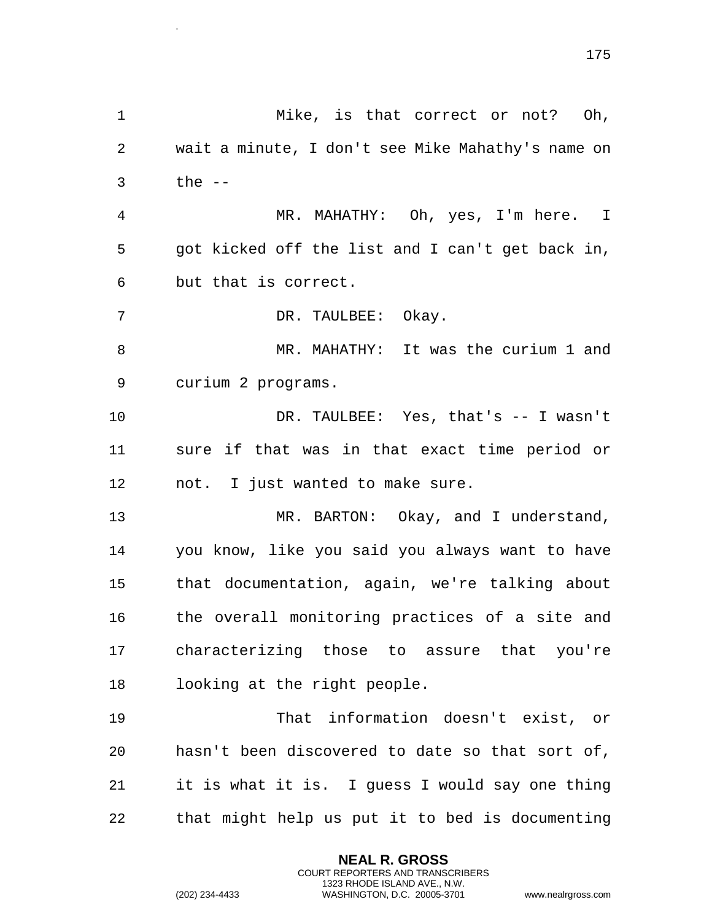Mike, is that correct or not? Oh, wait a minute, I don't see Mike Mahathy's name on the -- MR. MAHATHY: Oh, yes, I'm here. I got kicked off the list and I can't get back in, but that is correct. 7 DR. TAULBEE: Okay. MR. MAHATHY: It was the curium 1 and curium 2 programs. DR. TAULBEE: Yes, that's -- I wasn't sure if that was in that exact time period or not. I just wanted to make sure. 13 MR. BARTON: Okay, and I understand, you know, like you said you always want to have that documentation, again, we're talking about the overall monitoring practices of a site and characterizing those to assure that you're looking at the right people. That information doesn't exist, or hasn't been discovered to date so that sort of, it is what it is. I guess I would say one thing that might help us put it to bed is documenting

> **NEAL R. GROSS** COURT REPORTERS AND TRANSCRIBERS 1323 RHODE ISLAND AVE., N.W.

.

(202) 234-4433 WASHINGTON, D.C. 20005-3701 www.nealrgross.com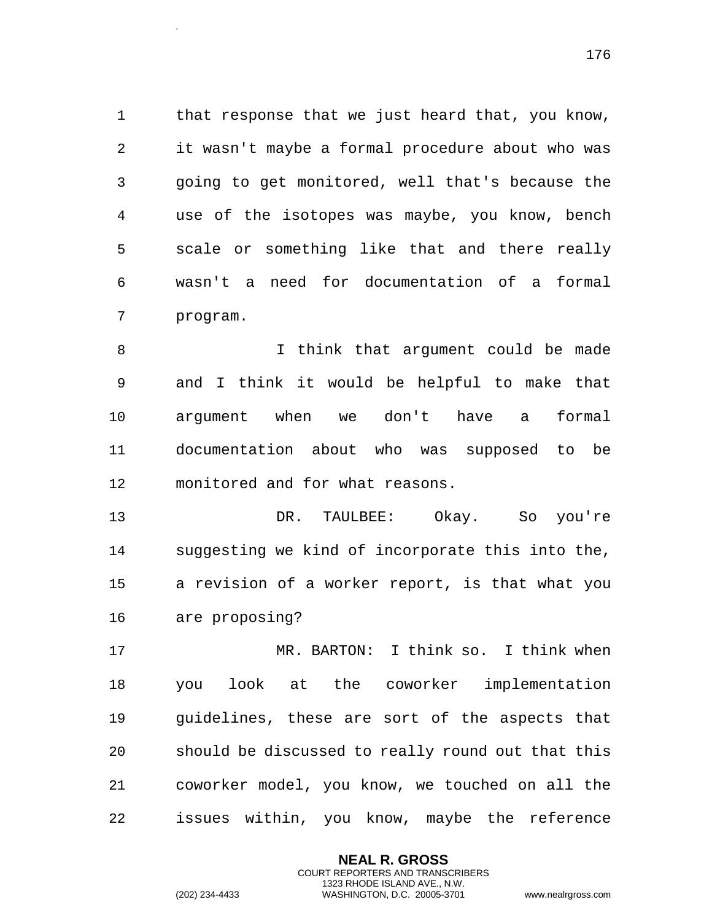1 that response that we just heard that, you know, it wasn't maybe a formal procedure about who was going to get monitored, well that's because the use of the isotopes was maybe, you know, bench scale or something like that and there really wasn't a need for documentation of a formal program.

 I think that argument could be made and I think it would be helpful to make that argument when we don't have a formal documentation about who was supposed to be monitored and for what reasons.

 DR. TAULBEE: Okay. So you're suggesting we kind of incorporate this into the, a revision of a worker report, is that what you are proposing?

 MR. BARTON: I think so. I think when you look at the coworker implementation guidelines, these are sort of the aspects that should be discussed to really round out that this coworker model, you know, we touched on all the issues within, you know, maybe the reference

> **NEAL R. GROSS** COURT REPORTERS AND TRANSCRIBERS 1323 RHODE ISLAND AVE., N.W.

.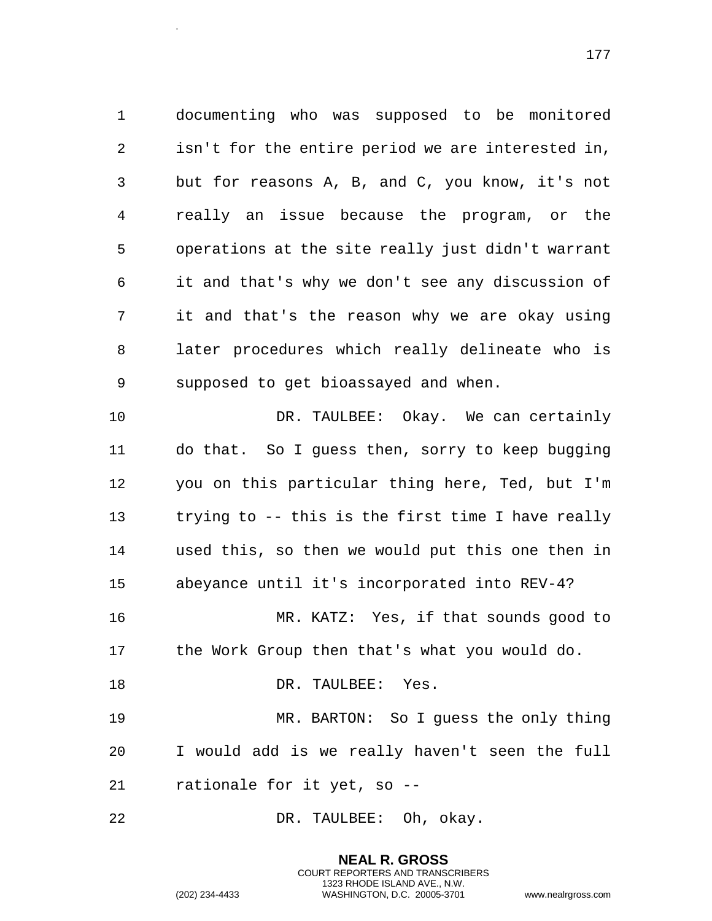documenting who was supposed to be monitored isn't for the entire period we are interested in, but for reasons A, B, and C, you know, it's not really an issue because the program, or the operations at the site really just didn't warrant it and that's why we don't see any discussion of it and that's the reason why we are okay using later procedures which really delineate who is supposed to get bioassayed and when. DR. TAULBEE: Okay. We can certainly

 do that. So I guess then, sorry to keep bugging you on this particular thing here, Ted, but I'm trying to -- this is the first time I have really used this, so then we would put this one then in abeyance until it's incorporated into REV-4?

 MR. KATZ: Yes, if that sounds good to the Work Group then that's what you would do.

18 DR. TAULBEE: Yes.

 MR. BARTON: So I guess the only thing I would add is we really haven't seen the full rationale for it yet, so --

> **NEAL R. GROSS** COURT REPORTERS AND TRANSCRIBERS 1323 RHODE ISLAND AVE., N.W.

DR. TAULBEE: Oh, okay.

(202) 234-4433 WASHINGTON, D.C. 20005-3701 www.nealrgross.com

.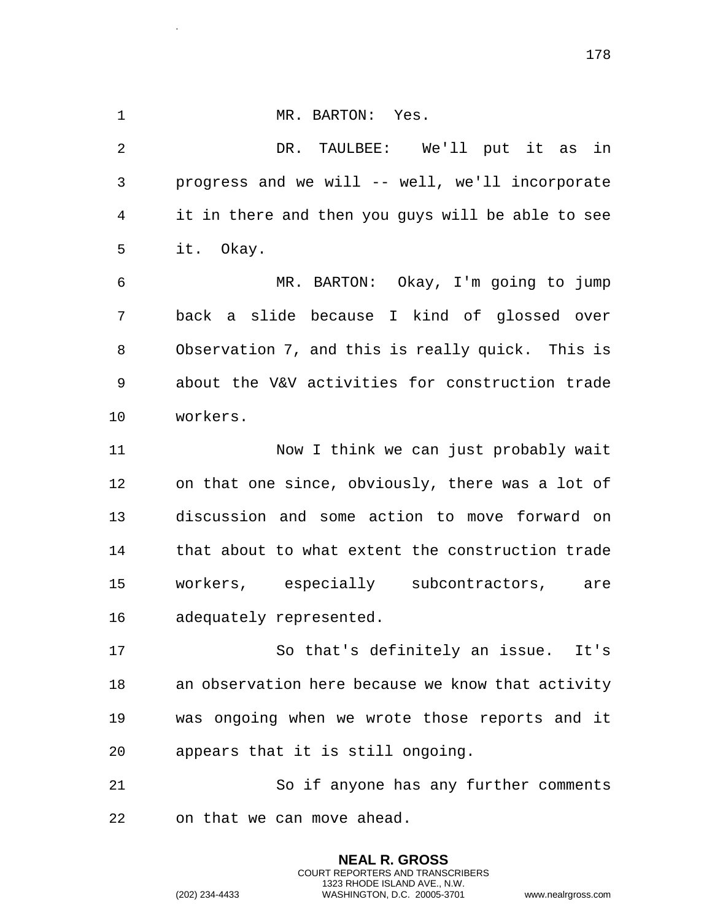1 MR. BARTON: Yes. DR. TAULBEE: We'll put it as in progress and we will -- well, we'll incorporate it in there and then you guys will be able to see it. Okay. MR. BARTON: Okay, I'm going to jump back a slide because I kind of glossed over Observation 7, and this is really quick. This is about the V&V activities for construction trade workers. Now I think we can just probably wait on that one since, obviously, there was a lot of discussion and some action to move forward on that about to what extent the construction trade workers, especially subcontractors, are adequately represented. So that's definitely an issue. It's an observation here because we know that activity was ongoing when we wrote those reports and it appears that it is still ongoing. So if anyone has any further comments on that we can move ahead.

> **NEAL R. GROSS** COURT REPORTERS AND TRANSCRIBERS 1323 RHODE ISLAND AVE., N.W.

.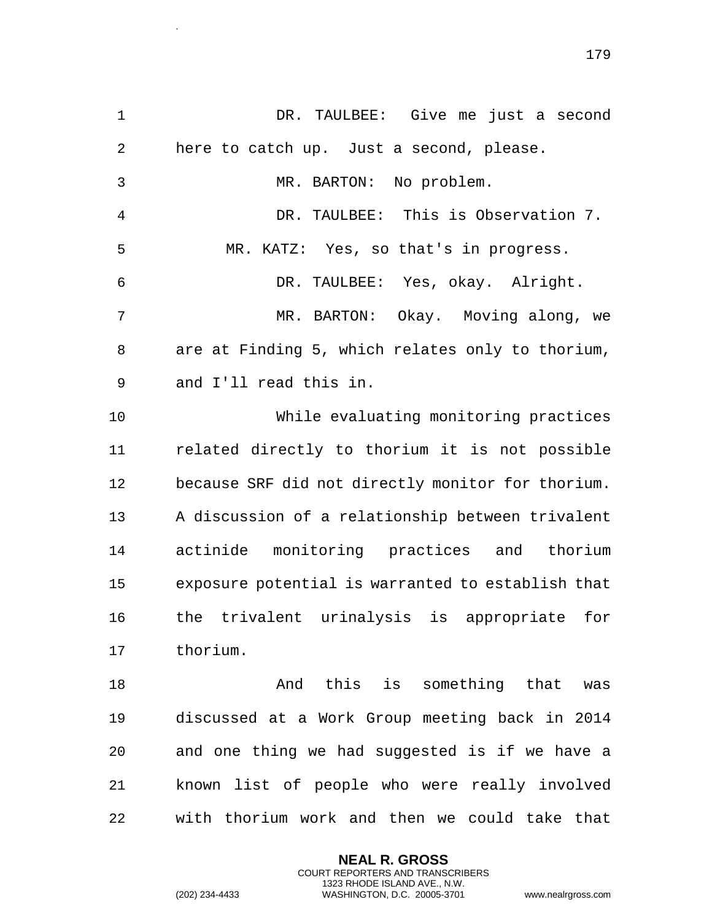DR. TAULBEE: Give me just a second here to catch up. Just a second, please. MR. BARTON: No problem. DR. TAULBEE: This is Observation 7. 5 MR. KATZ: Yes, so that's in progress. DR. TAULBEE: Yes, okay. Alright. MR. BARTON: Okay. Moving along, we are at Finding 5, which relates only to thorium, and I'll read this in. While evaluating monitoring practices related directly to thorium it is not possible because SRF did not directly monitor for thorium. A discussion of a relationship between trivalent actinide monitoring practices and thorium exposure potential is warranted to establish that the trivalent urinalysis is appropriate for thorium. And this is something that was discussed at a Work Group meeting back in 2014 and one thing we had suggested is if we have a known list of people who were really involved

with thorium work and then we could take that

**NEAL R. GROSS** COURT REPORTERS AND TRANSCRIBERS 1323 RHODE ISLAND AVE., N.W.

.

(202) 234-4433 WASHINGTON, D.C. 20005-3701 www.nealrgross.com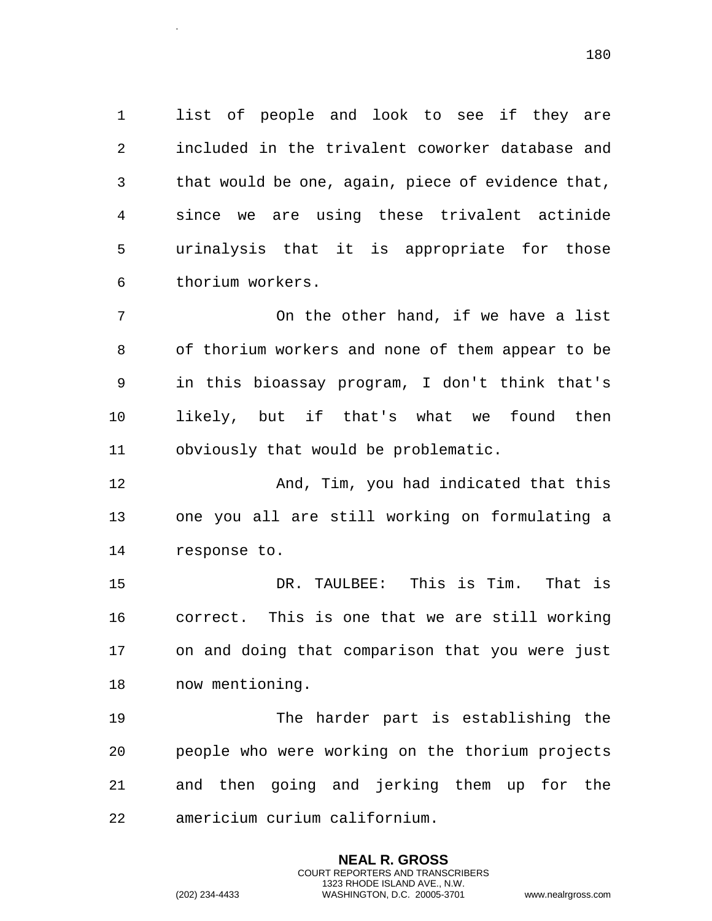list of people and look to see if they are included in the trivalent coworker database and that would be one, again, piece of evidence that, since we are using these trivalent actinide urinalysis that it is appropriate for those thorium workers.

 On the other hand, if we have a list of thorium workers and none of them appear to be in this bioassay program, I don't think that's likely, but if that's what we found then obviously that would be problematic.

 And, Tim, you had indicated that this one you all are still working on formulating a response to.

 DR. TAULBEE: This is Tim. That is correct. This is one that we are still working on and doing that comparison that you were just now mentioning.

 The harder part is establishing the people who were working on the thorium projects and then going and jerking them up for the americium curium californium.

> **NEAL R. GROSS** COURT REPORTERS AND TRANSCRIBERS 1323 RHODE ISLAND AVE., N.W.

.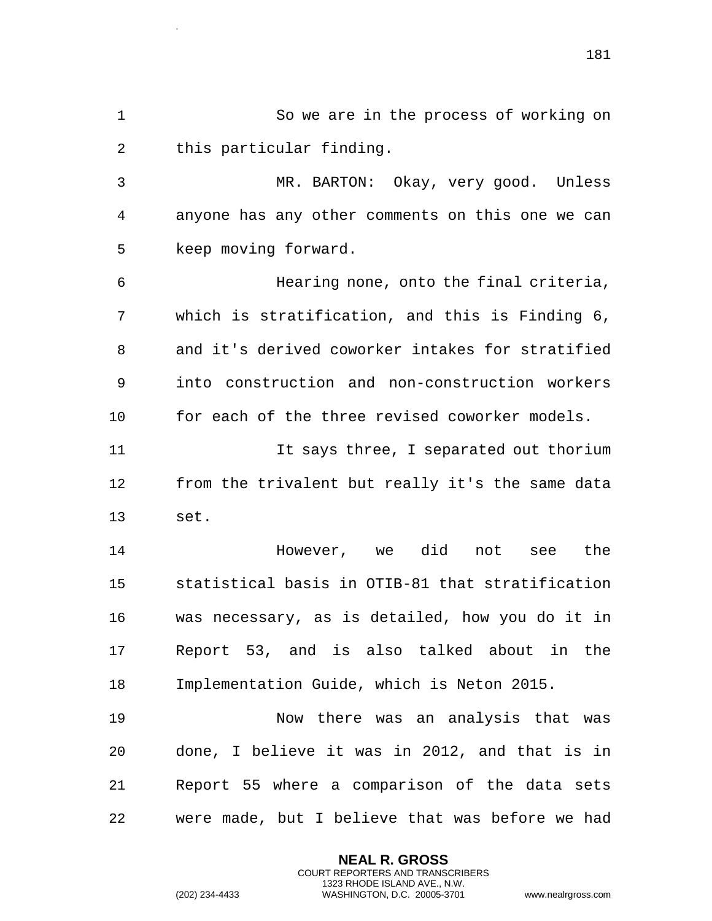So we are in the process of working on this particular finding.

 MR. BARTON: Okay, very good. Unless anyone has any other comments on this one we can keep moving forward.

 Hearing none, onto the final criteria, which is stratification, and this is Finding 6, and it's derived coworker intakes for stratified into construction and non-construction workers for each of the three revised coworker models.

 It says three, I separated out thorium from the trivalent but really it's the same data set.

 However, we did not see the statistical basis in OTIB-81 that stratification was necessary, as is detailed, how you do it in Report 53, and is also talked about in the Implementation Guide, which is Neton 2015.

 Now there was an analysis that was done, I believe it was in 2012, and that is in Report 55 where a comparison of the data sets were made, but I believe that was before we had

> **NEAL R. GROSS** COURT REPORTERS AND TRANSCRIBERS 1323 RHODE ISLAND AVE., N.W.

.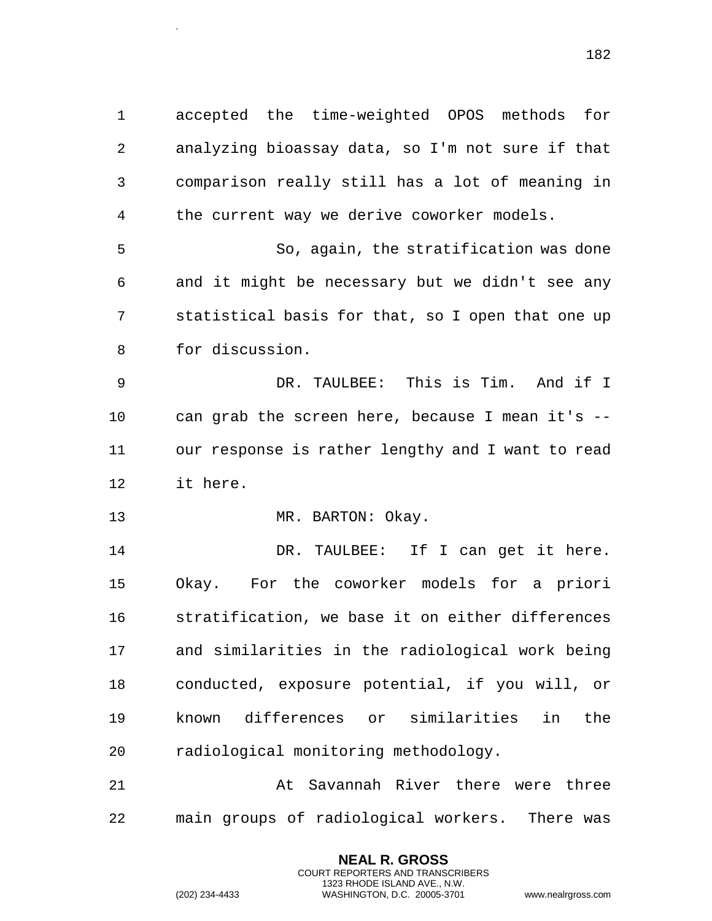accepted the time-weighted OPOS methods for analyzing bioassay data, so I'm not sure if that comparison really still has a lot of meaning in the current way we derive coworker models. So, again, the stratification was done

 and it might be necessary but we didn't see any statistical basis for that, so I open that one up for discussion.

 DR. TAULBEE: This is Tim. And if I can grab the screen here, because I mean it's -- our response is rather lengthy and I want to read it here.

13 MR. BARTON: Okay.

.

 DR. TAULBEE: If I can get it here. Okay. For the coworker models for a priori stratification, we base it on either differences and similarities in the radiological work being conducted, exposure potential, if you will, or known differences or similarities in the radiological monitoring methodology.

 At Savannah River there were three main groups of radiological workers. There was

> **NEAL R. GROSS** COURT REPORTERS AND TRANSCRIBERS 1323 RHODE ISLAND AVE., N.W.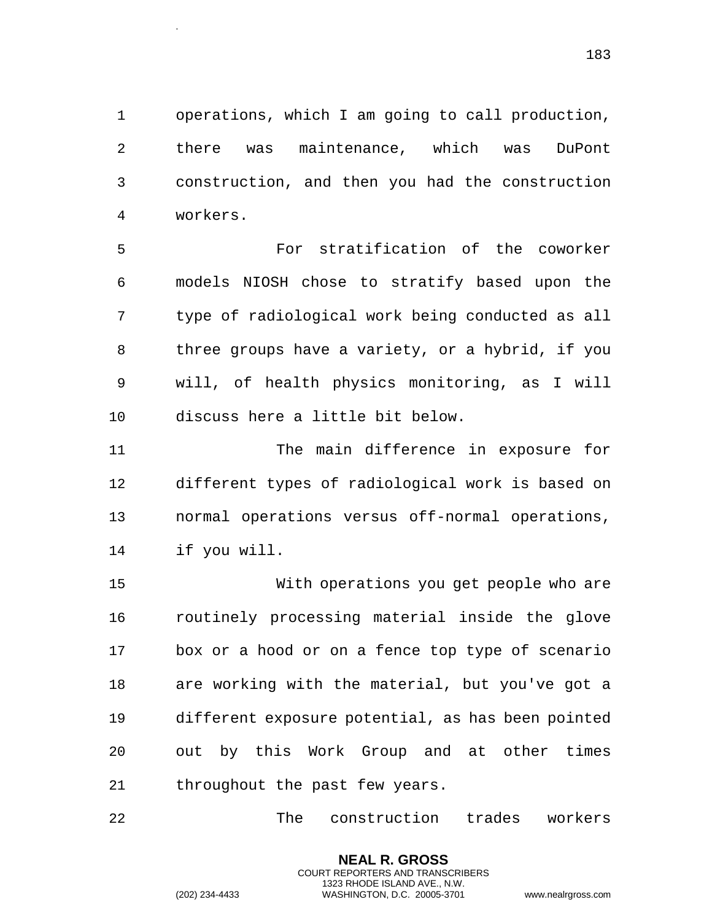operations, which I am going to call production, there was maintenance, which was DuPont construction, and then you had the construction workers.

 For stratification of the coworker models NIOSH chose to stratify based upon the type of radiological work being conducted as all three groups have a variety, or a hybrid, if you will, of health physics monitoring, as I will discuss here a little bit below.

 The main difference in exposure for different types of radiological work is based on normal operations versus off-normal operations, if you will.

 With operations you get people who are routinely processing material inside the glove box or a hood or on a fence top type of scenario are working with the material, but you've got a different exposure potential, as has been pointed out by this Work Group and at other times throughout the past few years.

The construction trades workers

**NEAL R. GROSS** COURT REPORTERS AND TRANSCRIBERS 1323 RHODE ISLAND AVE., N.W.

.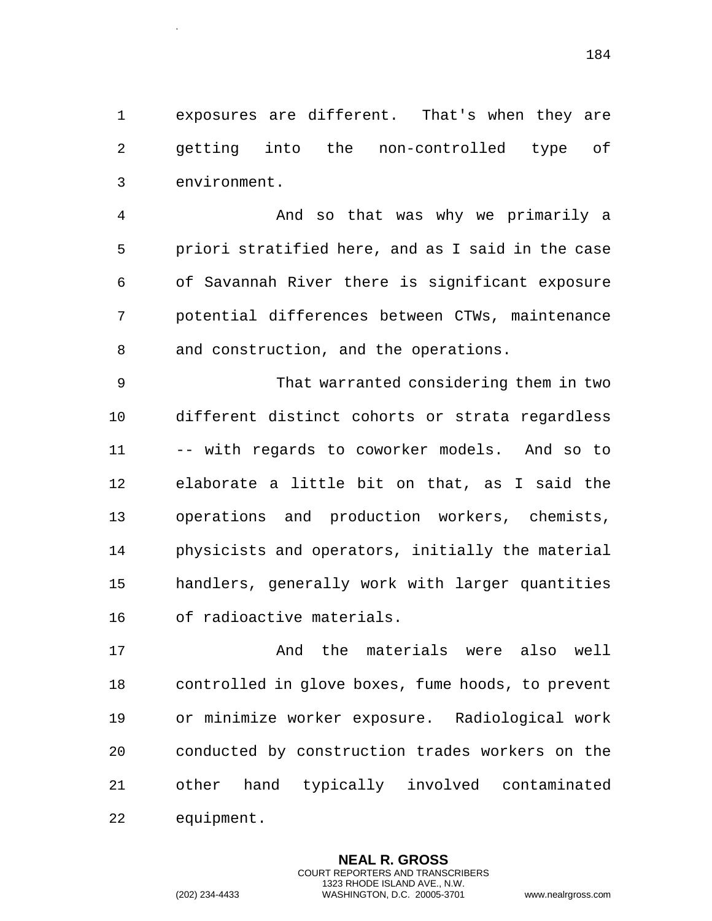exposures are different. That's when they are getting into the non-controlled type of environment.

 And so that was why we primarily a priori stratified here, and as I said in the case of Savannah River there is significant exposure potential differences between CTWs, maintenance and construction, and the operations.

 That warranted considering them in two different distinct cohorts or strata regardless -- with regards to coworker models. And so to elaborate a little bit on that, as I said the operations and production workers, chemists, physicists and operators, initially the material handlers, generally work with larger quantities of radioactive materials.

 And the materials were also well controlled in glove boxes, fume hoods, to prevent or minimize worker exposure. Radiological work conducted by construction trades workers on the other hand typically involved contaminated equipment.

> **NEAL R. GROSS** COURT REPORTERS AND TRANSCRIBERS 1323 RHODE ISLAND AVE., N.W.

.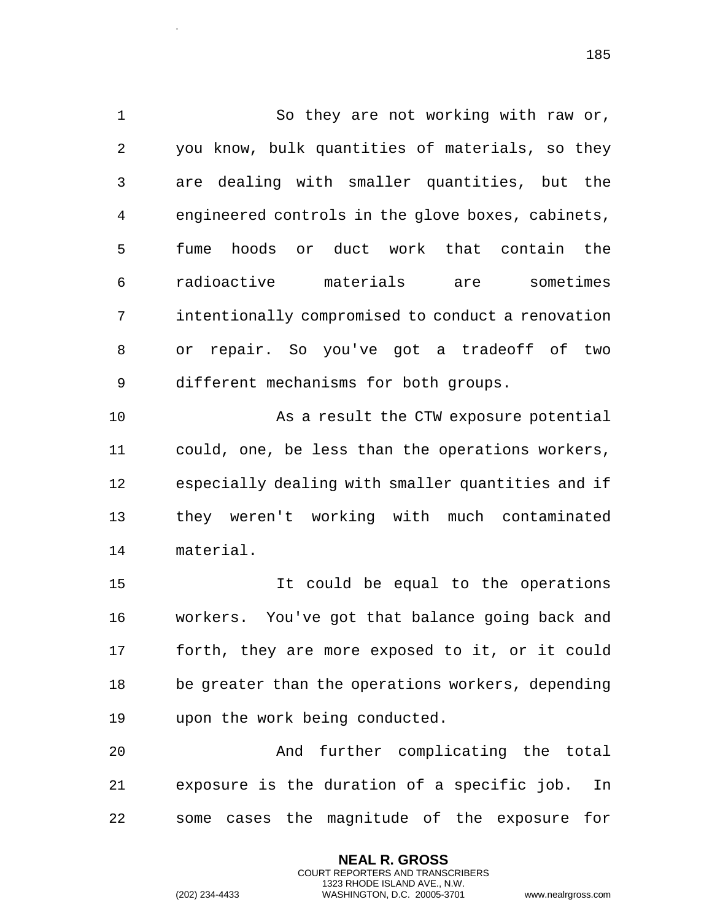So they are not working with raw or, you know, bulk quantities of materials, so they are dealing with smaller quantities, but the engineered controls in the glove boxes, cabinets, fume hoods or duct work that contain the radioactive materials are sometimes intentionally compromised to conduct a renovation or repair. So you've got a tradeoff of two different mechanisms for both groups.

 As a result the CTW exposure potential could, one, be less than the operations workers, especially dealing with smaller quantities and if they weren't working with much contaminated material.

 It could be equal to the operations workers. You've got that balance going back and forth, they are more exposed to it, or it could be greater than the operations workers, depending upon the work being conducted.

 And further complicating the total exposure is the duration of a specific job. In some cases the magnitude of the exposure for

> **NEAL R. GROSS** COURT REPORTERS AND TRANSCRIBERS 1323 RHODE ISLAND AVE., N.W.

.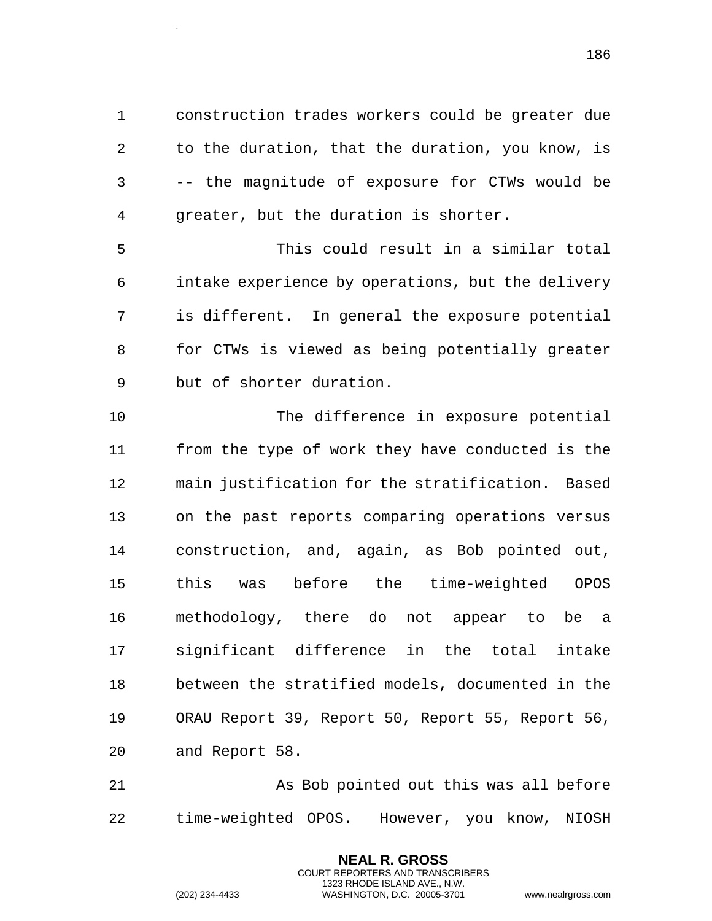construction trades workers could be greater due to the duration, that the duration, you know, is -- the magnitude of exposure for CTWs would be greater, but the duration is shorter.

 This could result in a similar total intake experience by operations, but the delivery is different. In general the exposure potential for CTWs is viewed as being potentially greater but of shorter duration.

 The difference in exposure potential from the type of work they have conducted is the main justification for the stratification. Based on the past reports comparing operations versus construction, and, again, as Bob pointed out, this was before the time-weighted OPOS methodology, there do not appear to be a significant difference in the total intake between the stratified models, documented in the ORAU Report 39, Report 50, Report 55, Report 56, and Report 58.

 As Bob pointed out this was all before time-weighted OPOS. However, you know, NIOSH

> **NEAL R. GROSS** COURT REPORTERS AND TRANSCRIBERS 1323 RHODE ISLAND AVE., N.W.

.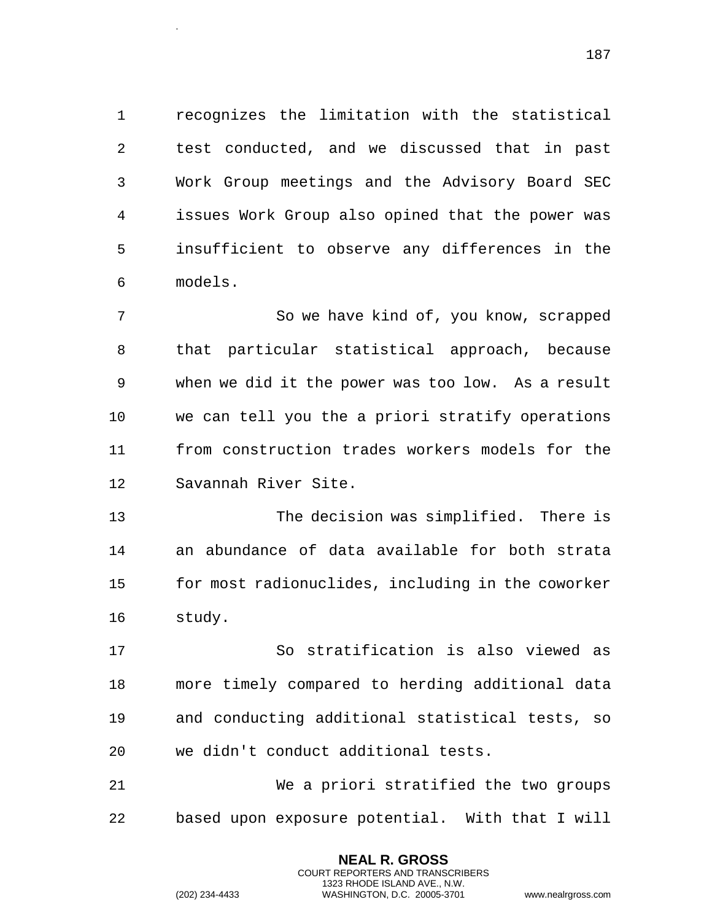recognizes the limitation with the statistical test conducted, and we discussed that in past Work Group meetings and the Advisory Board SEC issues Work Group also opined that the power was insufficient to observe any differences in the models.

 So we have kind of, you know, scrapped that particular statistical approach, because when we did it the power was too low. As a result we can tell you the a priori stratify operations from construction trades workers models for the Savannah River Site.

 The decision was simplified. There is an abundance of data available for both strata for most radionuclides, including in the coworker study.

 So stratification is also viewed as more timely compared to herding additional data and conducting additional statistical tests, so we didn't conduct additional tests.

 We a priori stratified the two groups based upon exposure potential. With that I will

> **NEAL R. GROSS** COURT REPORTERS AND TRANSCRIBERS 1323 RHODE ISLAND AVE., N.W.

.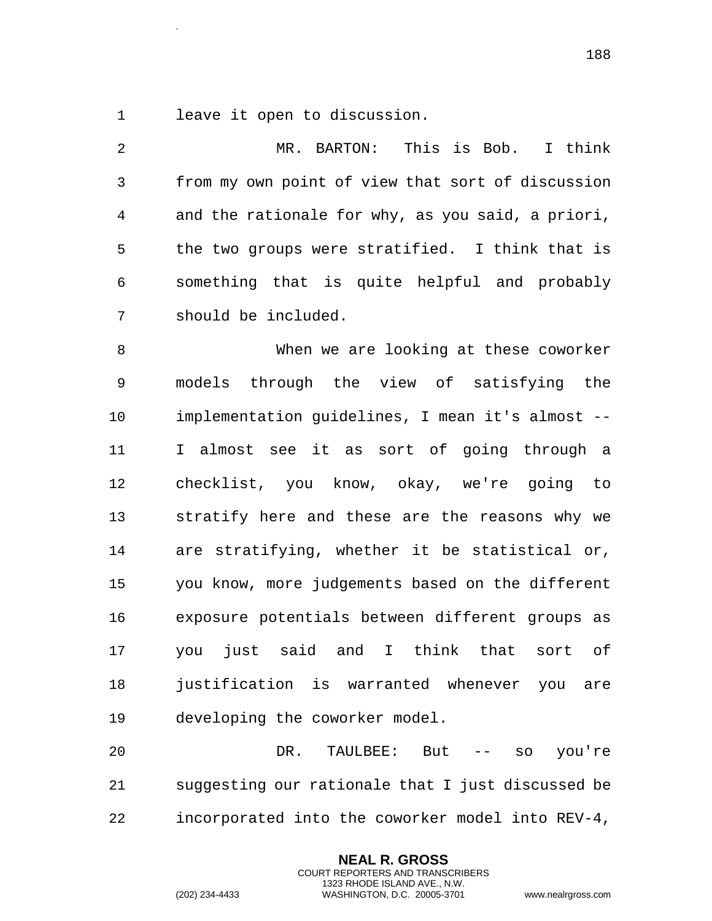leave it open to discussion.

.

 MR. BARTON: This is Bob. I think from my own point of view that sort of discussion and the rationale for why, as you said, a priori, the two groups were stratified. I think that is something that is quite helpful and probably should be included.

 When we are looking at these coworker models through the view of satisfying the implementation guidelines, I mean it's almost -- I almost see it as sort of going through a checklist, you know, okay, we're going to stratify here and these are the reasons why we are stratifying, whether it be statistical or, you know, more judgements based on the different exposure potentials between different groups as you just said and I think that sort of justification is warranted whenever you are developing the coworker model.

 DR. TAULBEE: But -- so you're suggesting our rationale that I just discussed be incorporated into the coworker model into REV-4,

> **NEAL R. GROSS** COURT REPORTERS AND TRANSCRIBERS 1323 RHODE ISLAND AVE., N.W.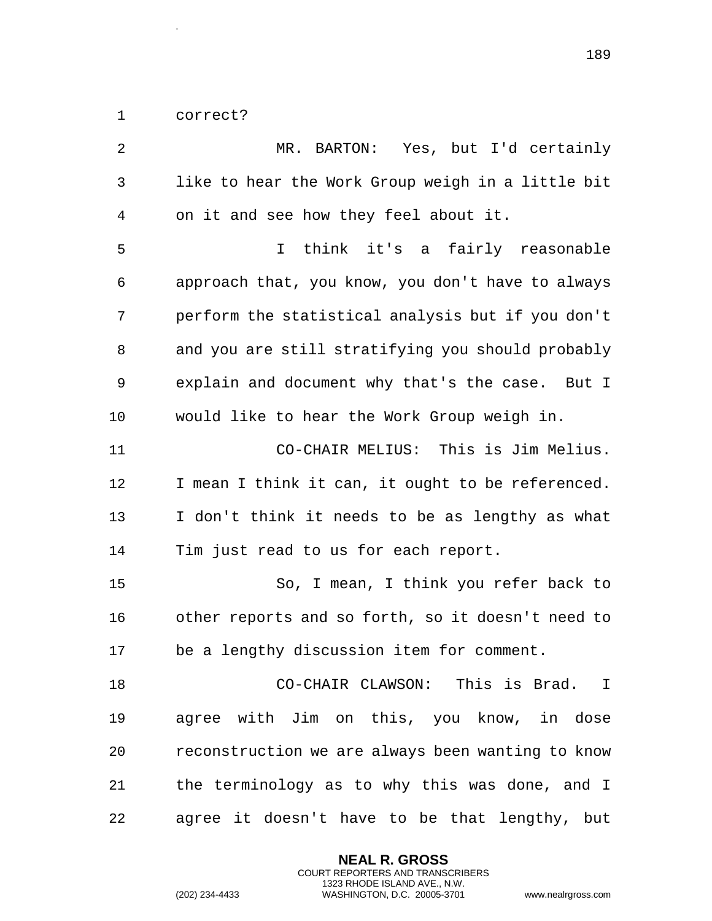correct?

.

| 2  | MR. BARTON: Yes, but I'd certainly                |
|----|---------------------------------------------------|
| 3  | like to hear the Work Group weigh in a little bit |
| 4  | on it and see how they feel about it.             |
| 5  | think it's a fairly reasonable<br>I.              |
| 6  | approach that, you know, you don't have to always |
| 7  | perform the statistical analysis but if you don't |
| 8  | and you are still stratifying you should probably |
| 9  | explain and document why that's the case. But I   |
| 10 | would like to hear the Work Group weigh in.       |
| 11 | CO-CHAIR MELIUS: This is Jim Melius.              |
| 12 | I mean I think it can, it ought to be referenced. |
| 13 | I don't think it needs to be as lengthy as what   |
| 14 | Tim just read to us for each report.              |
| 15 | So, I mean, I think you refer back to             |
| 16 | other reports and so forth, so it doesn't need to |
| 17 | be a lengthy discussion item for comment.         |
| 18 | CO-CHAIR CLAWSON: This is Brad. I                 |
| 19 | agree with Jim on this, you know, in dose         |
| 20 | reconstruction we are always been wanting to know |
| 21 | the terminology as to why this was done, and I    |
| 22 | agree it doesn't have to be that lengthy, but     |

**NEAL R. GROSS** COURT REPORTERS AND TRANSCRIBERS 1323 RHODE ISLAND AVE., N.W.

(202) 234-4433 WASHINGTON, D.C. 20005-3701 www.nealrgross.com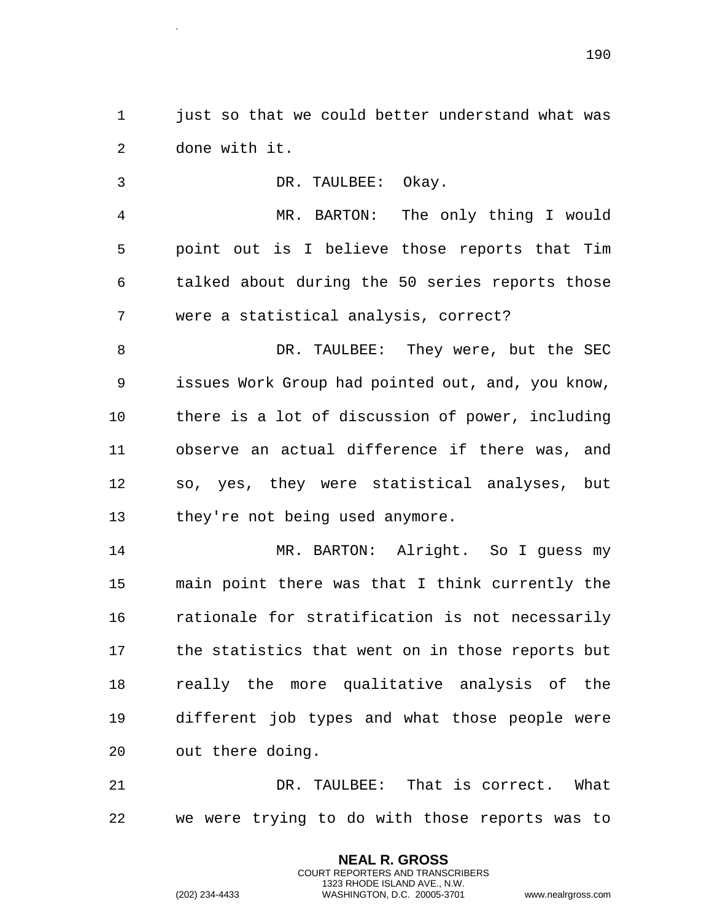just so that we could better understand what was done with it.

 DR. TAULBEE: Okay. MR. BARTON: The only thing I would point out is I believe those reports that Tim talked about during the 50 series reports those were a statistical analysis, correct? DR. TAULBEE: They were, but the SEC issues Work Group had pointed out, and, you know, there is a lot of discussion of power, including observe an actual difference if there was, and so, yes, they were statistical analyses, but they're not being used anymore. MR. BARTON: Alright. So I guess my main point there was that I think currently the rationale for stratification is not necessarily the statistics that went on in those reports but really the more qualitative analysis of the different job types and what those people were out there doing.

 DR. TAULBEE: That is correct. What we were trying to do with those reports was to

> **NEAL R. GROSS** COURT REPORTERS AND TRANSCRIBERS 1323 RHODE ISLAND AVE., N.W.

.

(202) 234-4433 WASHINGTON, D.C. 20005-3701 www.nealrgross.com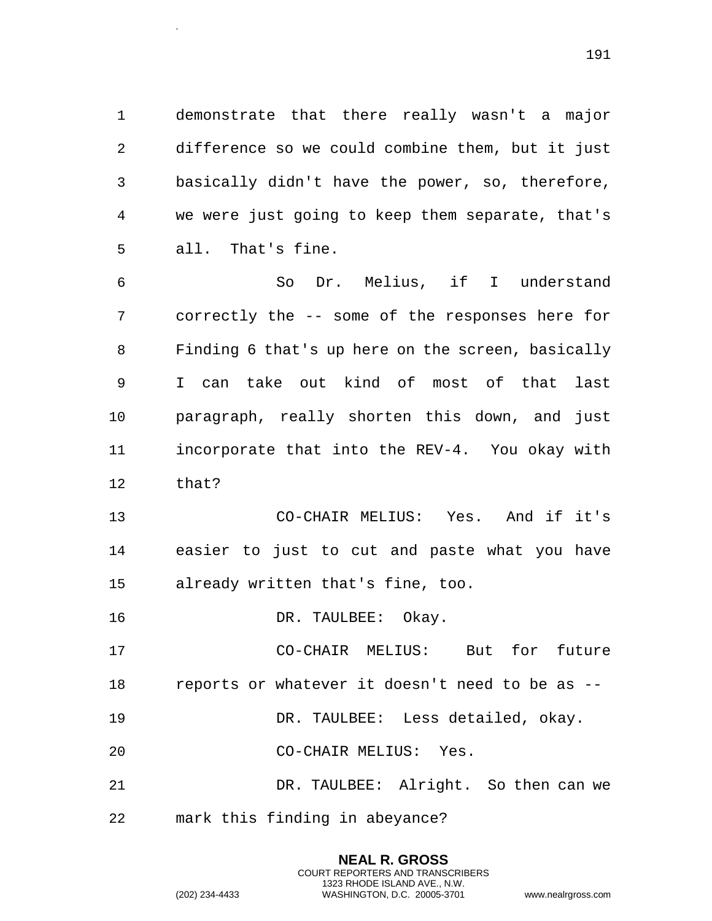demonstrate that there really wasn't a major difference so we could combine them, but it just basically didn't have the power, so, therefore, we were just going to keep them separate, that's all. That's fine.

 So Dr. Melius, if I understand correctly the -- some of the responses here for Finding 6 that's up here on the screen, basically I can take out kind of most of that last paragraph, really shorten this down, and just incorporate that into the REV-4. You okay with that?

 CO-CHAIR MELIUS: Yes. And if it's easier to just to cut and paste what you have already written that's fine, too.

DR. TAULBEE: Okay.

 CO-CHAIR MELIUS: But for future reports or whatever it doesn't need to be as --

DR. TAULBEE: Less detailed, okay.

CO-CHAIR MELIUS: Yes.

 DR. TAULBEE: Alright. So then can we mark this finding in abeyance?

> **NEAL R. GROSS** COURT REPORTERS AND TRANSCRIBERS 1323 RHODE ISLAND AVE., N.W.

.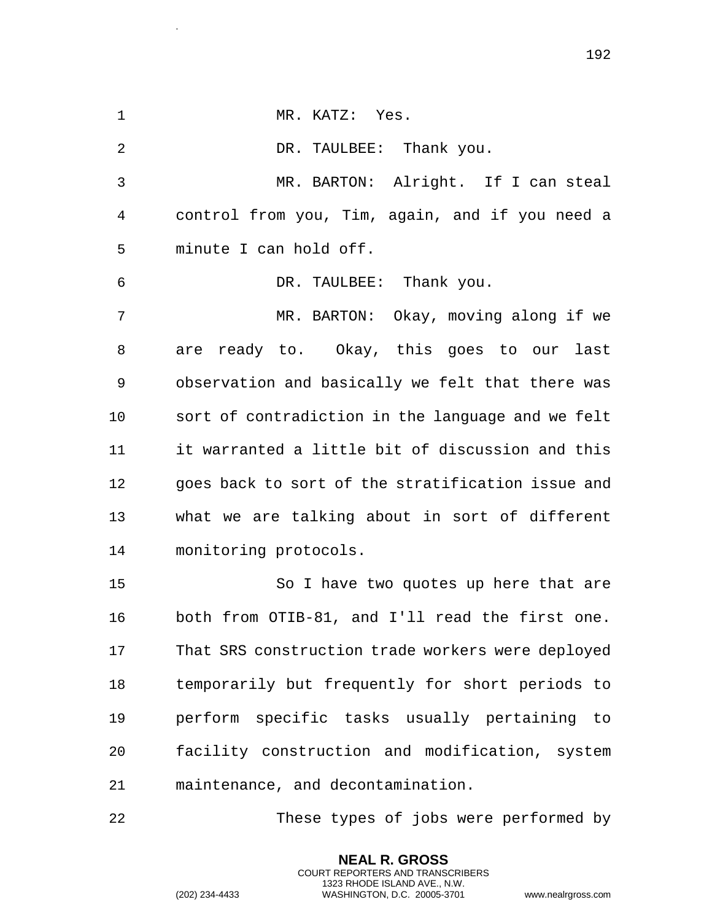MR. KATZ: Yes. 2 DR. TAULBEE: Thank you. MR. BARTON: Alright. If I can steal control from you, Tim, again, and if you need a minute I can hold off. DR. TAULBEE: Thank you. MR. BARTON: Okay, moving along if we are ready to. Okay, this goes to our last observation and basically we felt that there was sort of contradiction in the language and we felt it warranted a little bit of discussion and this goes back to sort of the stratification issue and what we are talking about in sort of different monitoring protocols. So I have two quotes up here that are both from OTIB-81, and I'll read the first one. That SRS construction trade workers were deployed temporarily but frequently for short periods to perform specific tasks usually pertaining to facility construction and modification, system maintenance, and decontamination. These types of jobs were performed by

> COURT REPORTERS AND TRANSCRIBERS 1323 RHODE ISLAND AVE., N.W.

**NEAL R. GROSS**

.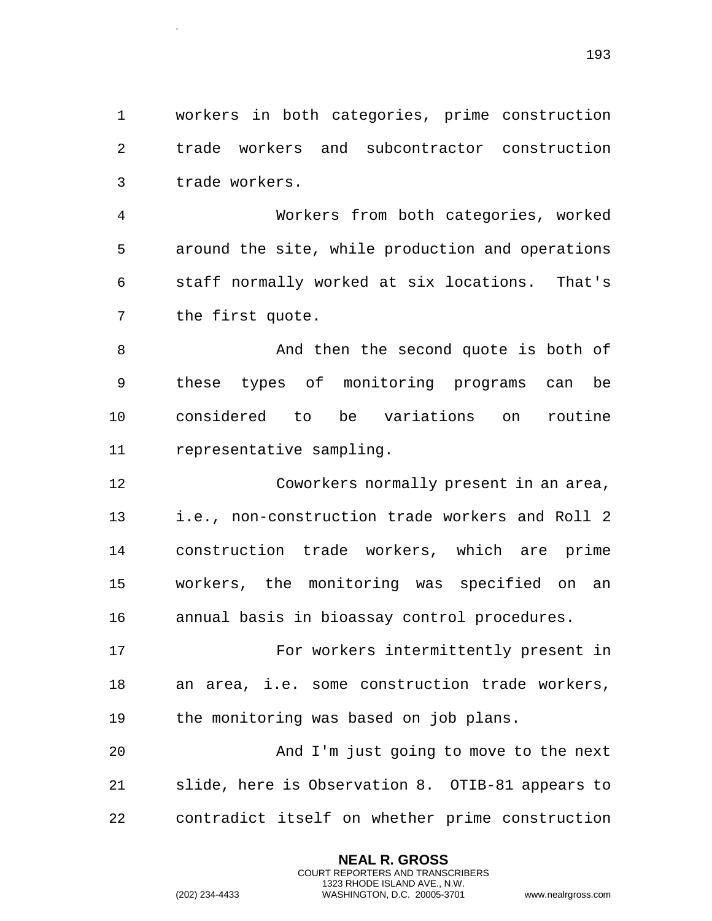workers in both categories, prime construction trade workers and subcontractor construction trade workers.

 Workers from both categories, worked around the site, while production and operations staff normally worked at six locations. That's the first quote.

 And then the second quote is both of these types of monitoring programs can be considered to be variations on routine representative sampling.

 Coworkers normally present in an area, i.e., non-construction trade workers and Roll 2 construction trade workers, which are prime workers, the monitoring was specified on an annual basis in bioassay control procedures.

 For workers intermittently present in an area, i.e. some construction trade workers, the monitoring was based on job plans.

 And I'm just going to move to the next slide, here is Observation 8. OTIB-81 appears to contradict itself on whether prime construction

> **NEAL R. GROSS** COURT REPORTERS AND TRANSCRIBERS 1323 RHODE ISLAND AVE., N.W.

.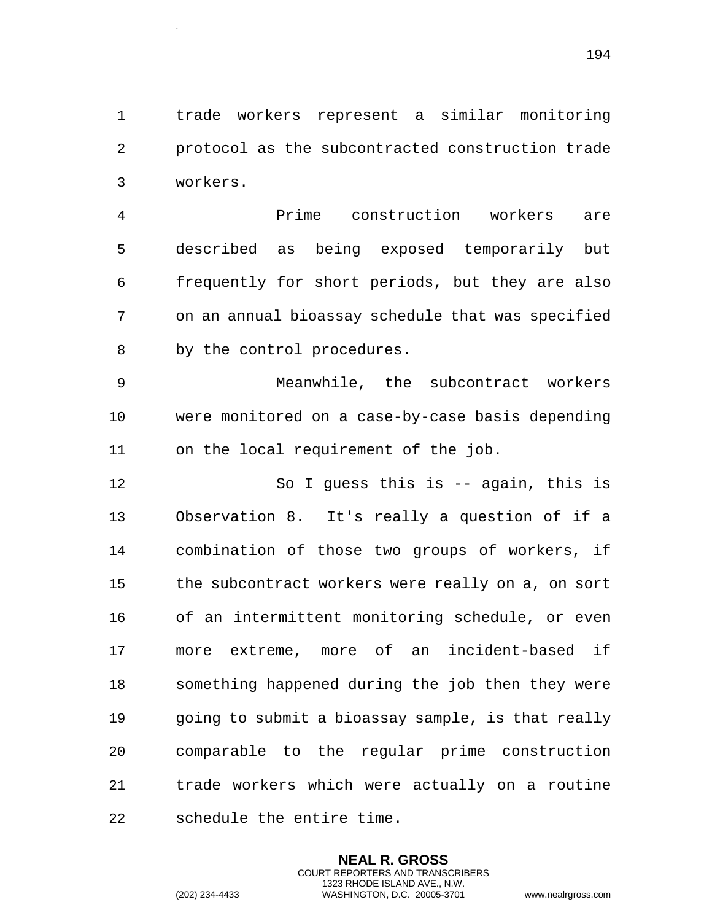trade workers represent a similar monitoring protocol as the subcontracted construction trade workers.

 Prime construction workers are described as being exposed temporarily but frequently for short periods, but they are also on an annual bioassay schedule that was specified by the control procedures.

 Meanwhile, the subcontract workers were monitored on a case-by-case basis depending on the local requirement of the job.

 So I guess this is -- again, this is Observation 8. It's really a question of if a combination of those two groups of workers, if the subcontract workers were really on a, on sort of an intermittent monitoring schedule, or even more extreme, more of an incident-based if something happened during the job then they were going to submit a bioassay sample, is that really comparable to the regular prime construction trade workers which were actually on a routine schedule the entire time.

> **NEAL R. GROSS** COURT REPORTERS AND TRANSCRIBERS 1323 RHODE ISLAND AVE., N.W.

.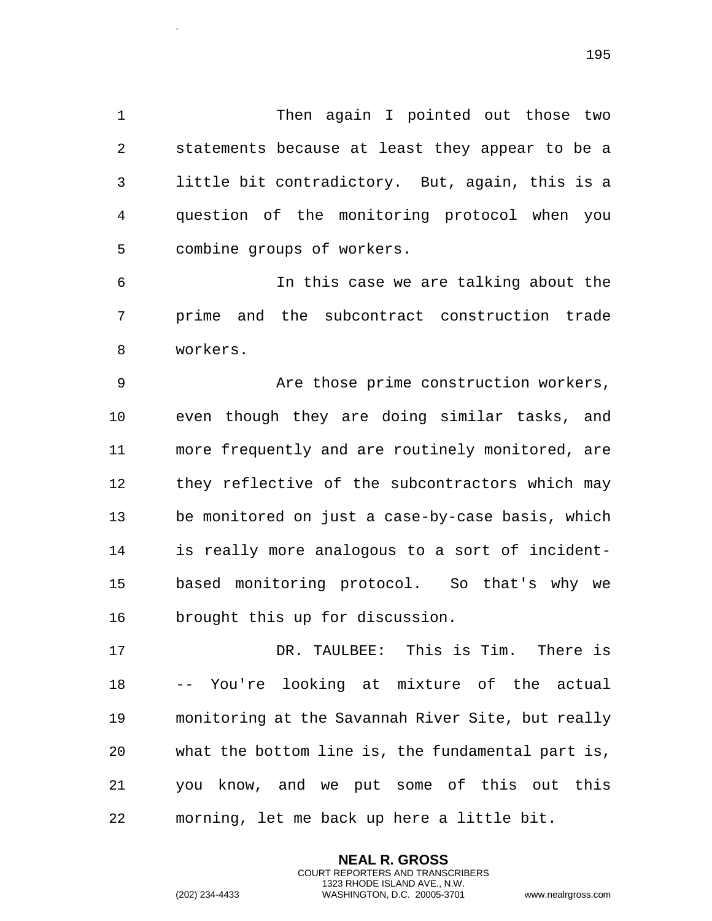1 Then again I pointed out those two statements because at least they appear to be a little bit contradictory. But, again, this is a question of the monitoring protocol when you combine groups of workers.

 In this case we are talking about the prime and the subcontract construction trade workers.

 Are those prime construction workers, even though they are doing similar tasks, and more frequently and are routinely monitored, are they reflective of the subcontractors which may be monitored on just a case-by-case basis, which is really more analogous to a sort of incident- based monitoring protocol. So that's why we brought this up for discussion.

 DR. TAULBEE: This is Tim. There is -- You're looking at mixture of the actual monitoring at the Savannah River Site, but really what the bottom line is, the fundamental part is, you know, and we put some of this out this morning, let me back up here a little bit.

> **NEAL R. GROSS** COURT REPORTERS AND TRANSCRIBERS 1323 RHODE ISLAND AVE., N.W.

.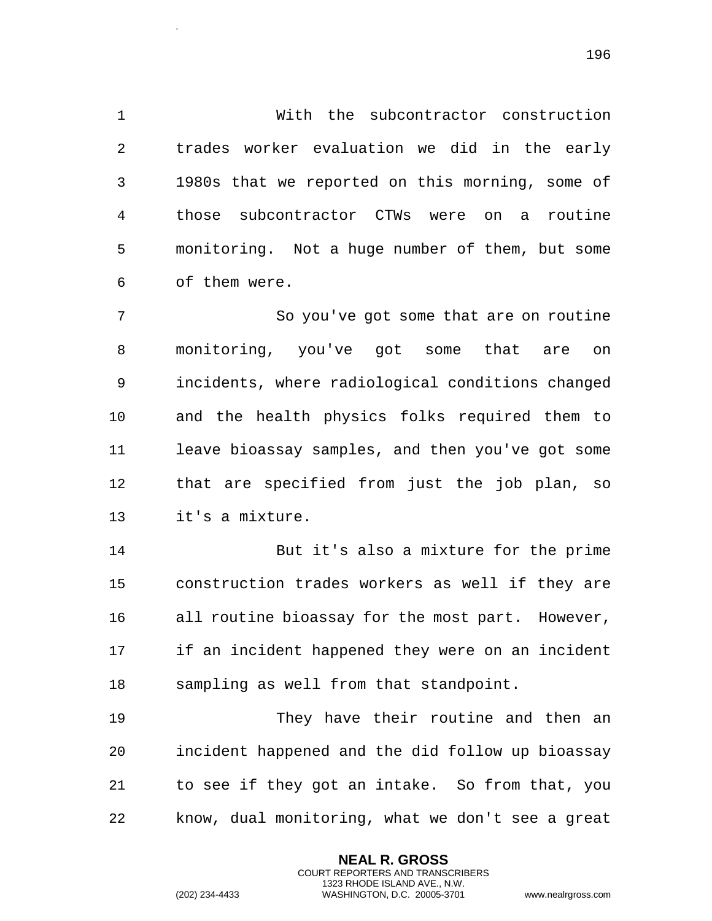With the subcontractor construction trades worker evaluation we did in the early 1980s that we reported on this morning, some of those subcontractor CTWs were on a routine monitoring. Not a huge number of them, but some of them were.

 So you've got some that are on routine monitoring, you've got some that are on incidents, where radiological conditions changed and the health physics folks required them to leave bioassay samples, and then you've got some that are specified from just the job plan, so it's a mixture.

 But it's also a mixture for the prime construction trades workers as well if they are all routine bioassay for the most part. However, if an incident happened they were on an incident sampling as well from that standpoint.

 They have their routine and then an incident happened and the did follow up bioassay to see if they got an intake. So from that, you know, dual monitoring, what we don't see a great

> **NEAL R. GROSS** COURT REPORTERS AND TRANSCRIBERS 1323 RHODE ISLAND AVE., N.W.

.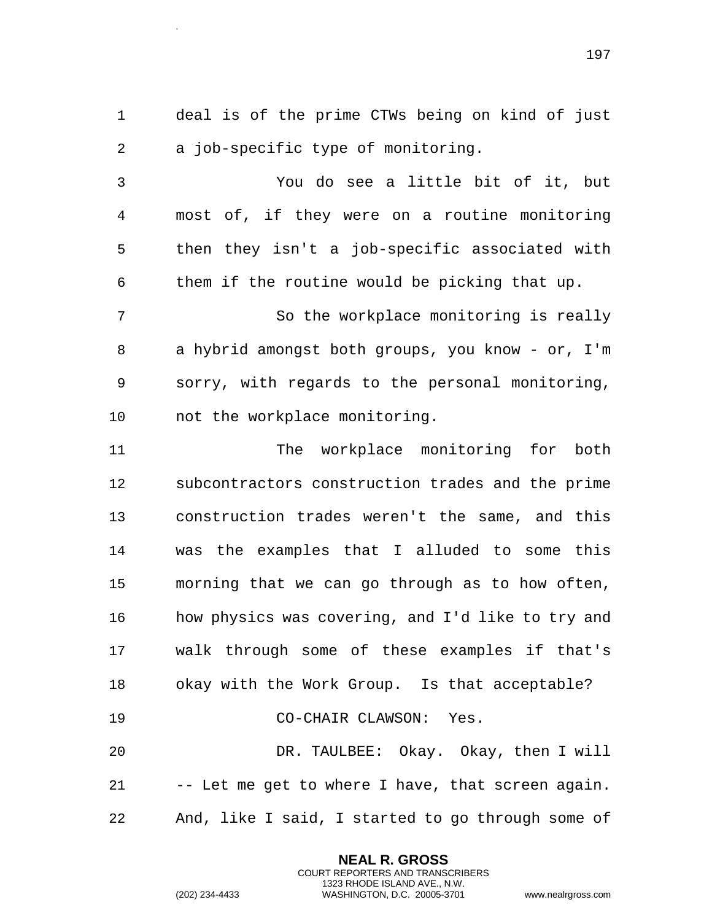deal is of the prime CTWs being on kind of just a job-specific type of monitoring.

 You do see a little bit of it, but most of, if they were on a routine monitoring then they isn't a job-specific associated with them if the routine would be picking that up.

 So the workplace monitoring is really a hybrid amongst both groups, you know - or, I'm sorry, with regards to the personal monitoring, not the workplace monitoring.

 The workplace monitoring for both subcontractors construction trades and the prime construction trades weren't the same, and this was the examples that I alluded to some this morning that we can go through as to how often, how physics was covering, and I'd like to try and walk through some of these examples if that's okay with the Work Group. Is that acceptable? CO-CHAIR CLAWSON: Yes. DR. TAULBEE: Okay. Okay, then I will

 -- Let me get to where I have, that screen again. And, like I said, I started to go through some of

> **NEAL R. GROSS** COURT REPORTERS AND TRANSCRIBERS 1323 RHODE ISLAND AVE., N.W.

.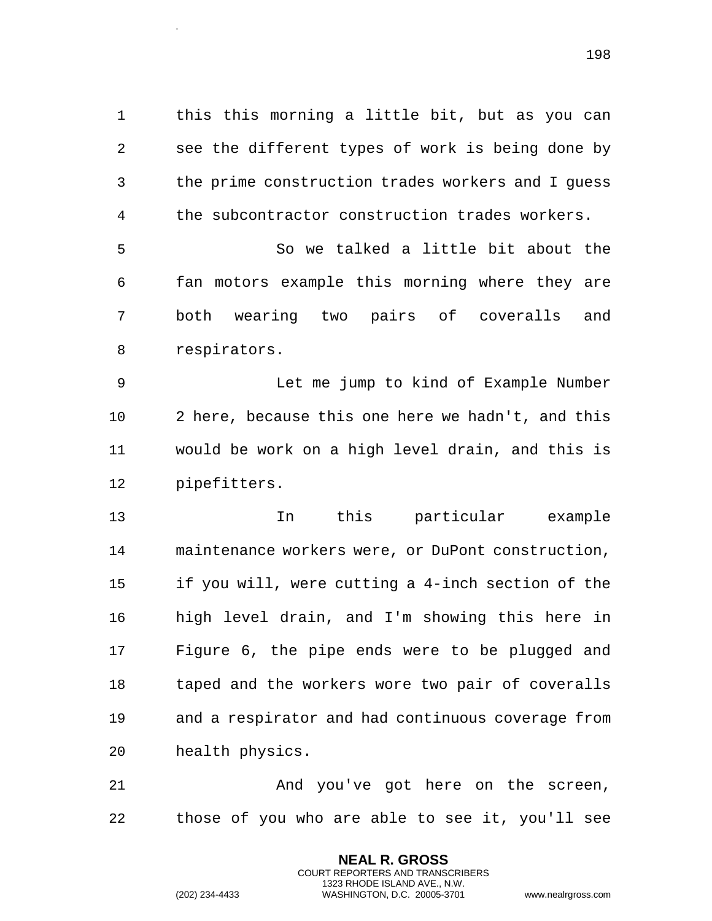this this morning a little bit, but as you can see the different types of work is being done by the prime construction trades workers and I guess the subcontractor construction trades workers.

 So we talked a little bit about the fan motors example this morning where they are both wearing two pairs of coveralls and respirators.

 Let me jump to kind of Example Number 2 here, because this one here we hadn't, and this would be work on a high level drain, and this is pipefitters.

 In this particular example maintenance workers were, or DuPont construction, if you will, were cutting a 4-inch section of the high level drain, and I'm showing this here in Figure 6, the pipe ends were to be plugged and taped and the workers wore two pair of coveralls and a respirator and had continuous coverage from health physics.

 And you've got here on the screen, those of you who are able to see it, you'll see

> **NEAL R. GROSS** COURT REPORTERS AND TRANSCRIBERS 1323 RHODE ISLAND AVE., N.W.

.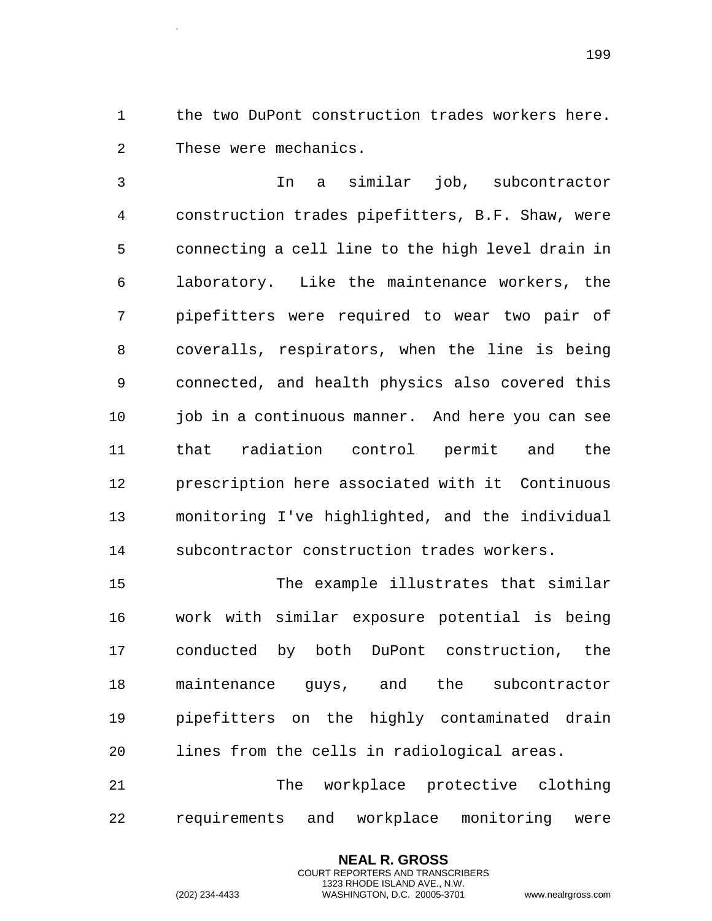1 the two DuPont construction trades workers here. These were mechanics.

 In a similar job, subcontractor construction trades pipefitters, B.F. Shaw, were connecting a cell line to the high level drain in laboratory. Like the maintenance workers, the pipefitters were required to wear two pair of coveralls, respirators, when the line is being connected, and health physics also covered this 10 job in a continuous manner. And here you can see that radiation control permit and the prescription here associated with it Continuous monitoring I've highlighted, and the individual subcontractor construction trades workers.

 The example illustrates that similar work with similar exposure potential is being conducted by both DuPont construction, the maintenance guys, and the subcontractor pipefitters on the highly contaminated drain lines from the cells in radiological areas.

 The workplace protective clothing requirements and workplace monitoring were

> **NEAL R. GROSS** COURT REPORTERS AND TRANSCRIBERS 1323 RHODE ISLAND AVE., N.W.

.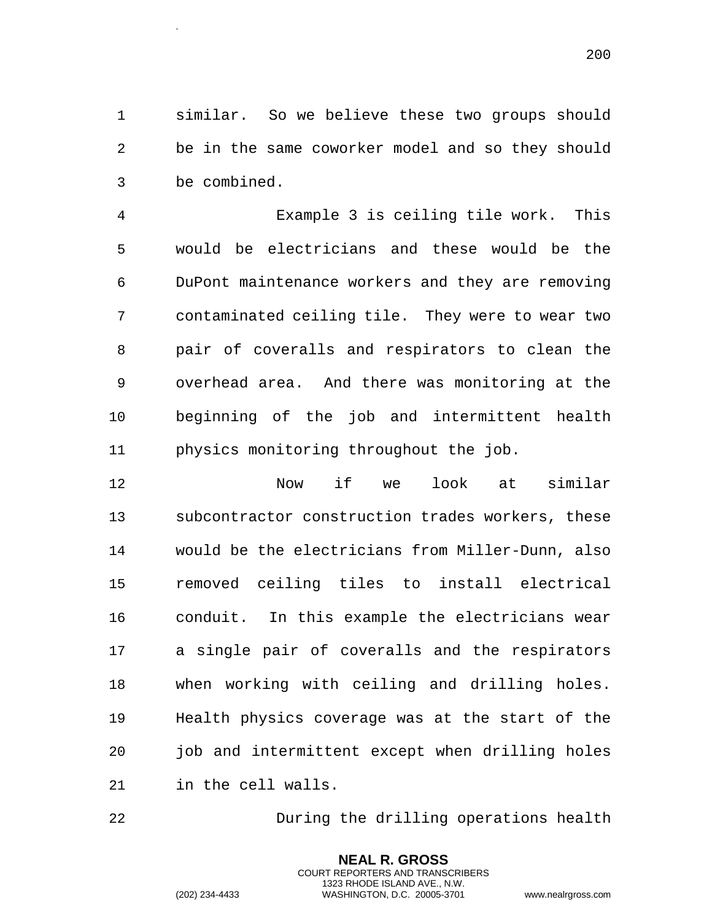similar. So we believe these two groups should be in the same coworker model and so they should be combined.

 Example 3 is ceiling tile work. This would be electricians and these would be the DuPont maintenance workers and they are removing contaminated ceiling tile. They were to wear two pair of coveralls and respirators to clean the overhead area. And there was monitoring at the beginning of the job and intermittent health physics monitoring throughout the job.

 Now if we look at similar subcontractor construction trades workers, these would be the electricians from Miller-Dunn, also removed ceiling tiles to install electrical conduit. In this example the electricians wear a single pair of coveralls and the respirators when working with ceiling and drilling holes. Health physics coverage was at the start of the job and intermittent except when drilling holes in the cell walls.

During the drilling operations health

**NEAL R. GROSS** COURT REPORTERS AND TRANSCRIBERS 1323 RHODE ISLAND AVE., N.W.

(202) 234-4433 WASHINGTON, D.C. 20005-3701 www.nealrgross.com

.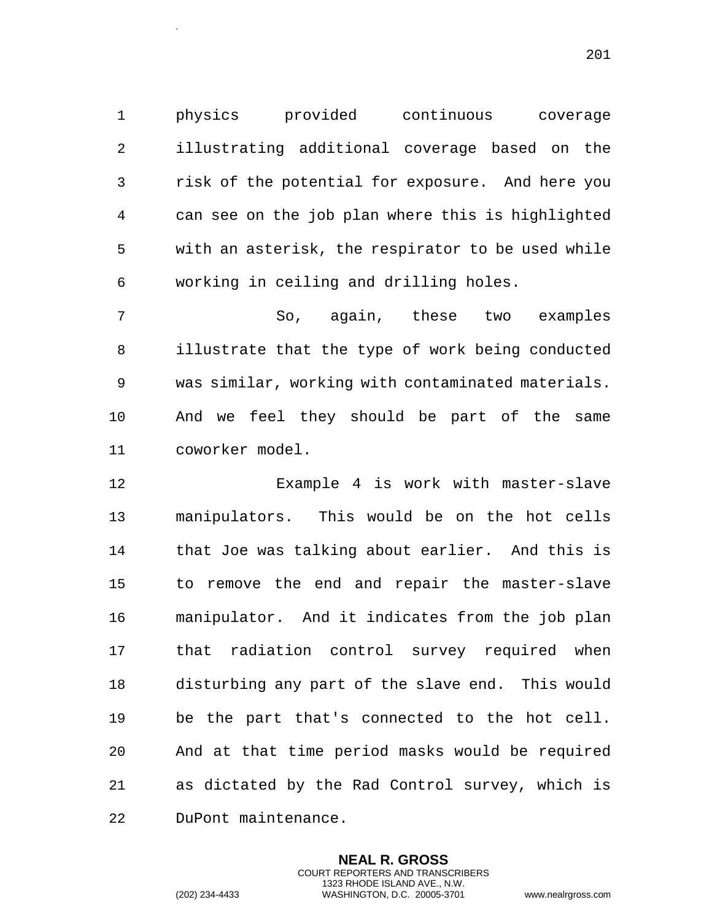physics provided continuous coverage illustrating additional coverage based on the risk of the potential for exposure. And here you can see on the job plan where this is highlighted with an asterisk, the respirator to be used while working in ceiling and drilling holes.

 So, again, these two examples illustrate that the type of work being conducted was similar, working with contaminated materials. And we feel they should be part of the same coworker model.

 Example 4 is work with master-slave manipulators. This would be on the hot cells that Joe was talking about earlier. And this is to remove the end and repair the master-slave manipulator. And it indicates from the job plan that radiation control survey required when disturbing any part of the slave end. This would be the part that's connected to the hot cell. And at that time period masks would be required as dictated by the Rad Control survey, which is DuPont maintenance.

> **NEAL R. GROSS** COURT REPORTERS AND TRANSCRIBERS 1323 RHODE ISLAND AVE., N.W.

.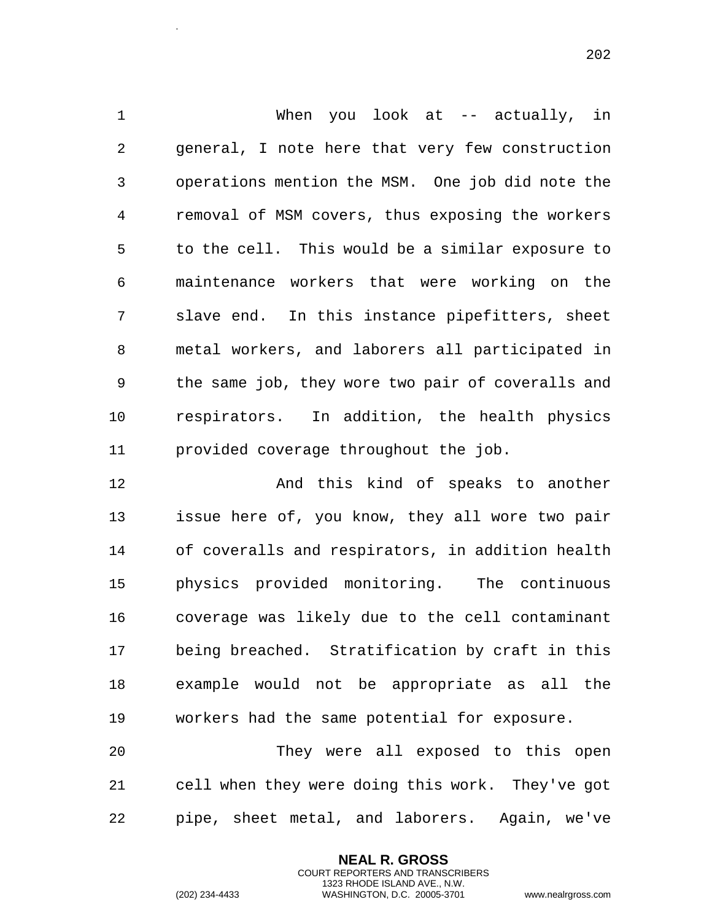1 When you look at -- actually, in general, I note here that very few construction operations mention the MSM. One job did note the removal of MSM covers, thus exposing the workers to the cell. This would be a similar exposure to maintenance workers that were working on the slave end. In this instance pipefitters, sheet metal workers, and laborers all participated in the same job, they wore two pair of coveralls and respirators. In addition, the health physics provided coverage throughout the job.

 And this kind of speaks to another issue here of, you know, they all wore two pair of coveralls and respirators, in addition health physics provided monitoring. The continuous coverage was likely due to the cell contaminant being breached. Stratification by craft in this example would not be appropriate as all the workers had the same potential for exposure.

 They were all exposed to this open cell when they were doing this work. They've got pipe, sheet metal, and laborers. Again, we've

> **NEAL R. GROSS** COURT REPORTERS AND TRANSCRIBERS 1323 RHODE ISLAND AVE., N.W.

.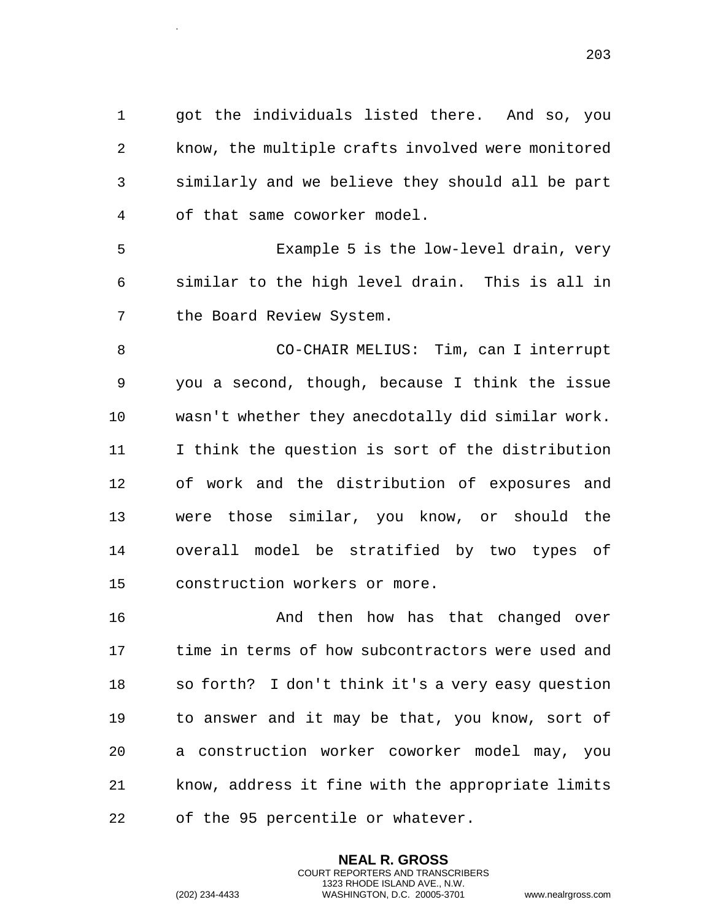got the individuals listed there. And so, you know, the multiple crafts involved were monitored similarly and we believe they should all be part of that same coworker model.

 Example 5 is the low-level drain, very similar to the high level drain. This is all in the Board Review System.

 CO-CHAIR MELIUS: Tim, can I interrupt you a second, though, because I think the issue wasn't whether they anecdotally did similar work. I think the question is sort of the distribution of work and the distribution of exposures and were those similar, you know, or should the overall model be stratified by two types of construction workers or more.

 And then how has that changed over time in terms of how subcontractors were used and so forth? I don't think it's a very easy question to answer and it may be that, you know, sort of a construction worker coworker model may, you know, address it fine with the appropriate limits of the 95 percentile or whatever.

> **NEAL R. GROSS** COURT REPORTERS AND TRANSCRIBERS 1323 RHODE ISLAND AVE., N.W.

.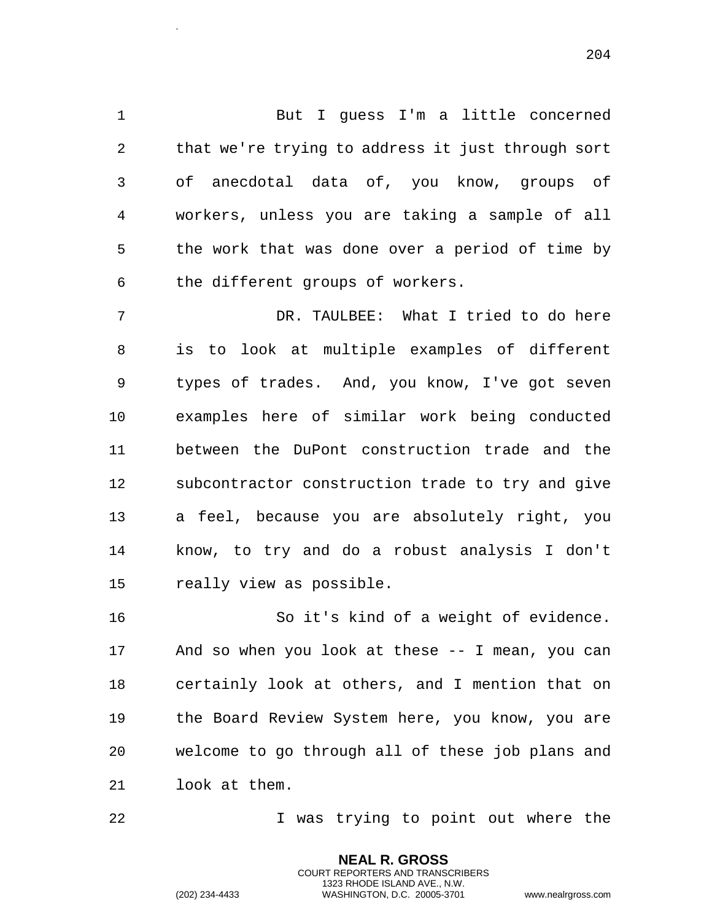But I guess I'm a little concerned that we're trying to address it just through sort of anecdotal data of, you know, groups of workers, unless you are taking a sample of all the work that was done over a period of time by the different groups of workers.

 DR. TAULBEE: What I tried to do here is to look at multiple examples of different types of trades. And, you know, I've got seven examples here of similar work being conducted between the DuPont construction trade and the subcontractor construction trade to try and give a feel, because you are absolutely right, you know, to try and do a robust analysis I don't really view as possible.

 So it's kind of a weight of evidence. And so when you look at these -- I mean, you can certainly look at others, and I mention that on the Board Review System here, you know, you are welcome to go through all of these job plans and look at them.

**I** was trying to point out where the

**NEAL R. GROSS** COURT REPORTERS AND TRANSCRIBERS 1323 RHODE ISLAND AVE., N.W.

.

(202) 234-4433 WASHINGTON, D.C. 20005-3701 www.nealrgross.com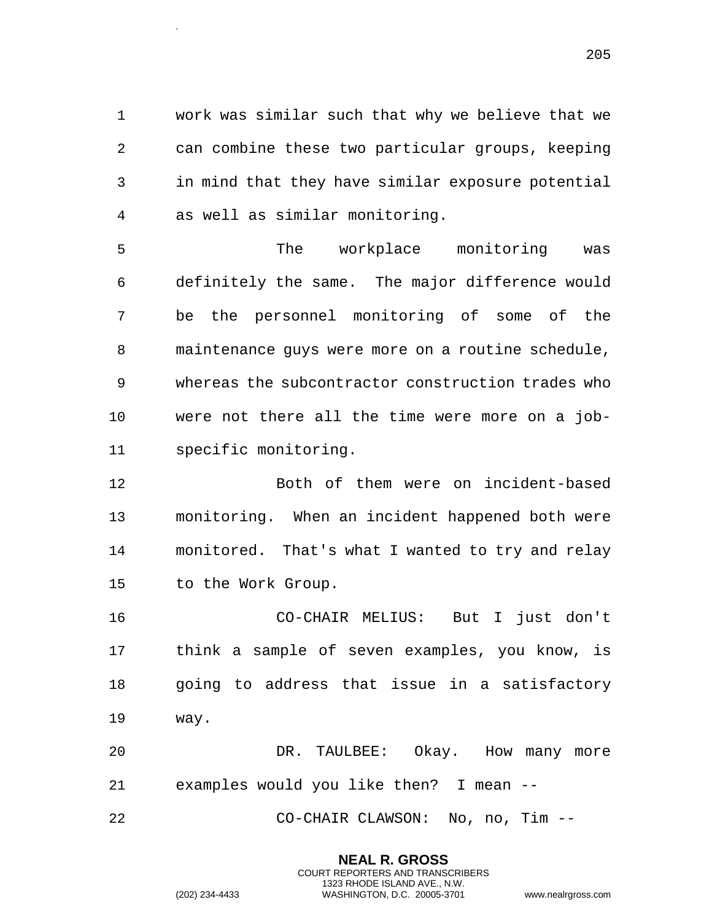work was similar such that why we believe that we can combine these two particular groups, keeping in mind that they have similar exposure potential as well as similar monitoring.

 The workplace monitoring was definitely the same. The major difference would be the personnel monitoring of some of the maintenance guys were more on a routine schedule, whereas the subcontractor construction trades who were not there all the time were more on a job-specific monitoring.

 Both of them were on incident-based monitoring. When an incident happened both were monitored. That's what I wanted to try and relay to the Work Group.

 CO-CHAIR MELIUS: But I just don't think a sample of seven examples, you know, is going to address that issue in a satisfactory way.

 DR. TAULBEE: Okay. How many more examples would you like then? I mean --

> **NEAL R. GROSS** COURT REPORTERS AND TRANSCRIBERS 1323 RHODE ISLAND AVE., N.W.

CO-CHAIR CLAWSON: No, no, Tim --

(202) 234-4433 WASHINGTON, D.C. 20005-3701 www.nealrgross.com

.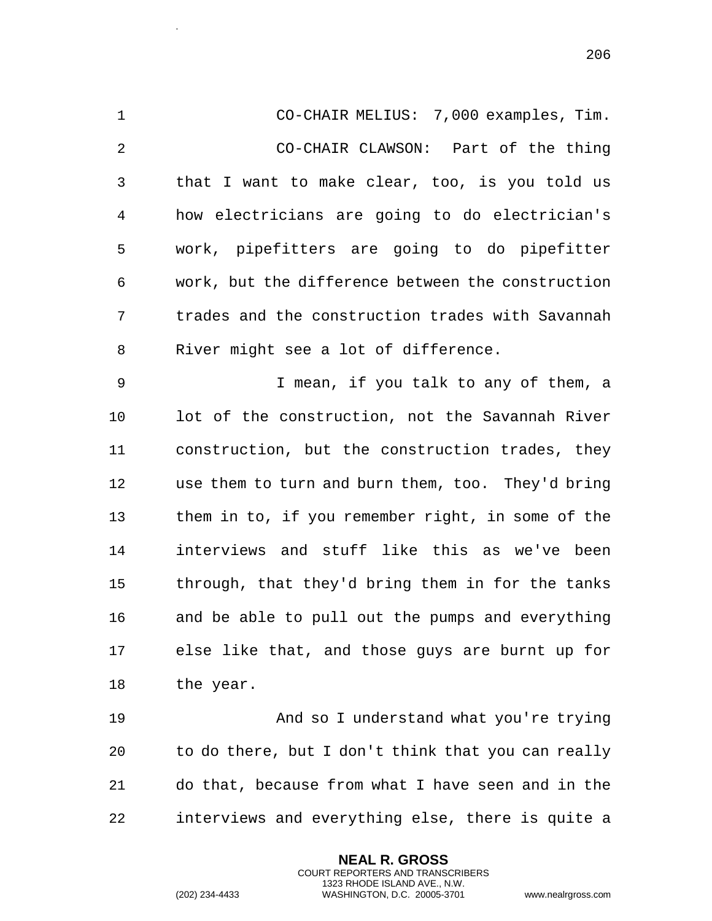CO-CHAIR MELIUS: 7,000 examples, Tim. CO-CHAIR CLAWSON: Part of the thing that I want to make clear, too, is you told us how electricians are going to do electrician's work, pipefitters are going to do pipefitter work, but the difference between the construction trades and the construction trades with Savannah River might see a lot of difference. I mean, if you talk to any of them, a lot of the construction, not the Savannah River construction, but the construction trades, they use them to turn and burn them, too. They'd bring them in to, if you remember right, in some of the interviews and stuff like this as we've been through, that they'd bring them in for the tanks and be able to pull out the pumps and everything else like that, and those guys are burnt up for the year.

 And so I understand what you're trying to do there, but I don't think that you can really do that, because from what I have seen and in the interviews and everything else, there is quite a

> **NEAL R. GROSS** COURT REPORTERS AND TRANSCRIBERS 1323 RHODE ISLAND AVE., N.W.

.

(202) 234-4433 WASHINGTON, D.C. 20005-3701 www.nealrgross.com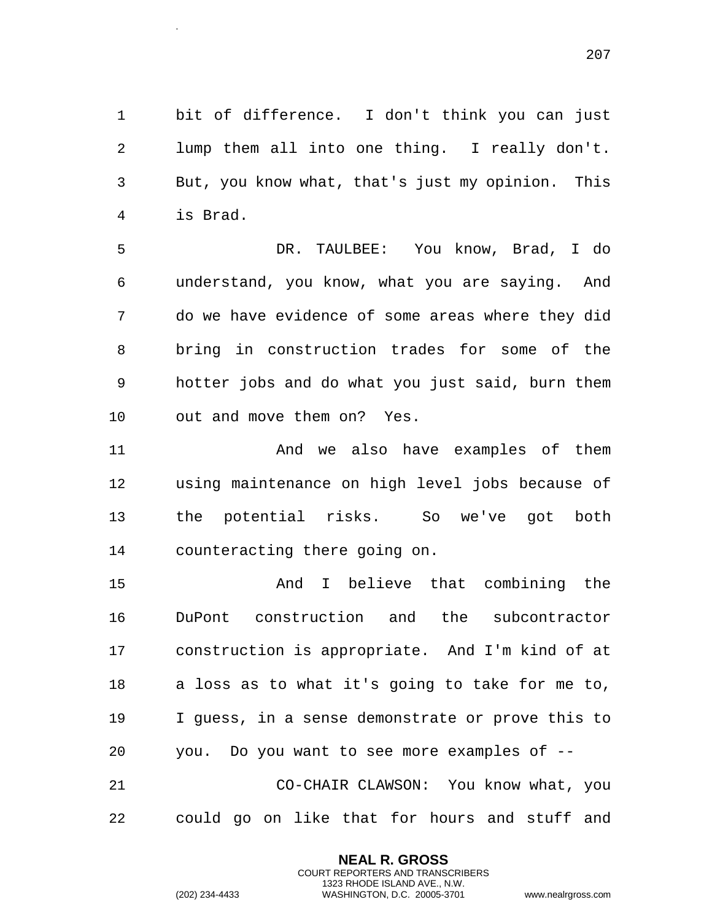bit of difference. I don't think you can just lump them all into one thing. I really don't. But, you know what, that's just my opinion. This is Brad.

 DR. TAULBEE: You know, Brad, I do understand, you know, what you are saying. And do we have evidence of some areas where they did bring in construction trades for some of the hotter jobs and do what you just said, burn them out and move them on? Yes.

 And we also have examples of them using maintenance on high level jobs because of the potential risks. So we've got both counteracting there going on.

 And I believe that combining the DuPont construction and the subcontractor construction is appropriate. And I'm kind of at a loss as to what it's going to take for me to, I guess, in a sense demonstrate or prove this to you. Do you want to see more examples of -- CO-CHAIR CLAWSON: You know what, you could go on like that for hours and stuff and

> **NEAL R. GROSS** COURT REPORTERS AND TRANSCRIBERS 1323 RHODE ISLAND AVE., N.W.

.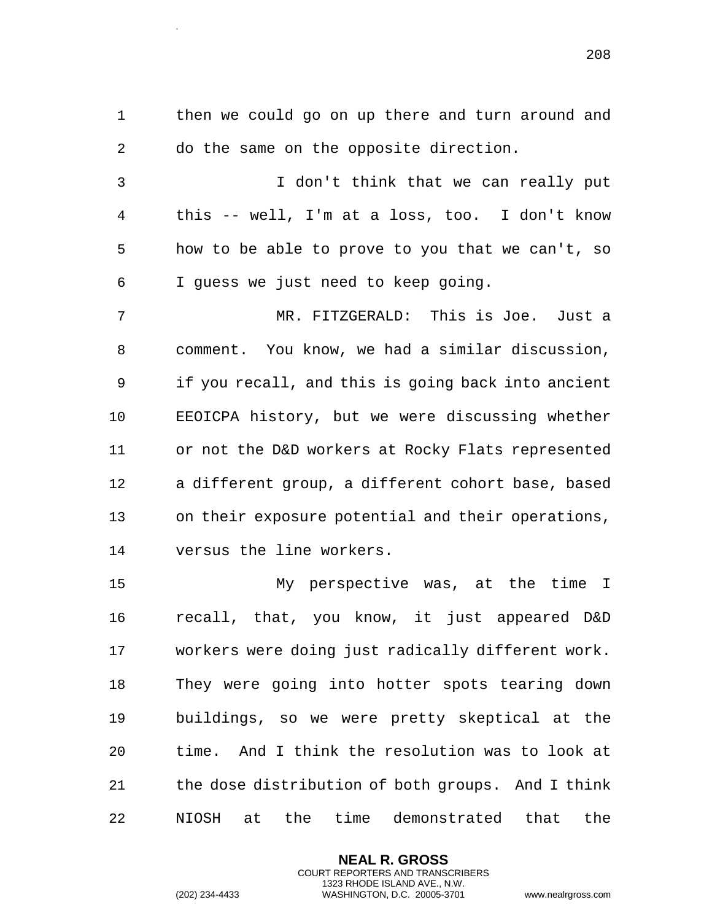then we could go on up there and turn around and do the same on the opposite direction.

 I don't think that we can really put this -- well, I'm at a loss, too. I don't know how to be able to prove to you that we can't, so I guess we just need to keep going.

 MR. FITZGERALD: This is Joe. Just a comment. You know, we had a similar discussion, if you recall, and this is going back into ancient EEOICPA history, but we were discussing whether or not the D&D workers at Rocky Flats represented a different group, a different cohort base, based on their exposure potential and their operations, versus the line workers.

 My perspective was, at the time I recall, that, you know, it just appeared D&D workers were doing just radically different work. They were going into hotter spots tearing down buildings, so we were pretty skeptical at the time. And I think the resolution was to look at the dose distribution of both groups. And I think NIOSH at the time demonstrated that the

> **NEAL R. GROSS** COURT REPORTERS AND TRANSCRIBERS 1323 RHODE ISLAND AVE., N.W.

.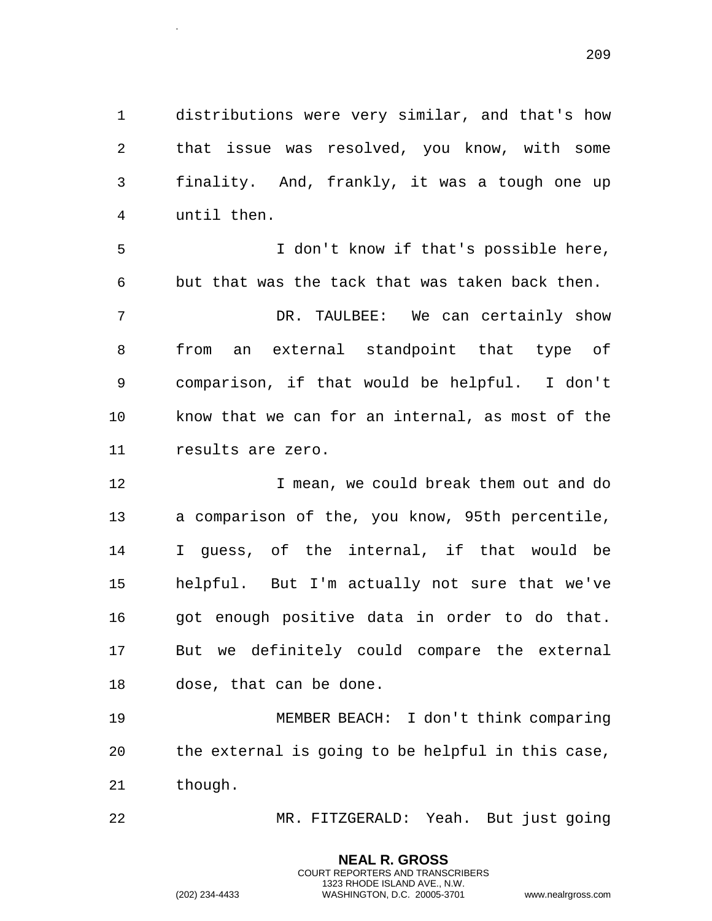distributions were very similar, and that's how that issue was resolved, you know, with some finality. And, frankly, it was a tough one up until then.

 I don't know if that's possible here, but that was the tack that was taken back then. DR. TAULBEE: We can certainly show from an external standpoint that type of comparison, if that would be helpful. I don't know that we can for an internal, as most of the results are zero.

 I mean, we could break them out and do a comparison of the, you know, 95th percentile, I guess, of the internal, if that would be helpful. But I'm actually not sure that we've got enough positive data in order to do that. But we definitely could compare the external dose, that can be done.

 MEMBER BEACH: I don't think comparing the external is going to be helpful in this case, though.

MR. FITZGERALD: Yeah. But just going

**NEAL R. GROSS** COURT REPORTERS AND TRANSCRIBERS 1323 RHODE ISLAND AVE., N.W.

.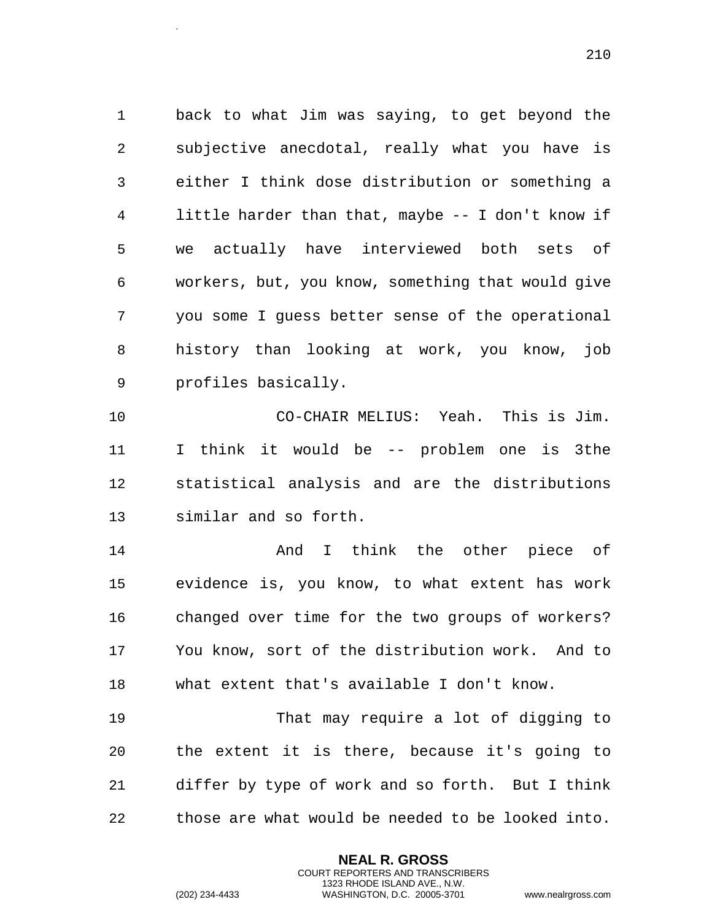back to what Jim was saying, to get beyond the subjective anecdotal, really what you have is either I think dose distribution or something a little harder than that, maybe -- I don't know if we actually have interviewed both sets of workers, but, you know, something that would give you some I guess better sense of the operational history than looking at work, you know, job profiles basically.

 CO-CHAIR MELIUS: Yeah. This is Jim. I think it would be -- problem one is 3the statistical analysis and are the distributions similar and so forth.

 And I think the other piece of evidence is, you know, to what extent has work changed over time for the two groups of workers? You know, sort of the distribution work. And to what extent that's available I don't know.

 That may require a lot of digging to the extent it is there, because it's going to differ by type of work and so forth. But I think those are what would be needed to be looked into.

> **NEAL R. GROSS** COURT REPORTERS AND TRANSCRIBERS 1323 RHODE ISLAND AVE., N.W.

.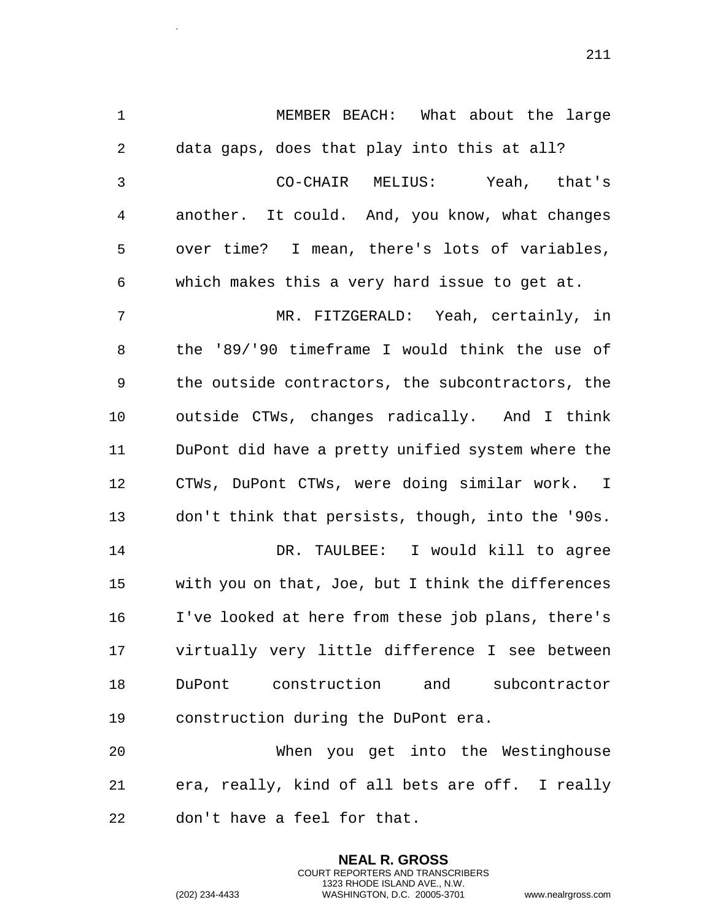MEMBER BEACH: What about the large data gaps, does that play into this at all? CO-CHAIR MELIUS: Yeah, that's another. It could. And, you know, what changes over time? I mean, there's lots of variables, which makes this a very hard issue to get at. MR. FITZGERALD: Yeah, certainly, in the '89/'90 timeframe I would think the use of the outside contractors, the subcontractors, the outside CTWs, changes radically. And I think DuPont did have a pretty unified system where the CTWs, DuPont CTWs, were doing similar work. I don't think that persists, though, into the '90s. DR. TAULBEE: I would kill to agree with you on that, Joe, but I think the differences I've looked at here from these job plans, there's virtually very little difference I see between DuPont construction and subcontractor construction during the DuPont era. When you get into the Westinghouse

 era, really, kind of all bets are off. I really don't have a feel for that.

> **NEAL R. GROSS** COURT REPORTERS AND TRANSCRIBERS 1323 RHODE ISLAND AVE., N.W.

.

(202) 234-4433 WASHINGTON, D.C. 20005-3701 www.nealrgross.com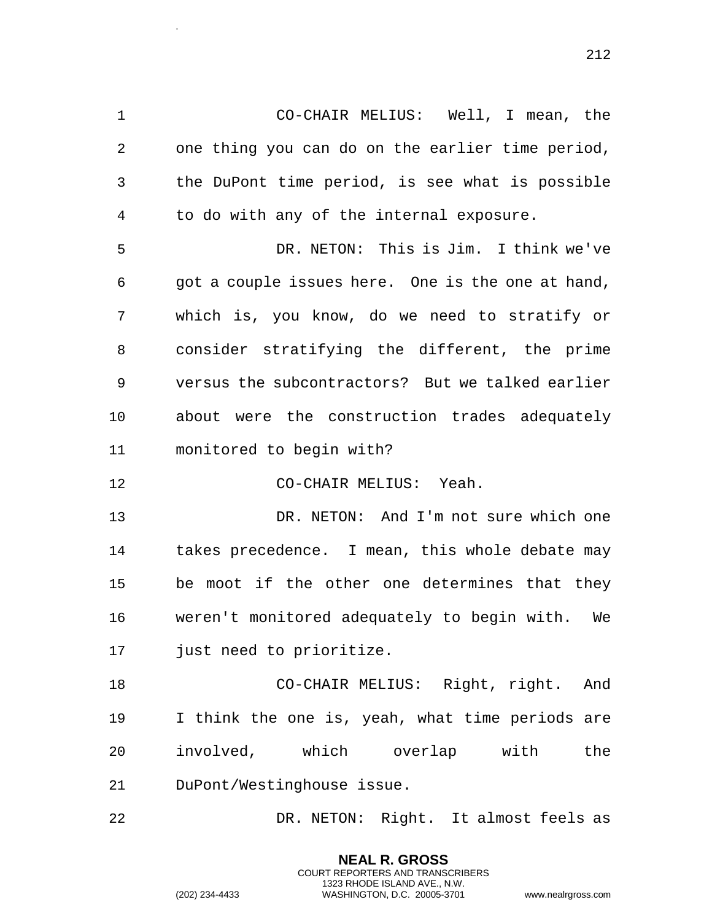CO-CHAIR MELIUS: Well, I mean, the one thing you can do on the earlier time period, the DuPont time period, is see what is possible to do with any of the internal exposure.

 DR. NETON: This is Jim. I think we've got a couple issues here. One is the one at hand, which is, you know, do we need to stratify or consider stratifying the different, the prime versus the subcontractors? But we talked earlier about were the construction trades adequately monitored to begin with?

CO-CHAIR MELIUS: Yeah.

 DR. NETON: And I'm not sure which one takes precedence. I mean, this whole debate may be moot if the other one determines that they weren't monitored adequately to begin with. We just need to prioritize.

 CO-CHAIR MELIUS: Right, right. And I think the one is, yeah, what time periods are involved, which overlap with the DuPont/Westinghouse issue.

DR. NETON: Right. It almost feels as

**NEAL R. GROSS** COURT REPORTERS AND TRANSCRIBERS 1323 RHODE ISLAND AVE., N.W.

.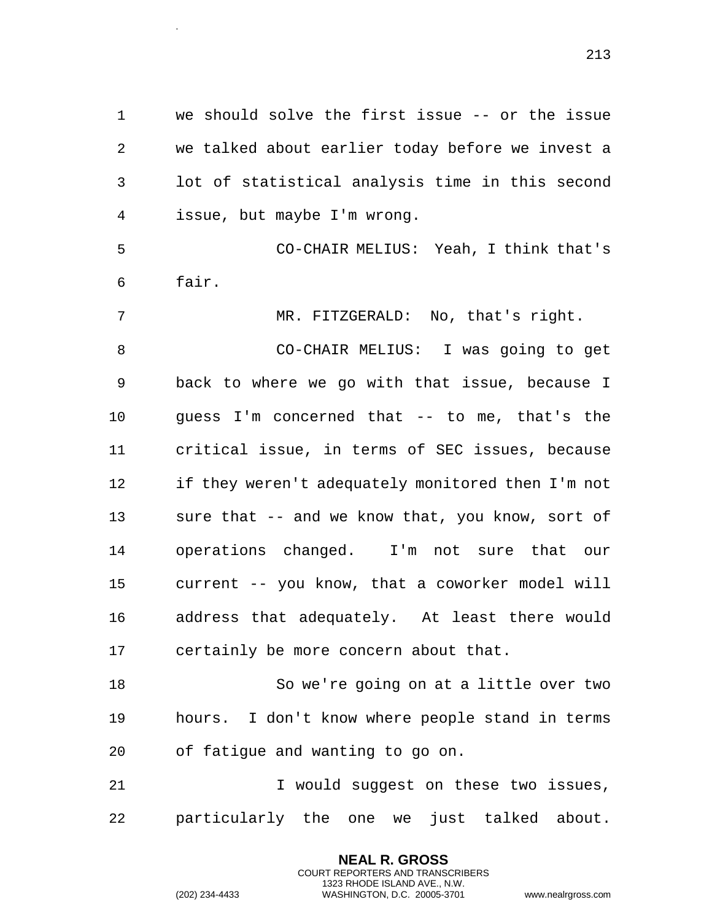we should solve the first issue -- or the issue we talked about earlier today before we invest a lot of statistical analysis time in this second issue, but maybe I'm wrong.

 CO-CHAIR MELIUS: Yeah, I think that's fair.

 MR. FITZGERALD: No, that's right. CO-CHAIR MELIUS: I was going to get back to where we go with that issue, because I guess I'm concerned that -- to me, that's the critical issue, in terms of SEC issues, because if they weren't adequately monitored then I'm not sure that -- and we know that, you know, sort of operations changed. I'm not sure that our current -- you know, that a coworker model will address that adequately. At least there would certainly be more concern about that.

 So we're going on at a little over two hours. I don't know where people stand in terms of fatigue and wanting to go on.

 I would suggest on these two issues, particularly the one we just talked about.

> **NEAL R. GROSS** COURT REPORTERS AND TRANSCRIBERS 1323 RHODE ISLAND AVE., N.W.

.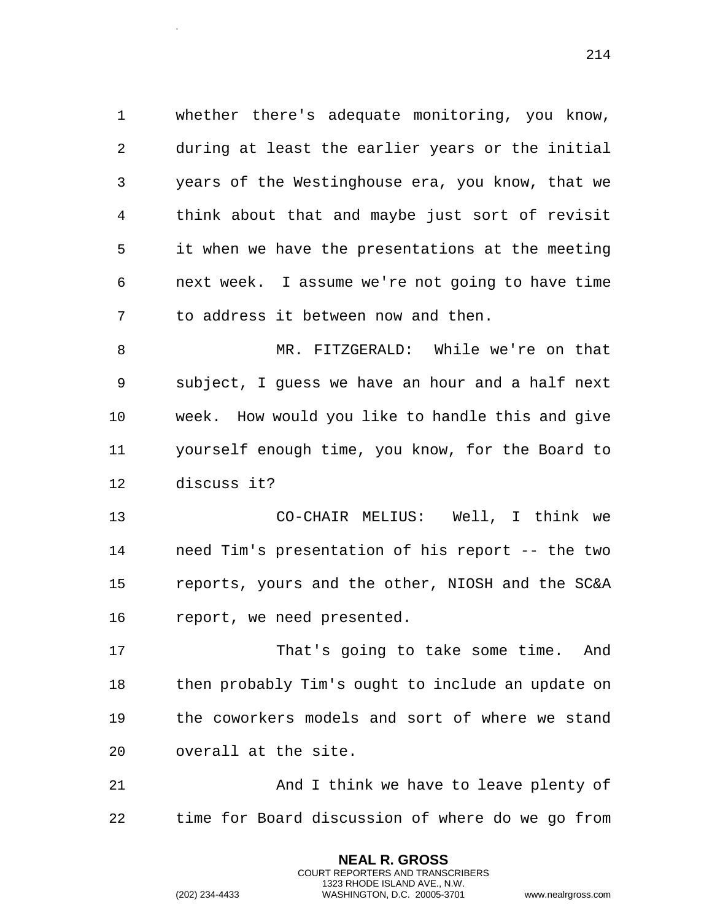whether there's adequate monitoring, you know, during at least the earlier years or the initial years of the Westinghouse era, you know, that we think about that and maybe just sort of revisit it when we have the presentations at the meeting next week. I assume we're not going to have time to address it between now and then.

 MR. FITZGERALD: While we're on that subject, I guess we have an hour and a half next week. How would you like to handle this and give yourself enough time, you know, for the Board to discuss it?

 CO-CHAIR MELIUS: Well, I think we need Tim's presentation of his report -- the two reports, yours and the other, NIOSH and the SC&A report, we need presented.

 That's going to take some time. And then probably Tim's ought to include an update on the coworkers models and sort of where we stand overall at the site.

 And I think we have to leave plenty of time for Board discussion of where do we go from

> **NEAL R. GROSS** COURT REPORTERS AND TRANSCRIBERS 1323 RHODE ISLAND AVE., N.W.

.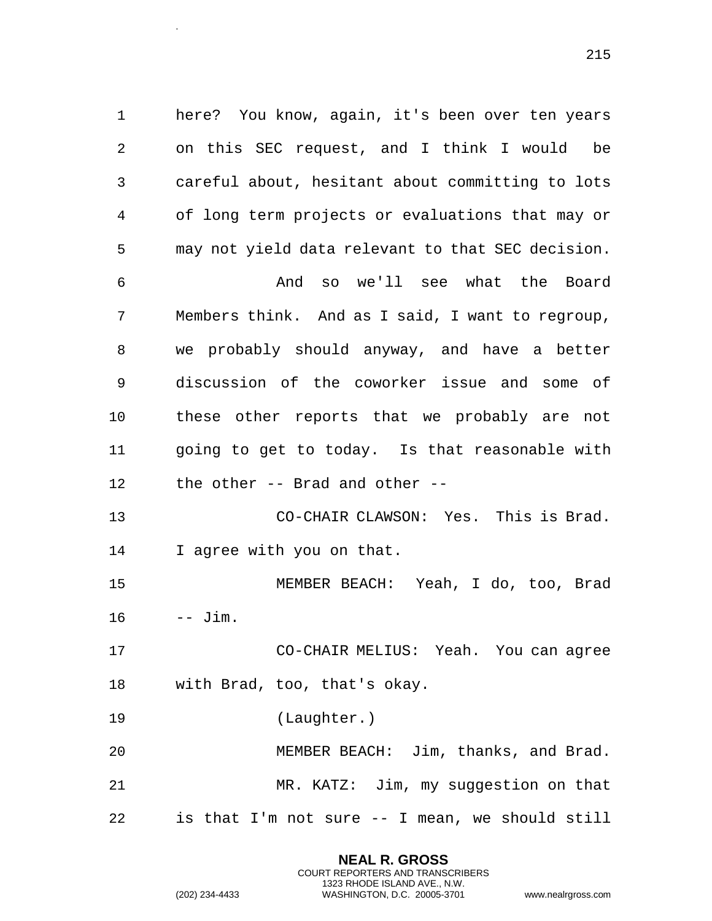here? You know, again, it's been over ten years on this SEC request, and I think I would be careful about, hesitant about committing to lots of long term projects or evaluations that may or may not yield data relevant to that SEC decision. And so we'll see what the Board Members think. And as I said, I want to regroup, we probably should anyway, and have a better discussion of the coworker issue and some of these other reports that we probably are not going to get to today. Is that reasonable with the other -- Brad and other -- CO-CHAIR CLAWSON: Yes. This is Brad. I agree with you on that. MEMBER BEACH: Yeah, I do, too, Brad  $\text{Jim.}$  CO-CHAIR MELIUS: Yeah. You can agree with Brad, too, that's okay.

(Laughter.)

 MEMBER BEACH: Jim, thanks, and Brad. MR. KATZ: Jim, my suggestion on that is that I'm not sure -- I mean, we should still

> **NEAL R. GROSS** COURT REPORTERS AND TRANSCRIBERS 1323 RHODE ISLAND AVE., N.W.

.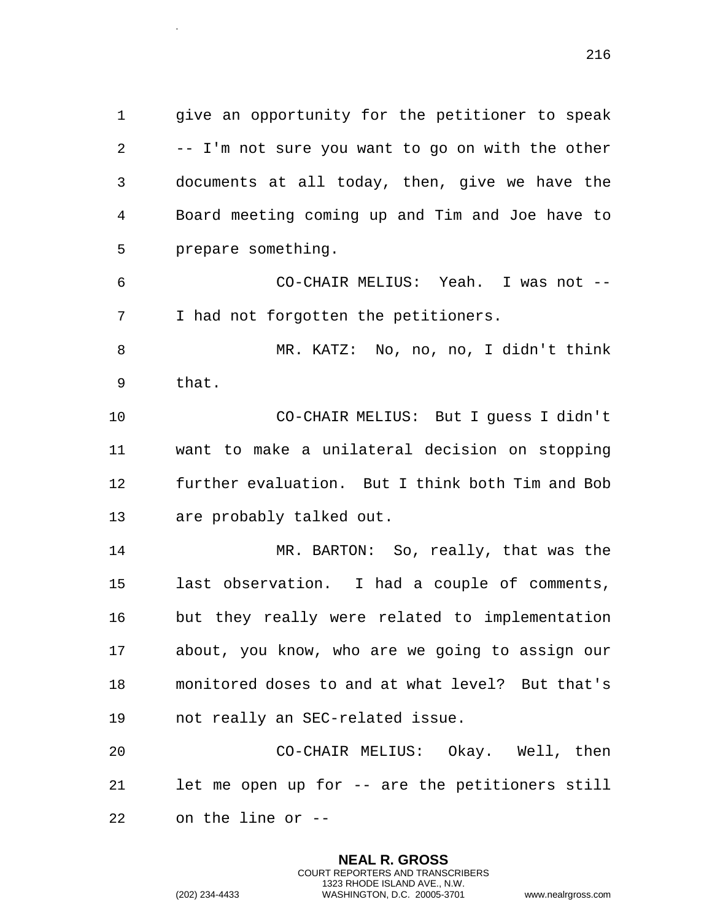give an opportunity for the petitioner to speak -- I'm not sure you want to go on with the other documents at all today, then, give we have the Board meeting coming up and Tim and Joe have to prepare something.

 CO-CHAIR MELIUS: Yeah. I was not -- I had not forgotten the petitioners.

 MR. KATZ: No, no, no, I didn't think that.

 CO-CHAIR MELIUS: But I guess I didn't want to make a unilateral decision on stopping further evaluation. But I think both Tim and Bob are probably talked out.

 MR. BARTON: So, really, that was the last observation. I had a couple of comments, but they really were related to implementation about, you know, who are we going to assign our monitored doses to and at what level? But that's not really an SEC-related issue.

 CO-CHAIR MELIUS: Okay. Well, then let me open up for -- are the petitioners still on the line or --

> **NEAL R. GROSS** COURT REPORTERS AND TRANSCRIBERS 1323 RHODE ISLAND AVE., N.W.

.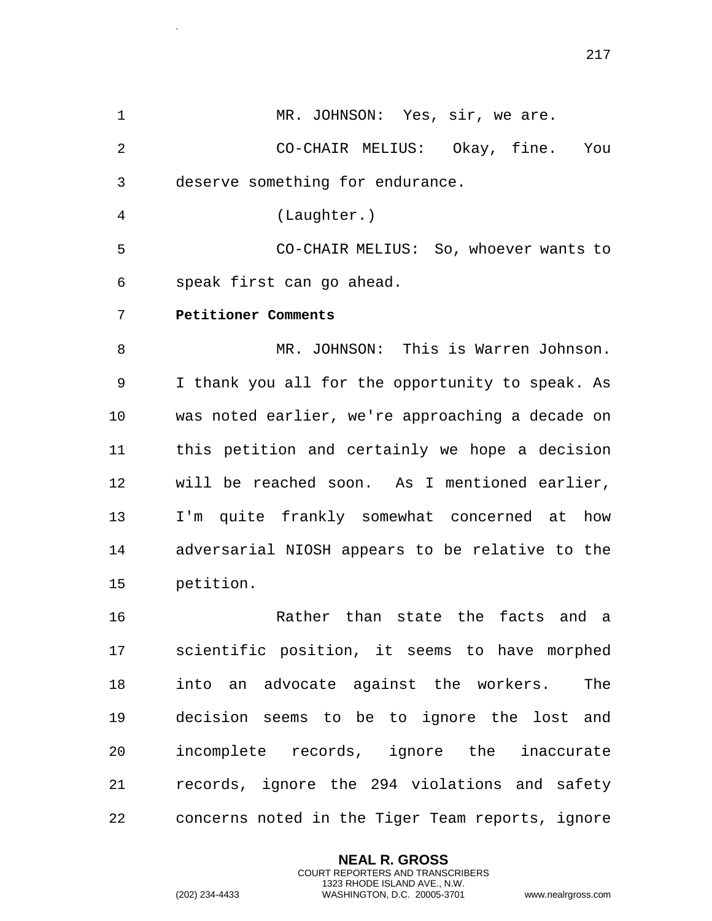1 MR. JOHNSON: Yes, sir, we are. 2 CO-CHAIR MELIUS: Okay, fine. You 3 deserve something for endurance. 4 (Laughter.) 5 CO-CHAIR MELIUS: So, whoever wants to 6 speak first can go ahead. 7 **Petitioner Comments**  8 MR. JOHNSON: This is Warren Johnson. 9 I thank you all for the opportunity to speak. As 10 was noted earlier, we're approaching a decade on 11 this petition and certainly we hope a decision 12 will be reached soon. As I mentioned earlier, 13 I'm quite frankly somewhat concerned at how 14 adversarial NIOSH appears to be relative to the 15 petition. 16 Rather than state the facts and a 17 scientific position, it seems to have morphed 18 into an advocate against the workers. The 19 decision seems to be to ignore the lost and 20 incomplete records, ignore the inaccurate

21 records, ignore the 294 violations and safety 22 concerns noted in the Tiger Team reports, ignore

> **NEAL R. GROSS** COURT REPORTERS AND TRANSCRIBERS 1323 RHODE ISLAND AVE., N.W.

.

```
(202) 234-4433 WASHINGTON, D.C. 20005-3701 www.nealrgross.com
```
217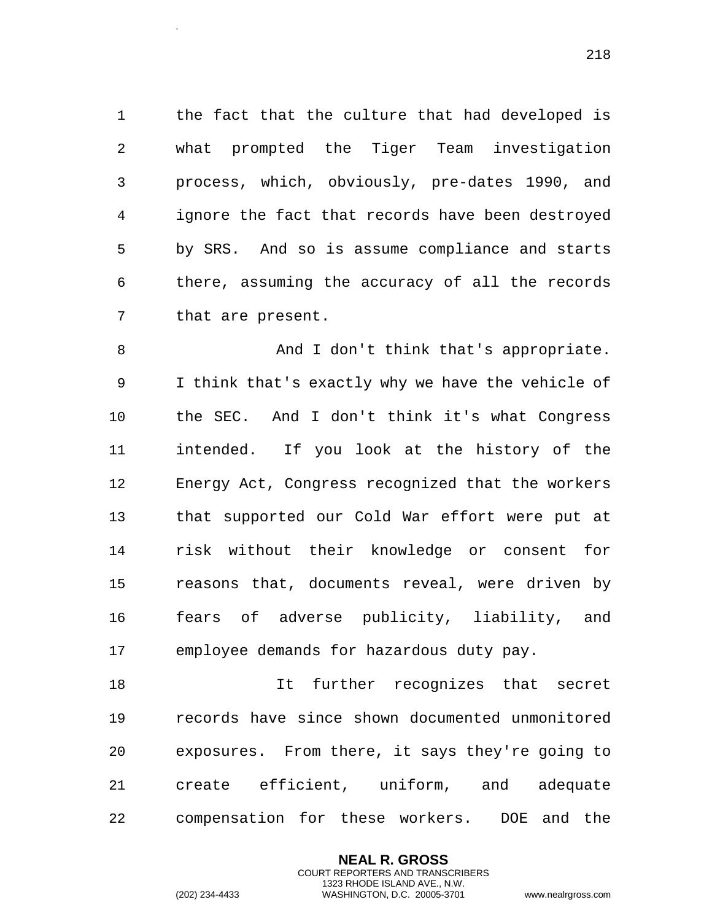the fact that the culture that had developed is what prompted the Tiger Team investigation process, which, obviously, pre-dates 1990, and ignore the fact that records have been destroyed by SRS. And so is assume compliance and starts there, assuming the accuracy of all the records that are present.

 And I don't think that's appropriate. I think that's exactly why we have the vehicle of the SEC. And I don't think it's what Congress intended. If you look at the history of the Energy Act, Congress recognized that the workers that supported our Cold War effort were put at risk without their knowledge or consent for reasons that, documents reveal, were driven by fears of adverse publicity, liability, and employee demands for hazardous duty pay.

18 It further recognizes that secret records have since shown documented unmonitored exposures. From there, it says they're going to create efficient, uniform, and adequate compensation for these workers. DOE and the

> **NEAL R. GROSS** COURT REPORTERS AND TRANSCRIBERS 1323 RHODE ISLAND AVE., N.W.

.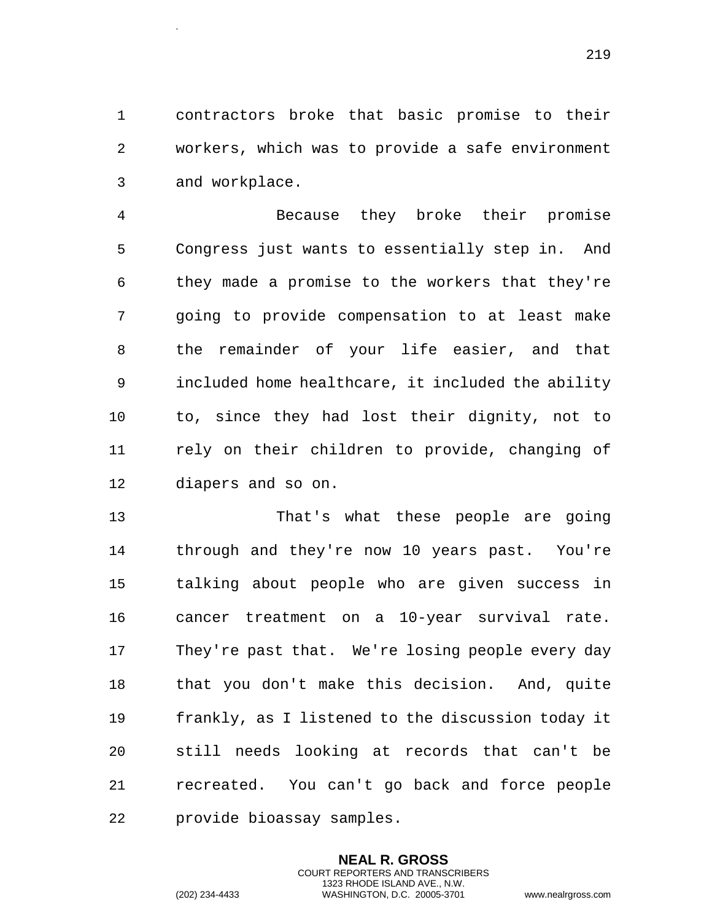contractors broke that basic promise to their workers, which was to provide a safe environment and workplace.

 Because they broke their promise Congress just wants to essentially step in. And they made a promise to the workers that they're going to provide compensation to at least make the remainder of your life easier, and that included home healthcare, it included the ability to, since they had lost their dignity, not to rely on their children to provide, changing of diapers and so on.

 That's what these people are going through and they're now 10 years past. You're talking about people who are given success in cancer treatment on a 10-year survival rate. They're past that. We're losing people every day that you don't make this decision. And, quite frankly, as I listened to the discussion today it still needs looking at records that can't be recreated. You can't go back and force people provide bioassay samples.

> **NEAL R. GROSS** COURT REPORTERS AND TRANSCRIBERS 1323 RHODE ISLAND AVE., N.W.

.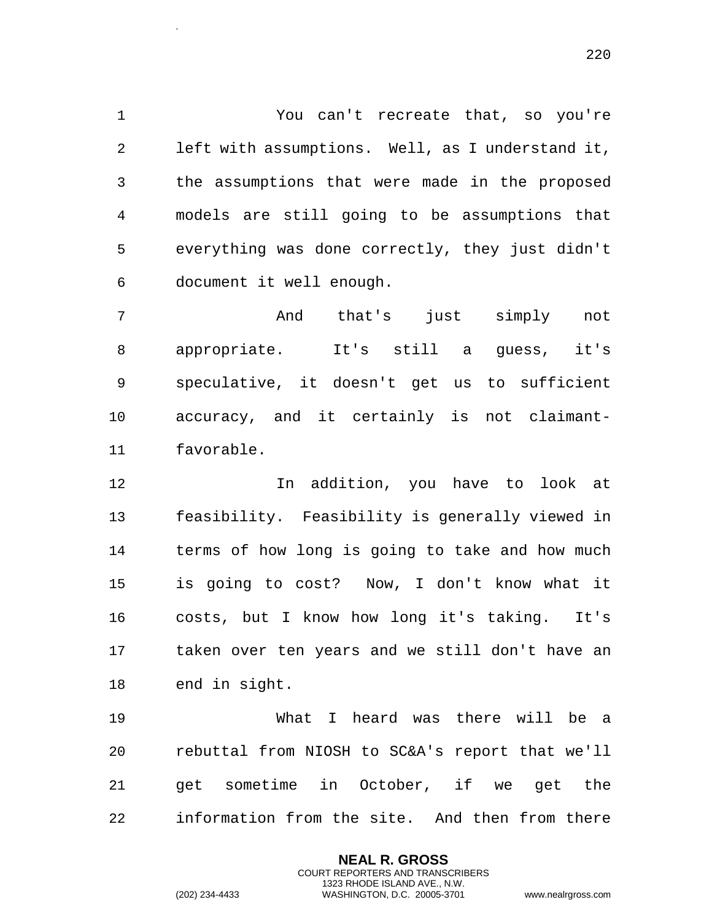You can't recreate that, so you're left with assumptions. Well, as I understand it, the assumptions that were made in the proposed models are still going to be assumptions that everything was done correctly, they just didn't document it well enough.

 And that's just simply not appropriate. It's still a guess, it's speculative, it doesn't get us to sufficient accuracy, and it certainly is not claimant-favorable.

 In addition, you have to look at feasibility. Feasibility is generally viewed in terms of how long is going to take and how much is going to cost? Now, I don't know what it costs, but I know how long it's taking. It's taken over ten years and we still don't have an end in sight.

 What I heard was there will be a rebuttal from NIOSH to SC&A's report that we'll get sometime in October, if we get the information from the site. And then from there

> **NEAL R. GROSS** COURT REPORTERS AND TRANSCRIBERS 1323 RHODE ISLAND AVE., N.W.

.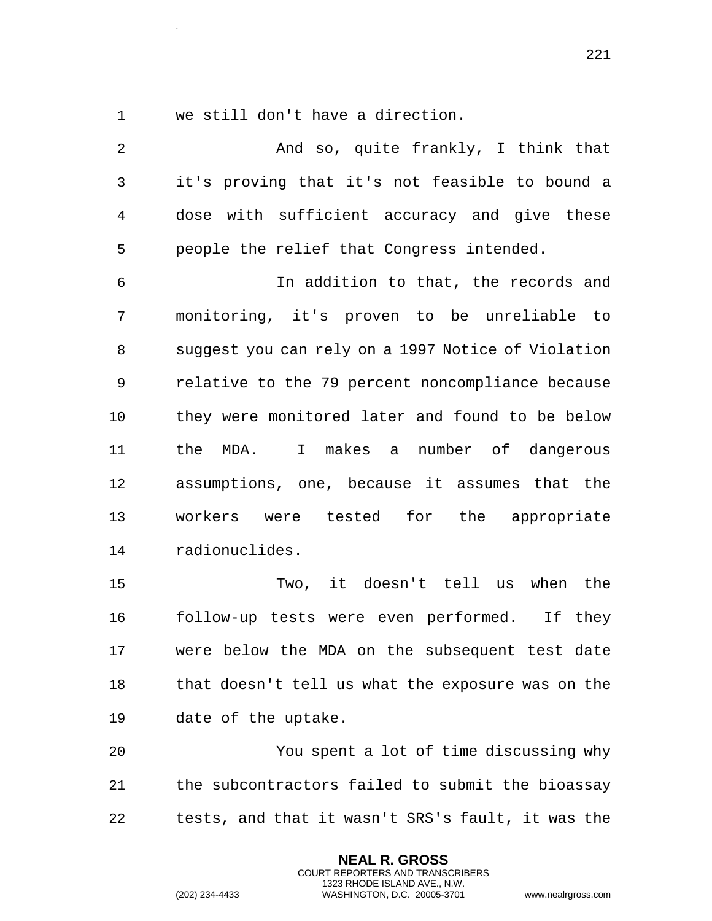we still don't have a direction.

.

 And so, quite frankly, I think that it's proving that it's not feasible to bound a dose with sufficient accuracy and give these people the relief that Congress intended. In addition to that, the records and monitoring, it's proven to be unreliable to suggest you can rely on a 1997 Notice of Violation relative to the 79 percent noncompliance because they were monitored later and found to be below the MDA. I makes a number of dangerous assumptions, one, because it assumes that the workers were tested for the appropriate radionuclides. Two, it doesn't tell us when the follow-up tests were even performed. If they were below the MDA on the subsequent test date

 that doesn't tell us what the exposure was on the date of the uptake.

 You spent a lot of time discussing why the subcontractors failed to submit the bioassay tests, and that it wasn't SRS's fault, it was the

> **NEAL R. GROSS** COURT REPORTERS AND TRANSCRIBERS 1323 RHODE ISLAND AVE., N.W.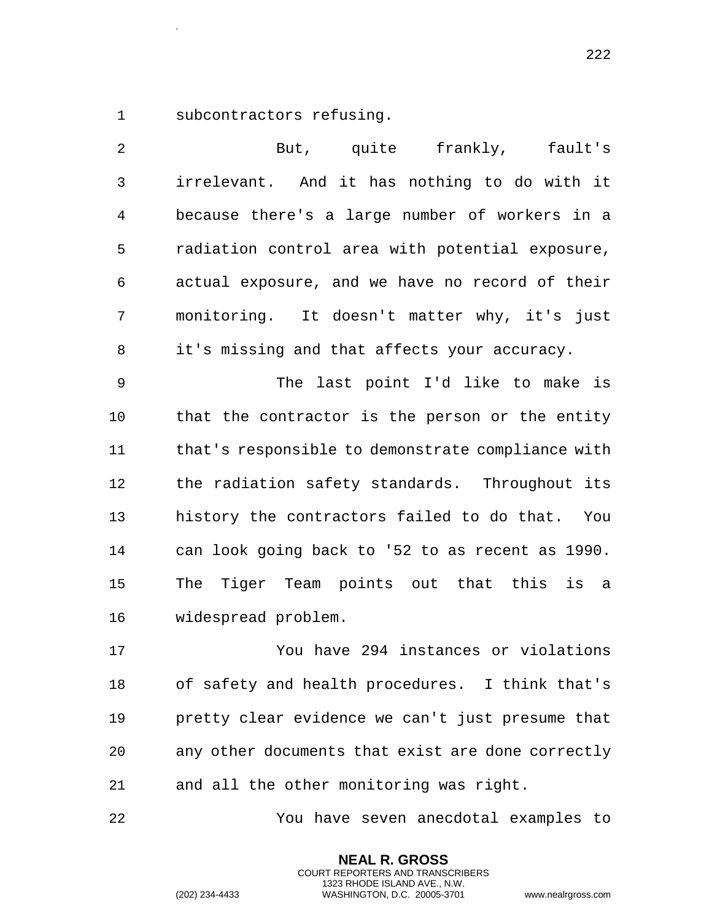subcontractors refusing.

.

 But, quite frankly, fault's irrelevant. And it has nothing to do with it because there's a large number of workers in a radiation control area with potential exposure, actual exposure, and we have no record of their monitoring. It doesn't matter why, it's just it's missing and that affects your accuracy. The last point I'd like to make is that the contractor is the person or the entity that's responsible to demonstrate compliance with the radiation safety standards. Throughout its history the contractors failed to do that. You can look going back to '52 to as recent as 1990. The Tiger Team points out that this is a widespread problem. You have 294 instances or violations

 of safety and health procedures. I think that's pretty clear evidence we can't just presume that any other documents that exist are done correctly and all the other monitoring was right.

You have seven anecdotal examples to

**NEAL R. GROSS** COURT REPORTERS AND TRANSCRIBERS 1323 RHODE ISLAND AVE., N.W.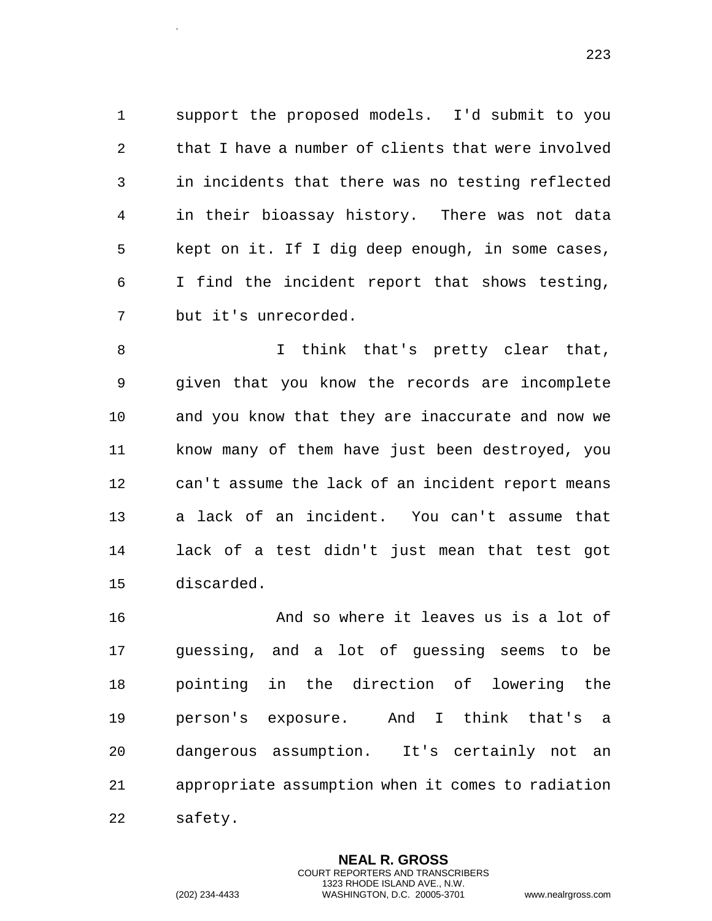support the proposed models. I'd submit to you that I have a number of clients that were involved in incidents that there was no testing reflected in their bioassay history. There was not data kept on it. If I dig deep enough, in some cases, I find the incident report that shows testing, but it's unrecorded.

8 1 I think that's pretty clear that, given that you know the records are incomplete and you know that they are inaccurate and now we know many of them have just been destroyed, you can't assume the lack of an incident report means a lack of an incident. You can't assume that lack of a test didn't just mean that test got discarded.

 And so where it leaves us is a lot of guessing, and a lot of guessing seems to be pointing in the direction of lowering the person's exposure. And I think that's a dangerous assumption. It's certainly not an appropriate assumption when it comes to radiation safety.

> **NEAL R. GROSS** COURT REPORTERS AND TRANSCRIBERS 1323 RHODE ISLAND AVE., N.W.

.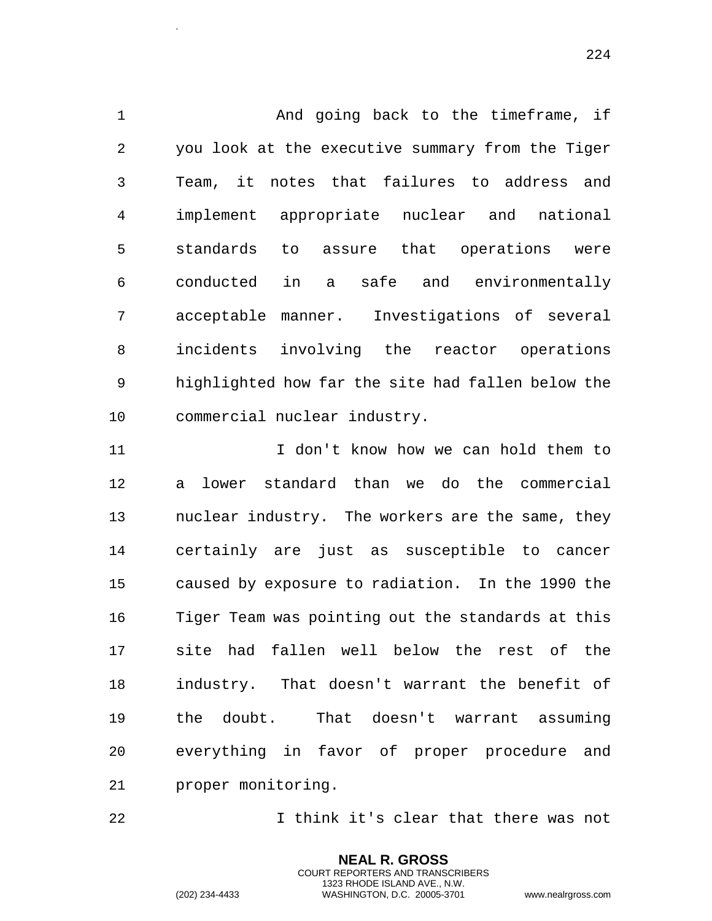1 And going back to the timeframe, if you look at the executive summary from the Tiger Team, it notes that failures to address and implement appropriate nuclear and national standards to assure that operations were conducted in a safe and environmentally acceptable manner. Investigations of several incidents involving the reactor operations highlighted how far the site had fallen below the commercial nuclear industry.

 I don't know how we can hold them to a lower standard than we do the commercial nuclear industry. The workers are the same, they certainly are just as susceptible to cancer caused by exposure to radiation. In the 1990 the Tiger Team was pointing out the standards at this site had fallen well below the rest of the industry. That doesn't warrant the benefit of the doubt. That doesn't warrant assuming everything in favor of proper procedure and proper monitoring.

I think it's clear that there was not

**NEAL R. GROSS** COURT REPORTERS AND TRANSCRIBERS 1323 RHODE ISLAND AVE., N.W.

.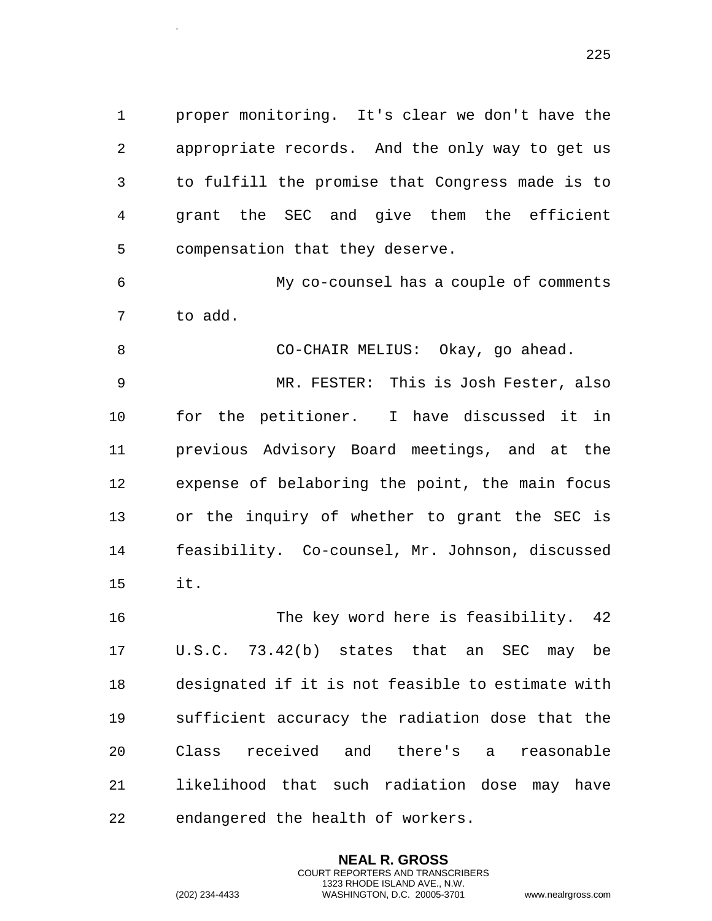proper monitoring. It's clear we don't have the appropriate records. And the only way to get us to fulfill the promise that Congress made is to grant the SEC and give them the efficient compensation that they deserve.

 My co-counsel has a couple of comments to add.

CO-CHAIR MELIUS: Okay, go ahead.

 MR. FESTER: This is Josh Fester, also for the petitioner. I have discussed it in previous Advisory Board meetings, and at the expense of belaboring the point, the main focus or the inquiry of whether to grant the SEC is feasibility. Co-counsel, Mr. Johnson, discussed it.

 The key word here is feasibility. 42 U.S.C. 73.42(b) states that an SEC may be designated if it is not feasible to estimate with sufficient accuracy the radiation dose that the Class received and there's a reasonable likelihood that such radiation dose may have endangered the health of workers.

> **NEAL R. GROSS** COURT REPORTERS AND TRANSCRIBERS 1323 RHODE ISLAND AVE., N.W.

.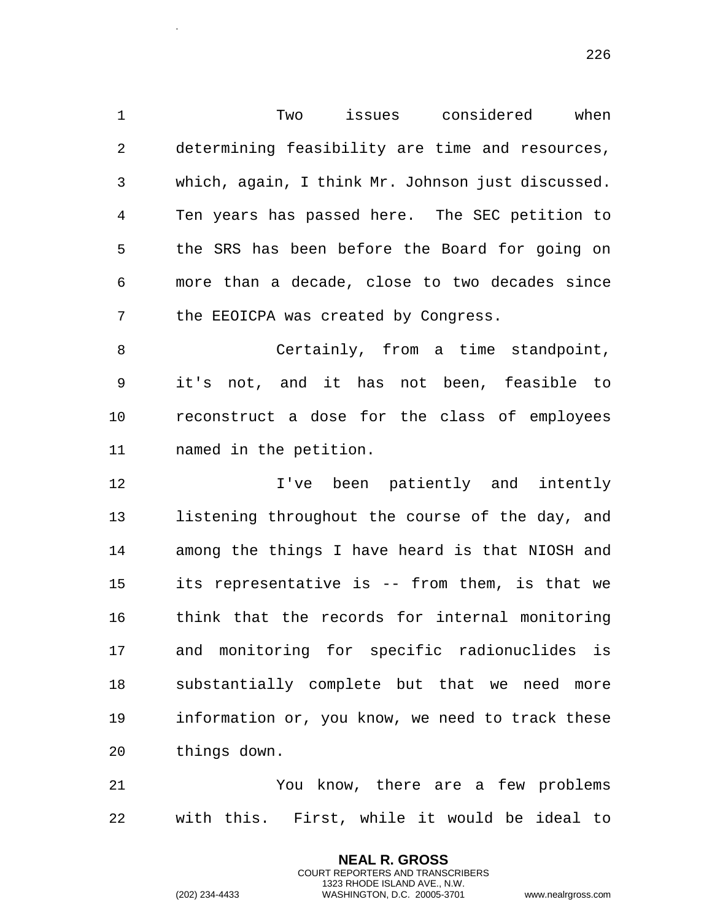Two issues considered when determining feasibility are time and resources, which, again, I think Mr. Johnson just discussed. Ten years has passed here. The SEC petition to the SRS has been before the Board for going on more than a decade, close to two decades since the EEOICPA was created by Congress. Certainly, from a time standpoint, it's not, and it has not been, feasible to reconstruct a dose for the class of employees named in the petition. I've been patiently and intently 13 listening throughout the course of the day, and among the things I have heard is that NIOSH and

 its representative is -- from them, is that we think that the records for internal monitoring and monitoring for specific radionuclides is substantially complete but that we need more information or, you know, we need to track these things down.

 You know, there are a few problems with this. First, while it would be ideal to

> **NEAL R. GROSS** COURT REPORTERS AND TRANSCRIBERS 1323 RHODE ISLAND AVE., N.W.

.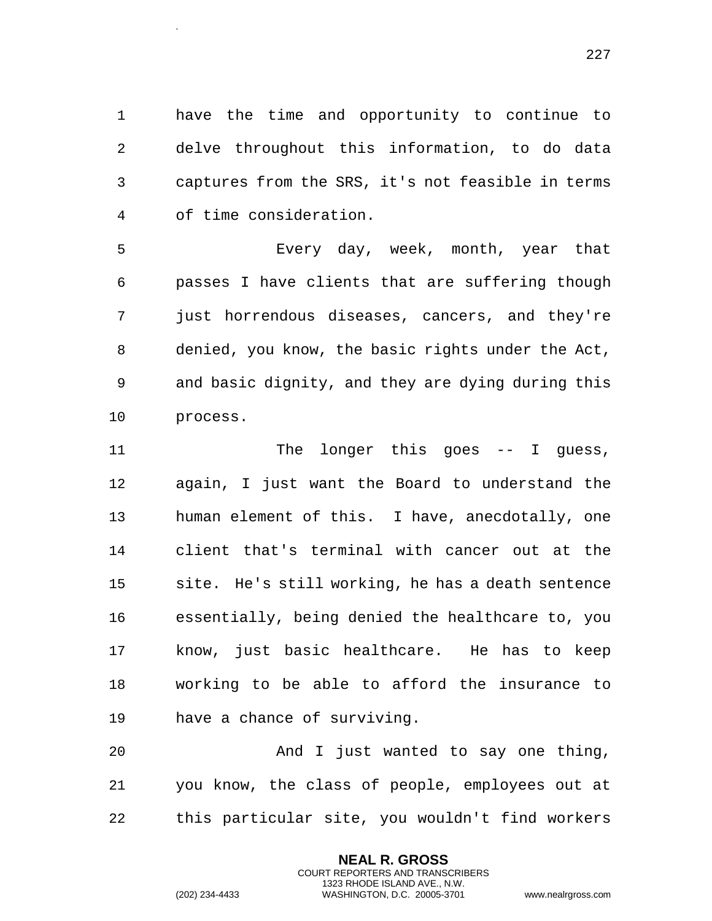have the time and opportunity to continue to delve throughout this information, to do data captures from the SRS, it's not feasible in terms of time consideration.

 Every day, week, month, year that passes I have clients that are suffering though just horrendous diseases, cancers, and they're denied, you know, the basic rights under the Act, and basic dignity, and they are dying during this process.

11 The longer this goes -- I guess, again, I just want the Board to understand the human element of this. I have, anecdotally, one client that's terminal with cancer out at the site. He's still working, he has a death sentence essentially, being denied the healthcare to, you know, just basic healthcare. He has to keep working to be able to afford the insurance to have a chance of surviving.

 And I just wanted to say one thing, you know, the class of people, employees out at this particular site, you wouldn't find workers

> **NEAL R. GROSS** COURT REPORTERS AND TRANSCRIBERS 1323 RHODE ISLAND AVE., N.W.

.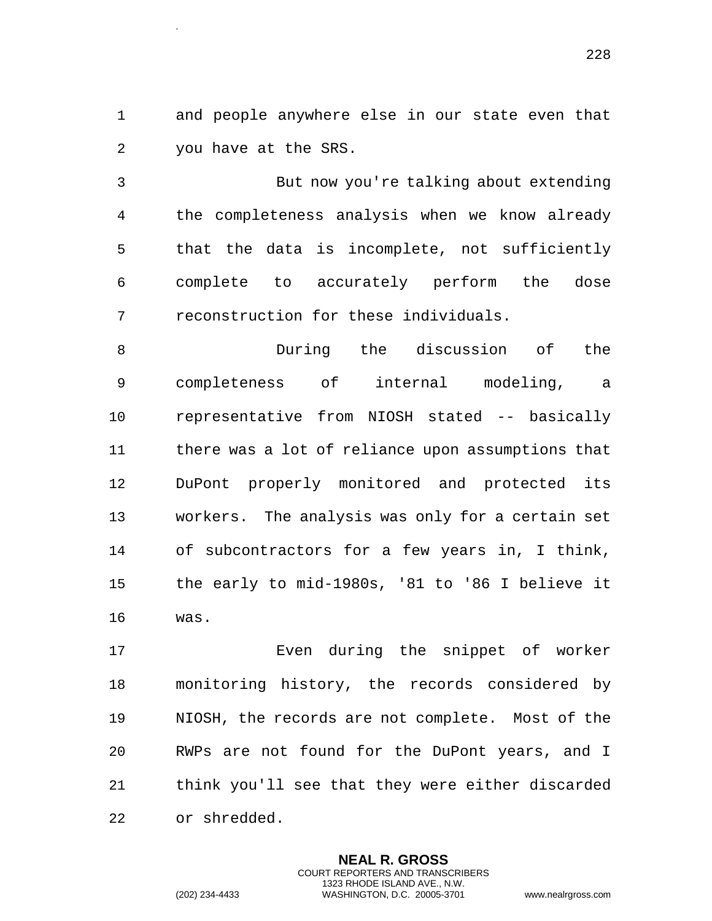and people anywhere else in our state even that you have at the SRS.

 But now you're talking about extending the completeness analysis when we know already that the data is incomplete, not sufficiently complete to accurately perform the dose reconstruction for these individuals.

 During the discussion of the completeness of internal modeling, a representative from NIOSH stated -- basically there was a lot of reliance upon assumptions that DuPont properly monitored and protected its workers. The analysis was only for a certain set of subcontractors for a few years in, I think, the early to mid-1980s, '81 to '86 I believe it was.

 Even during the snippet of worker monitoring history, the records considered by NIOSH, the records are not complete. Most of the RWPs are not found for the DuPont years, and I think you'll see that they were either discarded or shredded.

> **NEAL R. GROSS** COURT REPORTERS AND TRANSCRIBERS 1323 RHODE ISLAND AVE., N.W.

.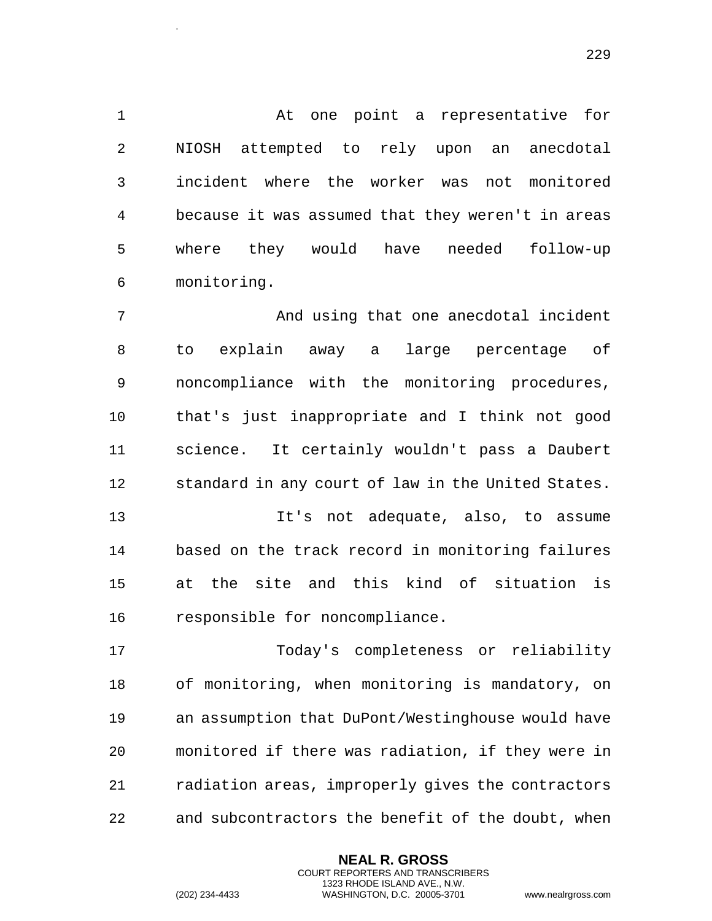At one point a representative for NIOSH attempted to rely upon an anecdotal incident where the worker was not monitored because it was assumed that they weren't in areas where they would have needed follow-up monitoring.

 And using that one anecdotal incident to explain away a large percentage of noncompliance with the monitoring procedures, that's just inappropriate and I think not good science. It certainly wouldn't pass a Daubert standard in any court of law in the United States.

 It's not adequate, also, to assume based on the track record in monitoring failures at the site and this kind of situation is responsible for noncompliance.

 Today's completeness or reliability of monitoring, when monitoring is mandatory, on an assumption that DuPont/Westinghouse would have monitored if there was radiation, if they were in radiation areas, improperly gives the contractors and subcontractors the benefit of the doubt, when

> **NEAL R. GROSS** COURT REPORTERS AND TRANSCRIBERS 1323 RHODE ISLAND AVE., N.W.

.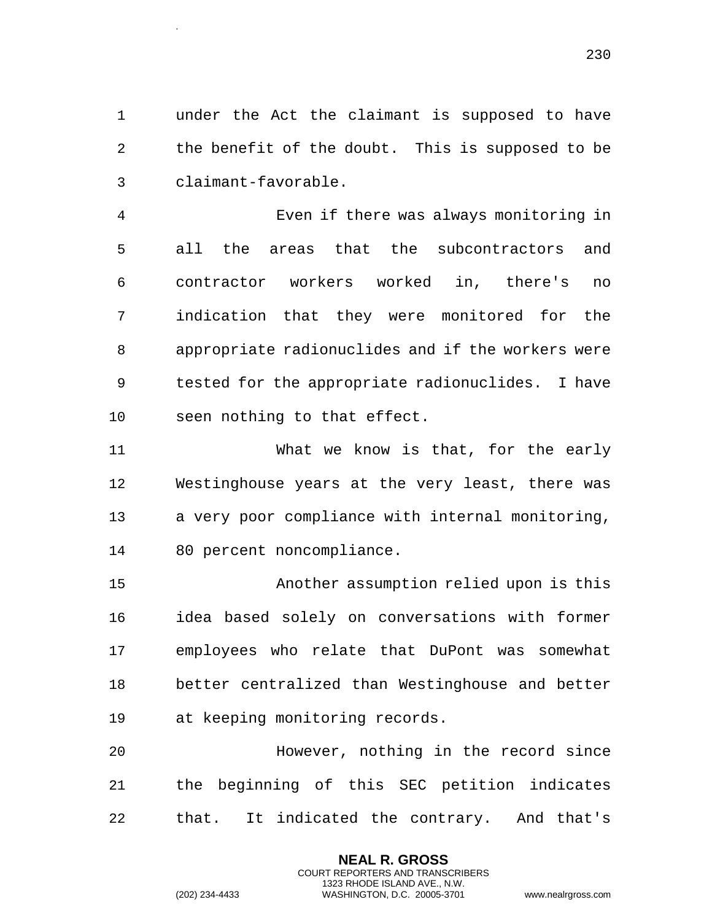under the Act the claimant is supposed to have the benefit of the doubt. This is supposed to be claimant-favorable.

 Even if there was always monitoring in all the areas that the subcontractors and contractor workers worked in, there's no indication that they were monitored for the appropriate radionuclides and if the workers were tested for the appropriate radionuclides. I have seen nothing to that effect.

 What we know is that, for the early Westinghouse years at the very least, there was a very poor compliance with internal monitoring, 80 percent noncompliance.

 Another assumption relied upon is this idea based solely on conversations with former employees who relate that DuPont was somewhat better centralized than Westinghouse and better at keeping monitoring records.

 However, nothing in the record since the beginning of this SEC petition indicates that. It indicated the contrary. And that's

> **NEAL R. GROSS** COURT REPORTERS AND TRANSCRIBERS 1323 RHODE ISLAND AVE., N.W.

.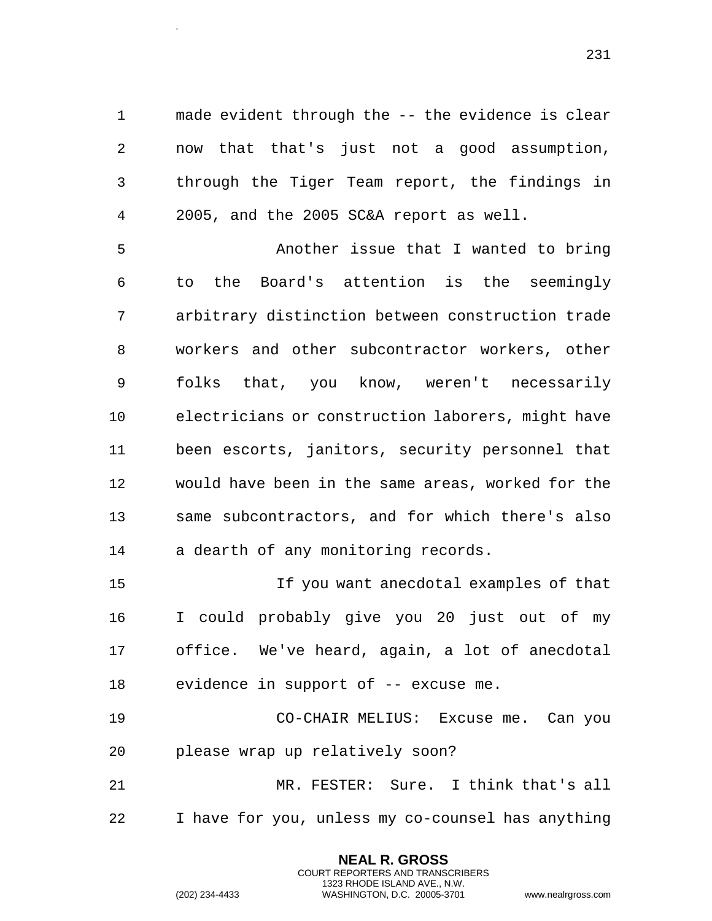made evident through the -- the evidence is clear now that that's just not a good assumption, through the Tiger Team report, the findings in 2005, and the 2005 SC&A report as well.

 Another issue that I wanted to bring to the Board's attention is the seemingly arbitrary distinction between construction trade workers and other subcontractor workers, other folks that, you know, weren't necessarily electricians or construction laborers, might have been escorts, janitors, security personnel that would have been in the same areas, worked for the same subcontractors, and for which there's also a dearth of any monitoring records.

 If you want anecdotal examples of that I could probably give you 20 just out of my office. We've heard, again, a lot of anecdotal evidence in support of -- excuse me.

 CO-CHAIR MELIUS: Excuse me. Can you please wrap up relatively soon?

 MR. FESTER: Sure. I think that's all I have for you, unless my co-counsel has anything

> **NEAL R. GROSS** COURT REPORTERS AND TRANSCRIBERS 1323 RHODE ISLAND AVE., N.W.

.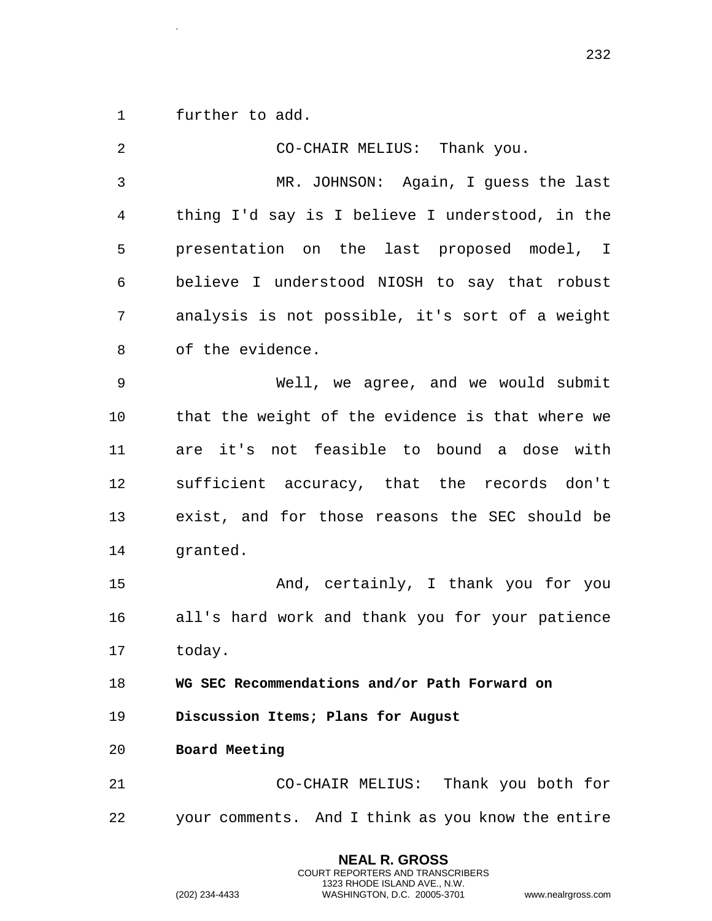1 further to add.

.

| $\overline{2}$ | CO-CHAIR MELIUS: Thank you.                       |
|----------------|---------------------------------------------------|
| $\mathfrak{Z}$ | MR. JOHNSON: Again, I guess the last              |
| 4              | thing I'd say is I believe I understood, in the   |
| 5              | presentation on the last proposed model, I        |
| 6              | believe I understood NIOSH to say that robust     |
| 7              | analysis is not possible, it's sort of a weight   |
| 8              | of the evidence.                                  |
| $\mathsf 9$    | Well, we agree, and we would submit               |
| 10             | that the weight of the evidence is that where we  |
| 11             | are it's not feasible to bound a dose with        |
| 12             | sufficient accuracy, that the records don't       |
| 13             | exist, and for those reasons the SEC should be    |
| 14             | granted.                                          |
| 15             | And, certainly, I thank you for you               |
| 16             | all's hard work and thank you for your patience   |
| 17             | today.                                            |
| 18             | WG SEC Recommendations and/or Path Forward on     |
| 19             | Discussion Items; Plans for August                |
| 20             | Board Meeting                                     |
| 21             | CO-CHAIR MELIUS: Thank you both for               |
| 22             | your comments. And I think as you know the entire |

**NEAL R. GROSS** COURT REPORTERS AND TRANSCRIBERS 1323 RHODE ISLAND AVE., N.W.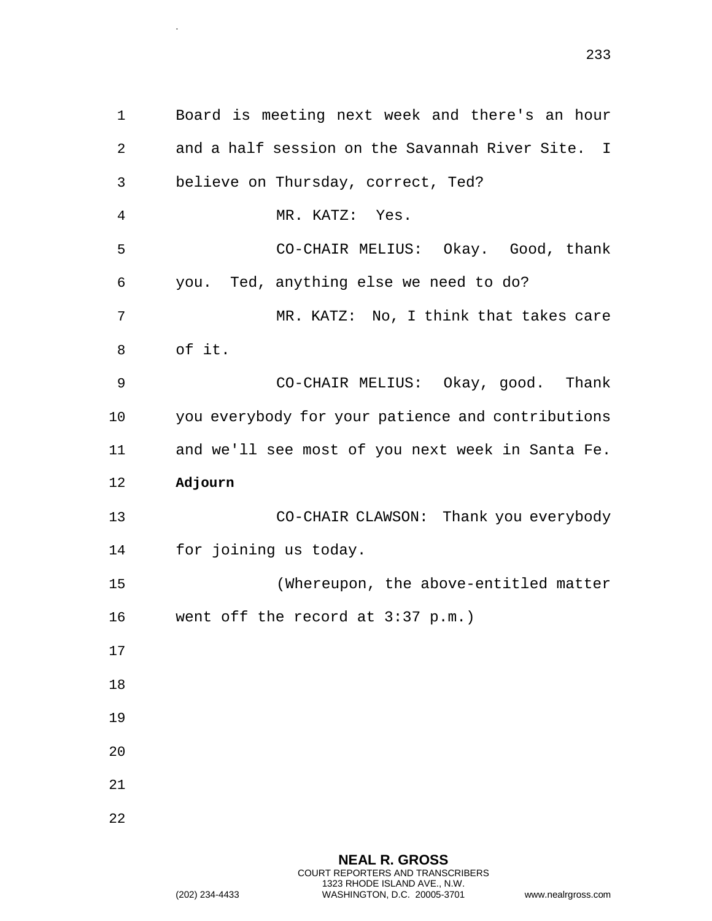1 Board is meeting next week and there's an hour 2 and a half session on the Savannah River Site. I 3 believe on Thursday, correct, Ted? 4 MR. KATZ: Yes. 5 CO-CHAIR MELIUS: Okay. Good, thank 6 you. Ted, anything else we need to do? 7 MR. KATZ: No, I think that takes care 8 of it. 9 CO-CHAIR MELIUS: Okay, good. Thank 10 you everybody for your patience and contributions 11 and we'll see most of you next week in Santa Fe. 12 **Adjourn**  13 CO-CHAIR CLAWSON: Thank you everybody 14 for joining us today. 15 (Whereupon, the above-entitled matter 16 went off the record at 3:37 p.m.) 17 18 19 20 21 22

> **NEAL R. GROSS** COURT REPORTERS AND TRANSCRIBERS 1323 RHODE ISLAND AVE., N.W. (202) 234-4433 WASHINGTON, D.C. 20005-3701 www.nealrgross.com

.

233